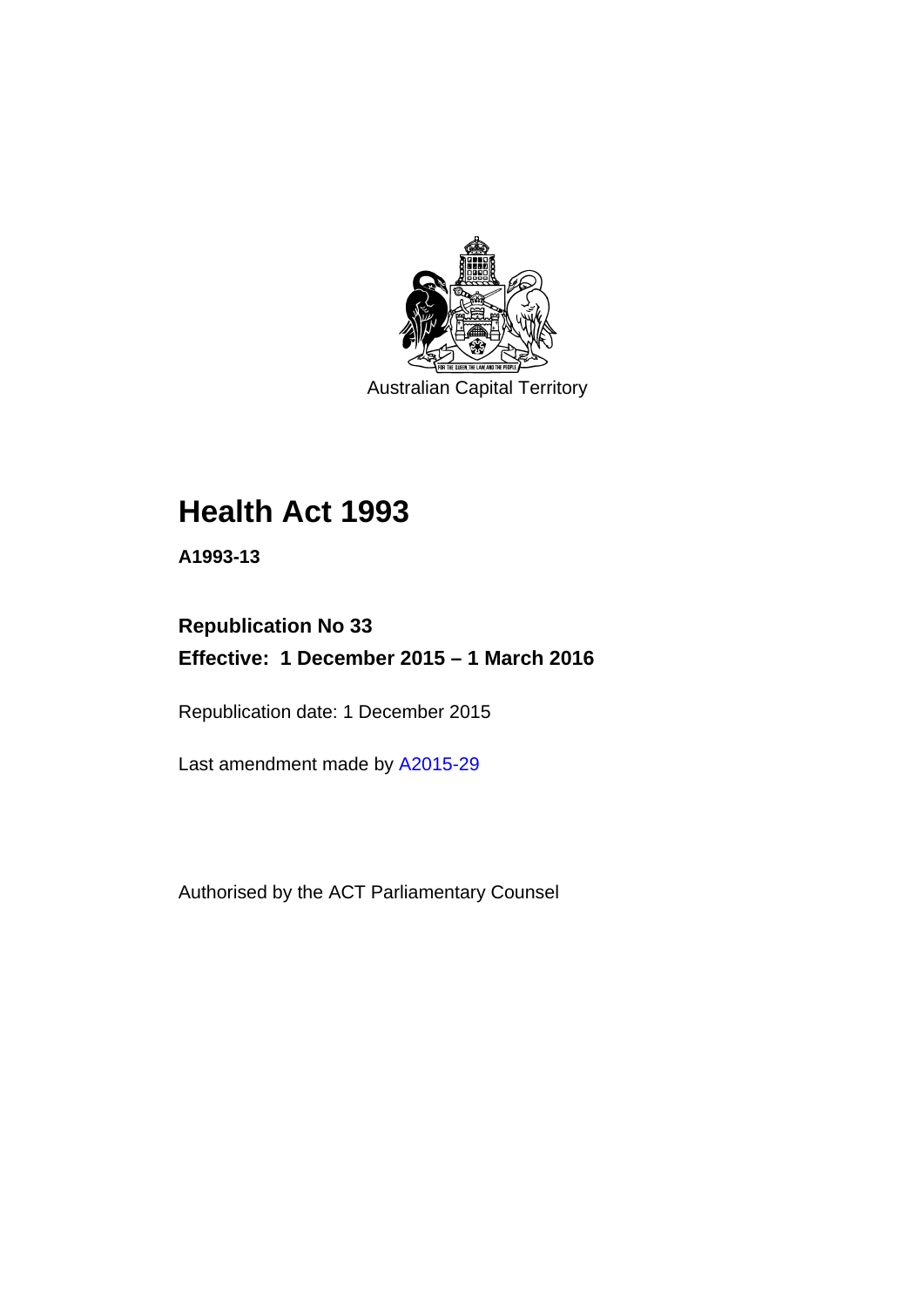

Australian Capital Territory

# **Health Act 1993**

**A1993-13** 

# **Republication No 33 Effective: 1 December 2015 – 1 March 2016**

Republication date: 1 December 2015

Last amendment made by [A2015-29](http://www.legislation.act.gov.au/a/2015-29)

Authorised by the ACT Parliamentary Counsel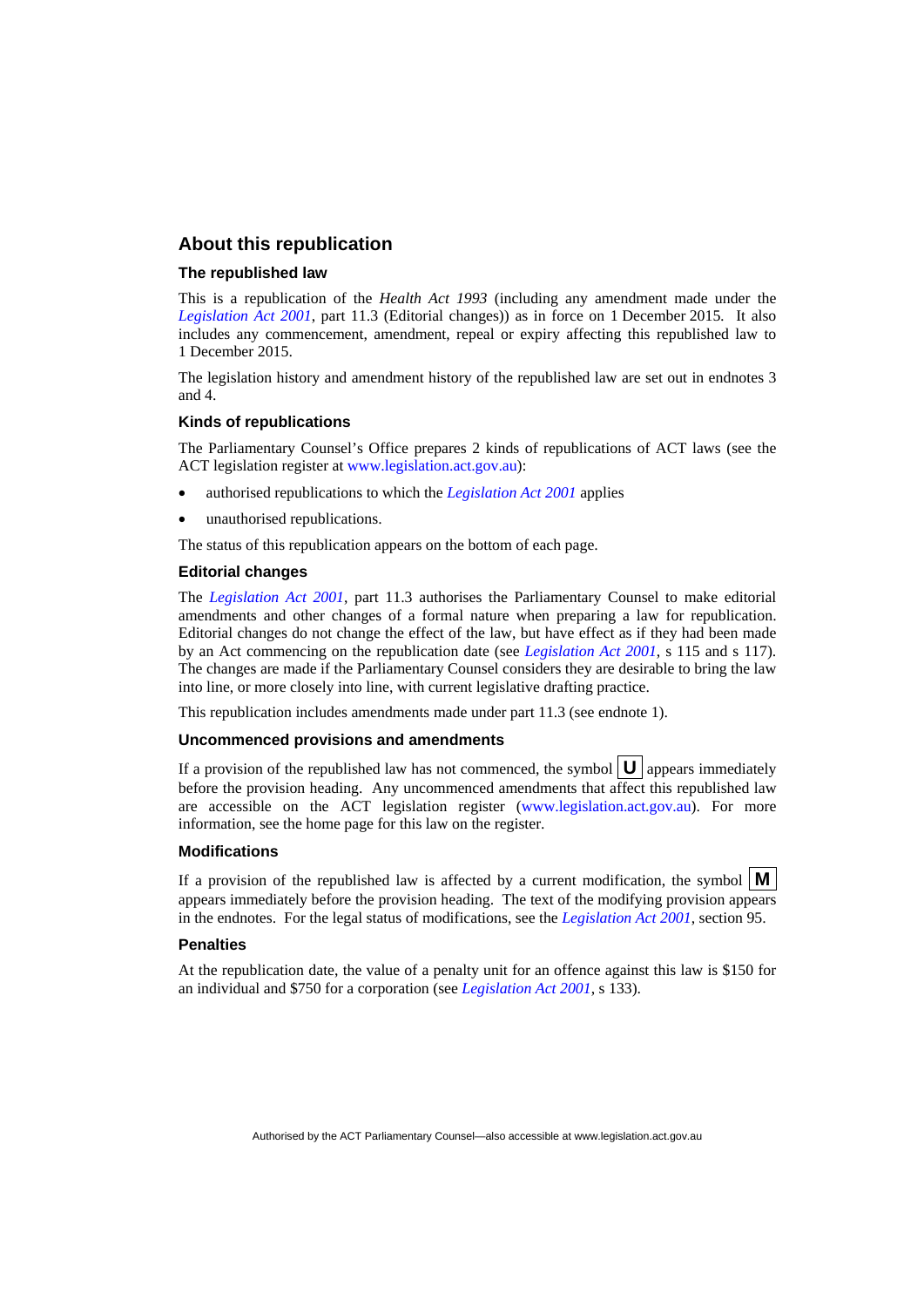#### **About this republication**

#### **The republished law**

This is a republication of the *Health Act 1993* (including any amendment made under the *[Legislation Act 2001](http://www.legislation.act.gov.au/a/2001-14)*, part 11.3 (Editorial changes)) as in force on 1 December 2015*.* It also includes any commencement, amendment, repeal or expiry affecting this republished law to 1 December 2015.

The legislation history and amendment history of the republished law are set out in endnotes 3 and 4.

#### **Kinds of republications**

The Parliamentary Counsel's Office prepares 2 kinds of republications of ACT laws (see the ACT legislation register at [www.legislation.act.gov.au](http://www.legislation.act.gov.au/)):

- authorised republications to which the *[Legislation Act 2001](http://www.legislation.act.gov.au/a/2001-14)* applies
- unauthorised republications.

The status of this republication appears on the bottom of each page.

#### **Editorial changes**

The *[Legislation Act 2001](http://www.legislation.act.gov.au/a/2001-14)*, part 11.3 authorises the Parliamentary Counsel to make editorial amendments and other changes of a formal nature when preparing a law for republication. Editorial changes do not change the effect of the law, but have effect as if they had been made by an Act commencing on the republication date (see *[Legislation Act 2001](http://www.legislation.act.gov.au/a/2001-14)*, s 115 and s 117). The changes are made if the Parliamentary Counsel considers they are desirable to bring the law into line, or more closely into line, with current legislative drafting practice.

This republication includes amendments made under part 11.3 (see endnote 1).

#### **Uncommenced provisions and amendments**

If a provision of the republished law has not commenced, the symbol  $\mathbf{U}$  appears immediately before the provision heading. Any uncommenced amendments that affect this republished law are accessible on the ACT legislation register [\(www.legislation.act.gov.au\)](http://www.legislation.act.gov.au/). For more information, see the home page for this law on the register.

#### **Modifications**

If a provision of the republished law is affected by a current modification, the symbol  $\mathbf{M}$ appears immediately before the provision heading. The text of the modifying provision appears in the endnotes. For the legal status of modifications, see the *[Legislation Act 2001](http://www.legislation.act.gov.au/a/2001-14)*, section 95.

#### **Penalties**

At the republication date, the value of a penalty unit for an offence against this law is \$150 for an individual and \$750 for a corporation (see *[Legislation Act 2001](http://www.legislation.act.gov.au/a/2001-14)*, s 133).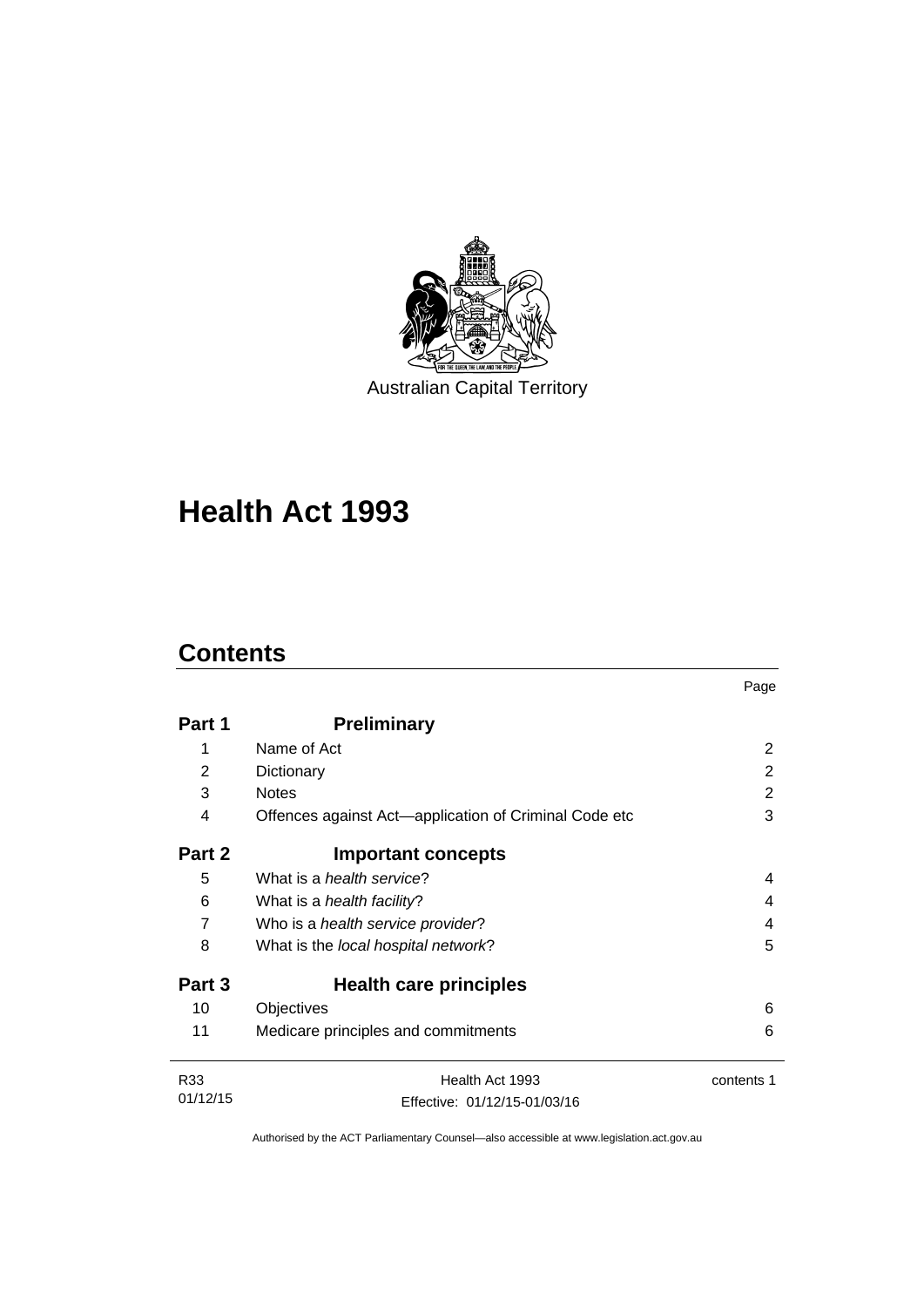

Australian Capital Territory

# **Health Act 1993**

# **Contents**

|                 |                                                       | Page       |
|-----------------|-------------------------------------------------------|------------|
| Part 1          | <b>Preliminary</b>                                    |            |
| 1               | Name of Act                                           | 2          |
| 2               | Dictionary                                            | 2          |
| 3               | <b>Notes</b>                                          | 2          |
| 4               | Offences against Act—application of Criminal Code etc | 3          |
| Part 2          | <b>Important concepts</b>                             |            |
| 5               | What is a <i>health service</i> ?                     | 4          |
| 6               | What is a <i>health facility</i> ?                    | 4          |
| 7               | Who is a health service provider?                     | 4          |
| 8               | What is the local hospital network?                   | 5          |
| Part 3          | Health care principles                                |            |
| 10              | Objectives                                            | 6          |
| 11              | Medicare principles and commitments                   | 6          |
| R <sub>33</sub> | Health Act 1993                                       | contents 1 |
| 01/12/15        | Effective: 01/12/15-01/03/16                          |            |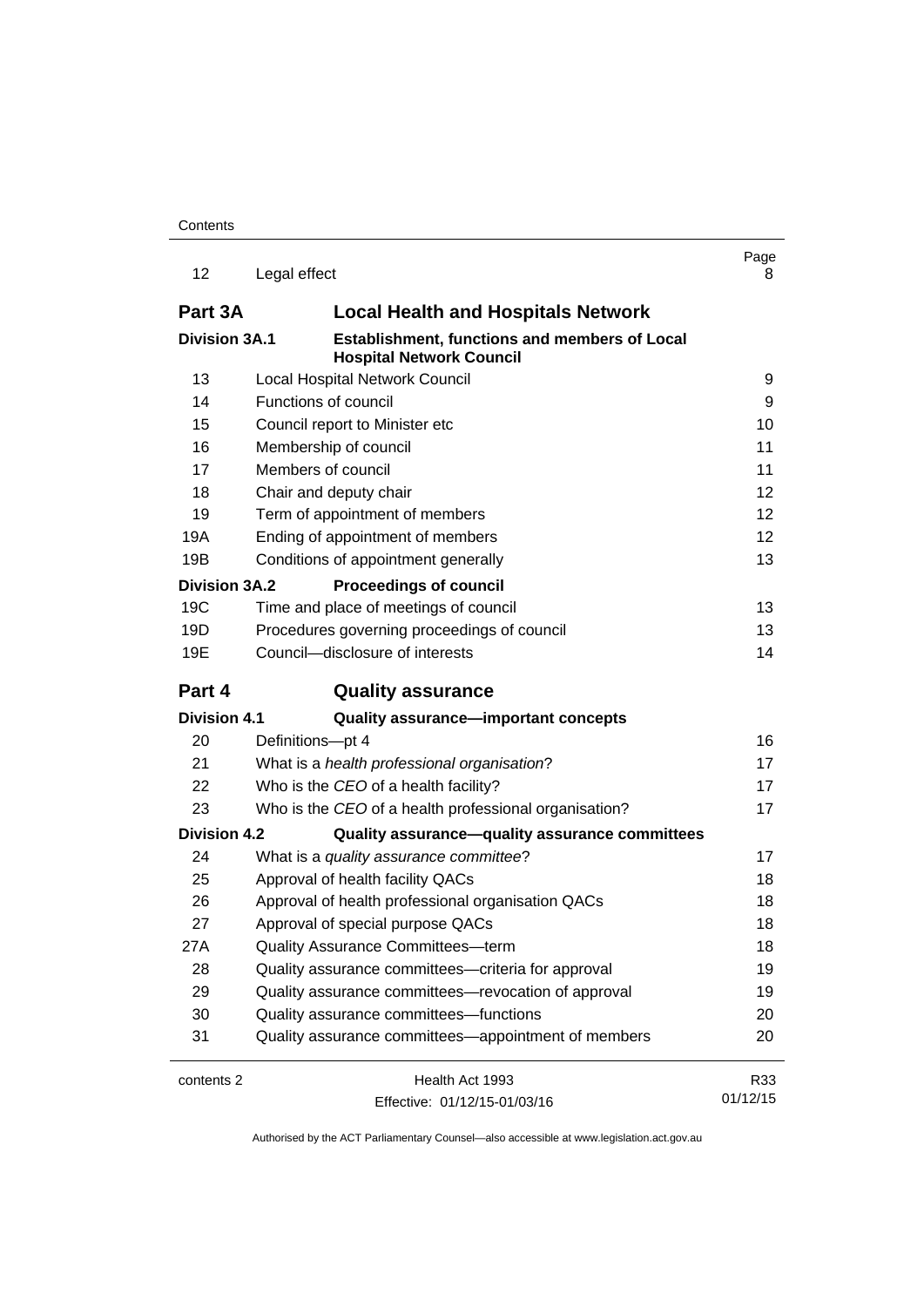| 12                   | Legal effect                                                                     | Page<br>8 |
|----------------------|----------------------------------------------------------------------------------|-----------|
| Part 3A              | <b>Local Health and Hospitals Network</b>                                        |           |
| <b>Division 3A.1</b> | Establishment, functions and members of Local<br><b>Hospital Network Council</b> |           |
| 13                   | <b>Local Hospital Network Council</b>                                            | 9         |
| 14                   | Functions of council                                                             | 9         |
| 15                   | Council report to Minister etc                                                   | 10        |
| 16                   | Membership of council                                                            | 11        |
| 17                   | Members of council                                                               | 11        |
| 18                   | Chair and deputy chair                                                           | 12        |
| 19                   | Term of appointment of members                                                   | 12        |
| 19A                  | Ending of appointment of members                                                 | 12        |
| 19B                  | Conditions of appointment generally                                              | 13        |
| <b>Division 3A.2</b> | <b>Proceedings of council</b>                                                    |           |
| 19 <sub>C</sub>      | Time and place of meetings of council                                            | 13        |
| 19D                  | Procedures governing proceedings of council                                      | 13        |
| 19E                  | Council-disclosure of interests                                                  | 14        |
| Part 4               | <b>Quality assurance</b>                                                         |           |
| <b>Division 4.1</b>  | Quality assurance-important concepts                                             |           |
| 20                   | Definitions-pt 4                                                                 | 16        |
| 21                   | What is a health professional organisation?                                      | 17        |
| 22                   | Who is the CEO of a health facility?                                             | 17        |
| 23                   | Who is the CEO of a health professional organisation?                            | 17        |
| <b>Division 4.2</b>  | Quality assurance-quality assurance committees                                   |           |
| 24                   | What is a quality assurance committee?                                           | 17        |
| 25                   | Approval of health facility QACs                                                 | 18        |
| 26                   | Approval of health professional organisation QACs                                | 18        |
| 27                   | Approval of special purpose QACs                                                 | 18        |
| 27A                  | Quality Assurance Committees-term                                                | 18        |
| 28                   | Quality assurance committees—criteria for approval                               | 19        |
| 29                   | Quality assurance committees-revocation of approval                              | 19        |
| 30                   | Quality assurance committees-functions                                           | 20        |
| 31                   | Quality assurance committees—appointment of members                              | 20        |
| contents 2           | Health Act 1993                                                                  | R33       |
|                      | Effective: 01/12/15-01/03/16                                                     | 01/12/15  |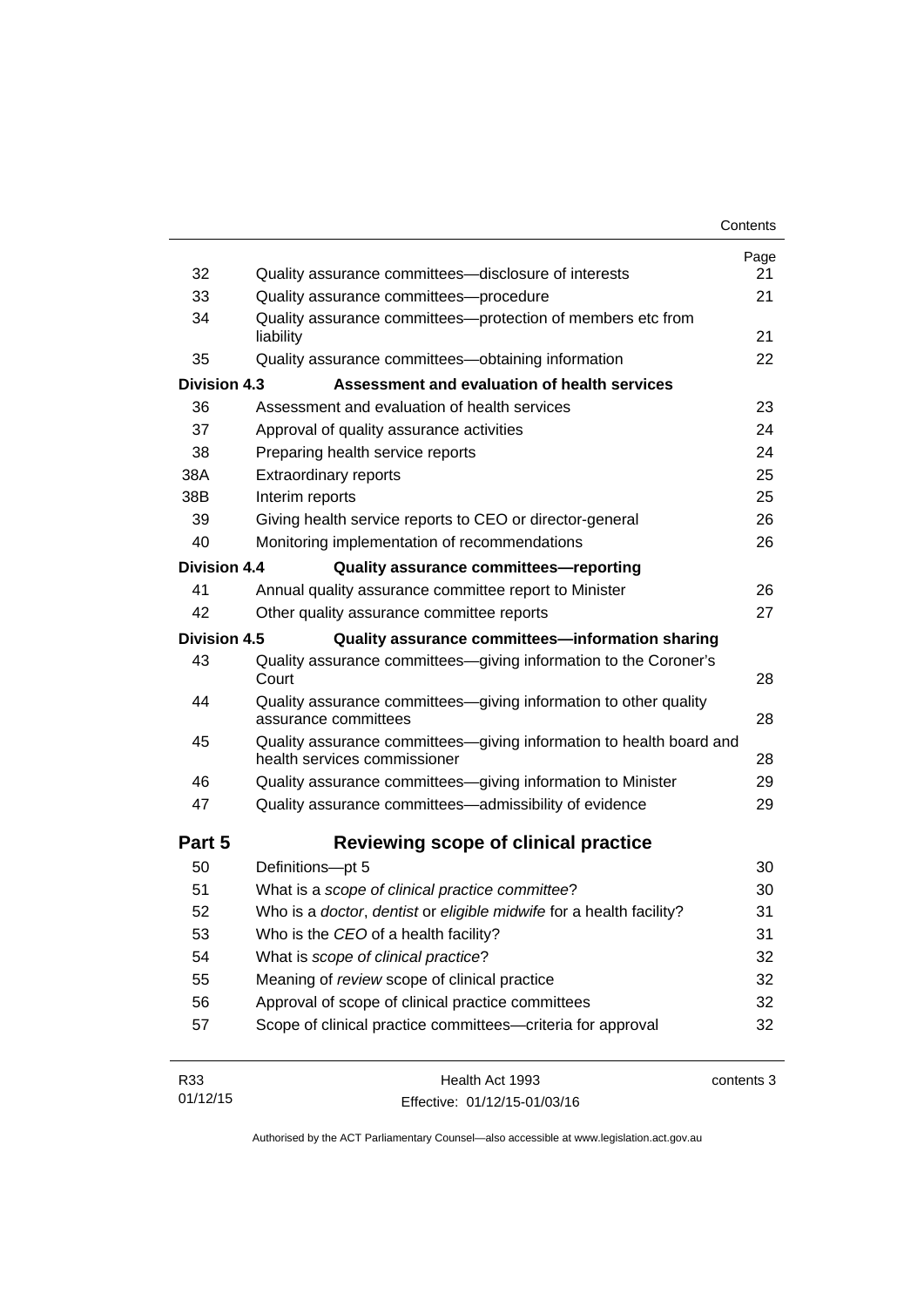|                     |                                                                                                     | Contents        |
|---------------------|-----------------------------------------------------------------------------------------------------|-----------------|
|                     |                                                                                                     | Page            |
| 32                  | Quality assurance committees-disclosure of interests                                                | 21<br>21        |
| 33                  | Quality assurance committees-procedure                                                              |                 |
| 34                  | Quality assurance committees-protection of members etc from<br>liability                            | 21              |
| 35                  | Quality assurance committees-obtaining information                                                  | 22              |
| <b>Division 4.3</b> | Assessment and evaluation of health services                                                        |                 |
| 36                  | Assessment and evaluation of health services                                                        | 23              |
| 37                  | Approval of quality assurance activities                                                            | 24              |
| 38                  | Preparing health service reports                                                                    | 24              |
| 38A                 | <b>Extraordinary reports</b>                                                                        | 25              |
| 38B                 | Interim reports                                                                                     | 25              |
| 39                  | Giving health service reports to CEO or director-general                                            | 26              |
| 40                  | Monitoring implementation of recommendations                                                        | 26              |
| <b>Division 4.4</b> | Quality assurance committees-reporting                                                              |                 |
| 41                  | Annual quality assurance committee report to Minister                                               | 26              |
| 42                  | Other quality assurance committee reports                                                           | 27              |
| <b>Division 4.5</b> | Quality assurance committees-information sharing                                                    |                 |
| 43                  | Quality assurance committees-giving information to the Coroner's<br>Court                           | 28              |
| 44                  | Quality assurance committees-giving information to other quality<br>assurance committees            | 28              |
| 45                  | Quality assurance committees-giving information to health board and<br>health services commissioner | 28              |
| 46                  | Quality assurance committees-giving information to Minister                                         | 29              |
| 47                  | Quality assurance committees-admissibility of evidence                                              | 29              |
| Part 5              | Reviewing scope of clinical practice                                                                |                 |
| 50                  | Definitions-pt 5                                                                                    | 30              |
| 51                  | What is a scope of clinical practice committee?                                                     | 30              |
| 52                  | Who is a doctor, dentist or eligible midwife for a health facility?                                 | 31              |
| 53                  | Who is the CEO of a health facility?                                                                | 31              |
| 54                  | What is scope of clinical practice?                                                                 | 32              |
| 55                  | Meaning of review scope of clinical practice                                                        | 32              |
| 56                  | Approval of scope of clinical practice committees                                                   | 32              |
| 57                  | Scope of clinical practice committees-criteria for approval                                         | 32              |
| D22                 | $H$ <sub>00</sub> $H$ <sub>0</sub> $H$ <sub>002</sub>                                               | $\sim$ ntanta 2 |

| R33      | Health Act 1993              | contents 3 |
|----------|------------------------------|------------|
| 01/12/15 | Effective: 01/12/15-01/03/16 |            |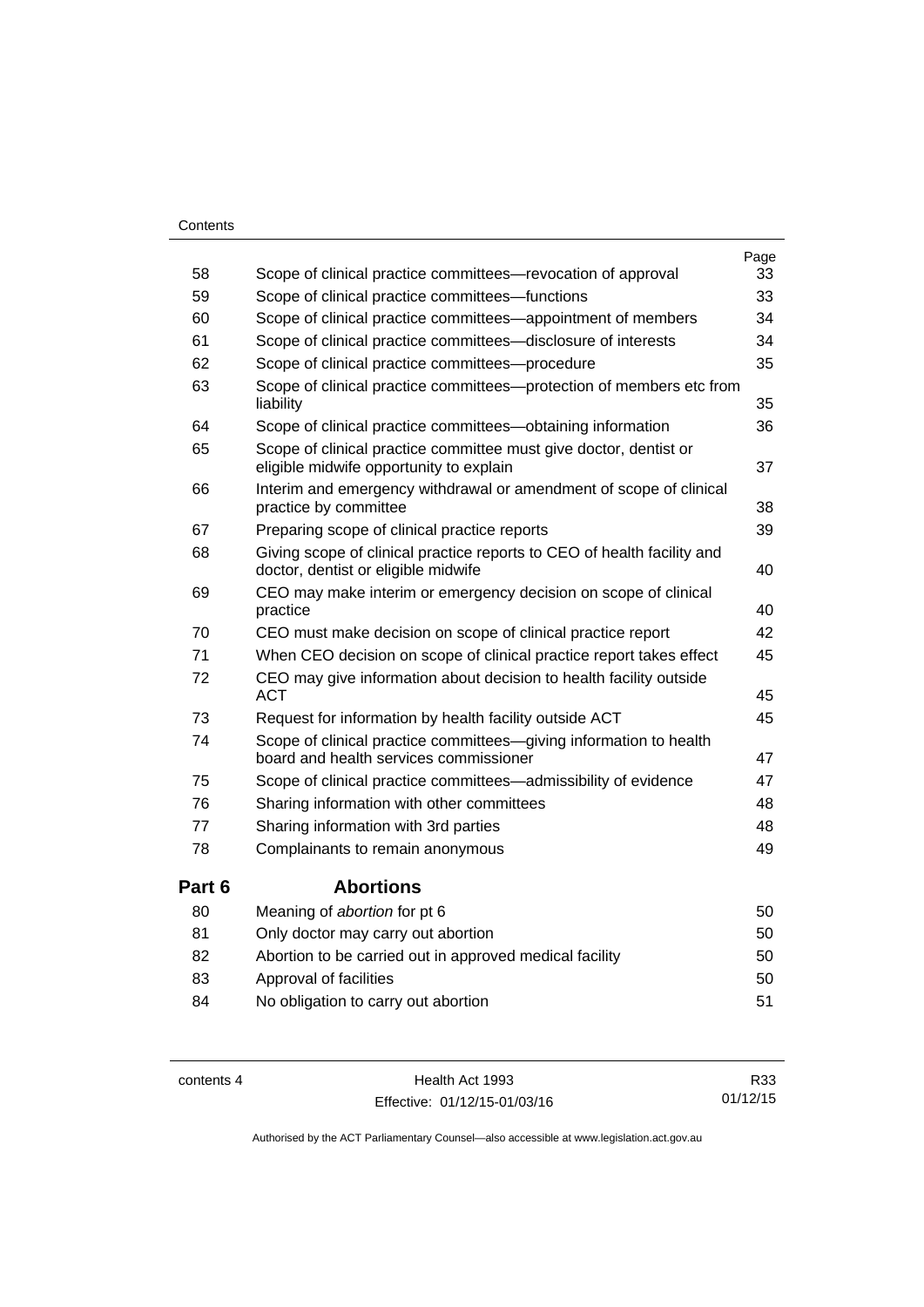#### **Contents**

|          |                                                                                                                | Page     |
|----------|----------------------------------------------------------------------------------------------------------------|----------|
| 58<br>59 | Scope of clinical practice committees—revocation of approval                                                   | 33<br>33 |
|          | Scope of clinical practice committees-functions                                                                |          |
| 60       | Scope of clinical practice committees—appointment of members                                                   | 34       |
| 61       | Scope of clinical practice committees-disclosure of interests                                                  | 34       |
| 62       | Scope of clinical practice committees-procedure                                                                | 35       |
| 63       | Scope of clinical practice committees--protection of members etc from<br>liability                             | 35       |
| 64       | Scope of clinical practice committees-obtaining information                                                    | 36       |
| 65       | Scope of clinical practice committee must give doctor, dentist or<br>eligible midwife opportunity to explain   | 37       |
| 66       | Interim and emergency withdrawal or amendment of scope of clinical<br>practice by committee                    | 38       |
| 67       | Preparing scope of clinical practice reports                                                                   | 39       |
| 68       | Giving scope of clinical practice reports to CEO of health facility and<br>doctor, dentist or eligible midwife | 40       |
| 69       | CEO may make interim or emergency decision on scope of clinical<br>practice                                    | 40       |
| 70       | CEO must make decision on scope of clinical practice report                                                    | 42       |
| 71       | When CEO decision on scope of clinical practice report takes effect                                            | 45       |
| 72       | CEO may give information about decision to health facility outside<br><b>ACT</b>                               | 45       |
| 73       | Request for information by health facility outside ACT                                                         | 45       |
| 74       | Scope of clinical practice committees-giving information to health<br>board and health services commissioner   | 47       |
| 75       | Scope of clinical practice committees-admissibility of evidence                                                | 47       |
| 76       | Sharing information with other committees                                                                      | 48       |
| 77       | Sharing information with 3rd parties                                                                           | 48       |
| 78       | Complainants to remain anonymous                                                                               | 49       |
| Part 6   | <b>Abortions</b>                                                                                               |          |
| 80       | Meaning of abortion for pt 6                                                                                   | 50       |
| 81       | Only doctor may carry out abortion                                                                             | 50       |
| 82       | Abortion to be carried out in approved medical facility                                                        | 50       |
| 83       | Approval of facilities                                                                                         | 50       |
| 84       | No obligation to carry out abortion                                                                            | 51       |

contents 4 Health Act 1993 Effective: 01/12/15-01/03/16

R33 01/12/15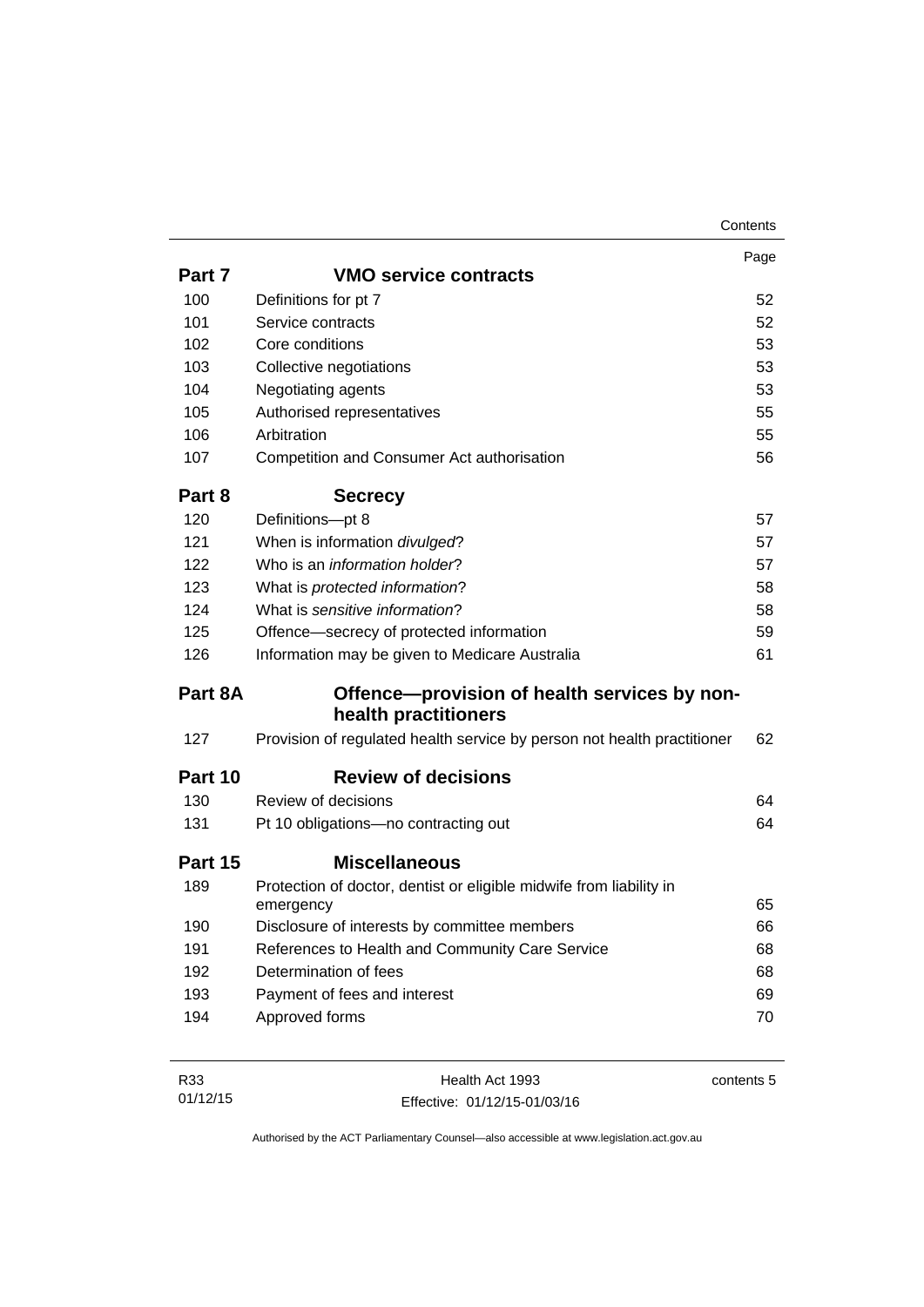|         |                                                                         | Page |
|---------|-------------------------------------------------------------------------|------|
| Part 7  | <b>VMO service contracts</b>                                            |      |
| 100     | Definitions for pt 7                                                    | 52   |
| 101     | Service contracts                                                       | 52   |
| 102     | Core conditions                                                         | 53   |
| 103     | Collective negotiations                                                 | 53   |
| 104     | Negotiating agents                                                      | 53   |
| 105     | Authorised representatives                                              | 55   |
| 106     | Arbitration                                                             | 55   |
| 107     | Competition and Consumer Act authorisation                              | 56   |
| Part 8  | <b>Secrecy</b>                                                          |      |
| 120     | Definitions-pt 8                                                        | 57   |
| 121     | When is information divulged?                                           | 57   |
| 122     | Who is an information holder?                                           | 57   |
| 123     | What is protected information?                                          | 58   |
| 124     | What is sensitive information?                                          | 58   |
| 125     | Offence-secrecy of protected information                                | 59   |
| 126     | Information may be given to Medicare Australia                          | 61   |
| Part 8A | Offence—provision of health services by non-                            |      |
|         | health practitioners                                                    |      |
| 127     | Provision of regulated health service by person not health practitioner | 62   |
| Part 10 | <b>Review of decisions</b>                                              |      |
| 130     | Review of decisions                                                     | 64   |
| 131     | Pt 10 obligations-no contracting out                                    | 64   |
| Part 15 | <b>Miscellaneous</b>                                                    |      |
| 189     | Protection of doctor, dentist or eligible midwife from liability in     |      |
|         | emergency                                                               | 65   |
| 190     | Disclosure of interests by committee members                            | 66   |
| 191     | References to Health and Community Care Service                         | 68   |
| 192     | Determination of fees                                                   | 68   |
| 193     | Payment of fees and interest                                            | 69   |
| 194     | Approved forms                                                          | 70   |
|         |                                                                         |      |

| R33      | Health Act 1993              | contents 5 |
|----------|------------------------------|------------|
| 01/12/15 | Effective: 01/12/15-01/03/16 |            |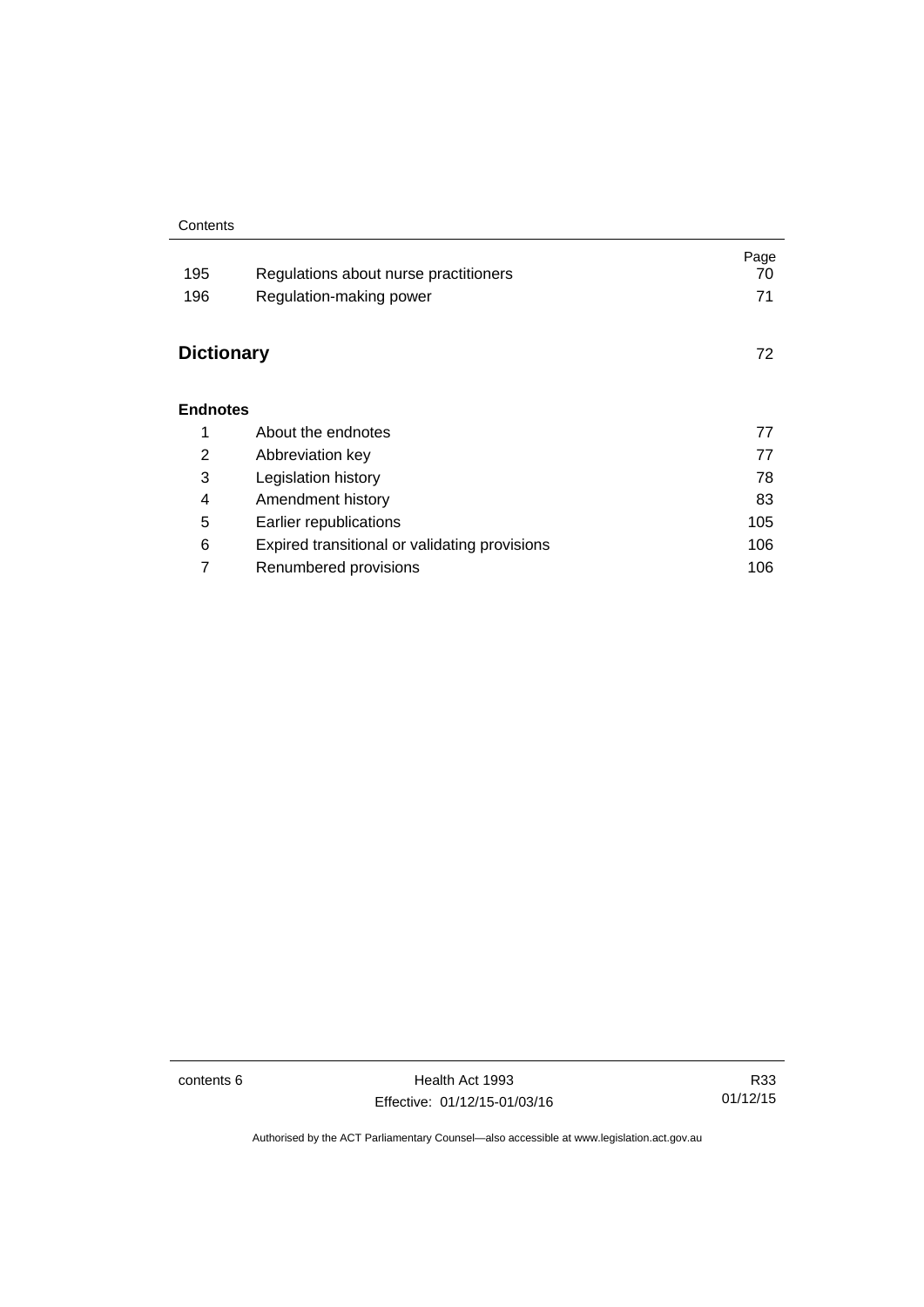#### **Contents**

| 195<br>196        | Regulations about nurse practitioners<br>Regulation-making power | Page<br>70<br>71 |
|-------------------|------------------------------------------------------------------|------------------|
| <b>Dictionary</b> |                                                                  | 72               |
| <b>Endnotes</b>   |                                                                  |                  |
| 1                 | About the endnotes                                               | 77               |
| 2                 | Abbreviation key                                                 | 77               |
| 3                 | Legislation history                                              | 78               |
| 4                 | Amendment history                                                | 83               |
| 5                 | Earlier republications                                           | 105              |
| 6                 | Expired transitional or validating provisions                    | 106              |
| 7                 | Renumbered provisions                                            | 106              |

contents 6 Health Act 1993 Effective: 01/12/15-01/03/16

R33 01/12/15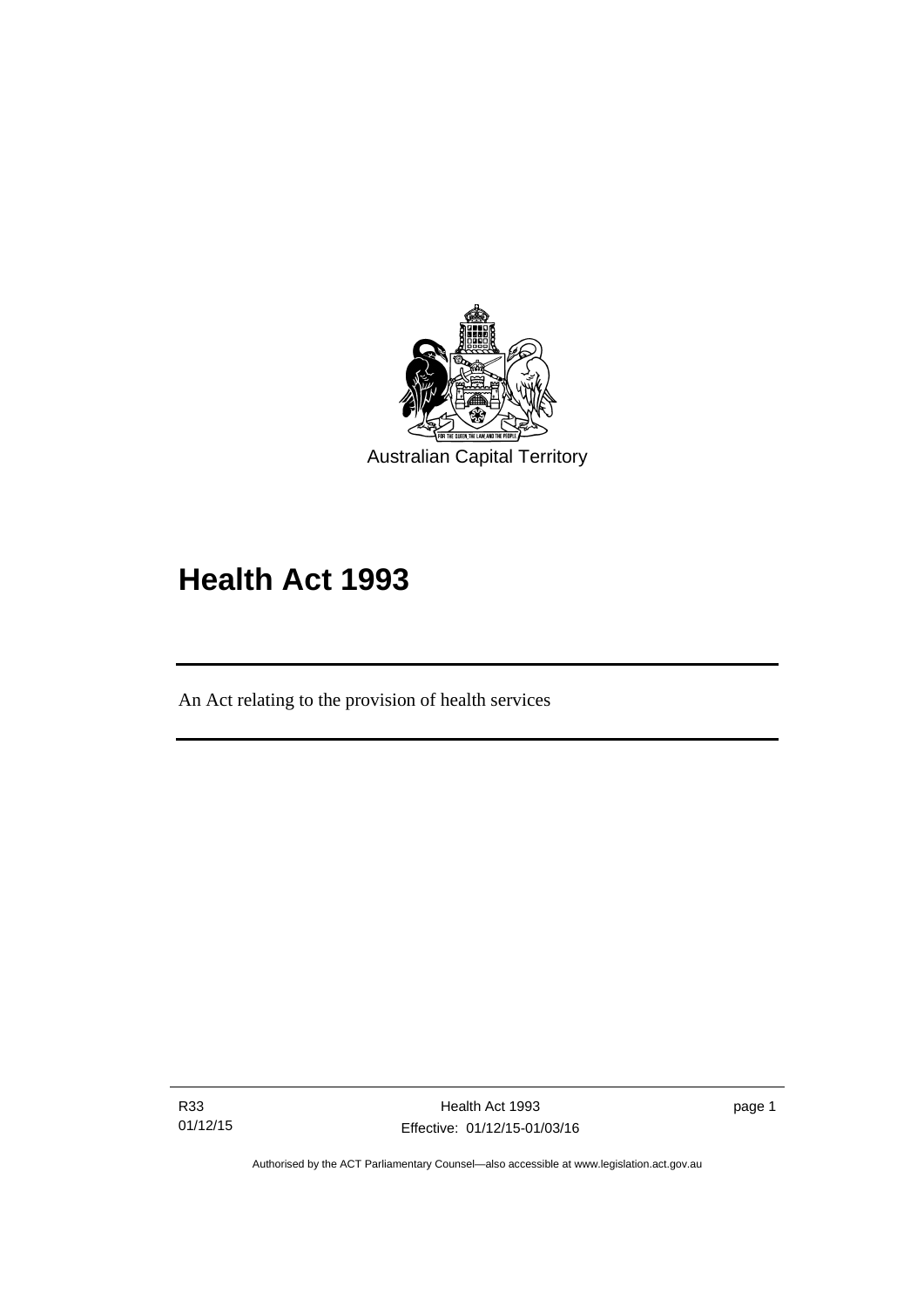

# **Health Act 1993**

An Act relating to the provision of health services

R33 01/12/15

l

Health Act 1993 Effective: 01/12/15-01/03/16 page 1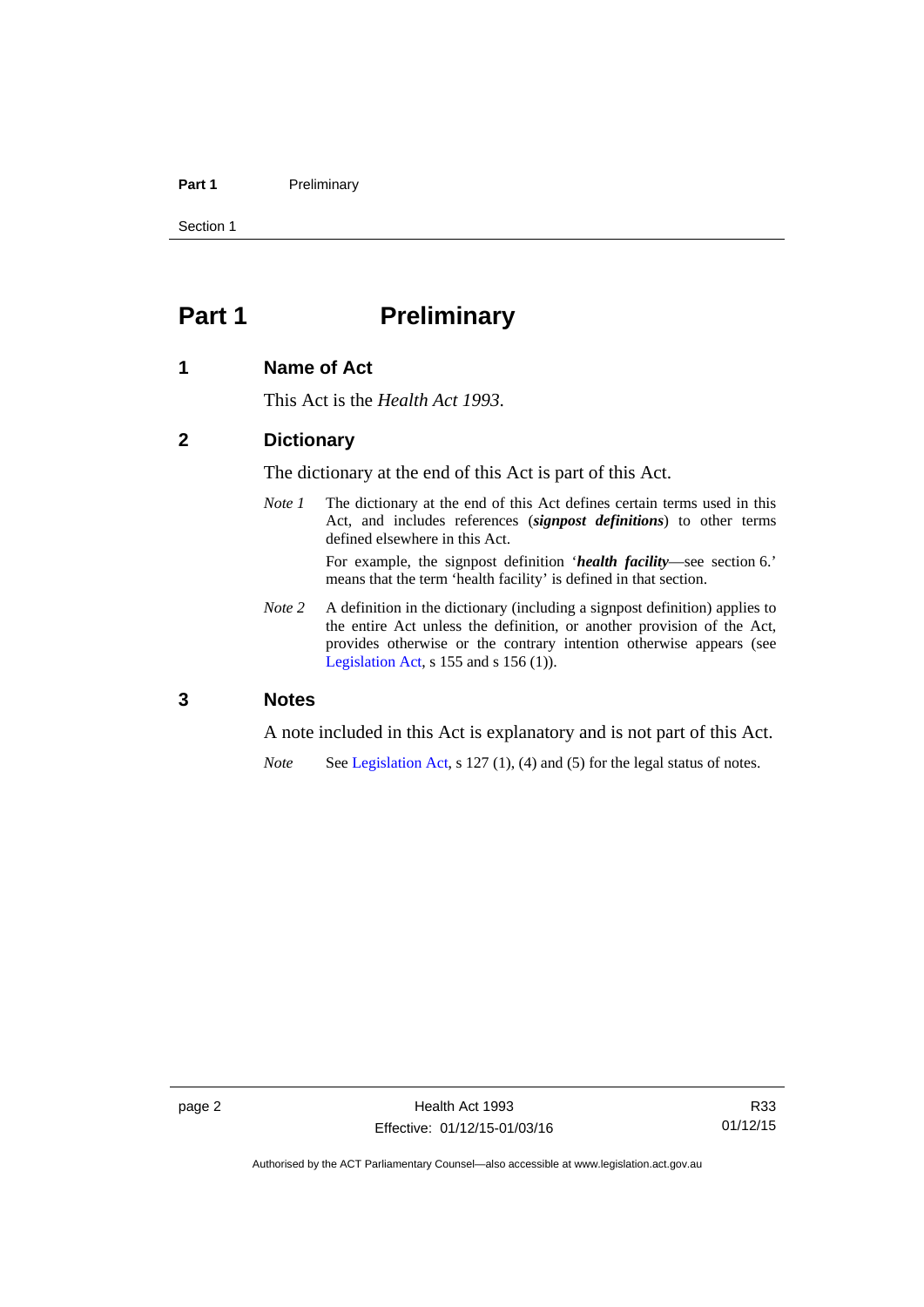#### Part 1 **Preliminary**

Section 1

# <span id="page-9-0"></span>**Part 1** Preliminary

#### <span id="page-9-1"></span>**1 Name of Act**

This Act is the *Health Act 1993*.

#### <span id="page-9-2"></span>**2 Dictionary**

The dictionary at the end of this Act is part of this Act.

*Note 1* The dictionary at the end of this Act defines certain terms used in this Act, and includes references (*signpost definitions*) to other terms defined elsewhere in this Act.

> For example, the signpost definition '*health facility*—see section 6.' means that the term 'health facility' is defined in that section.

*Note* 2 A definition in the dictionary (including a signpost definition) applies to the entire Act unless the definition, or another provision of the Act, provides otherwise or the contrary intention otherwise appears (see [Legislation Act,](http://www.legislation.act.gov.au/a/2001-14)  $s$  155 and  $s$  156 (1)).

#### <span id="page-9-3"></span>**3 Notes**

A note included in this Act is explanatory and is not part of this Act.

*Note* See [Legislation Act,](http://www.legislation.act.gov.au/a/2001-14) s 127 (1), (4) and (5) for the legal status of notes.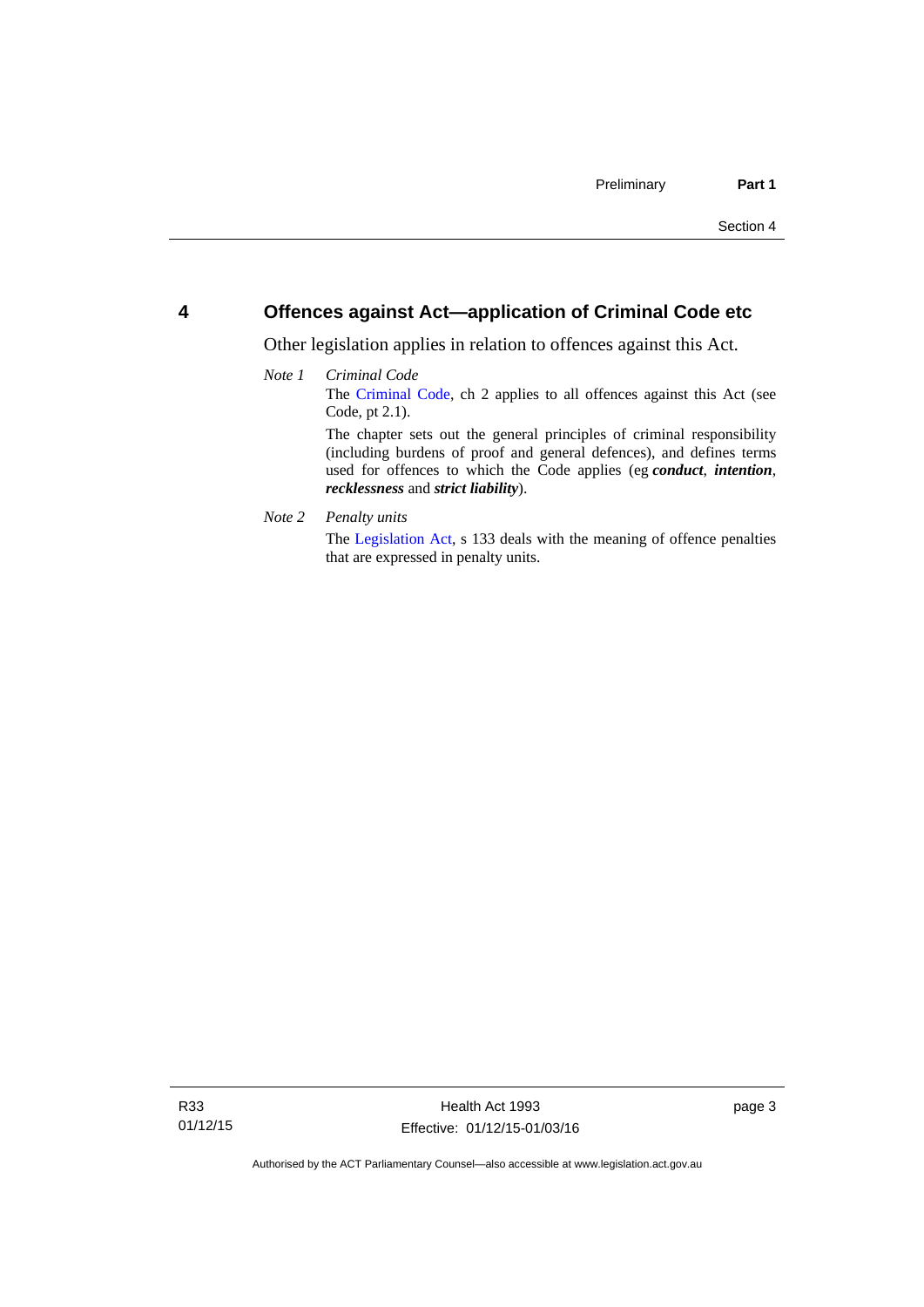#### <span id="page-10-0"></span>**4 Offences against Act—application of Criminal Code etc**

Other legislation applies in relation to offences against this Act.

#### *Note 1 Criminal Code* The [Criminal Code](http://www.legislation.act.gov.au/a/2002-51), ch 2 applies to all offences against this Act (see Code, pt 2.1). The chapter sets out the general principles of criminal responsibility (including burdens of proof and general defences), and defines terms used for offences to which the Code applies (eg *conduct*, *intention*, *recklessness* and *strict liability*).

*Note 2 Penalty units* 

The [Legislation Act](http://www.legislation.act.gov.au/a/2001-14), s 133 deals with the meaning of offence penalties that are expressed in penalty units.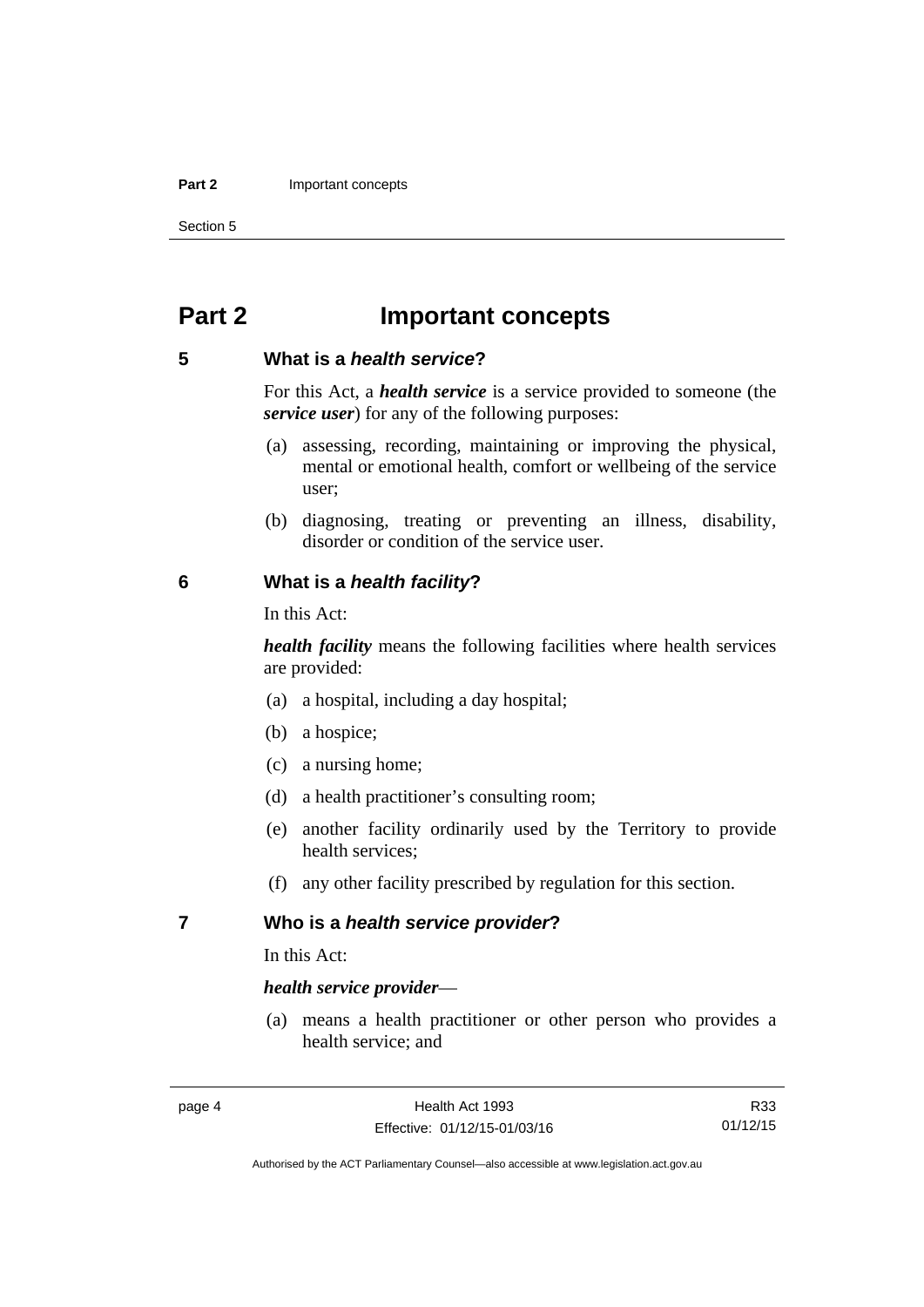#### **Part 2 Important concepts**

Section 5

# <span id="page-11-0"></span>**Part 2 Important concepts**

#### <span id="page-11-1"></span>**5 What is a** *health service***?**

For this Act, a *health service* is a service provided to someone (the *service user*) for any of the following purposes:

- (a) assessing, recording, maintaining or improving the physical, mental or emotional health, comfort or wellbeing of the service user;
- (b) diagnosing, treating or preventing an illness, disability, disorder or condition of the service user.

#### <span id="page-11-2"></span>**6 What is a** *health facility***?**

In this Act:

*health facility* means the following facilities where health services are provided:

- (a) a hospital, including a day hospital;
- (b) a hospice;
- (c) a nursing home;
- (d) a health practitioner's consulting room;
- (e) another facility ordinarily used by the Territory to provide health services;
- (f) any other facility prescribed by regulation for this section.

#### <span id="page-11-3"></span>**7 Who is a** *health service provider***?**

In this Act:

#### *health service provider*—

 (a) means a health practitioner or other person who provides a health service; and

R33 01/12/15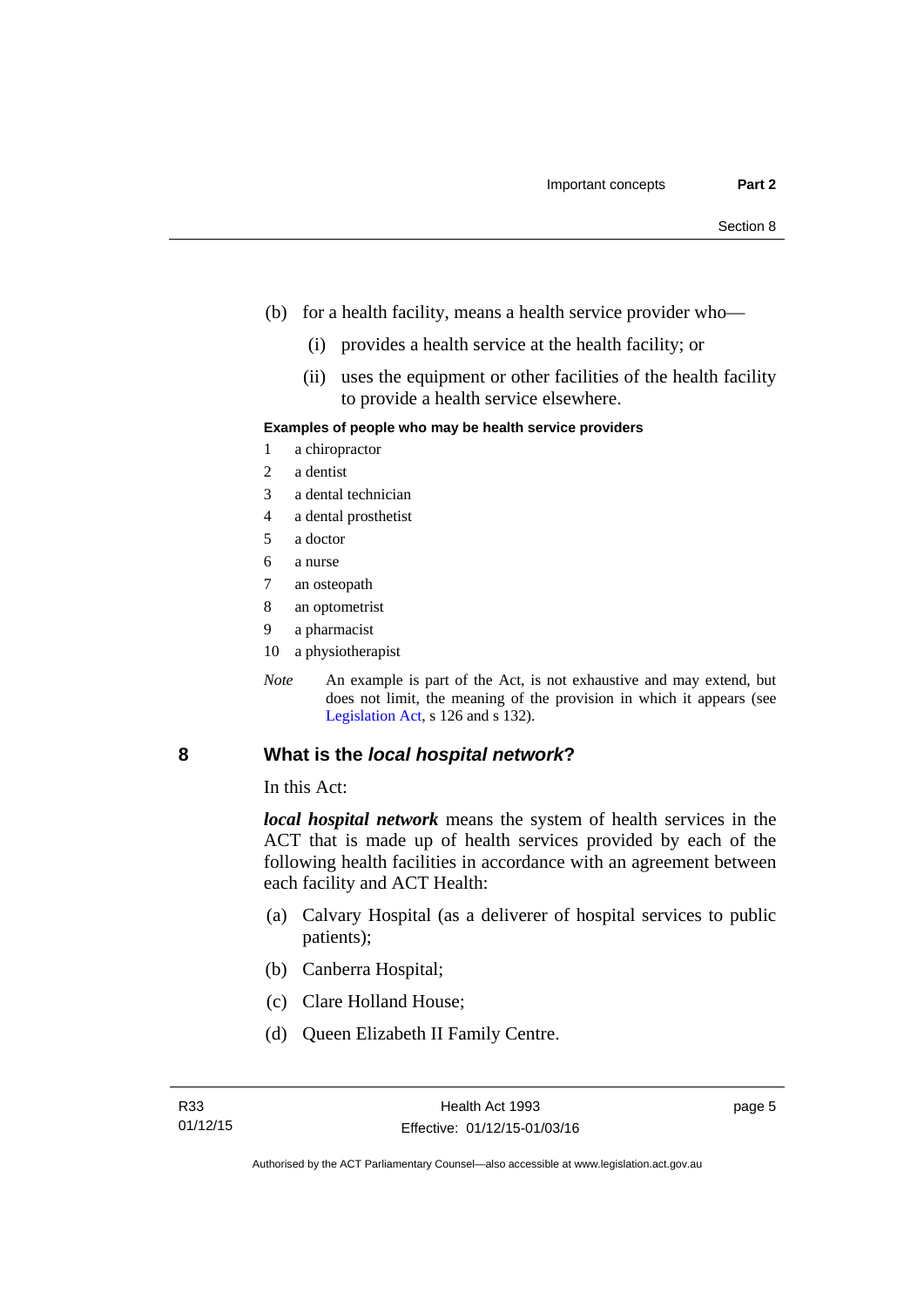- (b) for a health facility, means a health service provider who—
	- (i) provides a health service at the health facility; or
	- (ii) uses the equipment or other facilities of the health facility to provide a health service elsewhere.

#### **Examples of people who may be health service providers**

- 1 a chiropractor
- 2 a dentist
- 3 a dental technician
- 4 a dental prosthetist
- 5 a doctor
- 6 a nurse
- 7 an osteopath
- 8 an optometrist
- 9 a pharmacist
- 10 a physiotherapist
- *Note* An example is part of the Act, is not exhaustive and may extend, but does not limit, the meaning of the provision in which it appears (see [Legislation Act,](http://www.legislation.act.gov.au/a/2001-14) s 126 and s 132).

#### <span id="page-12-0"></span>**8 What is the** *local hospital network***?**

In this Act:

*local hospital network* means the system of health services in the ACT that is made up of health services provided by each of the following health facilities in accordance with an agreement between each facility and ACT Health:

- (a) Calvary Hospital (as a deliverer of hospital services to public patients);
- (b) Canberra Hospital;
- (c) Clare Holland House;
- (d) Queen Elizabeth II Family Centre.

page 5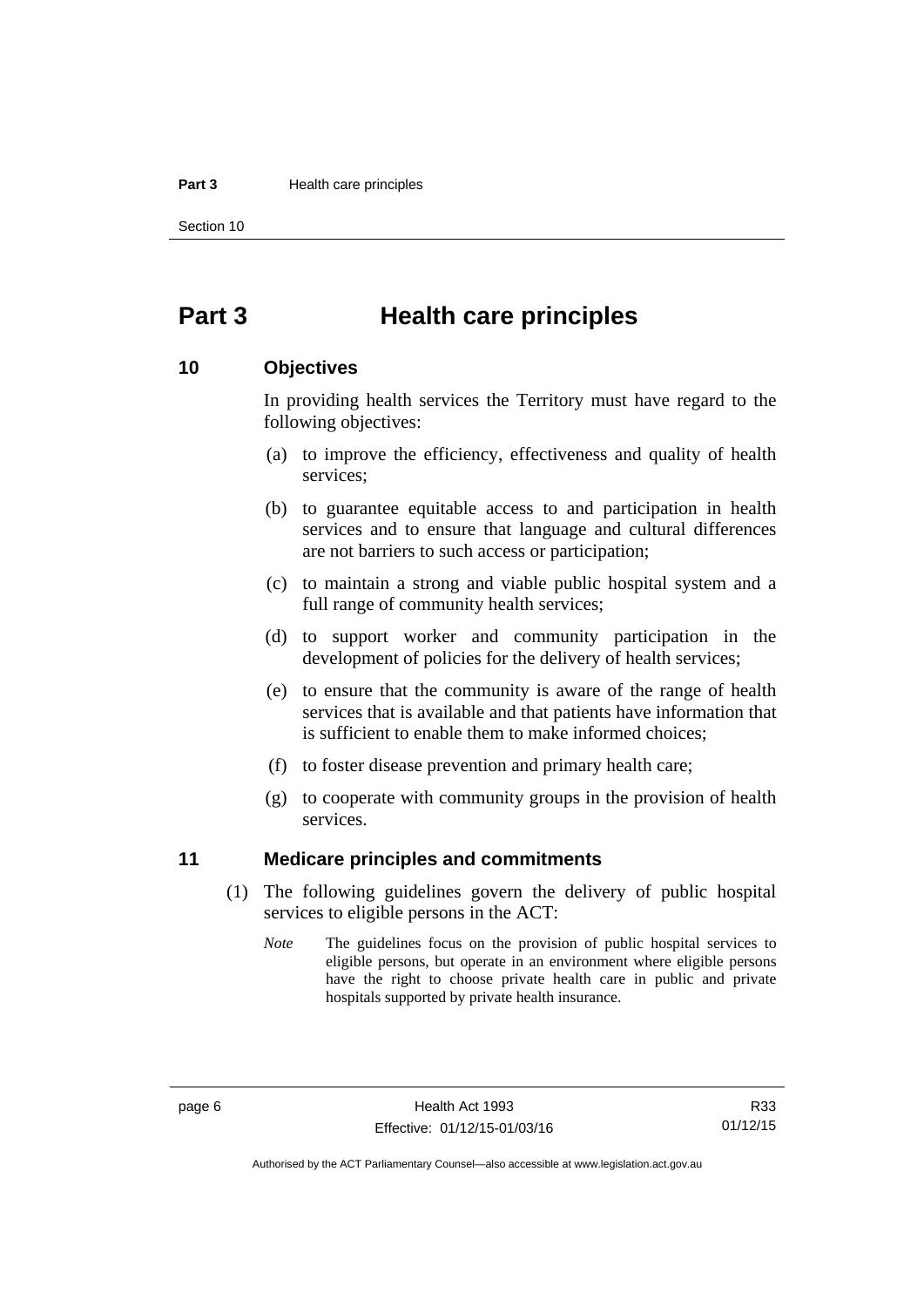#### **Part 3 Health care principles**

Section 10

# <span id="page-13-0"></span>**Part 3 Health care principles**

#### <span id="page-13-1"></span>**10 Objectives**

In providing health services the Territory must have regard to the following objectives:

- (a) to improve the efficiency, effectiveness and quality of health services;
- (b) to guarantee equitable access to and participation in health services and to ensure that language and cultural differences are not barriers to such access or participation;
- (c) to maintain a strong and viable public hospital system and a full range of community health services;
- (d) to support worker and community participation in the development of policies for the delivery of health services;
- (e) to ensure that the community is aware of the range of health services that is available and that patients have information that is sufficient to enable them to make informed choices;
- (f) to foster disease prevention and primary health care;
- (g) to cooperate with community groups in the provision of health services.

#### <span id="page-13-2"></span>**11 Medicare principles and commitments**

- (1) The following guidelines govern the delivery of public hospital services to eligible persons in the ACT:
	- *Note* The guidelines focus on the provision of public hospital services to eligible persons, but operate in an environment where eligible persons have the right to choose private health care in public and private hospitals supported by private health insurance.

R33 01/12/15

Authorised by the ACT Parliamentary Counsel—also accessible at www.legislation.act.gov.au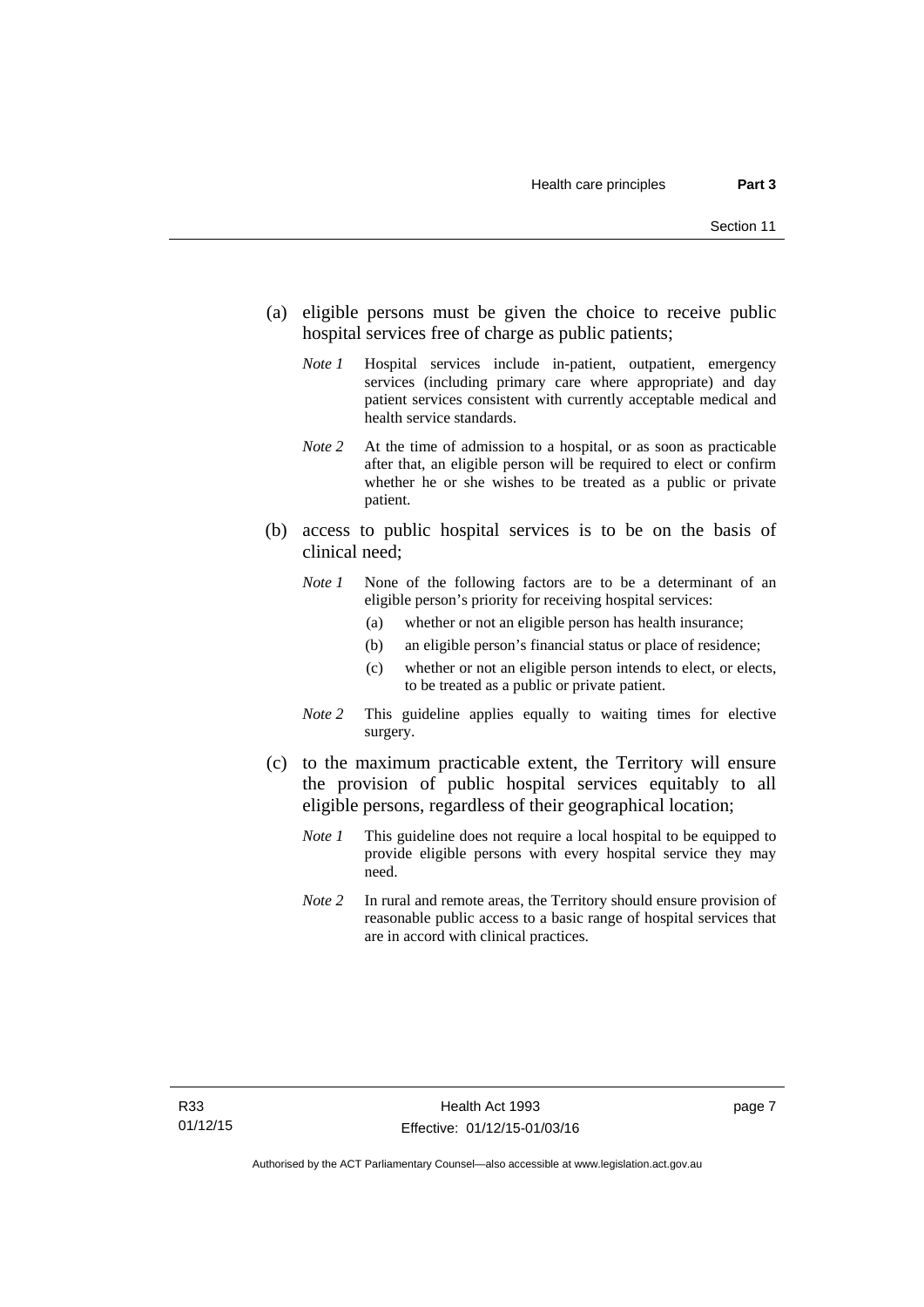- (a) eligible persons must be given the choice to receive public hospital services free of charge as public patients;
	- *Note 1* Hospital services include in-patient, outpatient, emergency services (including primary care where appropriate) and day patient services consistent with currently acceptable medical and health service standards.
	- *Note 2* At the time of admission to a hospital, or as soon as practicable after that, an eligible person will be required to elect or confirm whether he or she wishes to be treated as a public or private patient.
- (b) access to public hospital services is to be on the basis of clinical need;
	- *Note 1* None of the following factors are to be a determinant of an eligible person's priority for receiving hospital services:
		- (a) whether or not an eligible person has health insurance;
		- (b) an eligible person's financial status or place of residence;
		- (c) whether or not an eligible person intends to elect, or elects, to be treated as a public or private patient.
	- *Note 2* This guideline applies equally to waiting times for elective surgery.
- (c) to the maximum practicable extent, the Territory will ensure the provision of public hospital services equitably to all eligible persons, regardless of their geographical location;
	- *Note 1* This guideline does not require a local hospital to be equipped to provide eligible persons with every hospital service they may need.
	- *Note 2* In rural and remote areas, the Territory should ensure provision of reasonable public access to a basic range of hospital services that are in accord with clinical practices.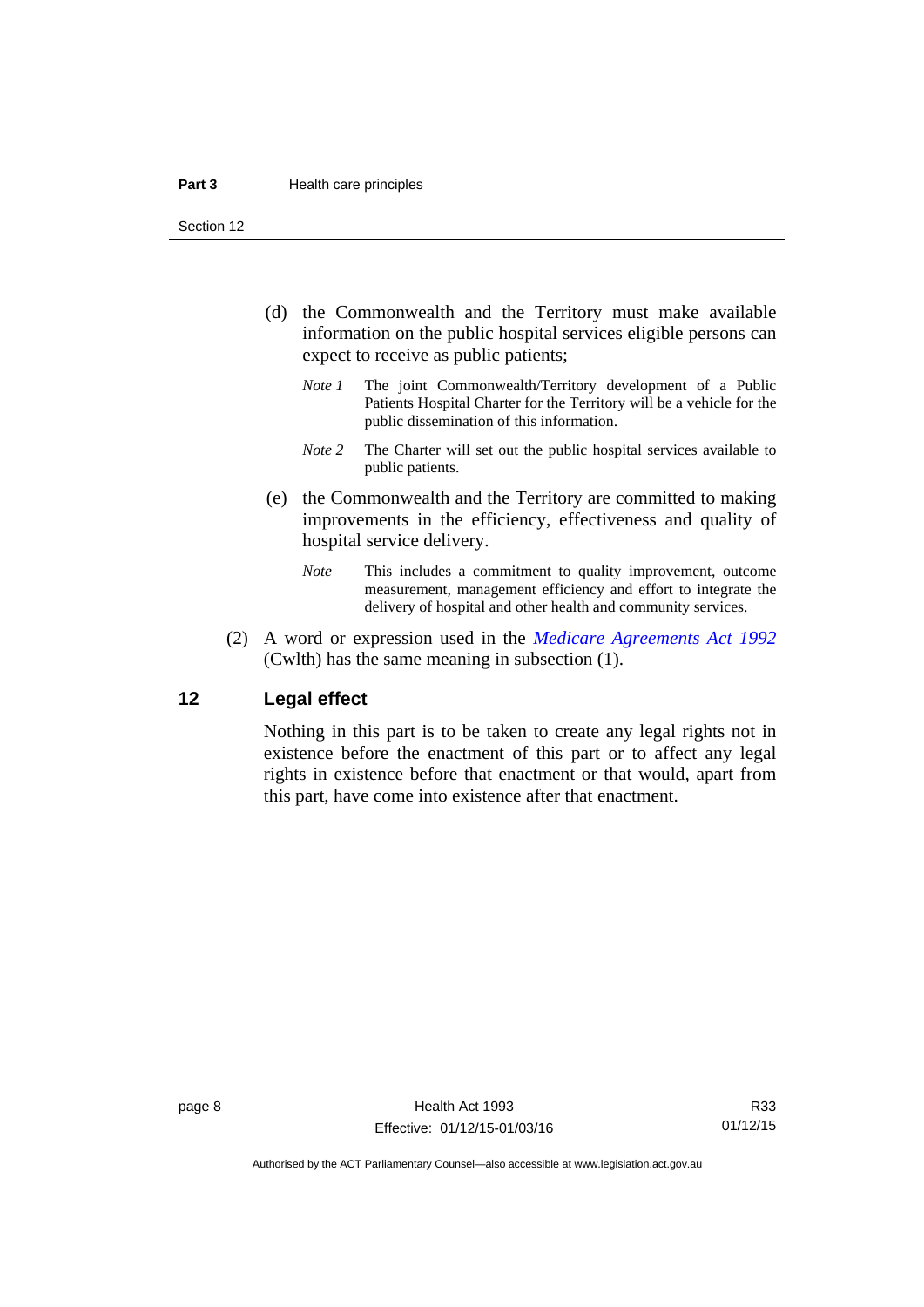Section 12

- (d) the Commonwealth and the Territory must make available information on the public hospital services eligible persons can expect to receive as public patients;
	- *Note 1* The joint Commonwealth/Territory development of a Public Patients Hospital Charter for the Territory will be a vehicle for the public dissemination of this information.
	- *Note 2* The Charter will set out the public hospital services available to public patients.
- (e) the Commonwealth and the Territory are committed to making improvements in the efficiency, effectiveness and quality of hospital service delivery.
	- *Note* This includes a commitment to quality improvement, outcome measurement, management efficiency and effort to integrate the delivery of hospital and other health and community services.
- (2) A word or expression used in the *[Medicare Agreements Act 1992](http://www.comlaw.gov.au/Details/C2006C00041)* (Cwlth) has the same meaning in subsection (1).

#### <span id="page-15-0"></span>**12 Legal effect**

Nothing in this part is to be taken to create any legal rights not in existence before the enactment of this part or to affect any legal rights in existence before that enactment or that would, apart from this part, have come into existence after that enactment.

R33 01/12/15

Authorised by the ACT Parliamentary Counsel—also accessible at www.legislation.act.gov.au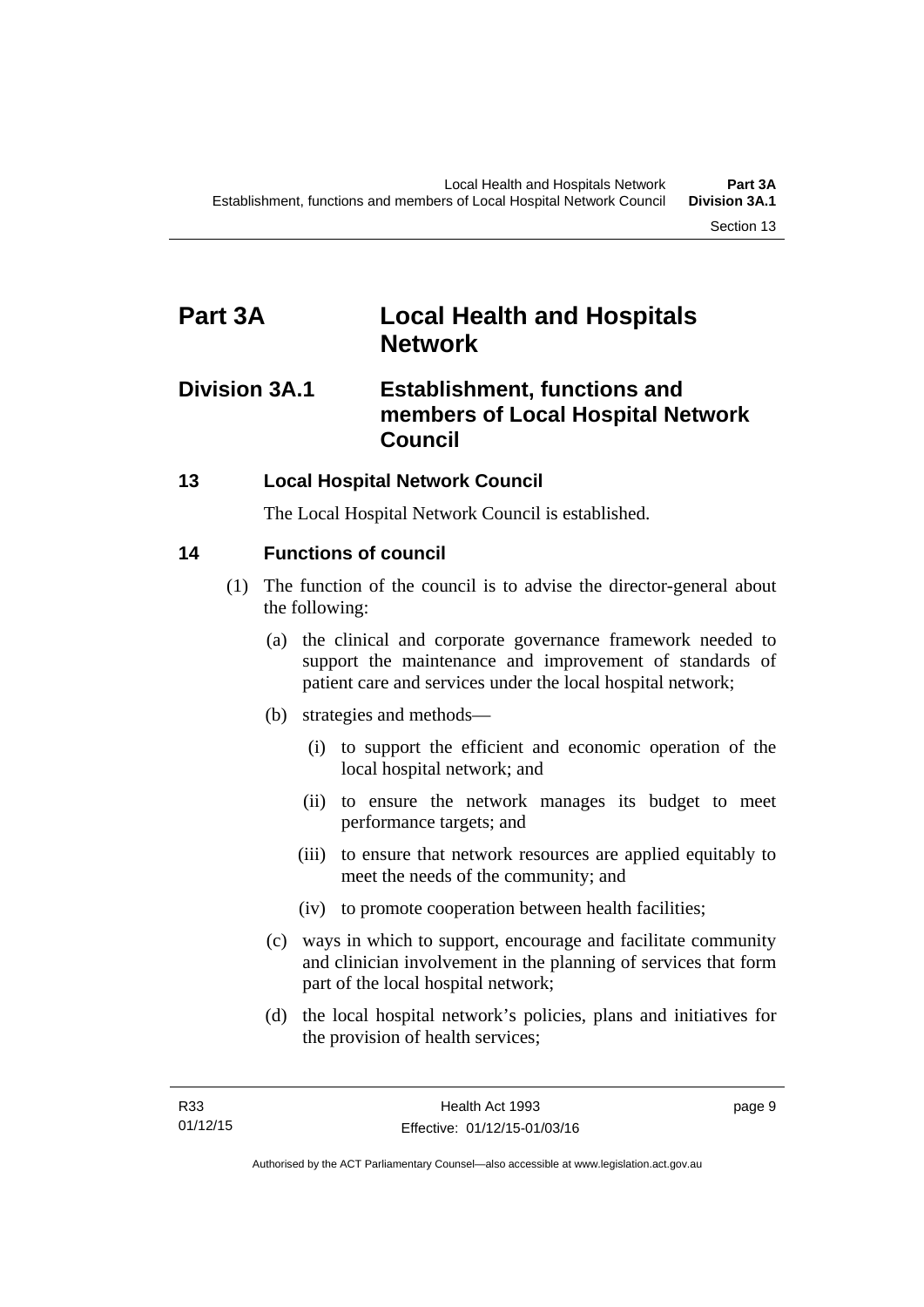# <span id="page-16-0"></span>**Part 3A Local Health and Hospitals Network**

# <span id="page-16-1"></span>**Division 3A.1 Establishment, functions and members of Local Hospital Network Council**

### <span id="page-16-2"></span>**13 Local Hospital Network Council**

The Local Hospital Network Council is established.

### <span id="page-16-3"></span>**14 Functions of council**

- (1) The function of the council is to advise the director-general about the following:
	- (a) the clinical and corporate governance framework needed to support the maintenance and improvement of standards of patient care and services under the local hospital network;
	- (b) strategies and methods—
		- (i) to support the efficient and economic operation of the local hospital network; and
		- (ii) to ensure the network manages its budget to meet performance targets; and
		- (iii) to ensure that network resources are applied equitably to meet the needs of the community; and
		- (iv) to promote cooperation between health facilities;
	- (c) ways in which to support, encourage and facilitate community and clinician involvement in the planning of services that form part of the local hospital network;
	- (d) the local hospital network's policies, plans and initiatives for the provision of health services;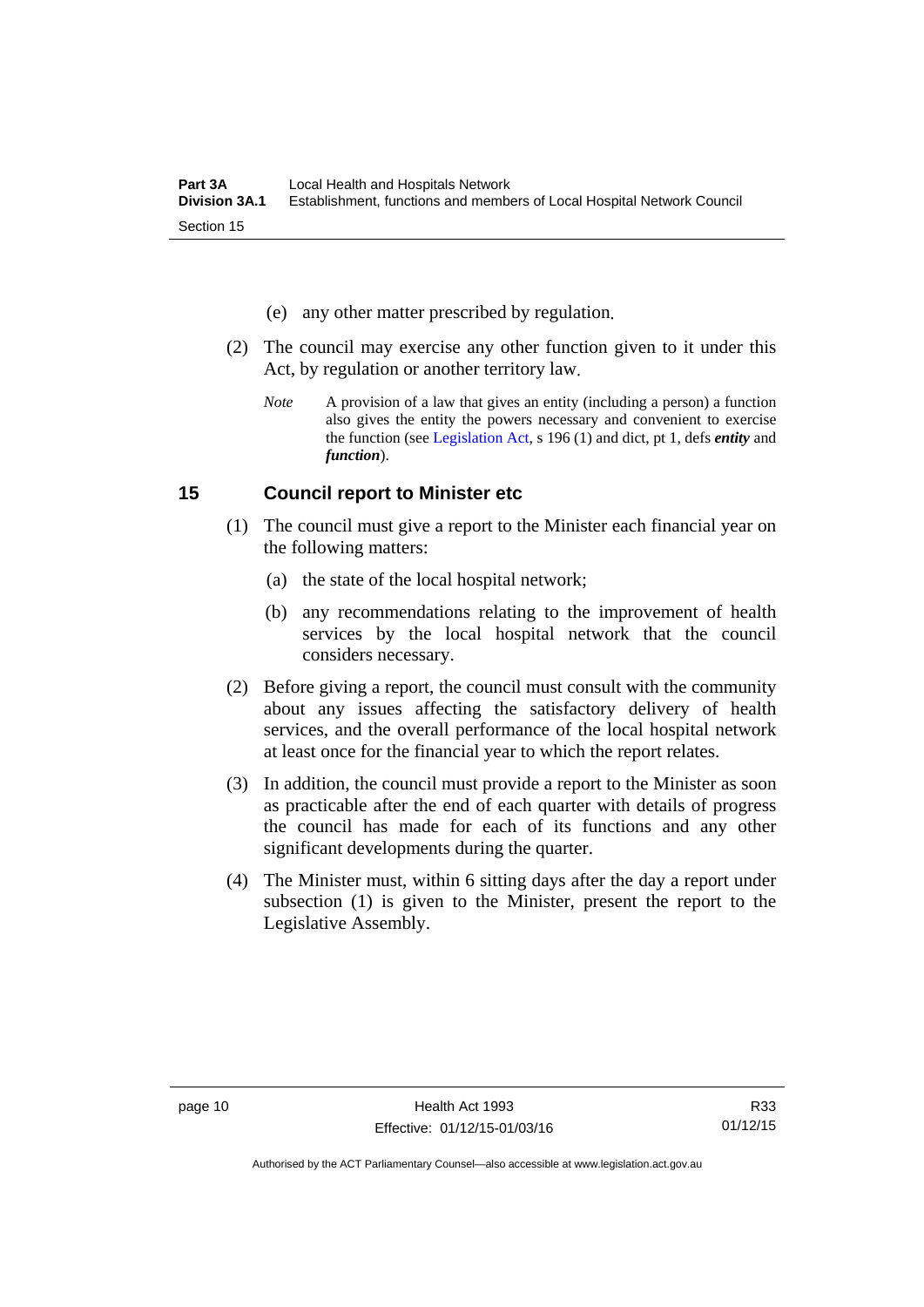- (e) any other matter prescribed by regulation.
- (2) The council may exercise any other function given to it under this Act, by regulation or another territory law.
	- *Note* A provision of a law that gives an entity (including a person) a function also gives the entity the powers necessary and convenient to exercise the function (see [Legislation Act](http://www.legislation.act.gov.au/a/2001-14), s 196 (1) and dict, pt 1, defs *entity* and *function*).

#### <span id="page-17-0"></span>**15 Council report to Minister etc**

- (1) The council must give a report to the Minister each financial year on the following matters:
	- (a) the state of the local hospital network;
	- (b) any recommendations relating to the improvement of health services by the local hospital network that the council considers necessary.
- (2) Before giving a report, the council must consult with the community about any issues affecting the satisfactory delivery of health services, and the overall performance of the local hospital network at least once for the financial year to which the report relates.
- (3) In addition, the council must provide a report to the Minister as soon as practicable after the end of each quarter with details of progress the council has made for each of its functions and any other significant developments during the quarter.
- (4) The Minister must, within 6 sitting days after the day a report under subsection (1) is given to the Minister, present the report to the Legislative Assembly.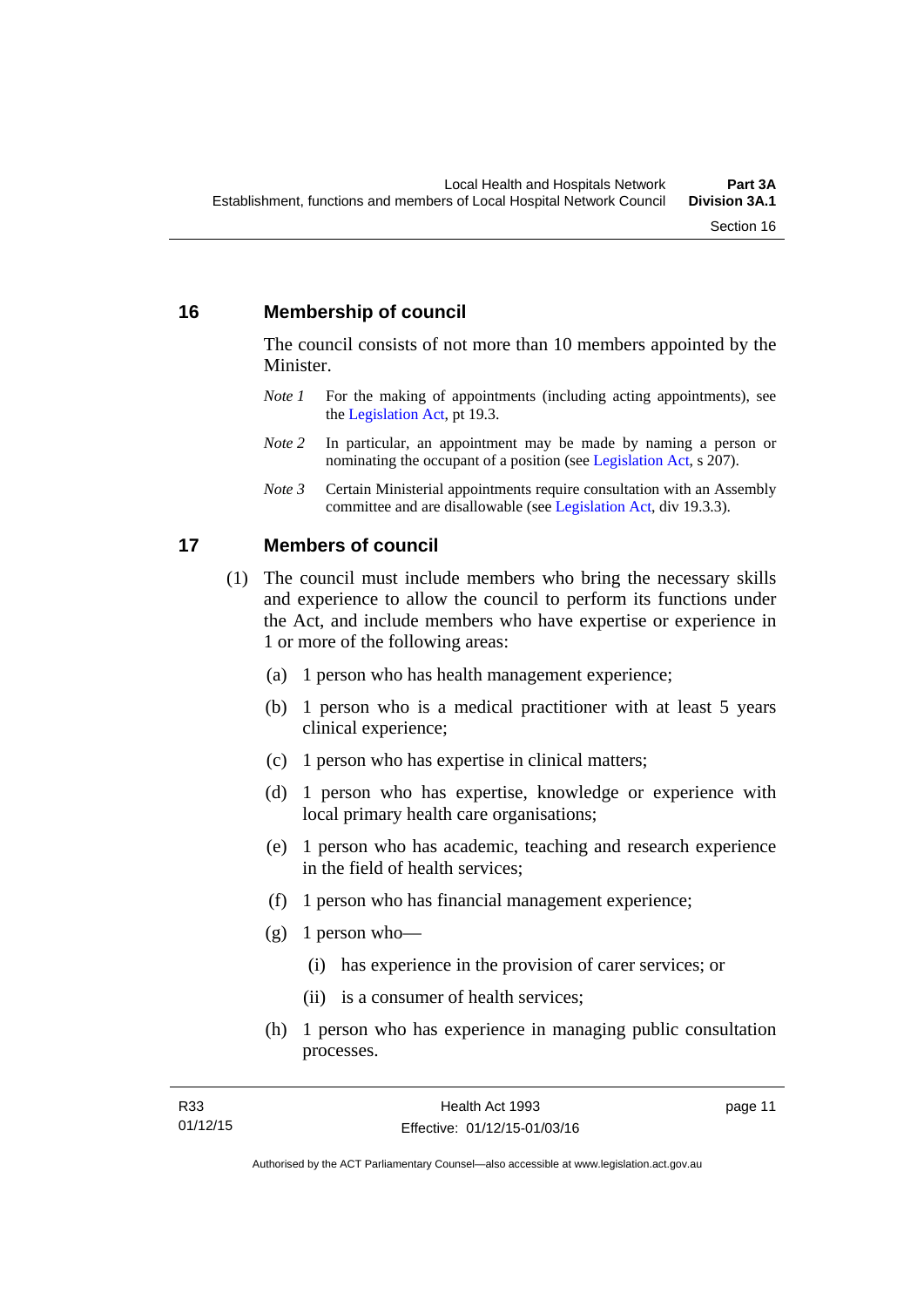#### <span id="page-18-0"></span>**16 Membership of council**

The council consists of not more than 10 members appointed by the Minister.

- *Note 1* For the making of appointments (including acting appointments), see the [Legislation Act,](http://www.legislation.act.gov.au/a/2001-14) pt 19.3.
- *Note 2* In particular, an appointment may be made by naming a person or nominating the occupant of a position (see [Legislation Act](http://www.legislation.act.gov.au/a/2001-14), s 207).
- *Note 3* Certain Ministerial appointments require consultation with an Assembly committee and are disallowable (see [Legislation Act,](http://www.legislation.act.gov.au/a/2001-14) div 19.3.3).

#### <span id="page-18-1"></span>**17 Members of council**

- (1) The council must include members who bring the necessary skills and experience to allow the council to perform its functions under the Act, and include members who have expertise or experience in 1 or more of the following areas:
	- (a) 1 person who has health management experience;
	- (b) 1 person who is a medical practitioner with at least 5 years clinical experience;
	- (c) 1 person who has expertise in clinical matters;
	- (d) 1 person who has expertise, knowledge or experience with local primary health care organisations;
	- (e) 1 person who has academic, teaching and research experience in the field of health services;
	- (f) 1 person who has financial management experience;
	- $(g)$  1 person who—
		- (i) has experience in the provision of carer services; or
		- (ii) is a consumer of health services;
	- (h) 1 person who has experience in managing public consultation processes.

page 11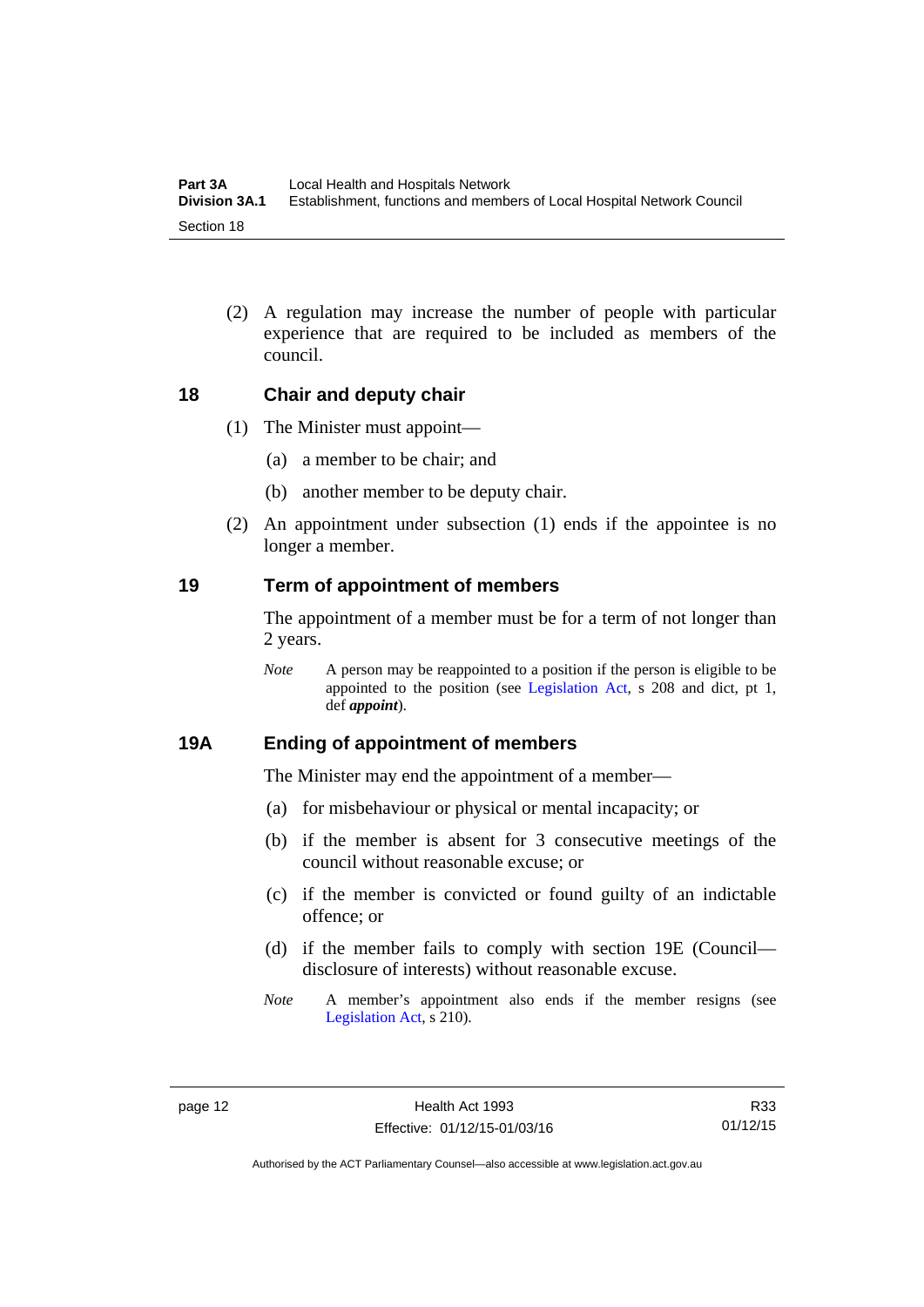(2) A regulation may increase the number of people with particular experience that are required to be included as members of the council.

#### <span id="page-19-0"></span>**18 Chair and deputy chair**

- (1) The Minister must appoint—
	- (a) a member to be chair; and
	- (b) another member to be deputy chair.
- (2) An appointment under subsection (1) ends if the appointee is no longer a member.

#### <span id="page-19-1"></span>**19 Term of appointment of members**

The appointment of a member must be for a term of not longer than 2 years.

*Note* A person may be reappointed to a position if the person is eligible to be appointed to the position (see [Legislation Act,](http://www.legislation.act.gov.au/a/2001-14) s 208 and dict, pt 1, def *appoint*).

#### <span id="page-19-2"></span>**19A Ending of appointment of members**

The Minister may end the appointment of a member—

- (a) for misbehaviour or physical or mental incapacity; or
- (b) if the member is absent for 3 consecutive meetings of the council without reasonable excuse; or
- (c) if the member is convicted or found guilty of an indictable offence; or
- (d) if the member fails to comply with section 19E (Council disclosure of interests) without reasonable excuse.
- *Note* A member's appointment also ends if the member resigns (see [Legislation Act,](http://www.legislation.act.gov.au/a/2001-14) s 210).

R33 01/12/15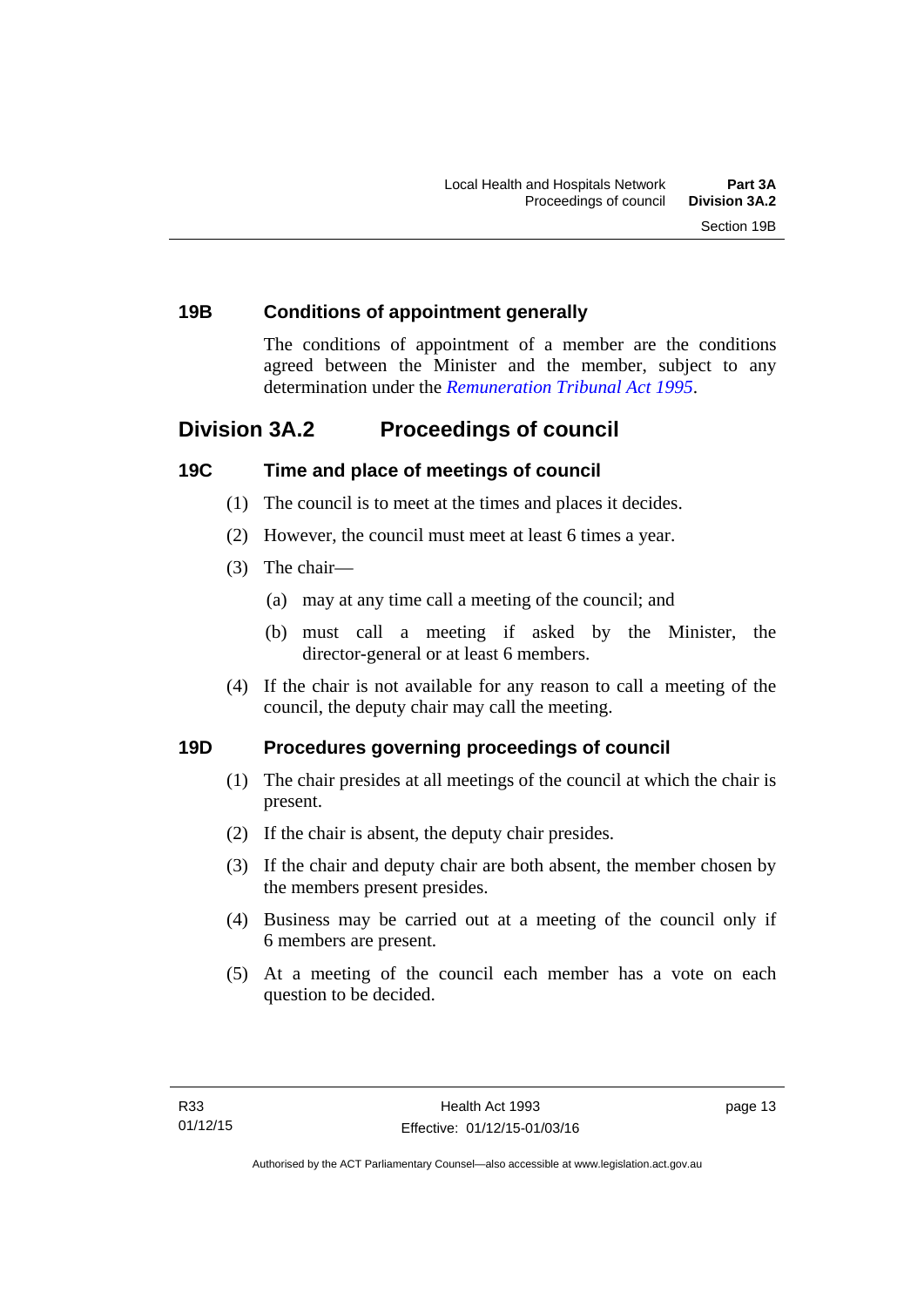#### <span id="page-20-0"></span>**19B Conditions of appointment generally**

The conditions of appointment of a member are the conditions agreed between the Minister and the member, subject to any determination under the *[Remuneration Tribunal Act 1995](http://www.legislation.act.gov.au/a/1995-55)*.

# <span id="page-20-1"></span>**Division 3A.2 Proceedings of council**

#### <span id="page-20-2"></span>**19C Time and place of meetings of council**

- (1) The council is to meet at the times and places it decides.
- (2) However, the council must meet at least 6 times a year.
- (3) The chair—
	- (a) may at any time call a meeting of the council; and
	- (b) must call a meeting if asked by the Minister, the director-general or at least 6 members.
- (4) If the chair is not available for any reason to call a meeting of the council, the deputy chair may call the meeting.

#### <span id="page-20-3"></span>**19D Procedures governing proceedings of council**

- (1) The chair presides at all meetings of the council at which the chair is present.
- (2) If the chair is absent, the deputy chair presides.
- (3) If the chair and deputy chair are both absent, the member chosen by the members present presides.
- (4) Business may be carried out at a meeting of the council only if 6 members are present.
- (5) At a meeting of the council each member has a vote on each question to be decided.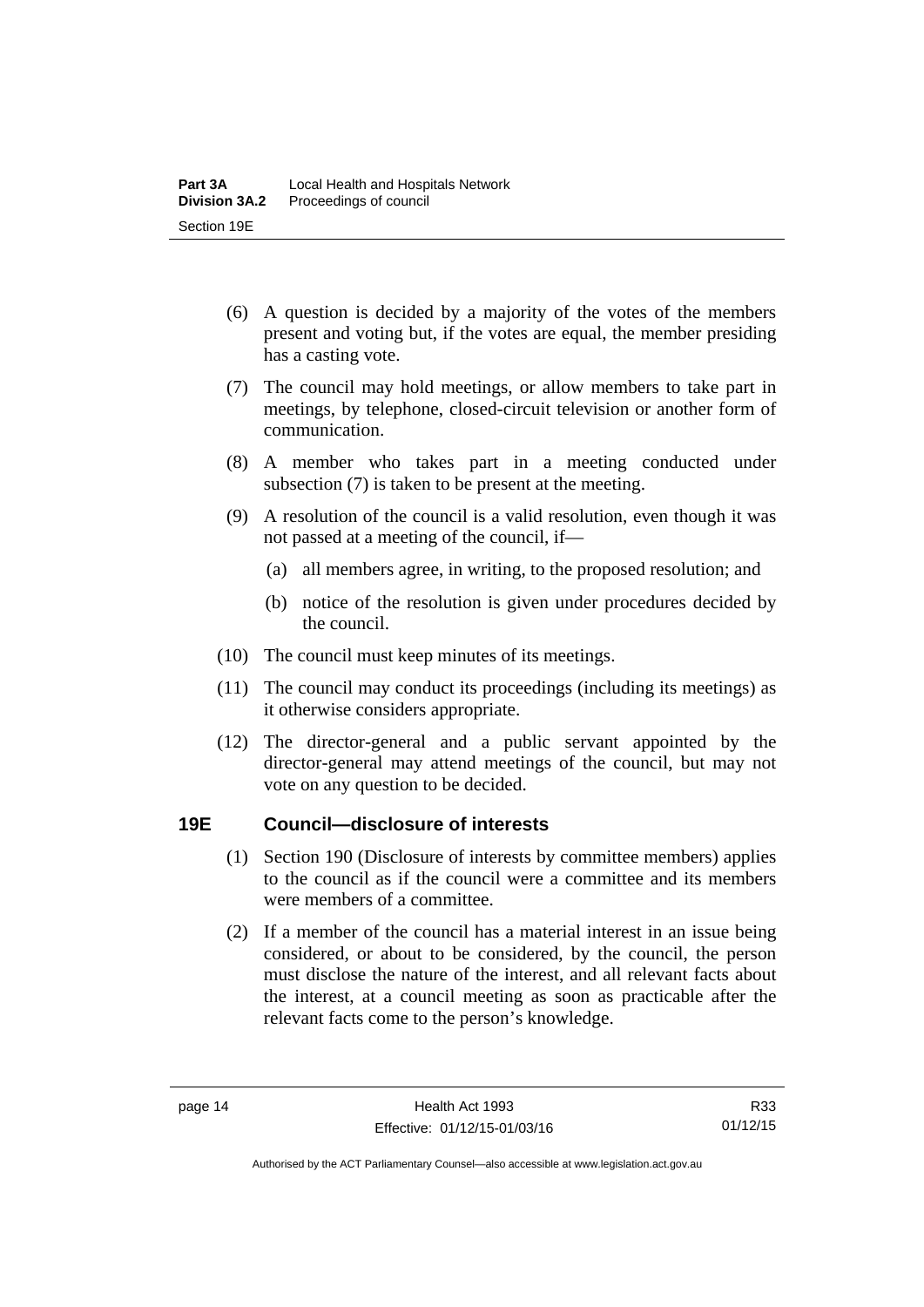- (6) A question is decided by a majority of the votes of the members present and voting but, if the votes are equal, the member presiding has a casting vote.
- (7) The council may hold meetings, or allow members to take part in meetings, by telephone, closed-circuit television or another form of communication.
- (8) A member who takes part in a meeting conducted under subsection (7) is taken to be present at the meeting.
- (9) A resolution of the council is a valid resolution, even though it was not passed at a meeting of the council, if—
	- (a) all members agree, in writing, to the proposed resolution; and
	- (b) notice of the resolution is given under procedures decided by the council.
- (10) The council must keep minutes of its meetings.
- (11) The council may conduct its proceedings (including its meetings) as it otherwise considers appropriate.
- (12) The director-general and a public servant appointed by the director-general may attend meetings of the council, but may not vote on any question to be decided.

#### <span id="page-21-0"></span>**19E Council—disclosure of interests**

- (1) Section 190 (Disclosure of interests by committee members) applies to the council as if the council were a committee and its members were members of a committee.
- (2) If a member of the council has a material interest in an issue being considered, or about to be considered, by the council, the person must disclose the nature of the interest, and all relevant facts about the interest, at a council meeting as soon as practicable after the relevant facts come to the person's knowledge.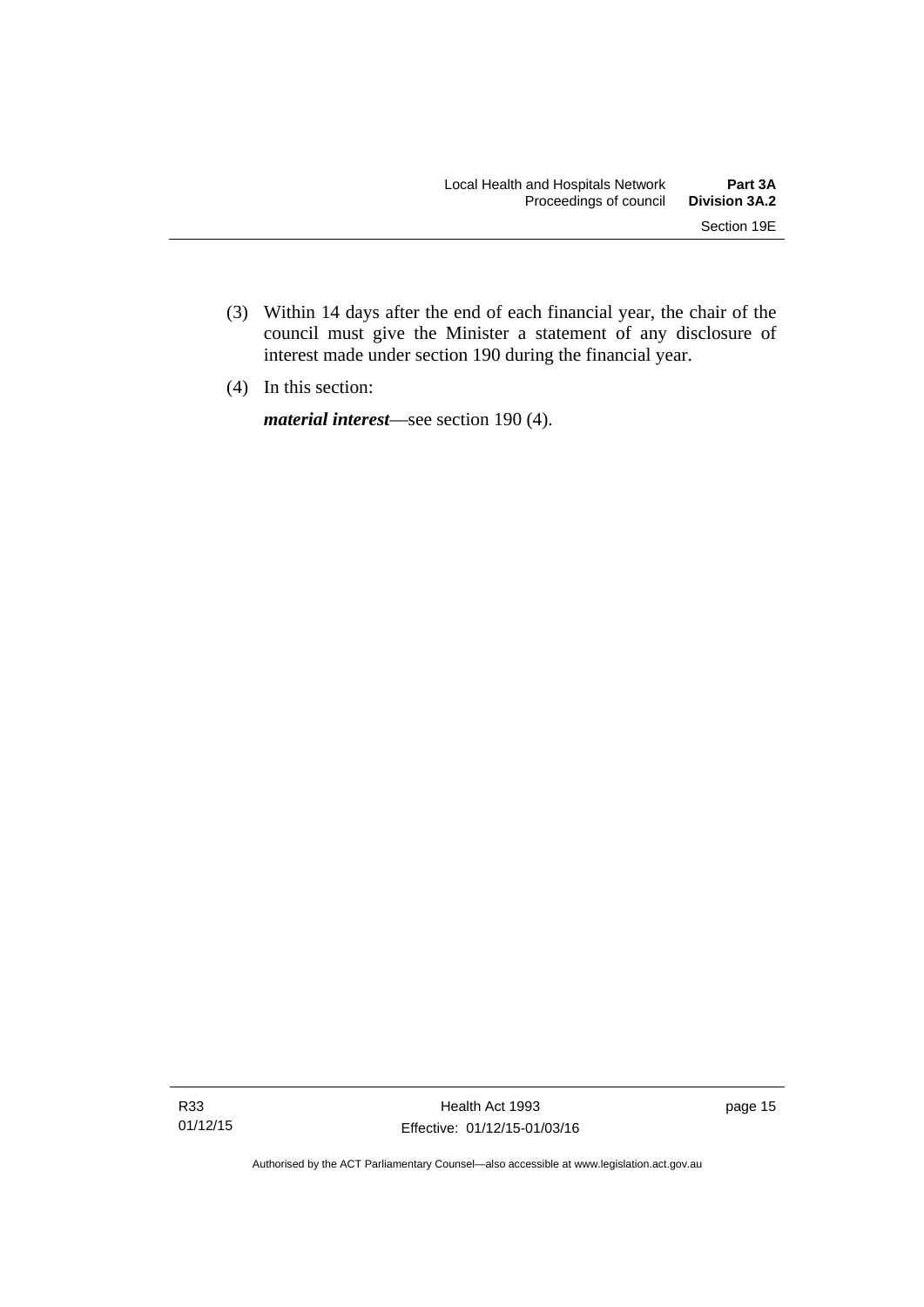- (3) Within 14 days after the end of each financial year, the chair of the council must give the Minister a statement of any disclosure of interest made under section 190 during the financial year.
- (4) In this section:

*material interest*—see section 190 (4).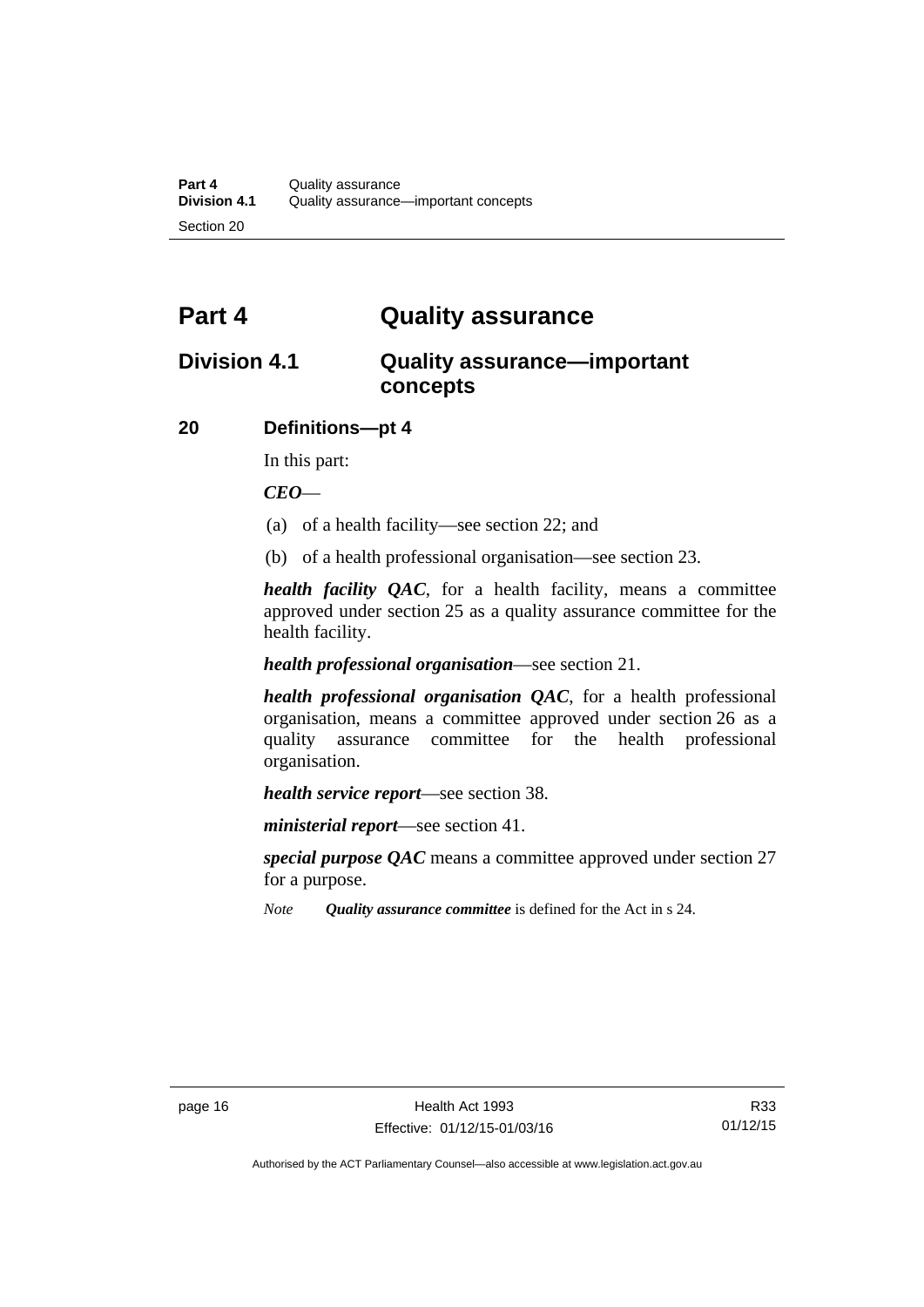# <span id="page-23-0"></span>**Part 4 Quality assurance**

# <span id="page-23-1"></span>**Division 4.1 Quality assurance—important concepts**

#### <span id="page-23-2"></span>**20 Definitions—pt 4**

In this part:

*CEO*—

- (a) of a health facility—see section 22; and
- (b) of a health professional organisation—see section 23.

*health facility QAC*, for a health facility, means a committee approved under section 25 as a quality assurance committee for the health facility.

#### *health professional organisation*—see section 21.

*health professional organisation QAC*, for a health professional organisation, means a committee approved under section 26 as a quality assurance committee for the health professional organisation.

*health service report*—see section 38.

*ministerial report*—see section 41.

*special purpose QAC* means a committee approved under section 27 for a purpose.

*Note Quality assurance committee* is defined for the Act in s 24.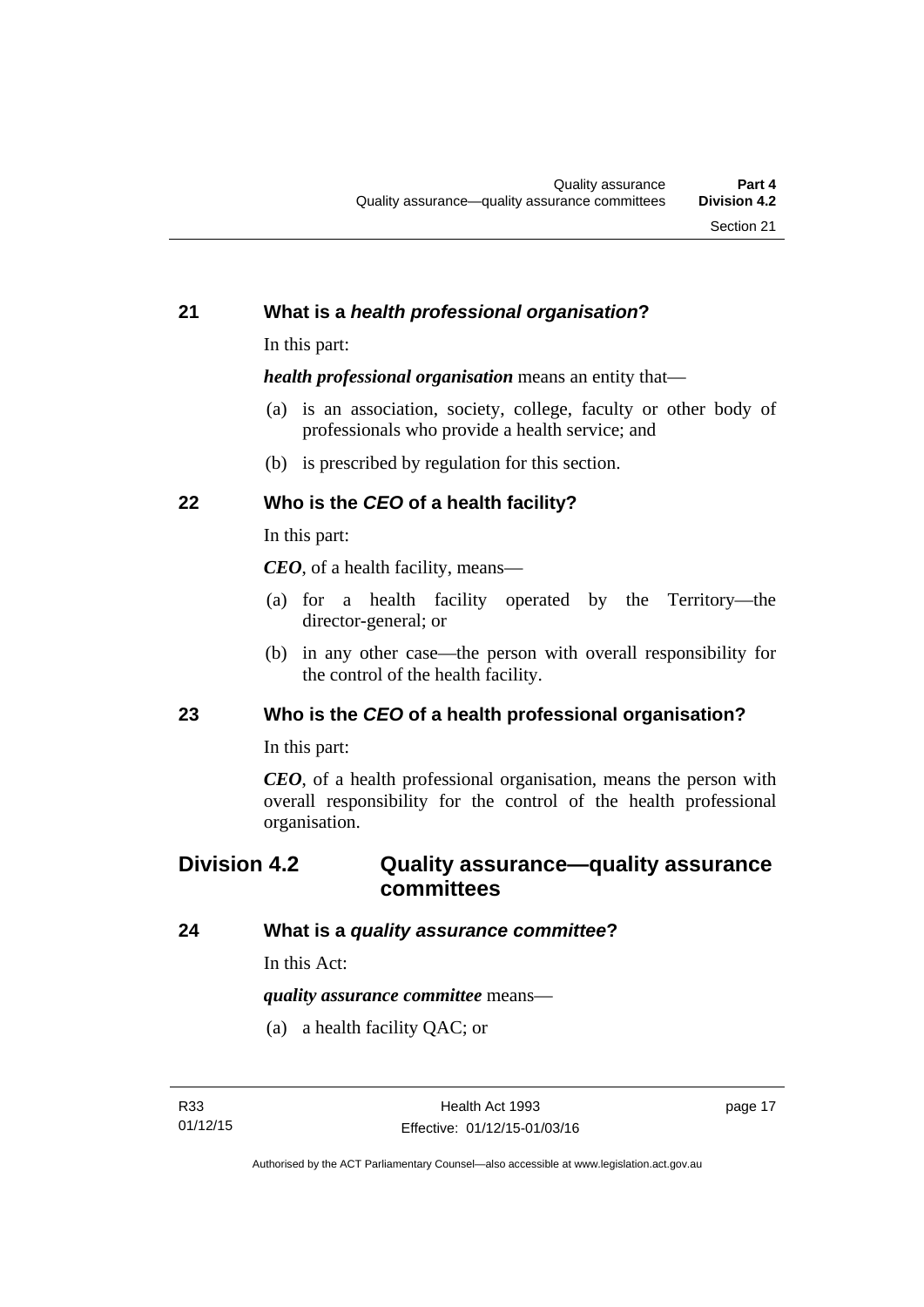#### <span id="page-24-0"></span>**21 What is a** *health professional organisation***?**

In this part:

*health professional organisation* means an entity that—

- (a) is an association, society, college, faculty or other body of professionals who provide a health service; and
- (b) is prescribed by regulation for this section.

### <span id="page-24-1"></span>**22 Who is the** *CEO* **of a health facility?**

In this part:

*CEO*, of a health facility, means—

- (a) for a health facility operated by the Territory—the director-general; or
- (b) in any other case—the person with overall responsibility for the control of the health facility.

#### <span id="page-24-2"></span>**23 Who is the** *CEO* **of a health professional organisation?**

In this part:

*CEO*, of a health professional organisation, means the person with overall responsibility for the control of the health professional organisation.

# <span id="page-24-3"></span>**Division 4.2 Quality assurance—quality assurance committees**

#### <span id="page-24-4"></span>**24 What is a** *quality assurance committee***?**

In this Act:

*quality assurance committee* means—

(a) a health facility QAC; or

page 17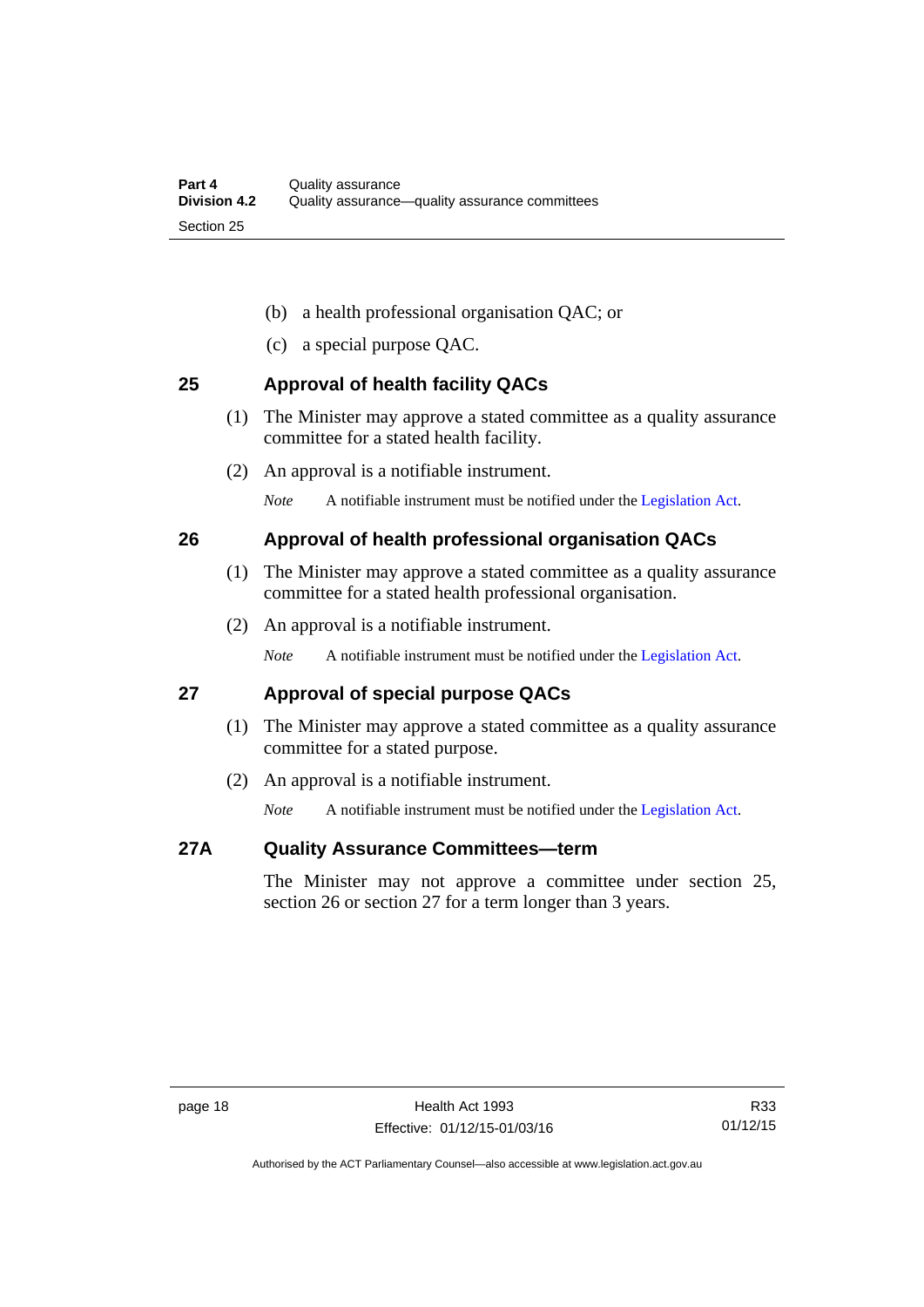- (b) a health professional organisation QAC; or
- (c) a special purpose QAC.

#### <span id="page-25-0"></span>**25 Approval of health facility QACs**

- (1) The Minister may approve a stated committee as a quality assurance committee for a stated health facility.
- (2) An approval is a notifiable instrument.

*Note* A notifiable instrument must be notified under the [Legislation Act](http://www.legislation.act.gov.au/a/2001-14).

#### <span id="page-25-1"></span>**26 Approval of health professional organisation QACs**

- (1) The Minister may approve a stated committee as a quality assurance committee for a stated health professional organisation.
- (2) An approval is a notifiable instrument.

*Note* A notifiable instrument must be notified under the [Legislation Act](http://www.legislation.act.gov.au/a/2001-14).

#### <span id="page-25-2"></span>**27 Approval of special purpose QACs**

- (1) The Minister may approve a stated committee as a quality assurance committee for a stated purpose.
- (2) An approval is a notifiable instrument.

*Note* A notifiable instrument must be notified under the [Legislation Act](http://www.legislation.act.gov.au/a/2001-14).

#### <span id="page-25-3"></span>**27A Quality Assurance Committees—term**

The Minister may not approve a committee under section 25, section 26 or section 27 for a term longer than 3 years.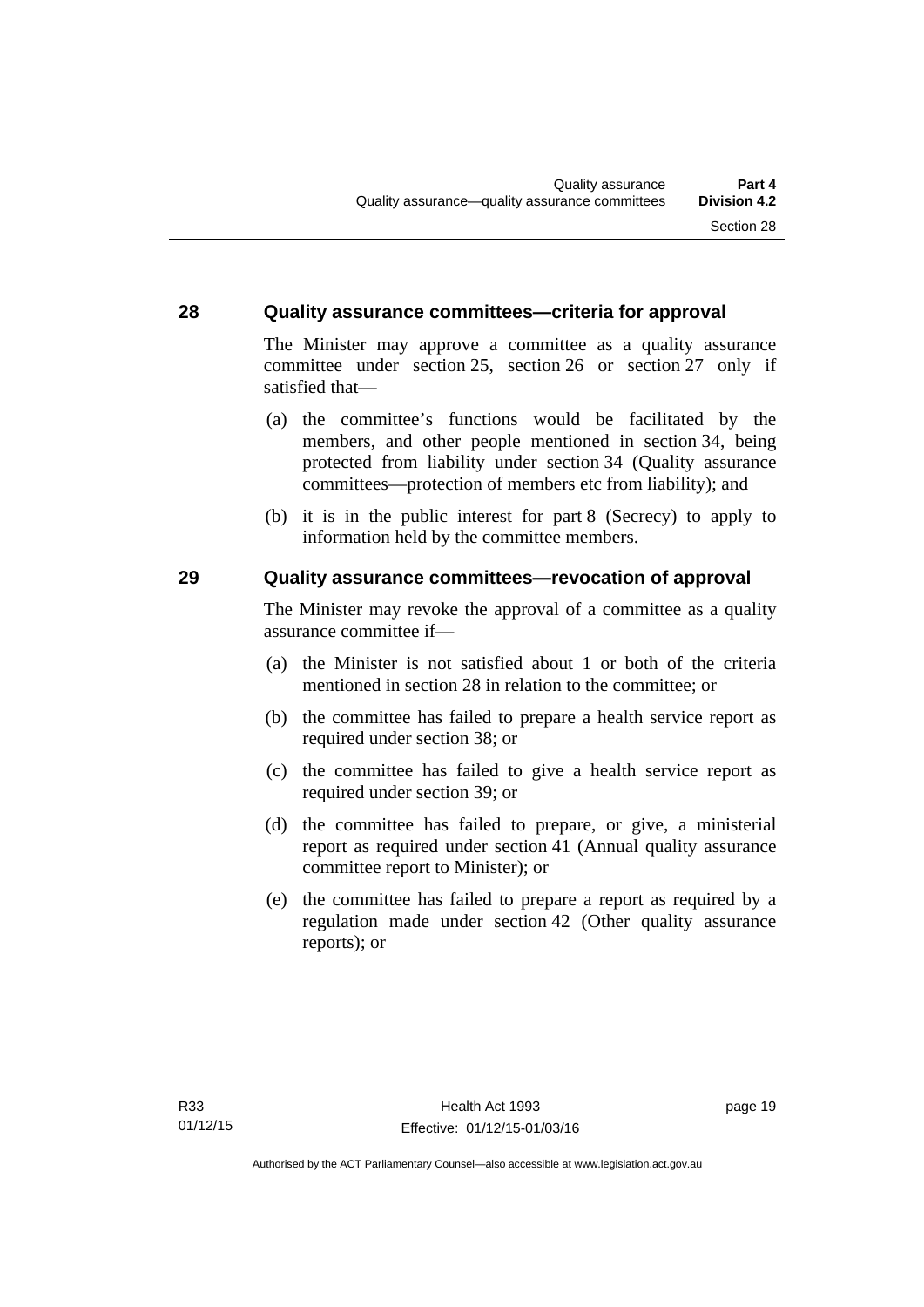#### <span id="page-26-0"></span>**28 Quality assurance committees—criteria for approval**

The Minister may approve a committee as a quality assurance committee under section 25, section 26 or section 27 only if satisfied that—

- (a) the committee's functions would be facilitated by the members, and other people mentioned in section 34, being protected from liability under section 34 (Quality assurance committees—protection of members etc from liability); and
- (b) it is in the public interest for part 8 (Secrecy) to apply to information held by the committee members.

#### <span id="page-26-1"></span>**29 Quality assurance committees—revocation of approval**

The Minister may revoke the approval of a committee as a quality assurance committee if—

- (a) the Minister is not satisfied about 1 or both of the criteria mentioned in section 28 in relation to the committee; or
- (b) the committee has failed to prepare a health service report as required under section 38; or
- (c) the committee has failed to give a health service report as required under section 39; or
- (d) the committee has failed to prepare, or give, a ministerial report as required under section 41 (Annual quality assurance committee report to Minister); or
- (e) the committee has failed to prepare a report as required by a regulation made under section 42 (Other quality assurance reports); or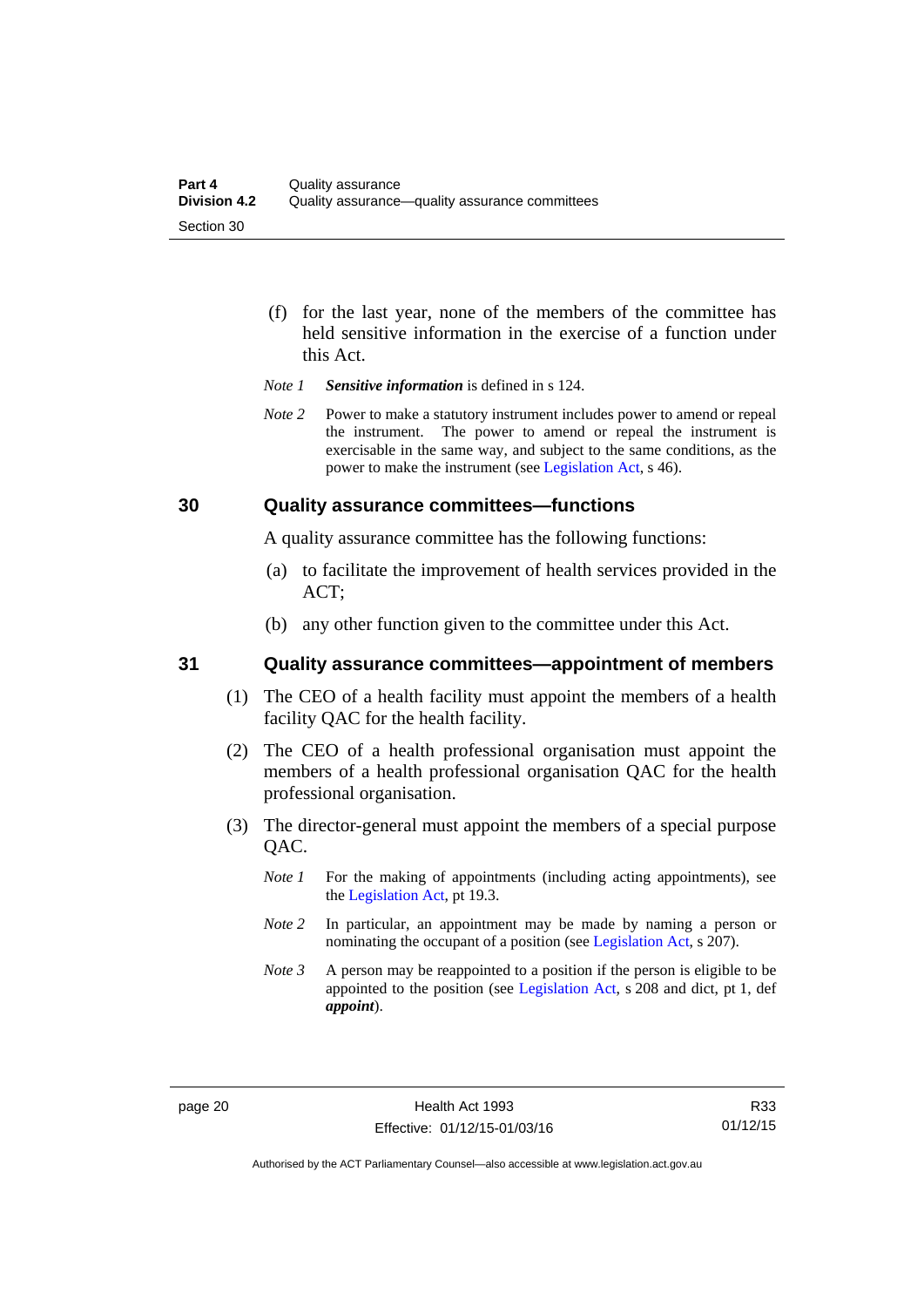- (f) for the last year, none of the members of the committee has held sensitive information in the exercise of a function under this Act.
- *Note 1 Sensitive information* is defined in s 124.
- *Note* 2 Power to make a statutory instrument includes power to amend or repeal the instrument. The power to amend or repeal the instrument is exercisable in the same way, and subject to the same conditions, as the power to make the instrument (see [Legislation Act,](http://www.legislation.act.gov.au/a/2001-14) s 46).

#### <span id="page-27-0"></span>**30 Quality assurance committees—functions**

A quality assurance committee has the following functions:

- (a) to facilitate the improvement of health services provided in the ACT;
- (b) any other function given to the committee under this Act.

#### <span id="page-27-1"></span>**31 Quality assurance committees—appointment of members**

- (1) The CEO of a health facility must appoint the members of a health facility QAC for the health facility.
- (2) The CEO of a health professional organisation must appoint the members of a health professional organisation QAC for the health professional organisation.
- (3) The director-general must appoint the members of a special purpose QAC.
	- *Note 1* For the making of appointments (including acting appointments), see the [Legislation Act,](http://www.legislation.act.gov.au/a/2001-14) pt 19.3.
	- *Note 2* In particular, an appointment may be made by naming a person or nominating the occupant of a position (see [Legislation Act](http://www.legislation.act.gov.au/a/2001-14), s 207).
	- *Note 3* A person may be reappointed to a position if the person is eligible to be appointed to the position (see [Legislation Act](http://www.legislation.act.gov.au/a/2001-14), s 208 and dict, pt 1, def *appoint*).

R33 01/12/15

Authorised by the ACT Parliamentary Counsel—also accessible at www.legislation.act.gov.au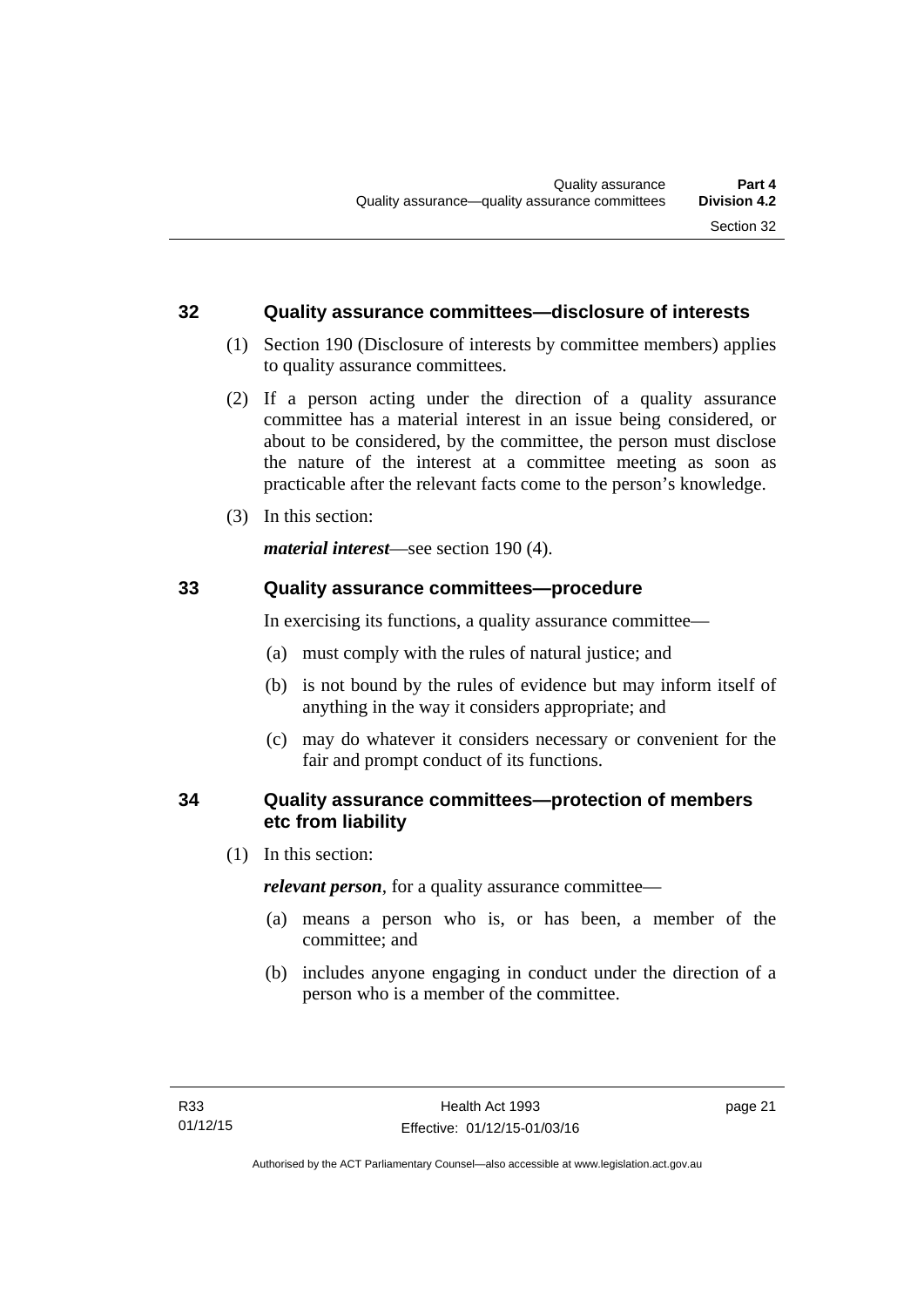#### <span id="page-28-0"></span>**32 Quality assurance committees—disclosure of interests**

- (1) Section 190 (Disclosure of interests by committee members) applies to quality assurance committees.
- (2) If a person acting under the direction of a quality assurance committee has a material interest in an issue being considered, or about to be considered, by the committee, the person must disclose the nature of the interest at a committee meeting as soon as practicable after the relevant facts come to the person's knowledge.
- (3) In this section:

*material interest*—see section 190 (4).

#### <span id="page-28-1"></span>**33 Quality assurance committees—procedure**

In exercising its functions, a quality assurance committee—

- (a) must comply with the rules of natural justice; and
- (b) is not bound by the rules of evidence but may inform itself of anything in the way it considers appropriate; and
- (c) may do whatever it considers necessary or convenient for the fair and prompt conduct of its functions.

#### <span id="page-28-2"></span>**34 Quality assurance committees—protection of members etc from liability**

(1) In this section:

*relevant person*, for a quality assurance committee—

- (a) means a person who is, or has been, a member of the committee; and
- (b) includes anyone engaging in conduct under the direction of a person who is a member of the committee.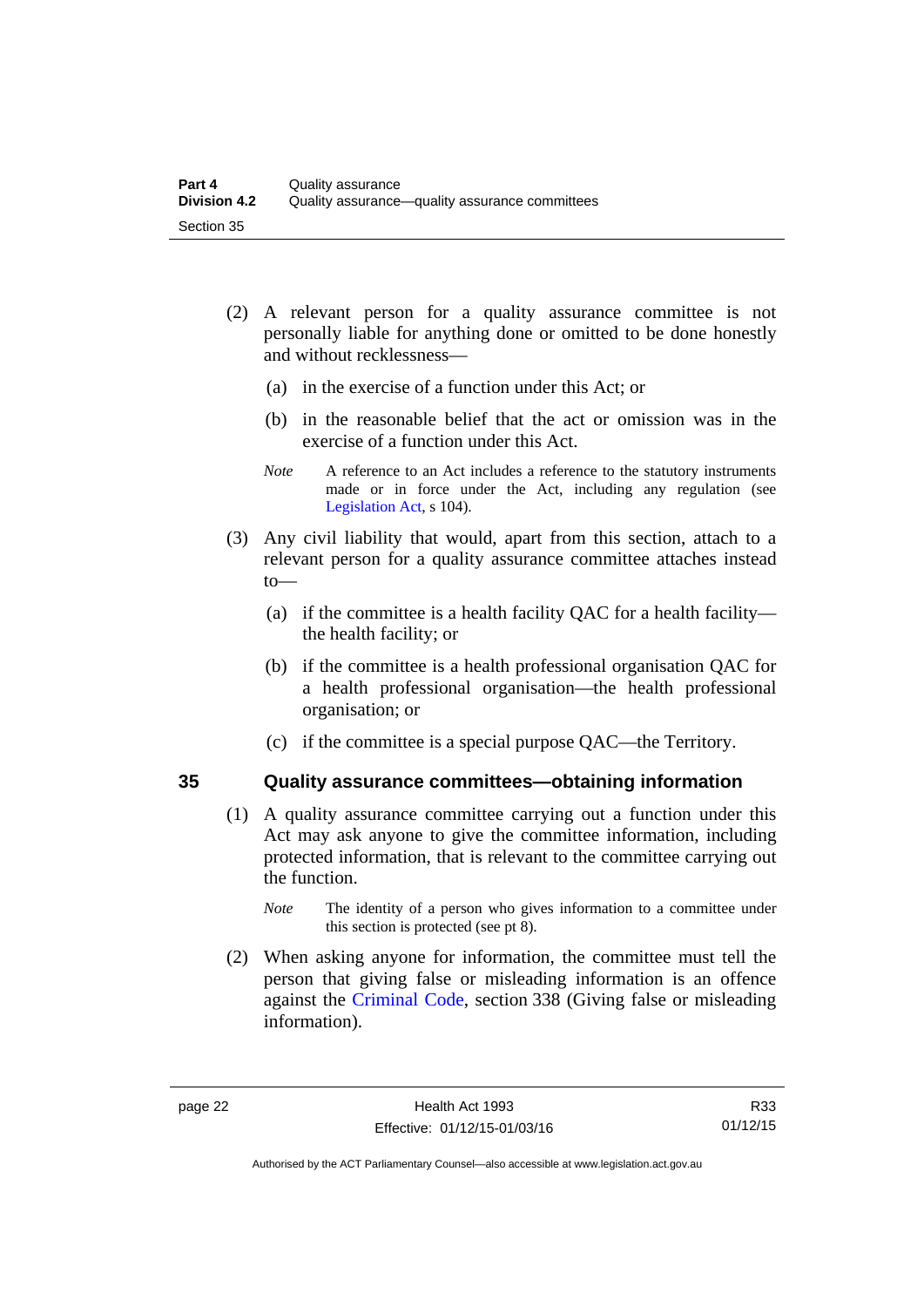- (2) A relevant person for a quality assurance committee is not personally liable for anything done or omitted to be done honestly and without recklessness—
	- (a) in the exercise of a function under this Act; or
	- (b) in the reasonable belief that the act or omission was in the exercise of a function under this Act.
	- *Note* A reference to an Act includes a reference to the statutory instruments made or in force under the Act, including any regulation (see [Legislation Act,](http://www.legislation.act.gov.au/a/2001-14) s 104).
- (3) Any civil liability that would, apart from this section, attach to a relevant person for a quality assurance committee attaches instead to—
	- (a) if the committee is a health facility QAC for a health facility the health facility; or
	- (b) if the committee is a health professional organisation QAC for a health professional organisation—the health professional organisation; or
	- (c) if the committee is a special purpose QAC—the Territory.

#### <span id="page-29-0"></span>**35 Quality assurance committees—obtaining information**

- (1) A quality assurance committee carrying out a function under this Act may ask anyone to give the committee information, including protected information, that is relevant to the committee carrying out the function.
	- *Note* The identity of a person who gives information to a committee under this section is protected (see pt 8).
- (2) When asking anyone for information, the committee must tell the person that giving false or misleading information is an offence against the [Criminal Code](http://www.legislation.act.gov.au/a/2002-51), section 338 (Giving false or misleading information).

Authorised by the ACT Parliamentary Counsel—also accessible at www.legislation.act.gov.au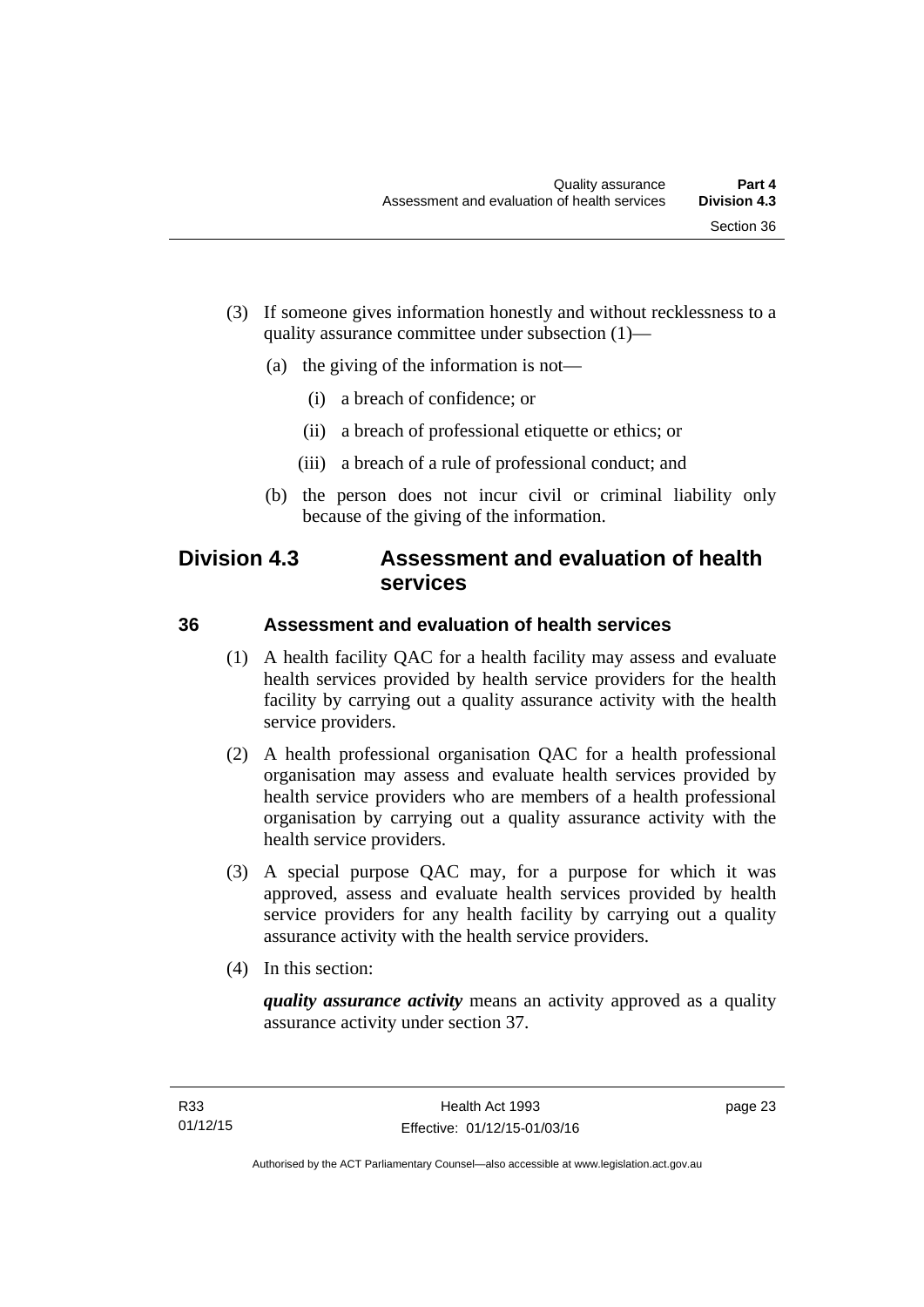- (3) If someone gives information honestly and without recklessness to a quality assurance committee under subsection (1)—
	- (a) the giving of the information is not—
		- (i) a breach of confidence; or
		- (ii) a breach of professional etiquette or ethics; or
		- (iii) a breach of a rule of professional conduct; and
	- (b) the person does not incur civil or criminal liability only because of the giving of the information.

# <span id="page-30-0"></span>**Division 4.3 Assessment and evaluation of health services**

#### <span id="page-30-1"></span>**36 Assessment and evaluation of health services**

- (1) A health facility QAC for a health facility may assess and evaluate health services provided by health service providers for the health facility by carrying out a quality assurance activity with the health service providers.
- (2) A health professional organisation QAC for a health professional organisation may assess and evaluate health services provided by health service providers who are members of a health professional organisation by carrying out a quality assurance activity with the health service providers.
- (3) A special purpose QAC may, for a purpose for which it was approved, assess and evaluate health services provided by health service providers for any health facility by carrying out a quality assurance activity with the health service providers.
- (4) In this section:

*quality assurance activity* means an activity approved as a quality assurance activity under section 37.

page 23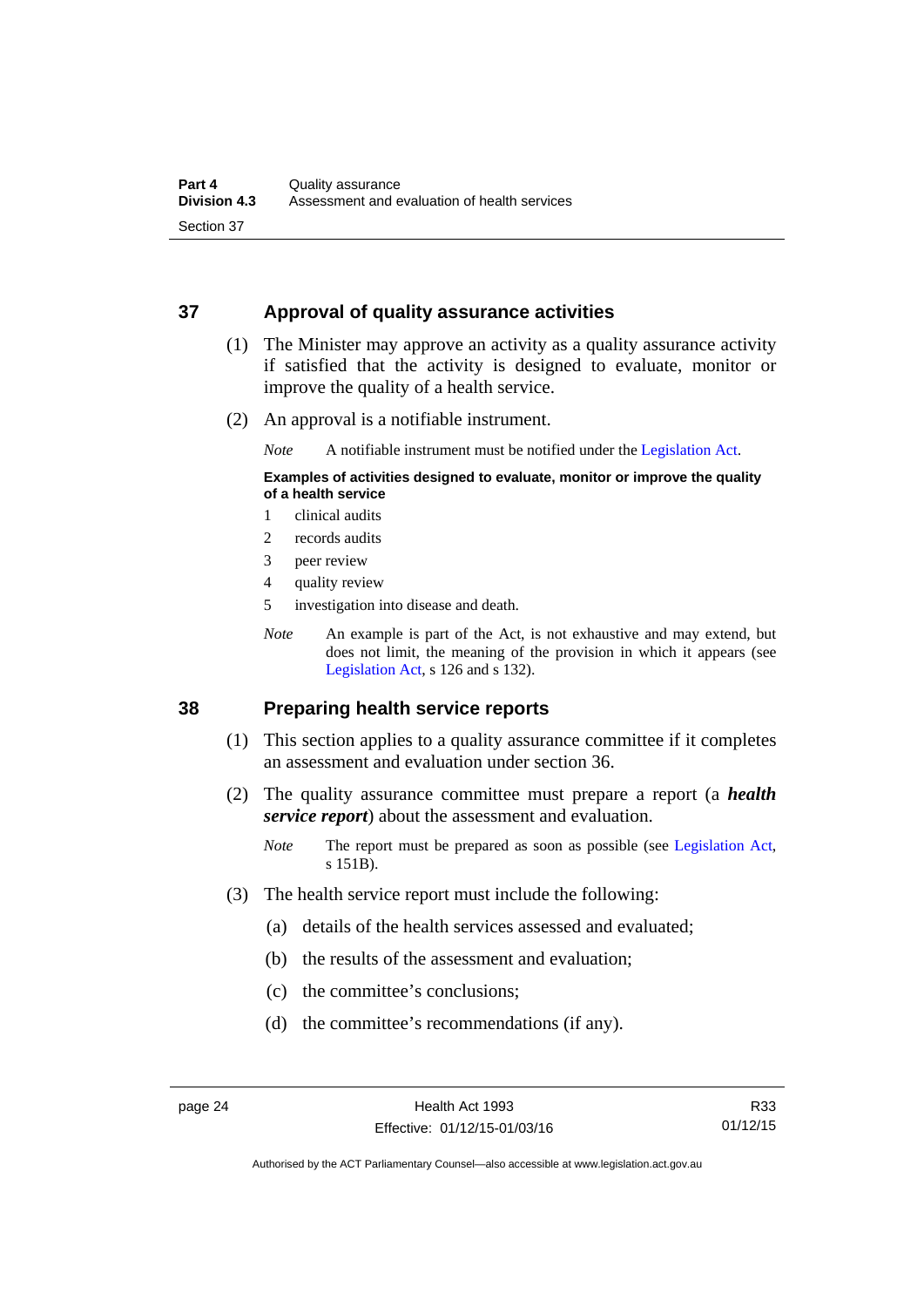#### <span id="page-31-0"></span>**37 Approval of quality assurance activities**

- (1) The Minister may approve an activity as a quality assurance activity if satisfied that the activity is designed to evaluate, monitor or improve the quality of a health service.
- (2) An approval is a notifiable instrument.

*Note* A notifiable instrument must be notified under the [Legislation Act](http://www.legislation.act.gov.au/a/2001-14).

#### **Examples of activities designed to evaluate, monitor or improve the quality of a health service**

- 1 clinical audits
- 2 records audits
- 3 peer review
- 4 quality review
- 5 investigation into disease and death.
- *Note* An example is part of the Act, is not exhaustive and may extend, but does not limit, the meaning of the provision in which it appears (see [Legislation Act,](http://www.legislation.act.gov.au/a/2001-14) s 126 and s 132).

#### <span id="page-31-1"></span>**38 Preparing health service reports**

- (1) This section applies to a quality assurance committee if it completes an assessment and evaluation under section 36.
- (2) The quality assurance committee must prepare a report (a *health service report*) about the assessment and evaluation.
	- *Note* The report must be prepared as soon as possible (see [Legislation Act,](http://www.legislation.act.gov.au/a/2001-14) s 151B).
- (3) The health service report must include the following:
	- (a) details of the health services assessed and evaluated;
	- (b) the results of the assessment and evaluation;
	- (c) the committee's conclusions;
	- (d) the committee's recommendations (if any).

Authorised by the ACT Parliamentary Counsel—also accessible at www.legislation.act.gov.au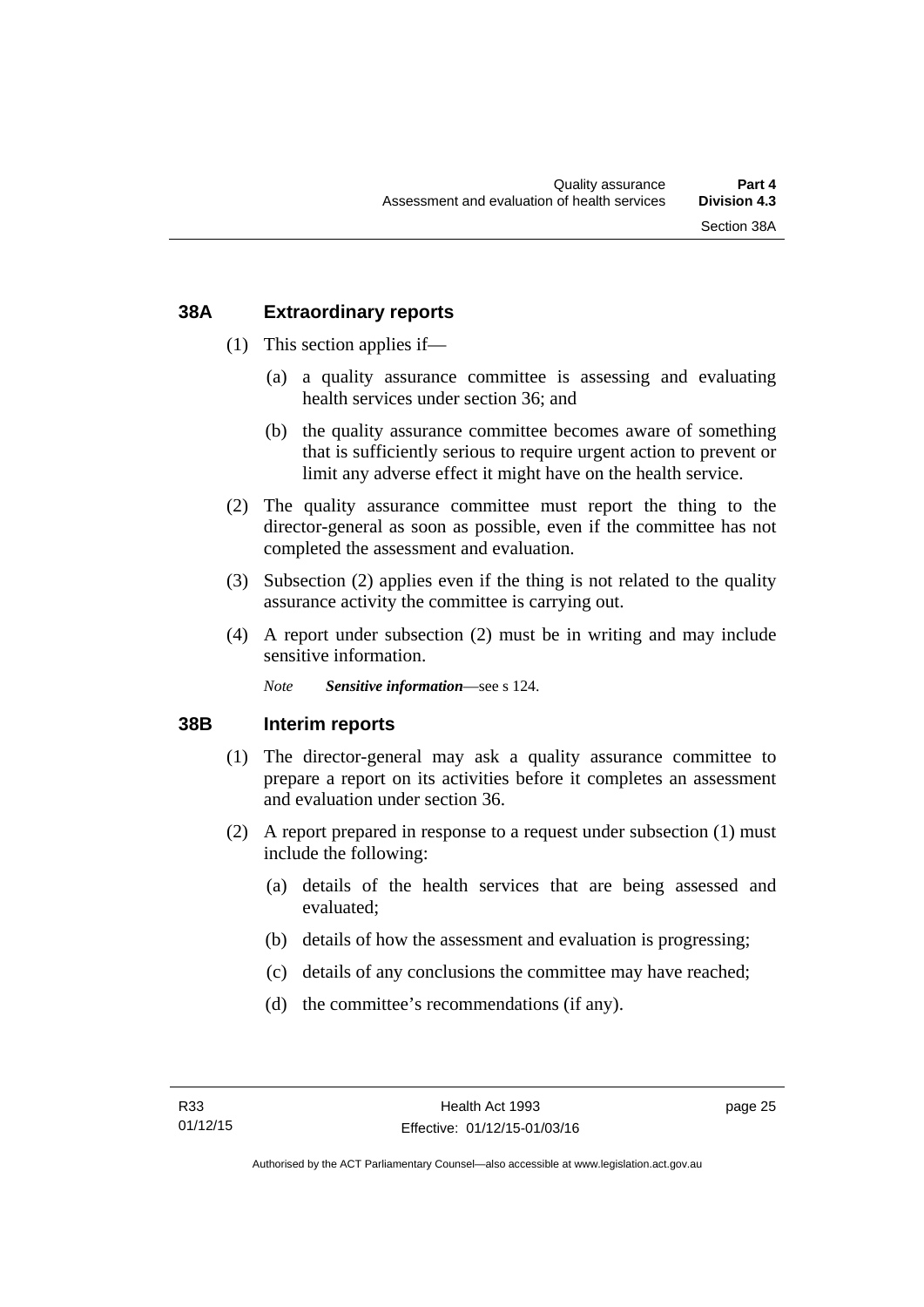#### <span id="page-32-0"></span>**38A Extraordinary reports**

- (1) This section applies if—
	- (a) a quality assurance committee is assessing and evaluating health services under section 36; and
	- (b) the quality assurance committee becomes aware of something that is sufficiently serious to require urgent action to prevent or limit any adverse effect it might have on the health service.
- (2) The quality assurance committee must report the thing to the director-general as soon as possible, even if the committee has not completed the assessment and evaluation.
- (3) Subsection (2) applies even if the thing is not related to the quality assurance activity the committee is carrying out.
- (4) A report under subsection (2) must be in writing and may include sensitive information.

*Note Sensitive information*—see s 124.

#### <span id="page-32-1"></span>**38B Interim reports**

- (1) The director-general may ask a quality assurance committee to prepare a report on its activities before it completes an assessment and evaluation under section 36.
- (2) A report prepared in response to a request under subsection (1) must include the following:
	- (a) details of the health services that are being assessed and evaluated;
	- (b) details of how the assessment and evaluation is progressing;
	- (c) details of any conclusions the committee may have reached;
	- (d) the committee's recommendations (if any).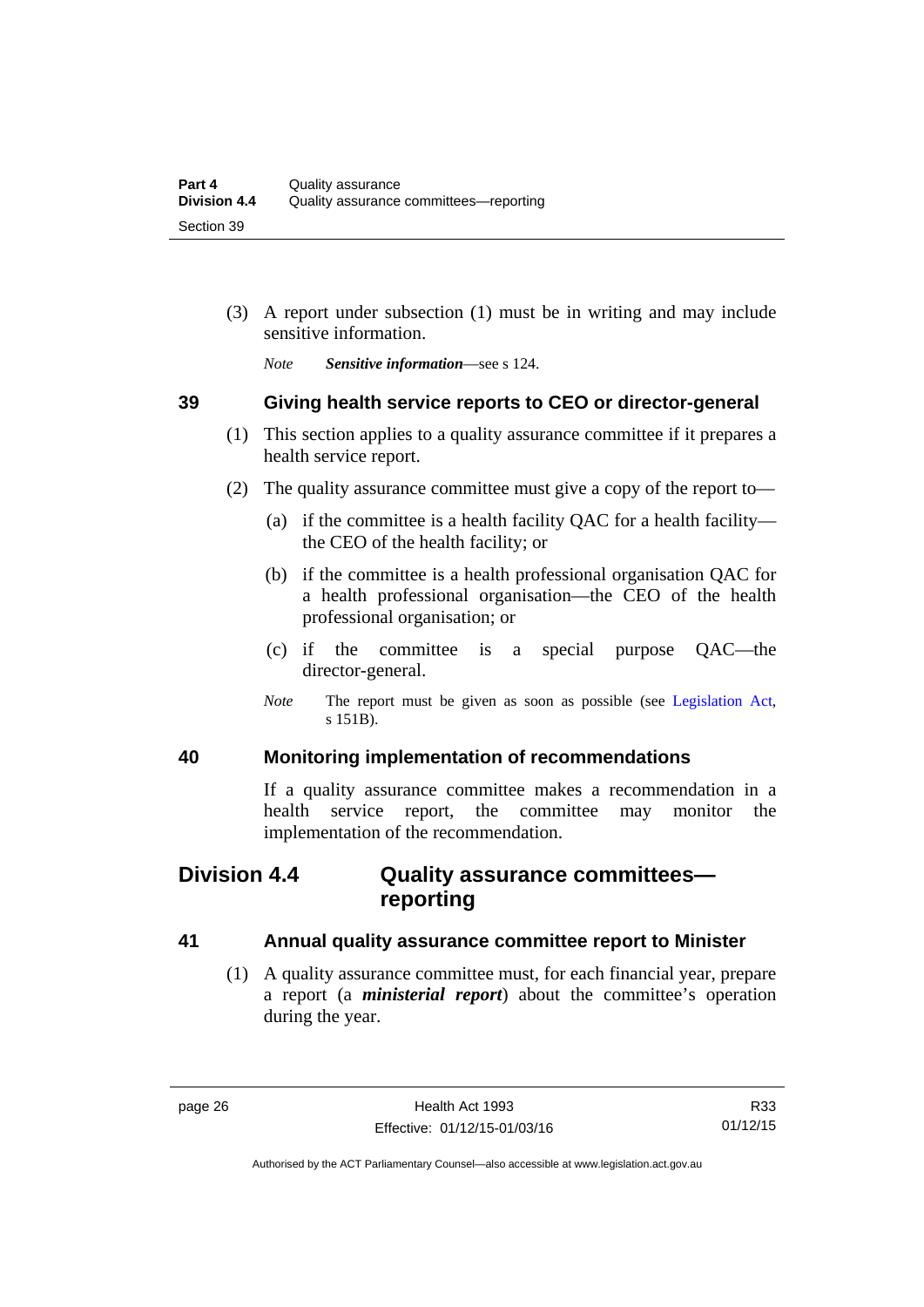(3) A report under subsection (1) must be in writing and may include sensitive information.

*Note Sensitive information*—see s 124.

#### <span id="page-33-0"></span>**39 Giving health service reports to CEO or director-general**

- (1) This section applies to a quality assurance committee if it prepares a health service report.
- (2) The quality assurance committee must give a copy of the report to—
	- (a) if the committee is a health facility QAC for a health facility the CEO of the health facility; or
	- (b) if the committee is a health professional organisation QAC for a health professional organisation—the CEO of the health professional organisation; or
	- (c) if the committee is a special purpose QAC—the director-general.
	- *Note* The report must be given as soon as possible (see [Legislation Act,](http://www.legislation.act.gov.au/a/2001-14) s 151B).

#### <span id="page-33-1"></span>**40 Monitoring implementation of recommendations**

If a quality assurance committee makes a recommendation in a health service report, the committee may monitor the implementation of the recommendation.

# <span id="page-33-2"></span>**Division 4.4 Quality assurance committees reporting**

#### <span id="page-33-3"></span>**41 Annual quality assurance committee report to Minister**

 (1) A quality assurance committee must, for each financial year, prepare a report (a *ministerial report*) about the committee's operation during the year.

Authorised by the ACT Parliamentary Counsel—also accessible at www.legislation.act.gov.au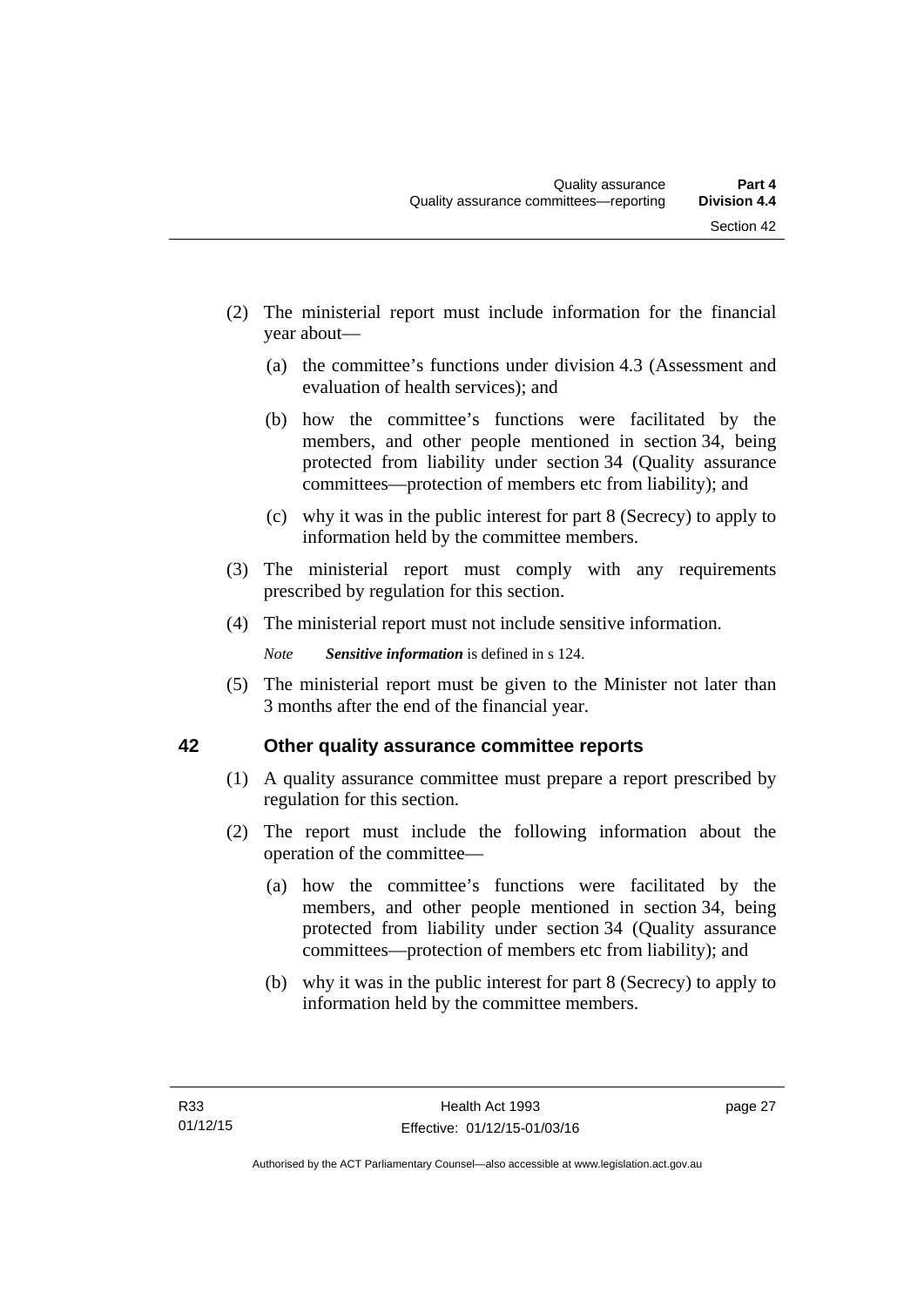- (2) The ministerial report must include information for the financial year about—
	- (a) the committee's functions under division 4.3 (Assessment and evaluation of health services); and
	- (b) how the committee's functions were facilitated by the members, and other people mentioned in section 34, being protected from liability under section 34 (Quality assurance committees—protection of members etc from liability); and
	- (c) why it was in the public interest for part 8 (Secrecy) to apply to information held by the committee members.
- (3) The ministerial report must comply with any requirements prescribed by regulation for this section.
- (4) The ministerial report must not include sensitive information.

*Note Sensitive information* is defined in s 124.

 (5) The ministerial report must be given to the Minister not later than 3 months after the end of the financial year.

### <span id="page-34-0"></span>**42 Other quality assurance committee reports**

- (1) A quality assurance committee must prepare a report prescribed by regulation for this section.
- (2) The report must include the following information about the operation of the committee—
	- (a) how the committee's functions were facilitated by the members, and other people mentioned in section 34, being protected from liability under section 34 (Quality assurance committees—protection of members etc from liability); and
	- (b) why it was in the public interest for part 8 (Secrecy) to apply to information held by the committee members.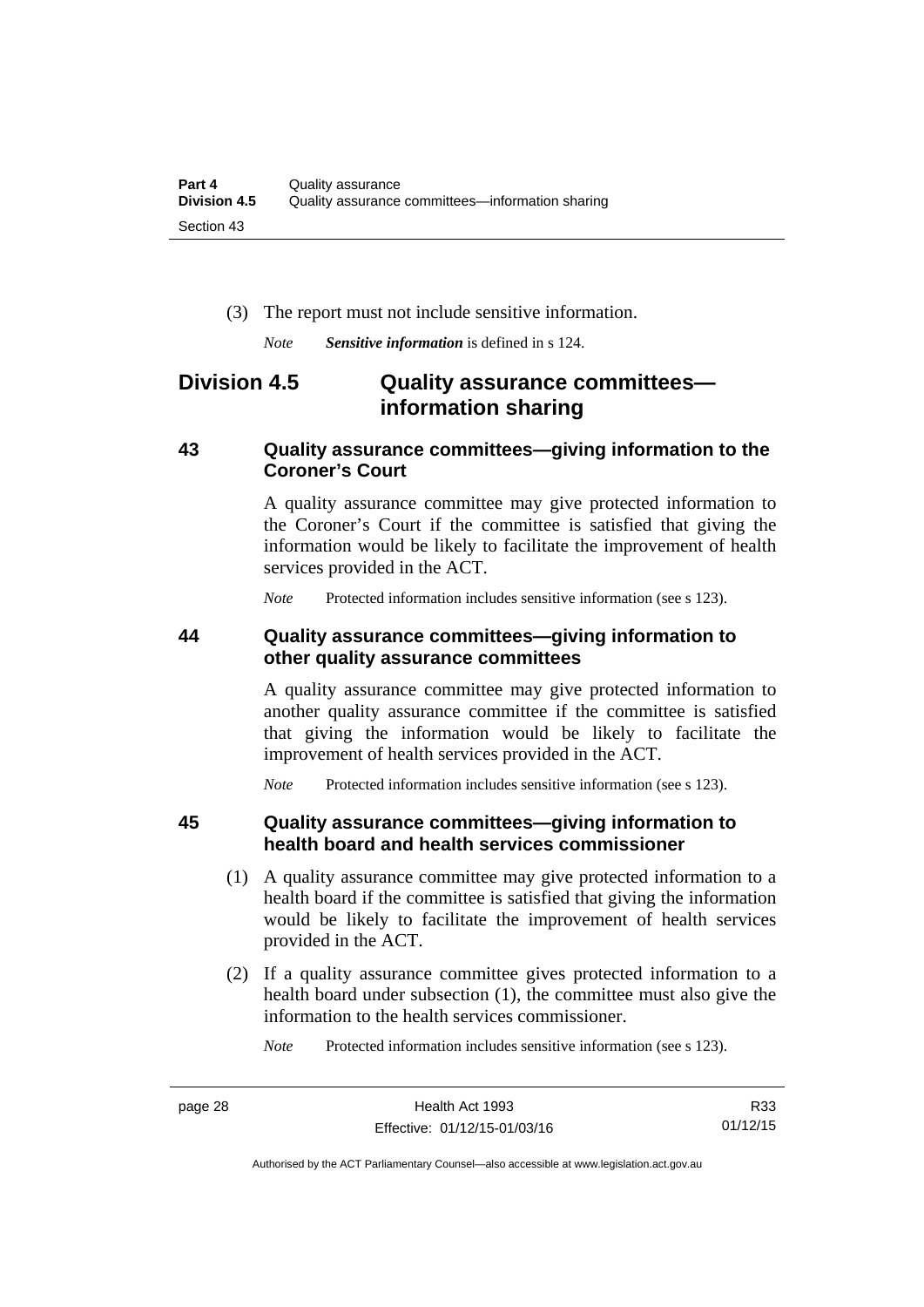(3) The report must not include sensitive information.

*Note Sensitive information* is defined in s 124.

# <span id="page-35-0"></span>**Division 4.5 Quality assurance committees information sharing**

#### <span id="page-35-1"></span>**43 Quality assurance committees—giving information to the Coroner's Court**

A quality assurance committee may give protected information to the Coroner's Court if the committee is satisfied that giving the information would be likely to facilitate the improvement of health services provided in the ACT.

*Note* Protected information includes sensitive information (see s 123).

#### <span id="page-35-2"></span>**44 Quality assurance committees—giving information to other quality assurance committees**

A quality assurance committee may give protected information to another quality assurance committee if the committee is satisfied that giving the information would be likely to facilitate the improvement of health services provided in the ACT.

*Note* Protected information includes sensitive information (see s 123).

#### <span id="page-35-3"></span>**45 Quality assurance committees—giving information to health board and health services commissioner**

- (1) A quality assurance committee may give protected information to a health board if the committee is satisfied that giving the information would be likely to facilitate the improvement of health services provided in the ACT.
- (2) If a quality assurance committee gives protected information to a health board under subsection (1), the committee must also give the information to the health services commissioner.

*Note* Protected information includes sensitive information (see s 123).

R33 01/12/15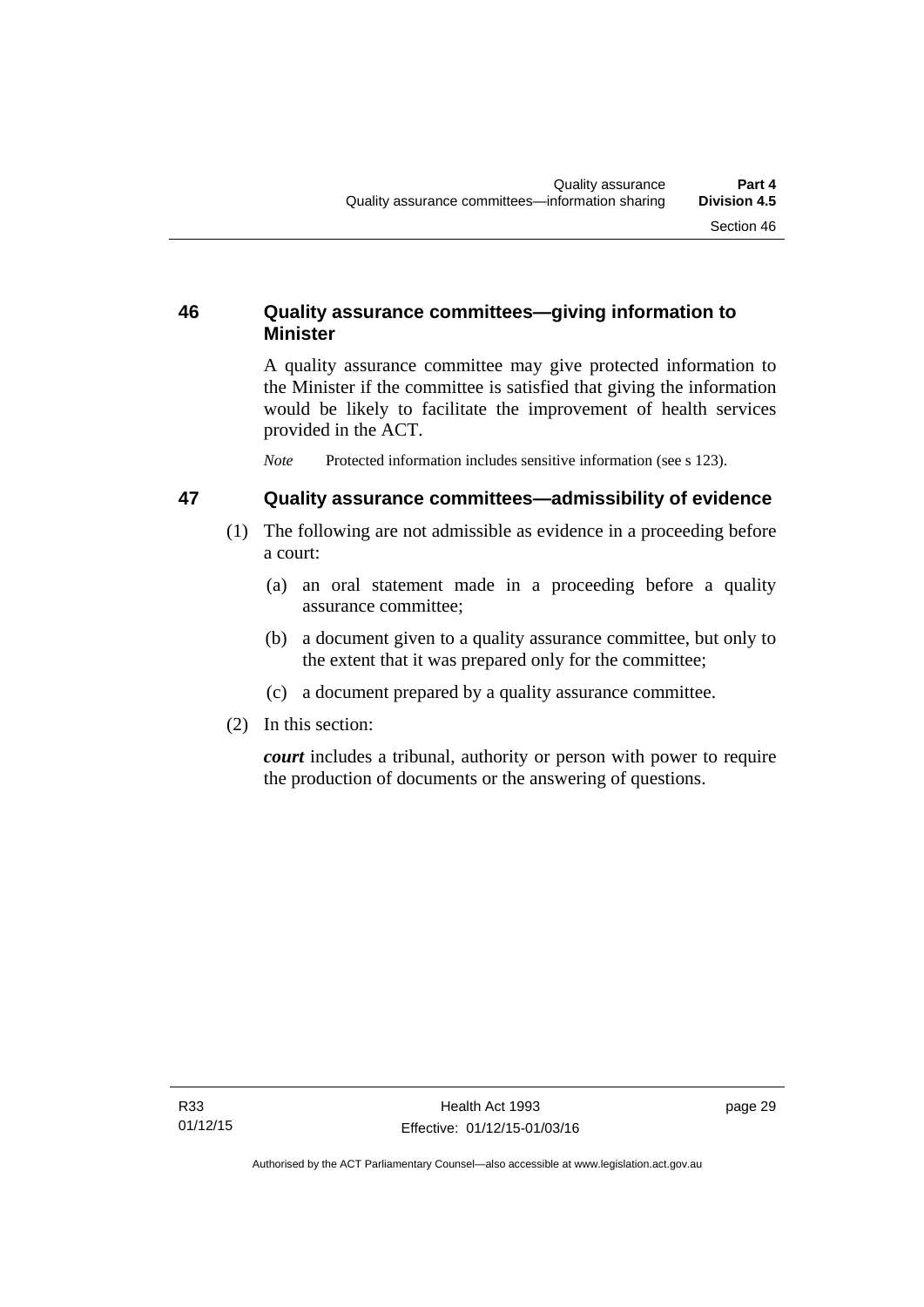# **46 Quality assurance committees—giving information to Minister**

A quality assurance committee may give protected information to the Minister if the committee is satisfied that giving the information would be likely to facilitate the improvement of health services provided in the ACT.

*Note* Protected information includes sensitive information (see s 123).

# **47 Quality assurance committees—admissibility of evidence**

- (1) The following are not admissible as evidence in a proceeding before a court:
	- (a) an oral statement made in a proceeding before a quality assurance committee;
	- (b) a document given to a quality assurance committee, but only to the extent that it was prepared only for the committee;
	- (c) a document prepared by a quality assurance committee.
- (2) In this section:

*court* includes a tribunal, authority or person with power to require the production of documents or the answering of questions.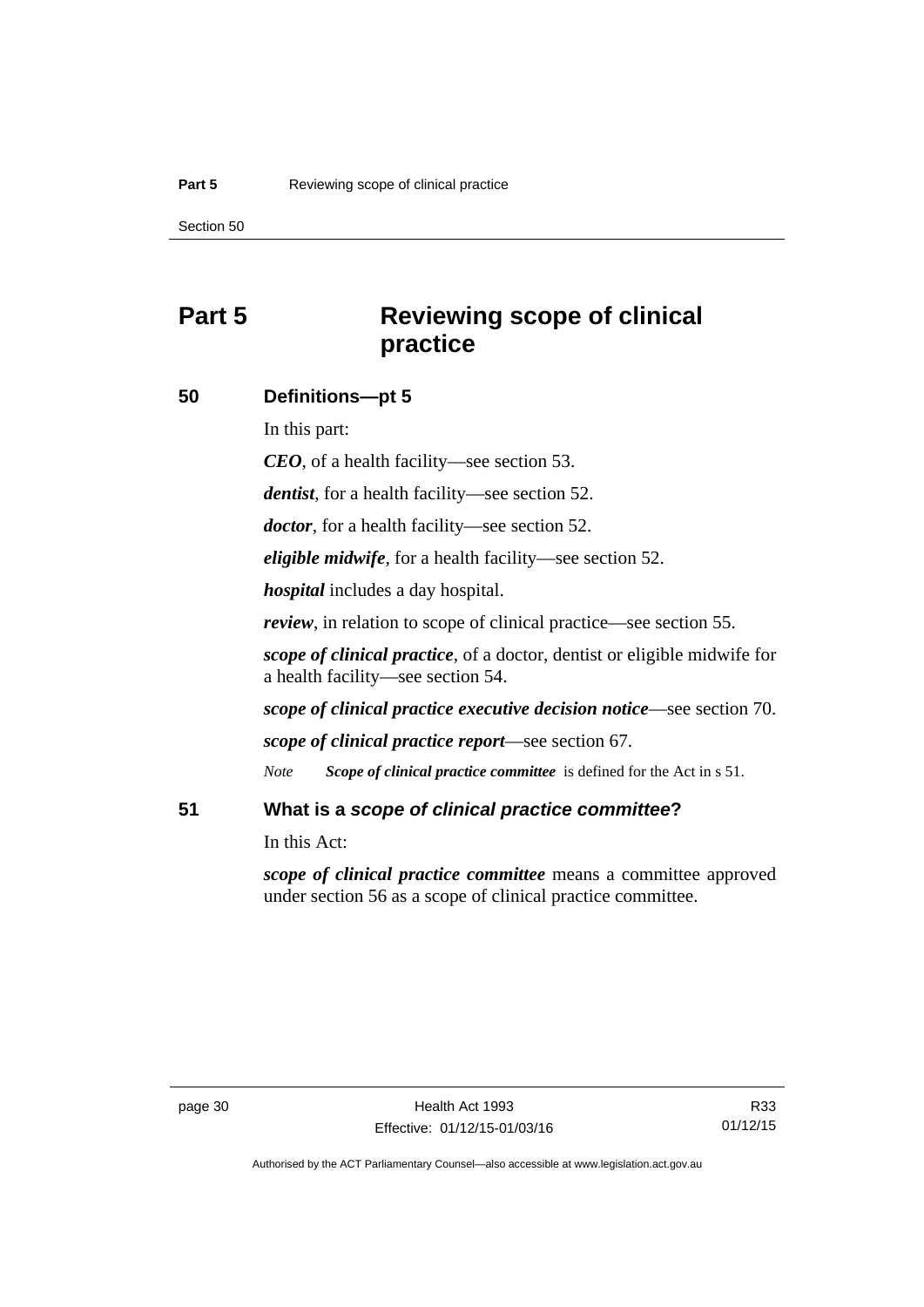# **Part 5 Reviewing scope of clinical practice**

### **50 Definitions—pt 5**

In this part:

*CEO*, of a health facility—see section 53.

*dentist*, for a health facility—see section 52.

*doctor*, for a health facility—see section 52.

*eligible midwife*, for a health facility—see section 52.

*hospital* includes a day hospital.

*review*, in relation to scope of clinical practice—see section 55.

*scope of clinical practice*, of a doctor, dentist or eligible midwife for a health facility—see section 54.

*scope of clinical practice executive decision notice*—see section 70.

*scope of clinical practice report*—see section 67.

*Note Scope of clinical practice committee* is defined for the Act in s 51.

# **51 What is a** *scope of clinical practice committee***?**

In this Act:

*scope of clinical practice committee* means a committee approved under section 56 as a scope of clinical practice committee.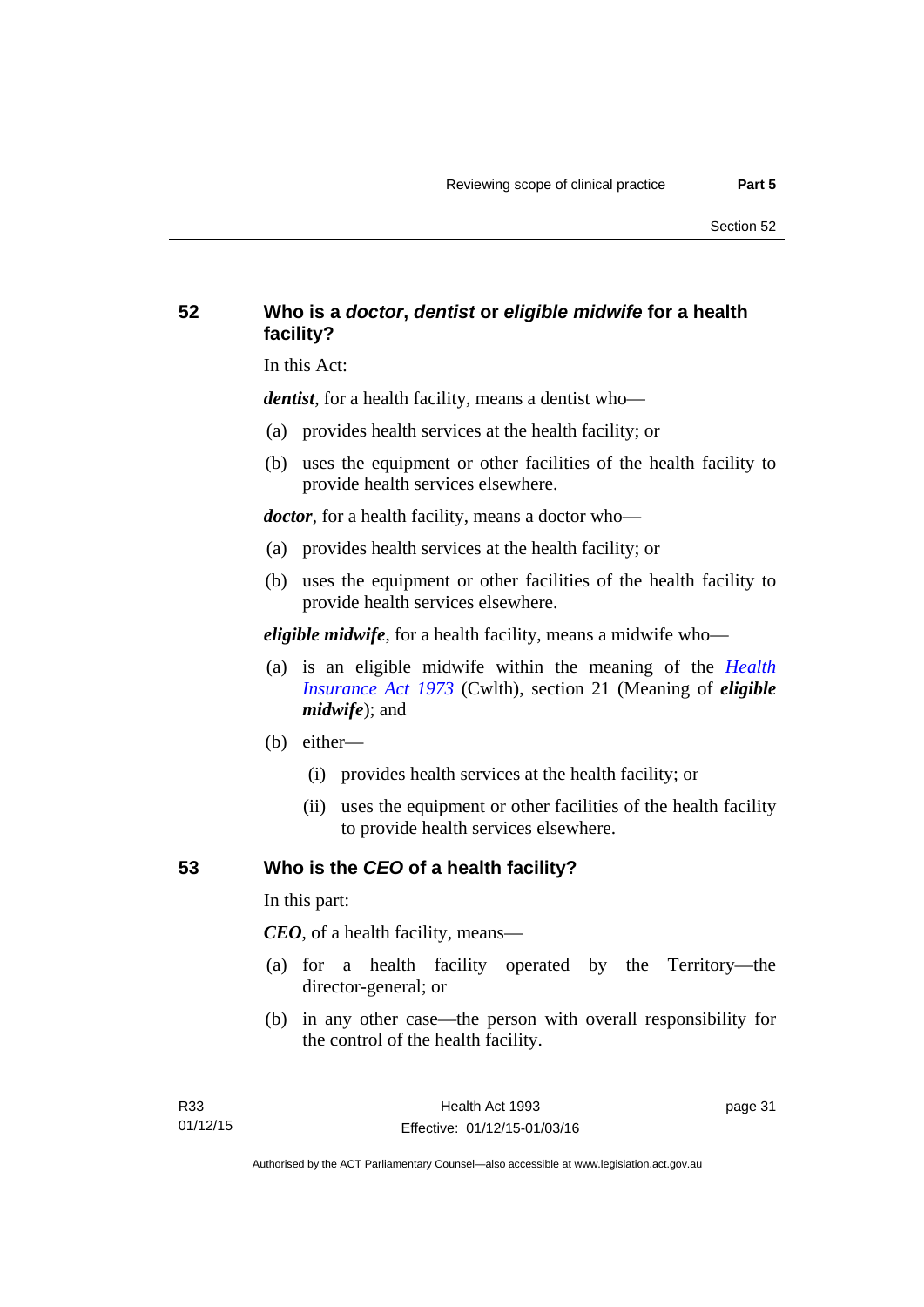# **52 Who is a** *doctor***,** *dentist* **or** *eligible midwife* **for a health facility?**

In this Act:

*dentist*, for a health facility, means a dentist who—

- (a) provides health services at the health facility; or
- (b) uses the equipment or other facilities of the health facility to provide health services elsewhere.

*doctor*, for a health facility, means a doctor who—

- (a) provides health services at the health facility; or
- (b) uses the equipment or other facilities of the health facility to provide health services elsewhere.

*eligible midwife*, for a health facility, means a midwife who—

- (a) is an eligible midwife within the meaning of the *[Health](http://www.comlaw.gov.au/Series/C2004A00101)  [Insurance Act 1973](http://www.comlaw.gov.au/Series/C2004A00101)* (Cwlth), section 21 (Meaning of *eligible midwife*); and
- (b) either—
	- (i) provides health services at the health facility; or
	- (ii) uses the equipment or other facilities of the health facility to provide health services elsewhere.

# **53 Who is the** *CEO* **of a health facility?**

In this part:

*CEO*, of a health facility, means—

- (a) for a health facility operated by the Territory—the director-general; or
- (b) in any other case—the person with overall responsibility for the control of the health facility.

page 31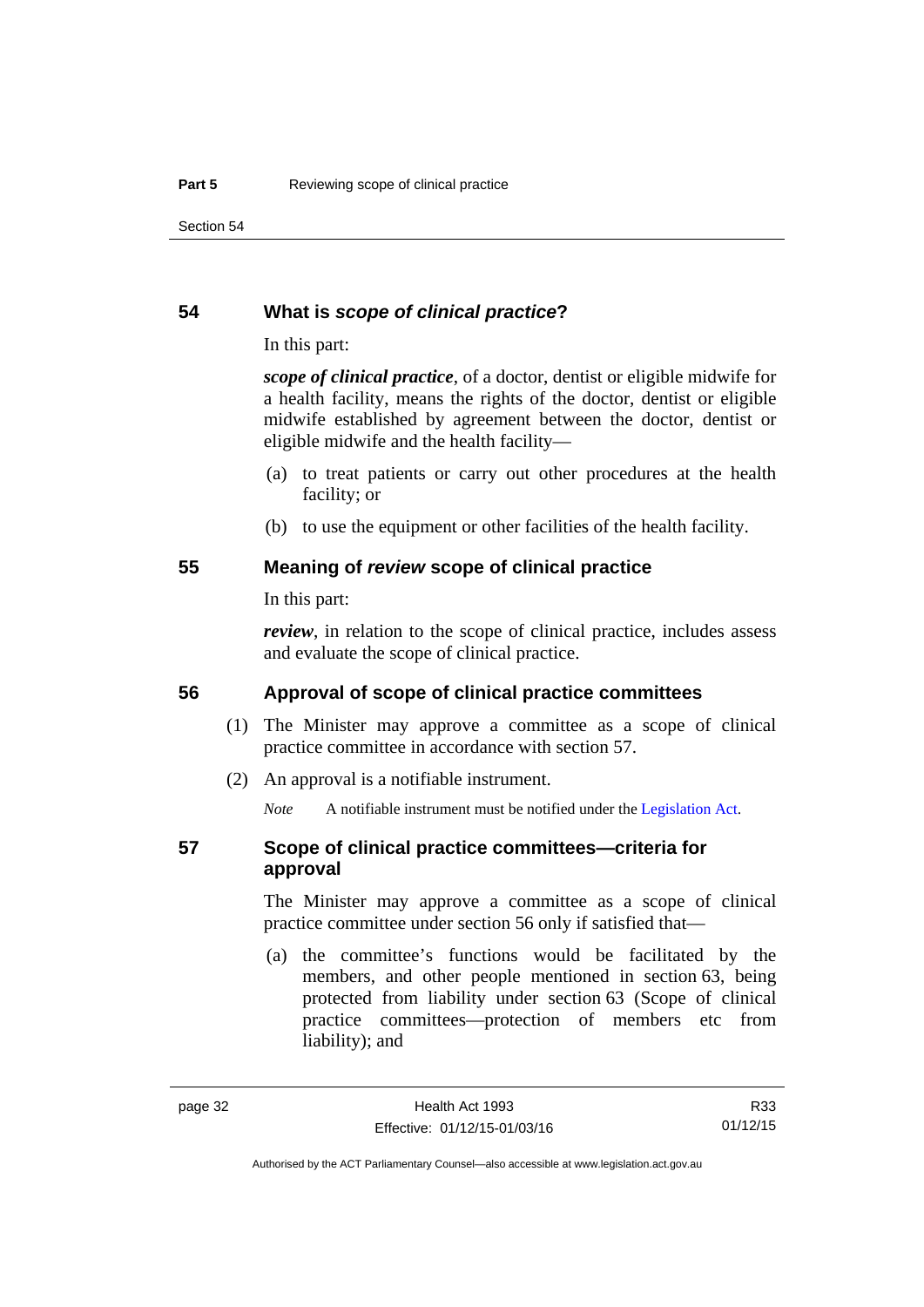### **54 What is** *scope of clinical practice***?**

In this part:

*scope of clinical practice*, of a doctor, dentist or eligible midwife for a health facility, means the rights of the doctor, dentist or eligible midwife established by agreement between the doctor, dentist or eligible midwife and the health facility—

- (a) to treat patients or carry out other procedures at the health facility; or
- (b) to use the equipment or other facilities of the health facility.

### **55 Meaning of** *review* **scope of clinical practice**

In this part:

*review*, in relation to the scope of clinical practice, includes assess and evaluate the scope of clinical practice.

# **56 Approval of scope of clinical practice committees**

- (1) The Minister may approve a committee as a scope of clinical practice committee in accordance with section 57.
- (2) An approval is a notifiable instrument.

*Note* A notifiable instrument must be notified under the [Legislation Act](http://www.legislation.act.gov.au/a/2001-14).

# **57 Scope of clinical practice committees—criteria for approval**

The Minister may approve a committee as a scope of clinical practice committee under section 56 only if satisfied that—

 (a) the committee's functions would be facilitated by the members, and other people mentioned in section 63, being protected from liability under section 63 (Scope of clinical practice committees—protection of members etc from liability); and

R33 01/12/15

Authorised by the ACT Parliamentary Counsel—also accessible at www.legislation.act.gov.au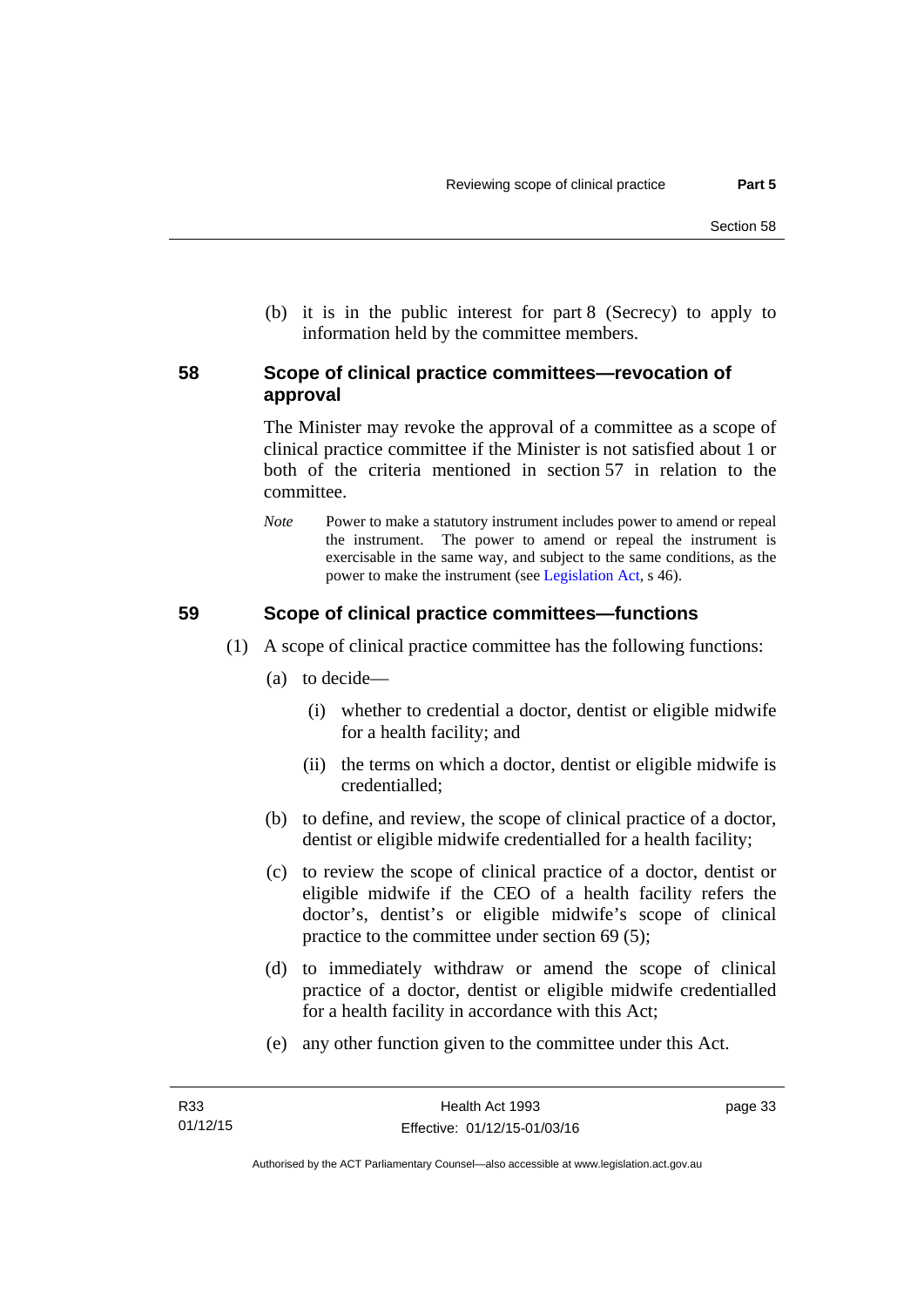(b) it is in the public interest for part 8 (Secrecy) to apply to information held by the committee members.

# **58 Scope of clinical practice committees—revocation of approval**

The Minister may revoke the approval of a committee as a scope of clinical practice committee if the Minister is not satisfied about 1 or both of the criteria mentioned in section 57 in relation to the committee.

*Note* Power to make a statutory instrument includes power to amend or repeal the instrument. The power to amend or repeal the instrument is exercisable in the same way, and subject to the same conditions, as the power to make the instrument (see [Legislation Act,](http://www.legislation.act.gov.au/a/2001-14) s 46).

# **59 Scope of clinical practice committees—functions**

- (1) A scope of clinical practice committee has the following functions:
	- (a) to decide—
		- (i) whether to credential a doctor, dentist or eligible midwife for a health facility; and
		- (ii) the terms on which a doctor, dentist or eligible midwife is credentialled;
	- (b) to define, and review, the scope of clinical practice of a doctor, dentist or eligible midwife credentialled for a health facility;
	- (c) to review the scope of clinical practice of a doctor, dentist or eligible midwife if the CEO of a health facility refers the doctor's, dentist's or eligible midwife's scope of clinical practice to the committee under section 69 (5);
	- (d) to immediately withdraw or amend the scope of clinical practice of a doctor, dentist or eligible midwife credentialled for a health facility in accordance with this Act;
	- (e) any other function given to the committee under this Act.

page 33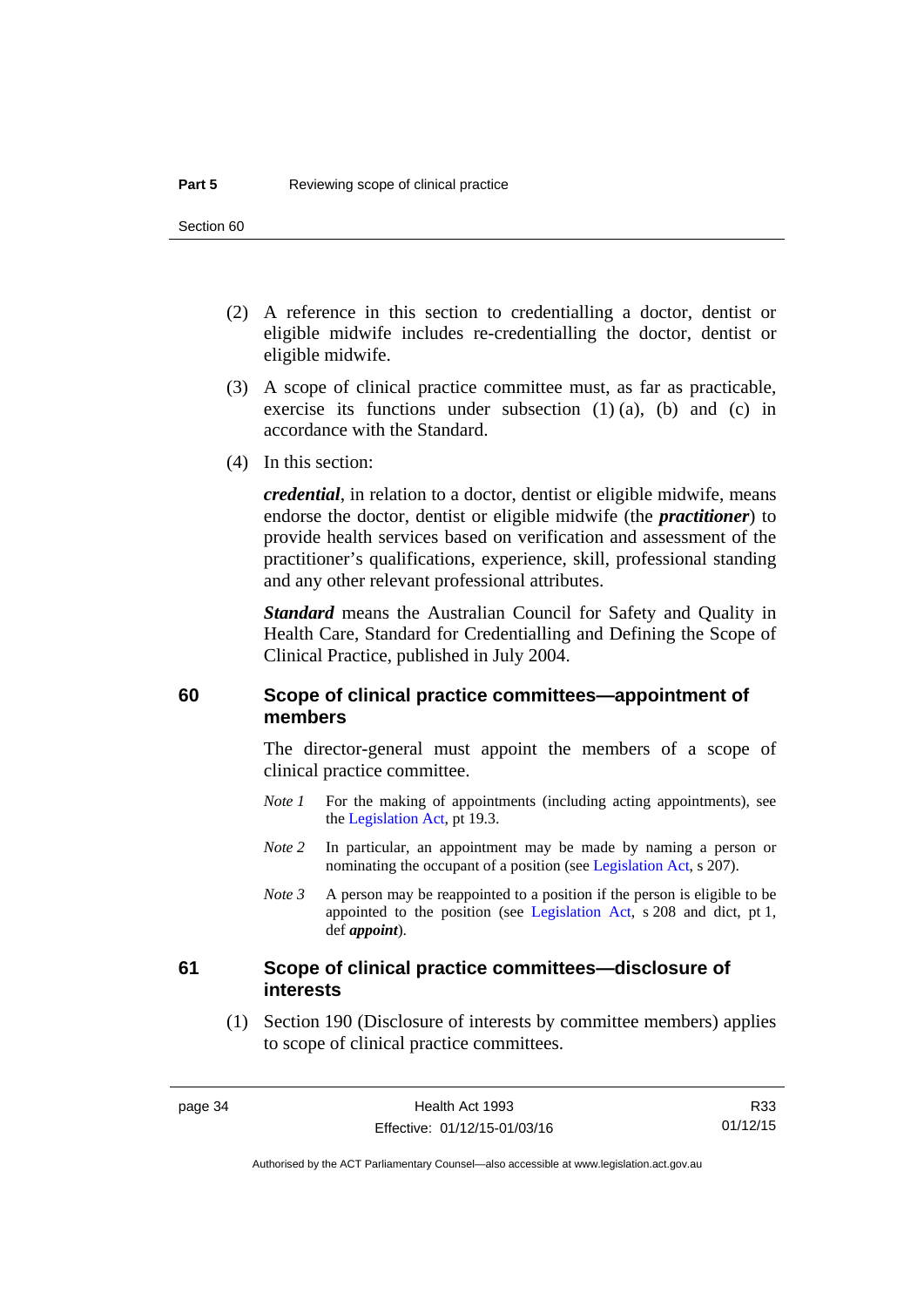- (2) A reference in this section to credentialling a doctor, dentist or eligible midwife includes re-credentialling the doctor, dentist or eligible midwife.
- (3) A scope of clinical practice committee must, as far as practicable, exercise its functions under subsection (1) (a), (b) and (c) in accordance with the Standard.
- (4) In this section:

*credential*, in relation to a doctor, dentist or eligible midwife, means endorse the doctor, dentist or eligible midwife (the *practitioner*) to provide health services based on verification and assessment of the practitioner's qualifications, experience, skill, professional standing and any other relevant professional attributes.

*Standard* means the Australian Council for Safety and Quality in Health Care, Standard for Credentialling and Defining the Scope of Clinical Practice, published in July 2004.

# **60 Scope of clinical practice committees—appointment of members**

The director-general must appoint the members of a scope of clinical practice committee.

- *Note 1* For the making of appointments (including acting appointments), see the [Legislation Act,](http://www.legislation.act.gov.au/a/2001-14) pt 19.3.
- *Note 2* In particular, an appointment may be made by naming a person or nominating the occupant of a position (see [Legislation Act](http://www.legislation.act.gov.au/a/2001-14), s 207).
- *Note 3* A person may be reappointed to a position if the person is eligible to be appointed to the position (see [Legislation Act,](http://www.legislation.act.gov.au/a/2001-14) s 208 and dict, pt 1, def *appoint*).

### **61 Scope of clinical practice committees—disclosure of interests**

 (1) Section 190 (Disclosure of interests by committee members) applies to scope of clinical practice committees.

R33 01/12/15

Authorised by the ACT Parliamentary Counsel—also accessible at www.legislation.act.gov.au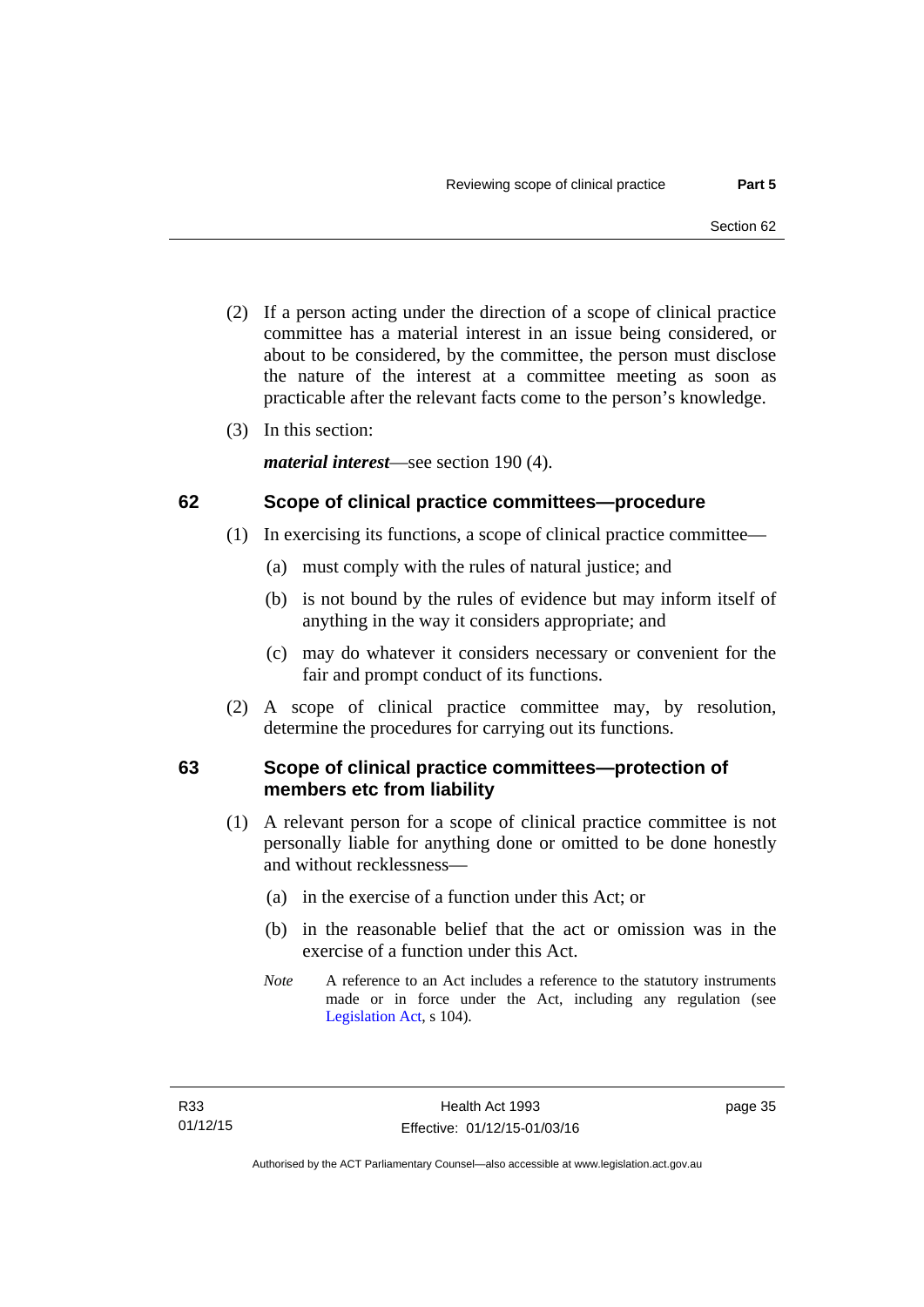- (2) If a person acting under the direction of a scope of clinical practice committee has a material interest in an issue being considered, or about to be considered, by the committee, the person must disclose the nature of the interest at a committee meeting as soon as practicable after the relevant facts come to the person's knowledge.
- (3) In this section:

*material interest*—see section 190 (4).

# **62 Scope of clinical practice committees—procedure**

- (1) In exercising its functions, a scope of clinical practice committee—
	- (a) must comply with the rules of natural justice; and
	- (b) is not bound by the rules of evidence but may inform itself of anything in the way it considers appropriate; and
	- (c) may do whatever it considers necessary or convenient for the fair and prompt conduct of its functions.
- (2) A scope of clinical practice committee may, by resolution, determine the procedures for carrying out its functions.

# **63 Scope of clinical practice committees—protection of members etc from liability**

- (1) A relevant person for a scope of clinical practice committee is not personally liable for anything done or omitted to be done honestly and without recklessness—
	- (a) in the exercise of a function under this Act; or
	- (b) in the reasonable belief that the act or omission was in the exercise of a function under this Act.
	- *Note* A reference to an Act includes a reference to the statutory instruments made or in force under the Act, including any regulation (see [Legislation Act,](http://www.legislation.act.gov.au/a/2001-14) s 104).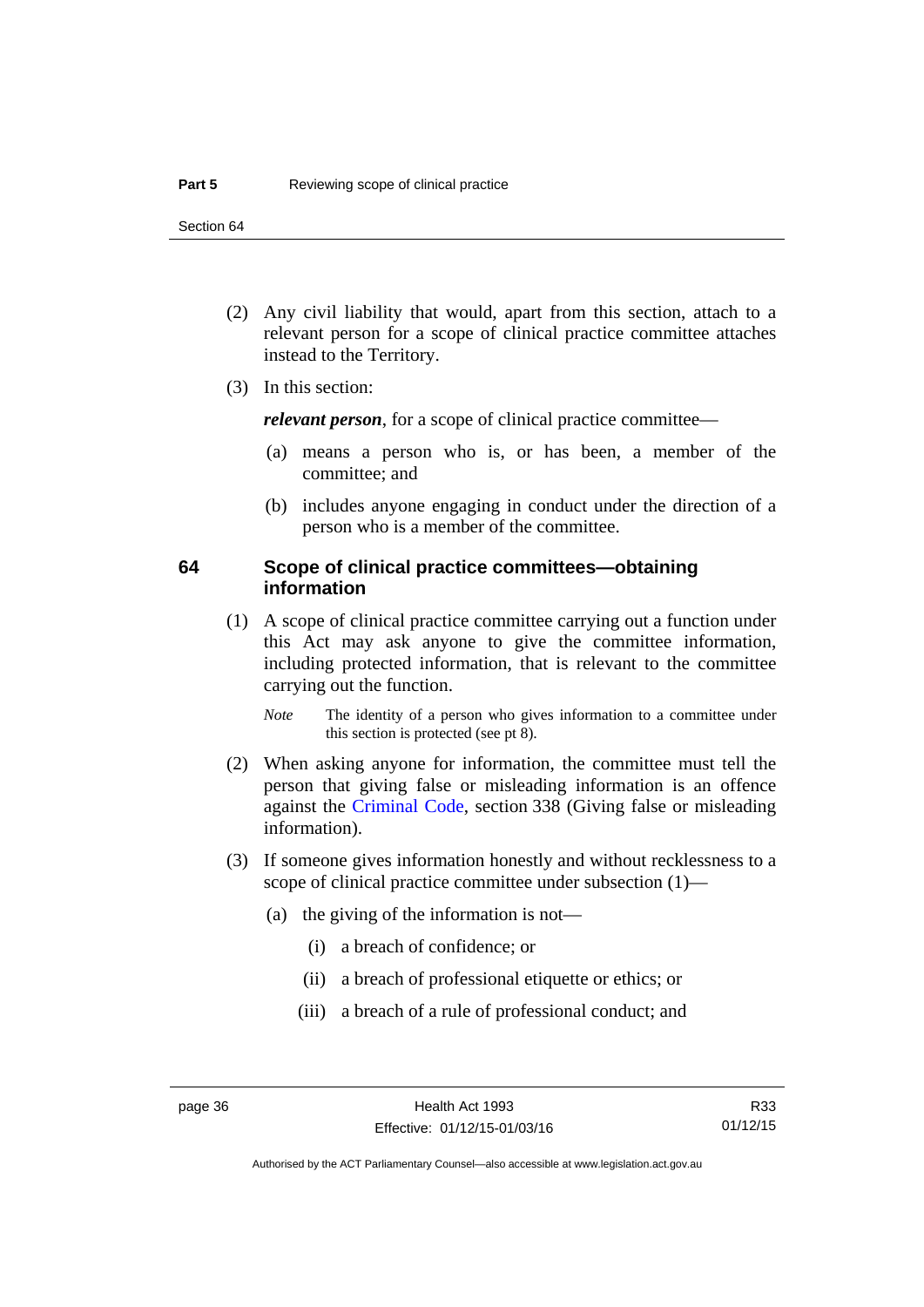- (2) Any civil liability that would, apart from this section, attach to a relevant person for a scope of clinical practice committee attaches instead to the Territory.
- (3) In this section:

*relevant person*, for a scope of clinical practice committee—

- (a) means a person who is, or has been, a member of the committee; and
- (b) includes anyone engaging in conduct under the direction of a person who is a member of the committee.

# **64 Scope of clinical practice committees—obtaining information**

 (1) A scope of clinical practice committee carrying out a function under this Act may ask anyone to give the committee information, including protected information, that is relevant to the committee carrying out the function.

*Note* The identity of a person who gives information to a committee under this section is protected (see pt 8).

- (2) When asking anyone for information, the committee must tell the person that giving false or misleading information is an offence against the [Criminal Code](http://www.legislation.act.gov.au/a/2002-51), section 338 (Giving false or misleading information).
- (3) If someone gives information honestly and without recklessness to a scope of clinical practice committee under subsection (1)—
	- (a) the giving of the information is not—
		- (i) a breach of confidence; or
		- (ii) a breach of professional etiquette or ethics; or
		- (iii) a breach of a rule of professional conduct; and

Authorised by the ACT Parliamentary Counsel—also accessible at www.legislation.act.gov.au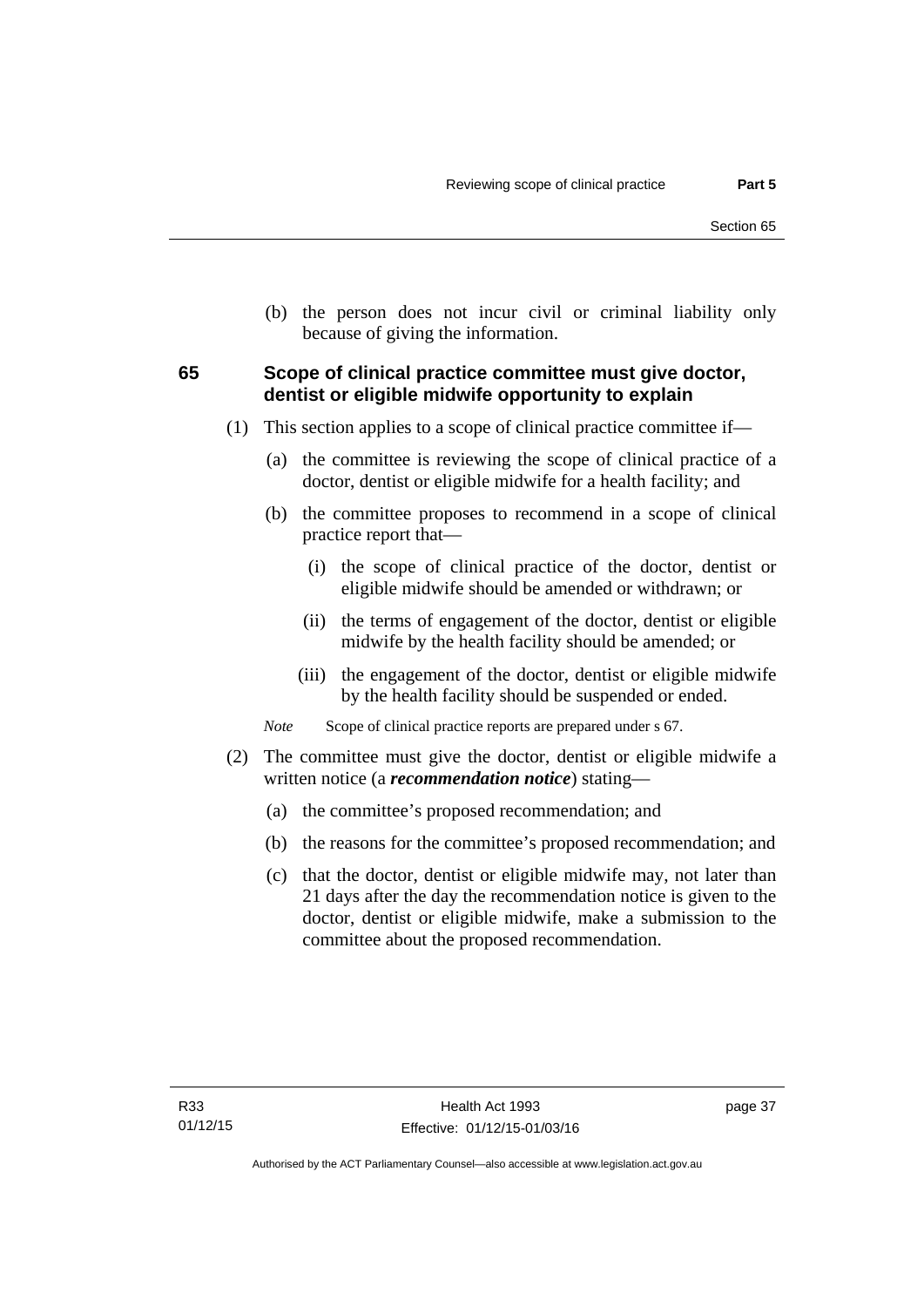(b) the person does not incur civil or criminal liability only because of giving the information.

# **65 Scope of clinical practice committee must give doctor, dentist or eligible midwife opportunity to explain**

- (1) This section applies to a scope of clinical practice committee if—
	- (a) the committee is reviewing the scope of clinical practice of a doctor, dentist or eligible midwife for a health facility; and
	- (b) the committee proposes to recommend in a scope of clinical practice report that—
		- (i) the scope of clinical practice of the doctor, dentist or eligible midwife should be amended or withdrawn; or
		- (ii) the terms of engagement of the doctor, dentist or eligible midwife by the health facility should be amended; or
		- (iii) the engagement of the doctor, dentist or eligible midwife by the health facility should be suspended or ended.

*Note* Scope of clinical practice reports are prepared under s 67.

- (2) The committee must give the doctor, dentist or eligible midwife a written notice (a *recommendation notice*) stating—
	- (a) the committee's proposed recommendation; and
	- (b) the reasons for the committee's proposed recommendation; and
	- (c) that the doctor, dentist or eligible midwife may, not later than 21 days after the day the recommendation notice is given to the doctor, dentist or eligible midwife, make a submission to the committee about the proposed recommendation.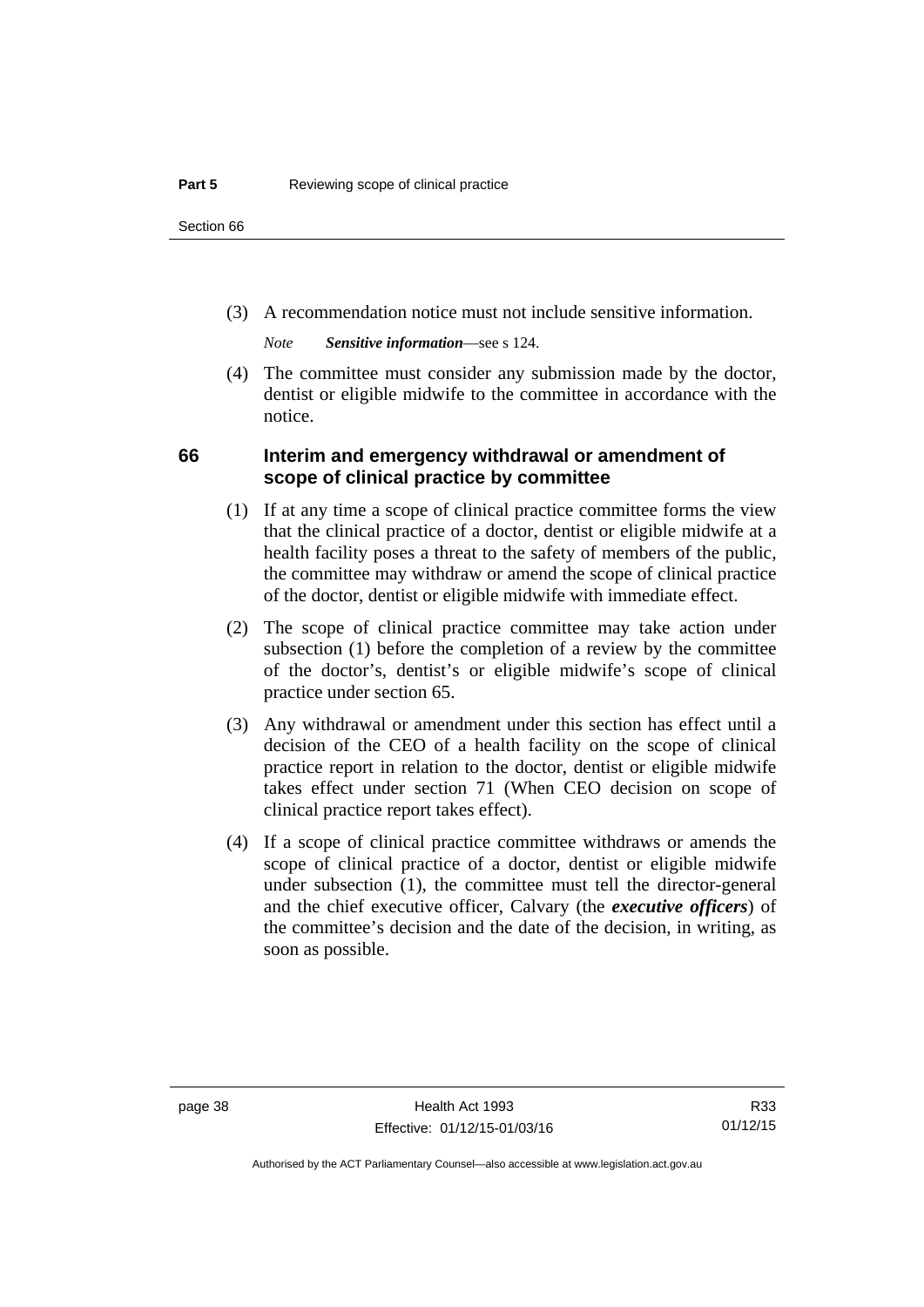(3) A recommendation notice must not include sensitive information.

*Note Sensitive information*—see s 124.

 (4) The committee must consider any submission made by the doctor, dentist or eligible midwife to the committee in accordance with the notice.

# **66 Interim and emergency withdrawal or amendment of scope of clinical practice by committee**

- (1) If at any time a scope of clinical practice committee forms the view that the clinical practice of a doctor, dentist or eligible midwife at a health facility poses a threat to the safety of members of the public, the committee may withdraw or amend the scope of clinical practice of the doctor, dentist or eligible midwife with immediate effect.
- (2) The scope of clinical practice committee may take action under subsection (1) before the completion of a review by the committee of the doctor's, dentist's or eligible midwife's scope of clinical practice under section 65.
- (3) Any withdrawal or amendment under this section has effect until a decision of the CEO of a health facility on the scope of clinical practice report in relation to the doctor, dentist or eligible midwife takes effect under section 71 (When CEO decision on scope of clinical practice report takes effect).
- (4) If a scope of clinical practice committee withdraws or amends the scope of clinical practice of a doctor, dentist or eligible midwife under subsection (1), the committee must tell the director-general and the chief executive officer, Calvary (the *executive officers*) of the committee's decision and the date of the decision, in writing, as soon as possible.

R33 01/12/15

Authorised by the ACT Parliamentary Counsel—also accessible at www.legislation.act.gov.au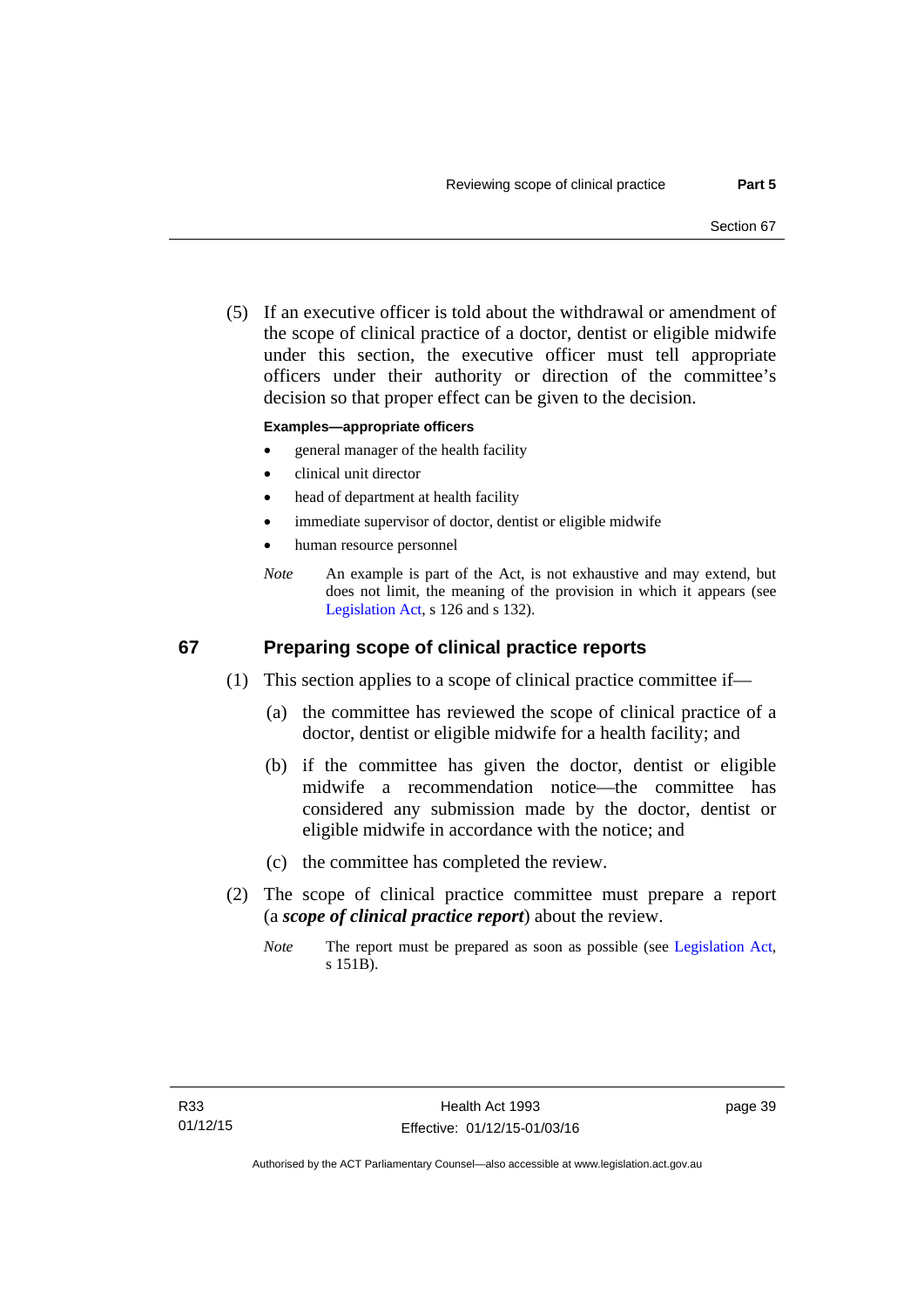(5) If an executive officer is told about the withdrawal or amendment of the scope of clinical practice of a doctor, dentist or eligible midwife under this section, the executive officer must tell appropriate officers under their authority or direction of the committee's decision so that proper effect can be given to the decision.

### **Examples—appropriate officers**

- general manager of the health facility
- clinical unit director
- head of department at health facility
- immediate supervisor of doctor, dentist or eligible midwife
- human resource personnel
- *Note* An example is part of the Act, is not exhaustive and may extend, but does not limit, the meaning of the provision in which it appears (see [Legislation Act,](http://www.legislation.act.gov.au/a/2001-14) s 126 and s 132).

# **67 Preparing scope of clinical practice reports**

- (1) This section applies to a scope of clinical practice committee if—
	- (a) the committee has reviewed the scope of clinical practice of a doctor, dentist or eligible midwife for a health facility; and
	- (b) if the committee has given the doctor, dentist or eligible midwife a recommendation notice—the committee has considered any submission made by the doctor, dentist or eligible midwife in accordance with the notice; and
	- (c) the committee has completed the review.
- (2) The scope of clinical practice committee must prepare a report (a *scope of clinical practice report*) about the review.
	- *Note* The report must be prepared as soon as possible (see [Legislation Act,](http://www.legislation.act.gov.au/a/2001-14) s 151B).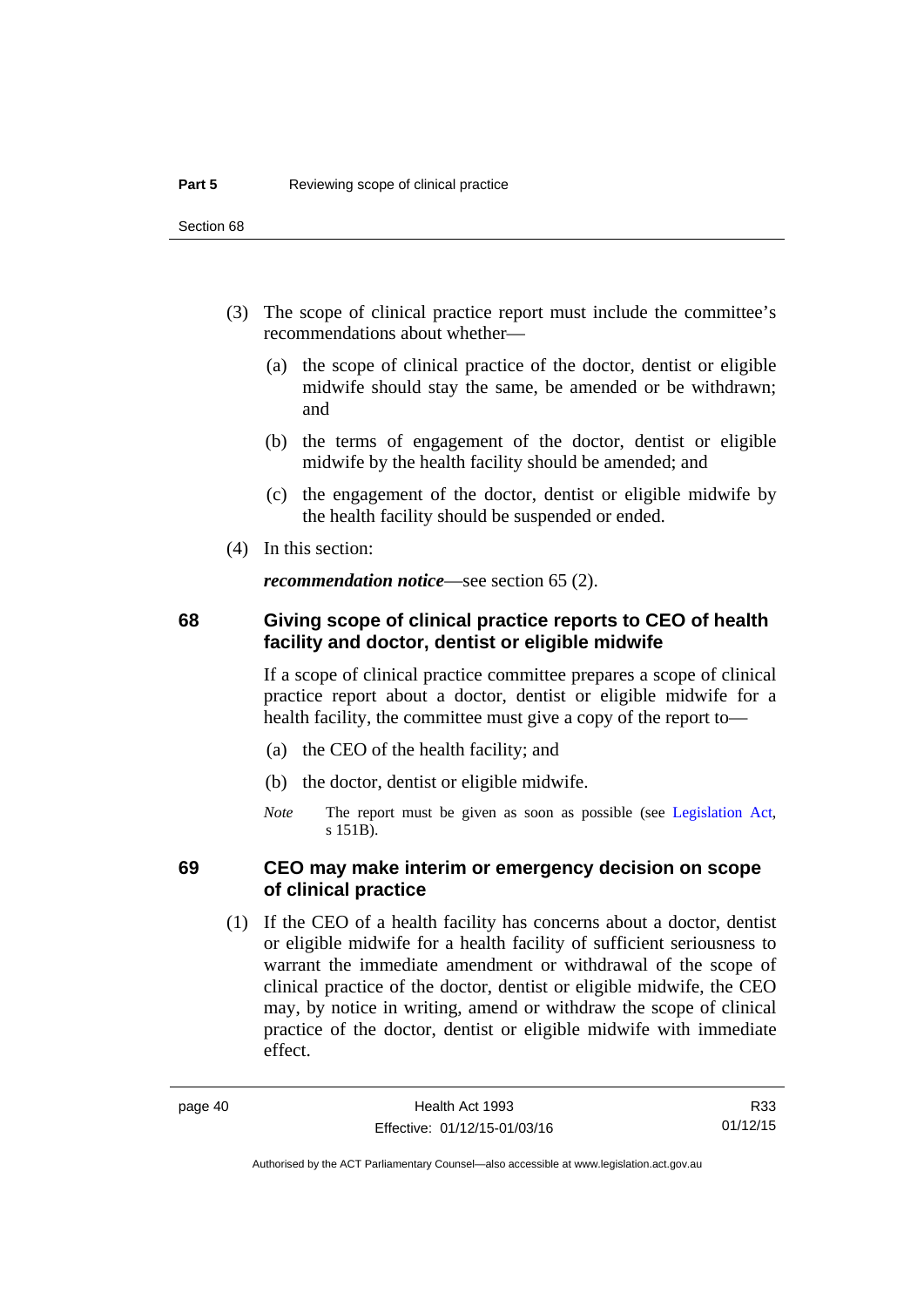- (3) The scope of clinical practice report must include the committee's recommendations about whether—
	- (a) the scope of clinical practice of the doctor, dentist or eligible midwife should stay the same, be amended or be withdrawn; and
	- (b) the terms of engagement of the doctor, dentist or eligible midwife by the health facility should be amended; and
	- (c) the engagement of the doctor, dentist or eligible midwife by the health facility should be suspended or ended.
- (4) In this section:

*recommendation notice*—see section 65 (2).

# **68 Giving scope of clinical practice reports to CEO of health facility and doctor, dentist or eligible midwife**

If a scope of clinical practice committee prepares a scope of clinical practice report about a doctor, dentist or eligible midwife for a health facility, the committee must give a copy of the report to—

- (a) the CEO of the health facility; and
- (b) the doctor, dentist or eligible midwife.
- *Note* The report must be given as soon as possible (see [Legislation Act,](http://www.legislation.act.gov.au/a/2001-14) s 151B).

# **69 CEO may make interim or emergency decision on scope of clinical practice**

 (1) If the CEO of a health facility has concerns about a doctor, dentist or eligible midwife for a health facility of sufficient seriousness to warrant the immediate amendment or withdrawal of the scope of clinical practice of the doctor, dentist or eligible midwife, the CEO may, by notice in writing, amend or withdraw the scope of clinical practice of the doctor, dentist or eligible midwife with immediate effect.

R33 01/12/15

Authorised by the ACT Parliamentary Counsel—also accessible at www.legislation.act.gov.au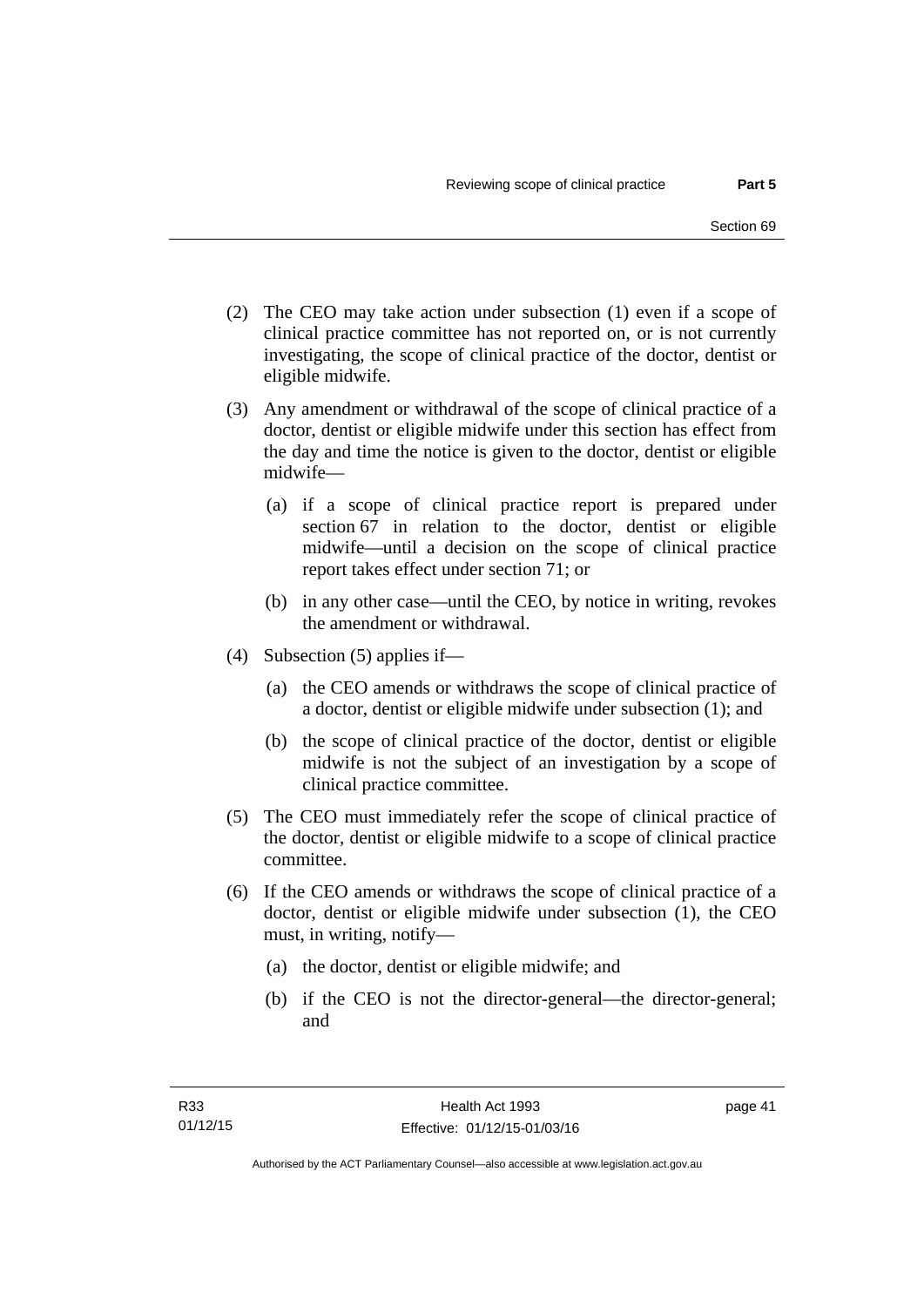- (2) The CEO may take action under subsection (1) even if a scope of clinical practice committee has not reported on, or is not currently investigating, the scope of clinical practice of the doctor, dentist or eligible midwife.
- (3) Any amendment or withdrawal of the scope of clinical practice of a doctor, dentist or eligible midwife under this section has effect from the day and time the notice is given to the doctor, dentist or eligible midwife—
	- (a) if a scope of clinical practice report is prepared under section 67 in relation to the doctor, dentist or eligible midwife—until a decision on the scope of clinical practice report takes effect under section 71; or
	- (b) in any other case—until the CEO, by notice in writing, revokes the amendment or withdrawal.
- (4) Subsection (5) applies if—
	- (a) the CEO amends or withdraws the scope of clinical practice of a doctor, dentist or eligible midwife under subsection (1); and
	- (b) the scope of clinical practice of the doctor, dentist or eligible midwife is not the subject of an investigation by a scope of clinical practice committee.
- (5) The CEO must immediately refer the scope of clinical practice of the doctor, dentist or eligible midwife to a scope of clinical practice committee.
- (6) If the CEO amends or withdraws the scope of clinical practice of a doctor, dentist or eligible midwife under subsection (1), the CEO must, in writing, notify—
	- (a) the doctor, dentist or eligible midwife; and
	- (b) if the CEO is not the director-general—the director-general; and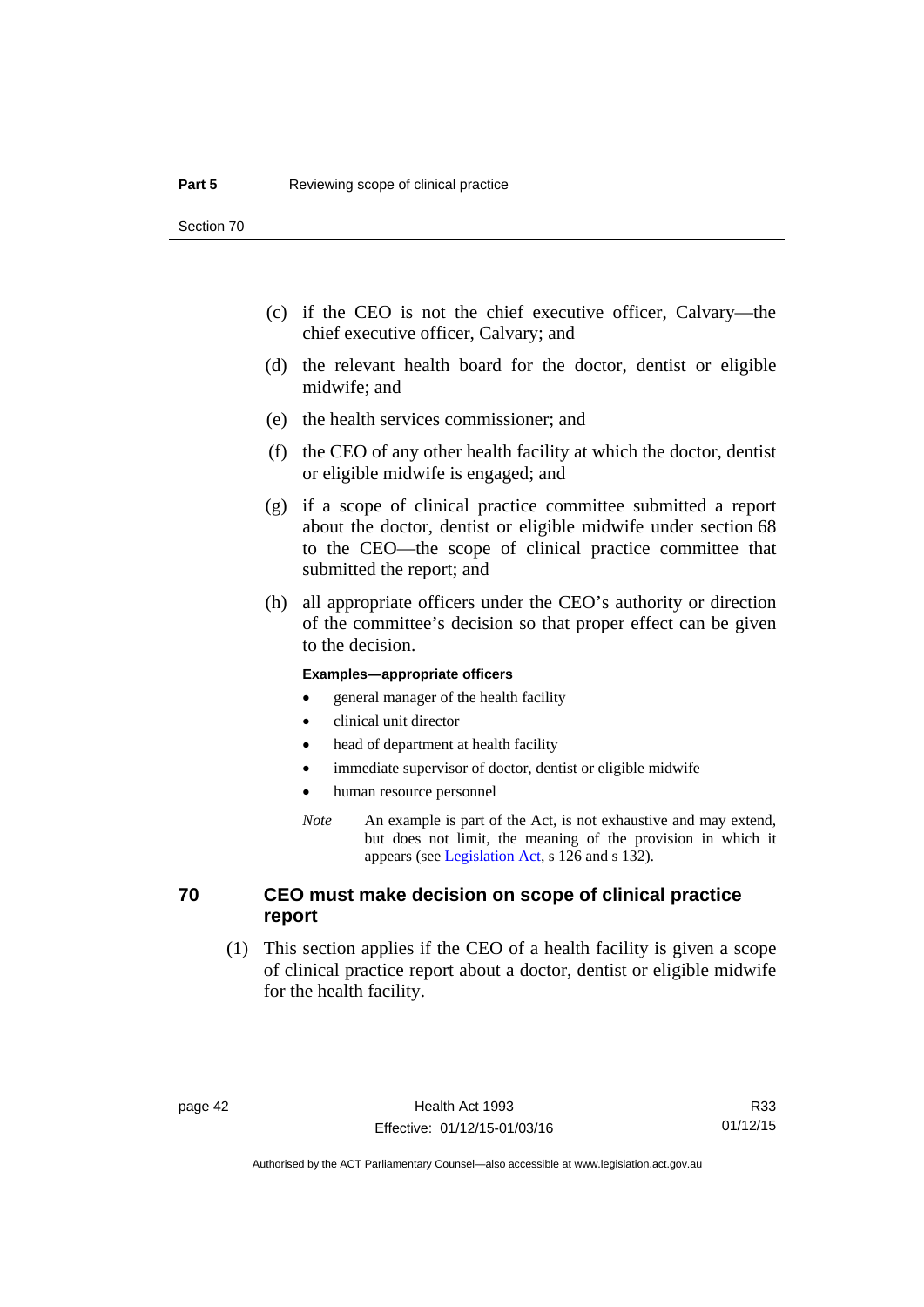- (c) if the CEO is not the chief executive officer, Calvary—the chief executive officer, Calvary; and
- (d) the relevant health board for the doctor, dentist or eligible midwife; and
- (e) the health services commissioner; and
- (f) the CEO of any other health facility at which the doctor, dentist or eligible midwife is engaged; and
- (g) if a scope of clinical practice committee submitted a report about the doctor, dentist or eligible midwife under section 68 to the CEO—the scope of clinical practice committee that submitted the report; and
- (h) all appropriate officers under the CEO's authority or direction of the committee's decision so that proper effect can be given to the decision.

### **Examples—appropriate officers**

- general manager of the health facility
- clinical unit director
- head of department at health facility
- immediate supervisor of doctor, dentist or eligible midwife
- human resource personnel
- *Note* An example is part of the Act, is not exhaustive and may extend, but does not limit, the meaning of the provision in which it appears (see [Legislation Act,](http://www.legislation.act.gov.au/a/2001-14) s 126 and s 132).

# **70 CEO must make decision on scope of clinical practice report**

 (1) This section applies if the CEO of a health facility is given a scope of clinical practice report about a doctor, dentist or eligible midwife for the health facility.

R33 01/12/15

Authorised by the ACT Parliamentary Counsel—also accessible at www.legislation.act.gov.au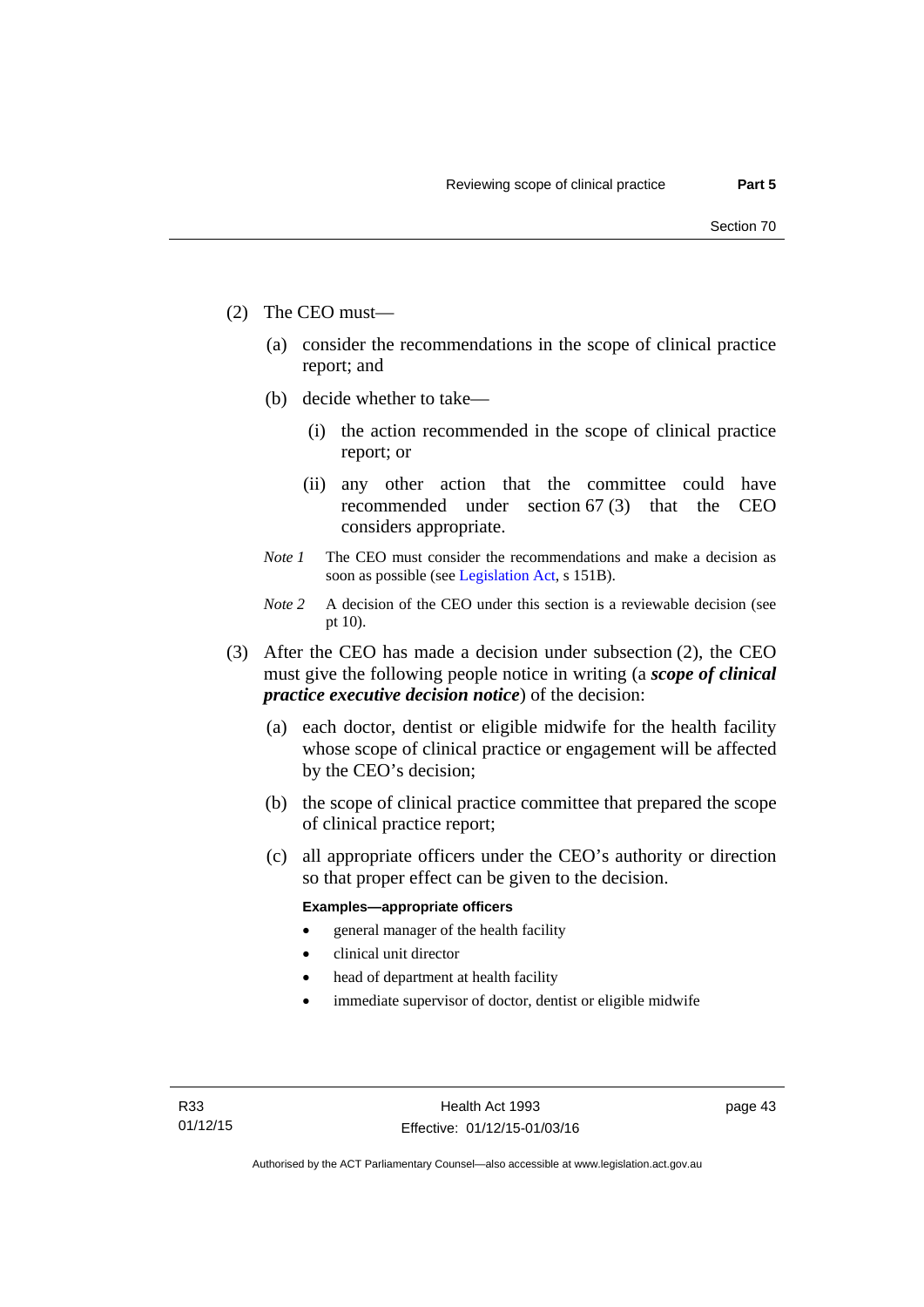- (2) The CEO must—
	- (a) consider the recommendations in the scope of clinical practice report; and
	- (b) decide whether to take—
		- (i) the action recommended in the scope of clinical practice report; or
		- (ii) any other action that the committee could have recommended under section 67 (3) that the CEO considers appropriate.
	- *Note 1* The CEO must consider the recommendations and make a decision as soon as possible (see [Legislation Act](http://www.legislation.act.gov.au/a/2001-14), s 151B).
	- *Note* 2 A decision of the CEO under this section is a reviewable decision (see pt 10).
- (3) After the CEO has made a decision under subsection (2), the CEO must give the following people notice in writing (a *scope of clinical practice executive decision notice*) of the decision:
	- (a) each doctor, dentist or eligible midwife for the health facility whose scope of clinical practice or engagement will be affected by the CEO's decision;
	- (b) the scope of clinical practice committee that prepared the scope of clinical practice report;
	- (c) all appropriate officers under the CEO's authority or direction so that proper effect can be given to the decision.

### **Examples—appropriate officers**

- general manager of the health facility
- clinical unit director
- head of department at health facility
- immediate supervisor of doctor, dentist or eligible midwife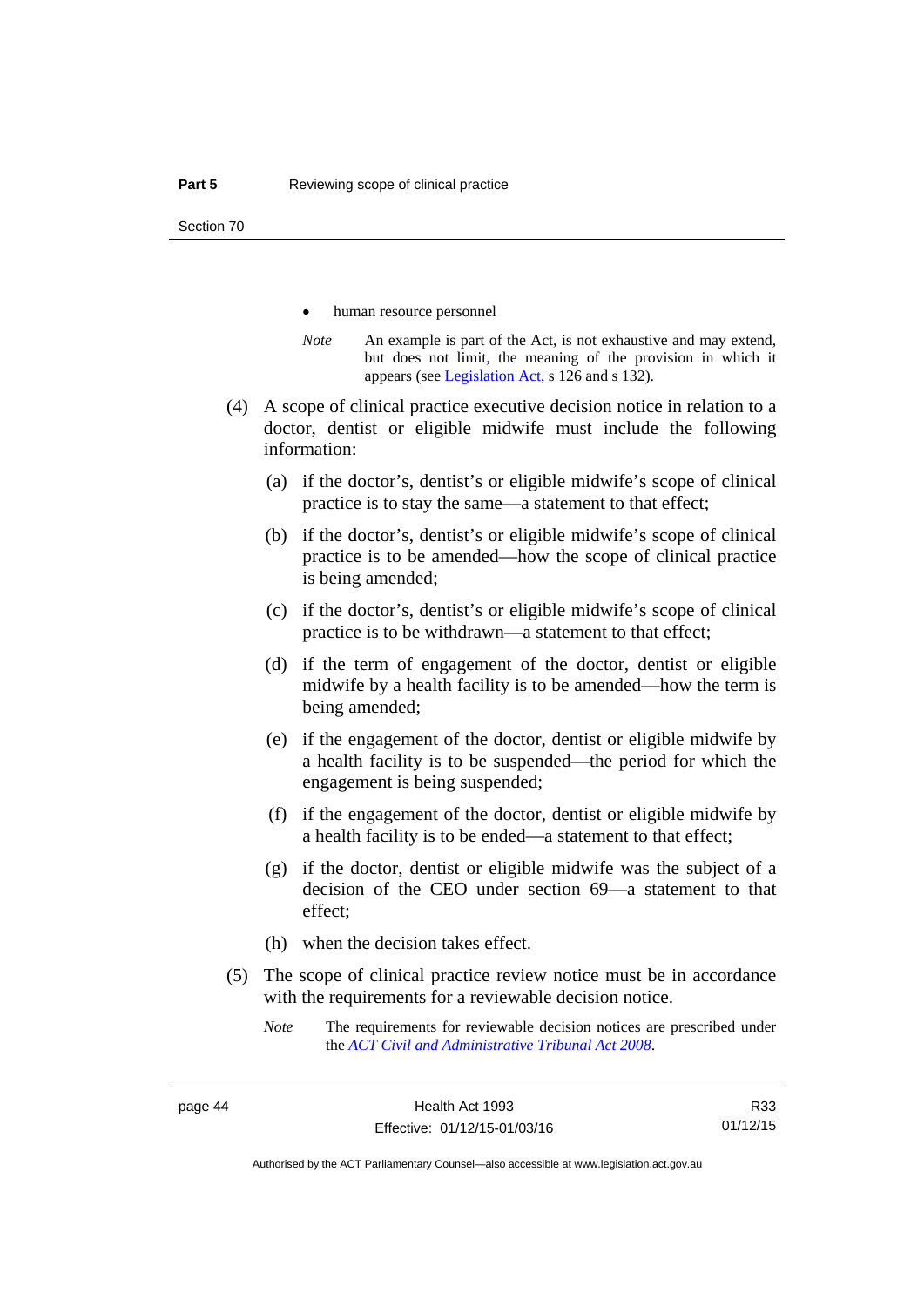- human resource personnel
- *Note* An example is part of the Act, is not exhaustive and may extend, but does not limit, the meaning of the provision in which it appears (see [Legislation Act,](http://www.legislation.act.gov.au/a/2001-14) s 126 and s 132).
- (4) A scope of clinical practice executive decision notice in relation to a doctor, dentist or eligible midwife must include the following information:
	- (a) if the doctor's, dentist's or eligible midwife's scope of clinical practice is to stay the same—a statement to that effect;
	- (b) if the doctor's, dentist's or eligible midwife's scope of clinical practice is to be amended—how the scope of clinical practice is being amended;
	- (c) if the doctor's, dentist's or eligible midwife's scope of clinical practice is to be withdrawn—a statement to that effect;
	- (d) if the term of engagement of the doctor, dentist or eligible midwife by a health facility is to be amended—how the term is being amended;
	- (e) if the engagement of the doctor, dentist or eligible midwife by a health facility is to be suspended—the period for which the engagement is being suspended;
	- (f) if the engagement of the doctor, dentist or eligible midwife by a health facility is to be ended—a statement to that effect;
	- (g) if the doctor, dentist or eligible midwife was the subject of a decision of the CEO under section 69—a statement to that effect;
	- (h) when the decision takes effect.
- (5) The scope of clinical practice review notice must be in accordance with the requirements for a reviewable decision notice.
	- *Note* The requirements for reviewable decision notices are prescribed under the *[ACT Civil and Administrative Tribunal Act 2008](http://www.legislation.act.gov.au/a/2008-35)*.

R33 01/12/15

Authorised by the ACT Parliamentary Counsel—also accessible at www.legislation.act.gov.au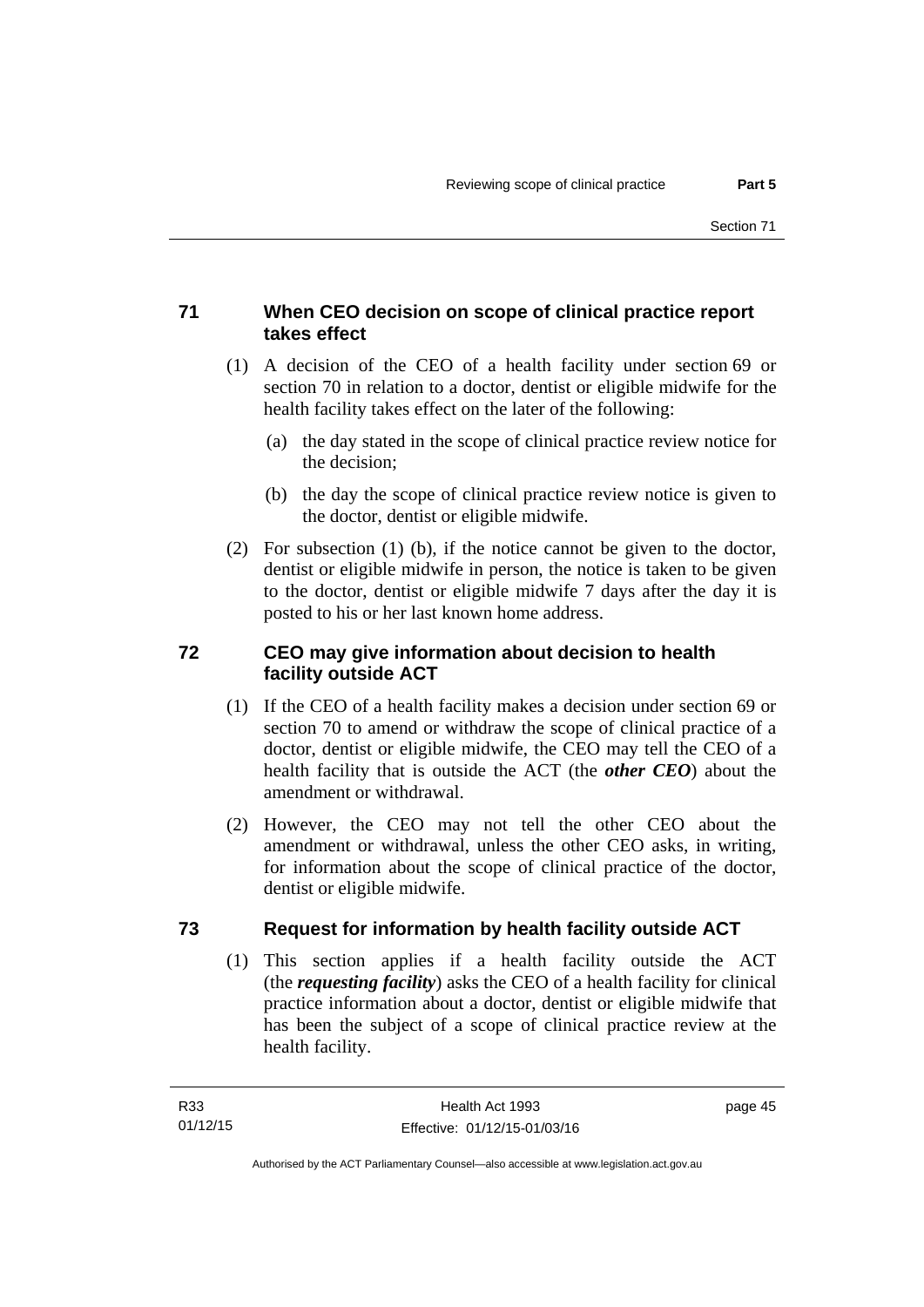# **71 When CEO decision on scope of clinical practice report takes effect**

- (1) A decision of the CEO of a health facility under section 69 or section 70 in relation to a doctor, dentist or eligible midwife for the health facility takes effect on the later of the following:
	- (a) the day stated in the scope of clinical practice review notice for the decision;
	- (b) the day the scope of clinical practice review notice is given to the doctor, dentist or eligible midwife.
- (2) For subsection (1) (b), if the notice cannot be given to the doctor, dentist or eligible midwife in person, the notice is taken to be given to the doctor, dentist or eligible midwife 7 days after the day it is posted to his or her last known home address.

# **72 CEO may give information about decision to health facility outside ACT**

- (1) If the CEO of a health facility makes a decision under section 69 or section 70 to amend or withdraw the scope of clinical practice of a doctor, dentist or eligible midwife, the CEO may tell the CEO of a health facility that is outside the ACT (the *other CEO*) about the amendment or withdrawal.
- (2) However, the CEO may not tell the other CEO about the amendment or withdrawal, unless the other CEO asks, in writing, for information about the scope of clinical practice of the doctor, dentist or eligible midwife.

# **73 Request for information by health facility outside ACT**

(1) This section applies if a health facility outside the ACT (the *requesting facility*) asks the CEO of a health facility for clinical practice information about a doctor, dentist or eligible midwife that has been the subject of a scope of clinical practice review at the health facility.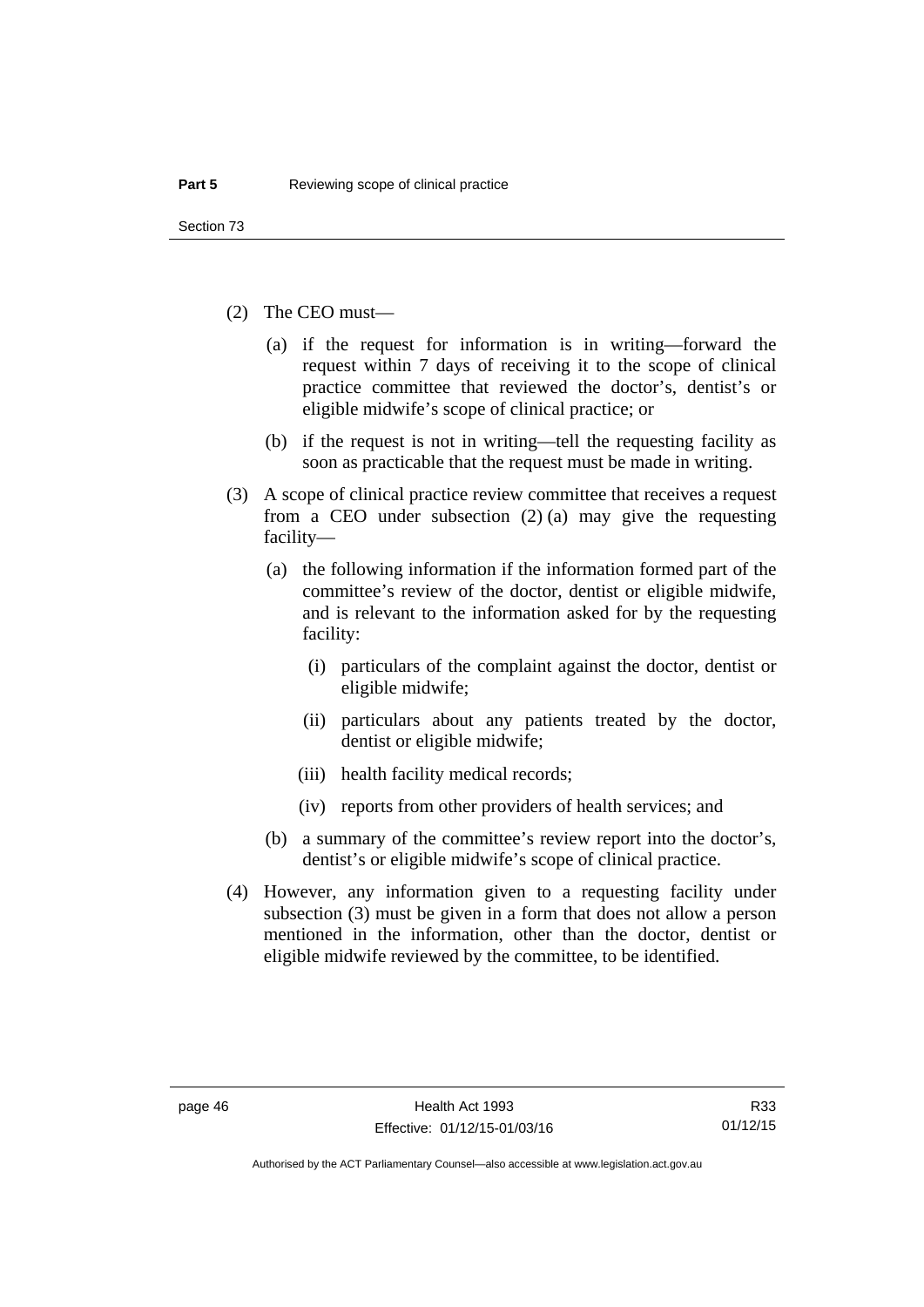- (2) The CEO must—
	- (a) if the request for information is in writing—forward the request within 7 days of receiving it to the scope of clinical practice committee that reviewed the doctor's, dentist's or eligible midwife's scope of clinical practice; or
	- (b) if the request is not in writing—tell the requesting facility as soon as practicable that the request must be made in writing.
- (3) A scope of clinical practice review committee that receives a request from a CEO under subsection (2) (a) may give the requesting facility—
	- (a) the following information if the information formed part of the committee's review of the doctor, dentist or eligible midwife, and is relevant to the information asked for by the requesting facility:
		- (i) particulars of the complaint against the doctor, dentist or eligible midwife;
		- (ii) particulars about any patients treated by the doctor, dentist or eligible midwife;
		- (iii) health facility medical records;
		- (iv) reports from other providers of health services; and
	- (b) a summary of the committee's review report into the doctor's, dentist's or eligible midwife's scope of clinical practice.
- (4) However, any information given to a requesting facility under subsection (3) must be given in a form that does not allow a person mentioned in the information, other than the doctor, dentist or eligible midwife reviewed by the committee, to be identified.

Authorised by the ACT Parliamentary Counsel—also accessible at www.legislation.act.gov.au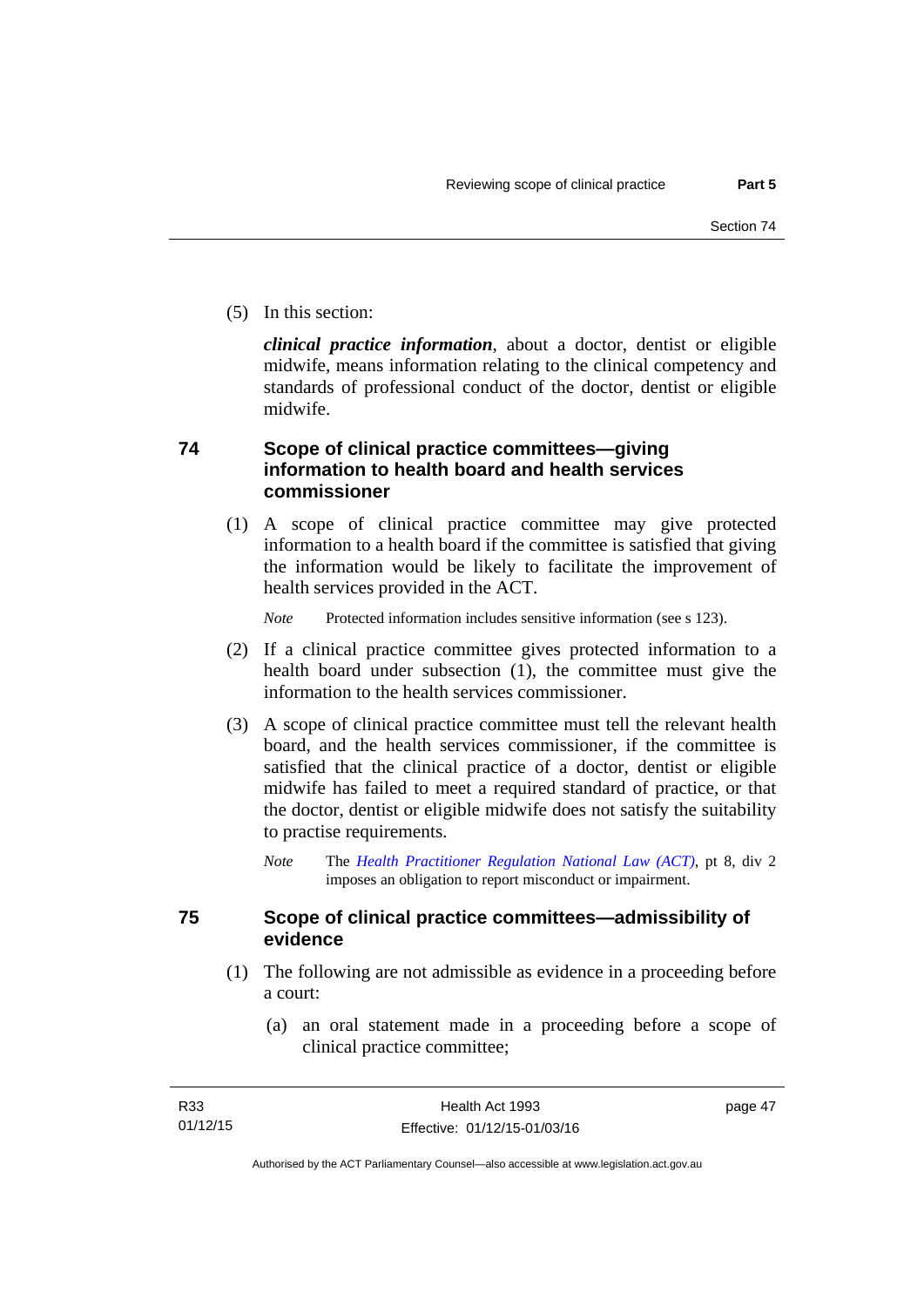(5) In this section:

*clinical practice information*, about a doctor, dentist or eligible midwife, means information relating to the clinical competency and standards of professional conduct of the doctor, dentist or eligible midwife.

# **74 Scope of clinical practice committees—giving information to health board and health services commissioner**

(1) A scope of clinical practice committee may give protected information to a health board if the committee is satisfied that giving the information would be likely to facilitate the improvement of health services provided in the ACT.

*Note* Protected information includes sensitive information (see s 123).

- (2) If a clinical practice committee gives protected information to a health board under subsection (1), the committee must give the information to the health services commissioner.
- (3) A scope of clinical practice committee must tell the relevant health board, and the health services commissioner, if the committee is satisfied that the clinical practice of a doctor, dentist or eligible midwife has failed to meet a required standard of practice, or that the doctor, dentist or eligible midwife does not satisfy the suitability to practise requirements.
	- *Note* The *[Health Practitioner Regulation National Law \(ACT\)](http://www.legislation.act.gov.au/a/db_39269/default.asp)*, pt 8, div 2 imposes an obligation to report misconduct or impairment.

# **75 Scope of clinical practice committees—admissibility of evidence**

- (1) The following are not admissible as evidence in a proceeding before a court:
	- (a) an oral statement made in a proceeding before a scope of clinical practice committee;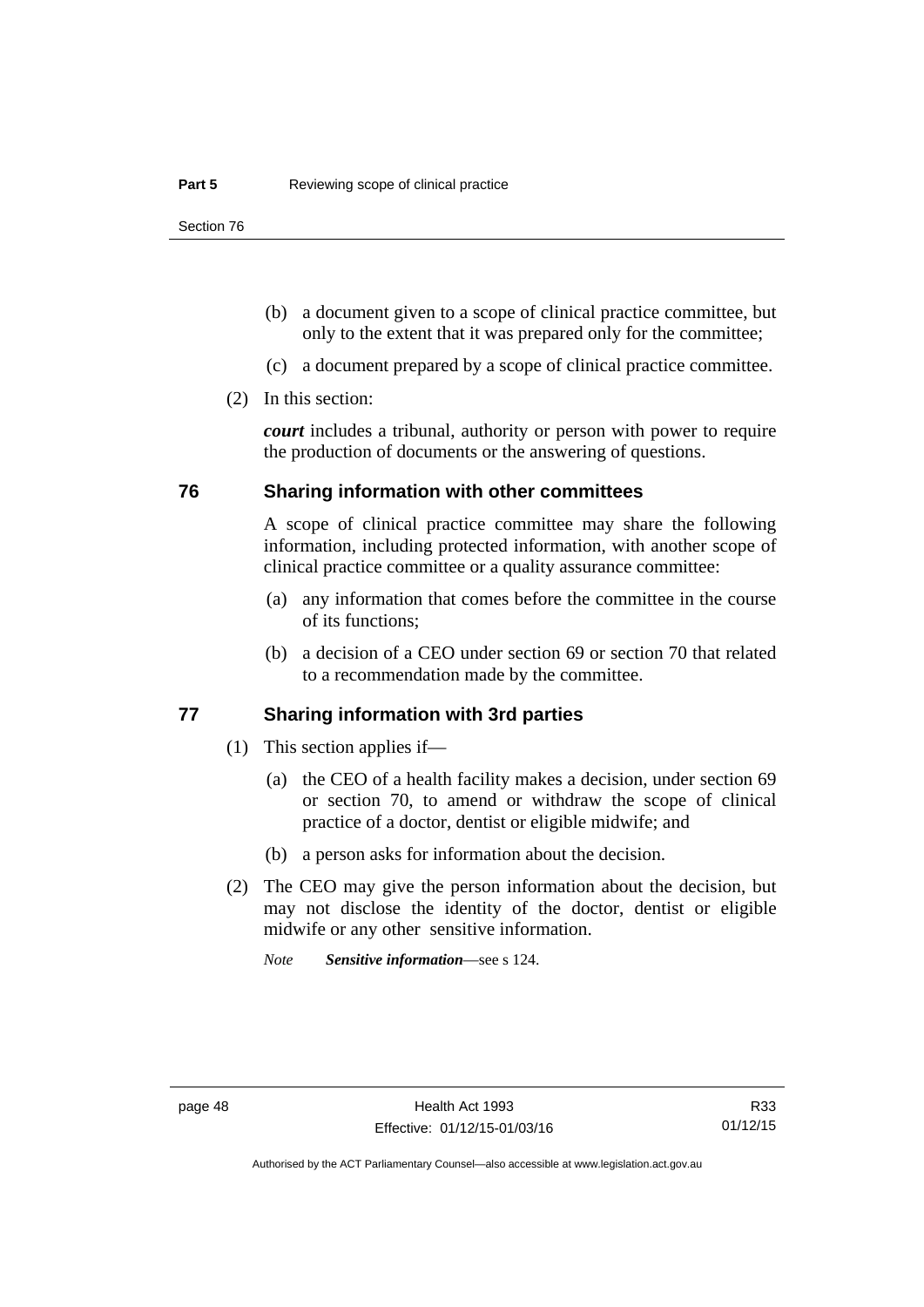- (b) a document given to a scope of clinical practice committee, but only to the extent that it was prepared only for the committee;
- (c) a document prepared by a scope of clinical practice committee.
- (2) In this section:

*court* includes a tribunal, authority or person with power to require the production of documents or the answering of questions.

# **76 Sharing information with other committees**

A scope of clinical practice committee may share the following information, including protected information, with another scope of clinical practice committee or a quality assurance committee:

- (a) any information that comes before the committee in the course of its functions;
- (b) a decision of a CEO under section 69 or section 70 that related to a recommendation made by the committee.

# **77 Sharing information with 3rd parties**

- (1) This section applies if—
	- (a) the CEO of a health facility makes a decision, under section 69 or section 70, to amend or withdraw the scope of clinical practice of a doctor, dentist or eligible midwife; and
	- (b) a person asks for information about the decision.
- (2) The CEO may give the person information about the decision, but may not disclose the identity of the doctor, dentist or eligible midwife or any other sensitive information.

*Note Sensitive information*—see s 124.

Authorised by the ACT Parliamentary Counsel—also accessible at www.legislation.act.gov.au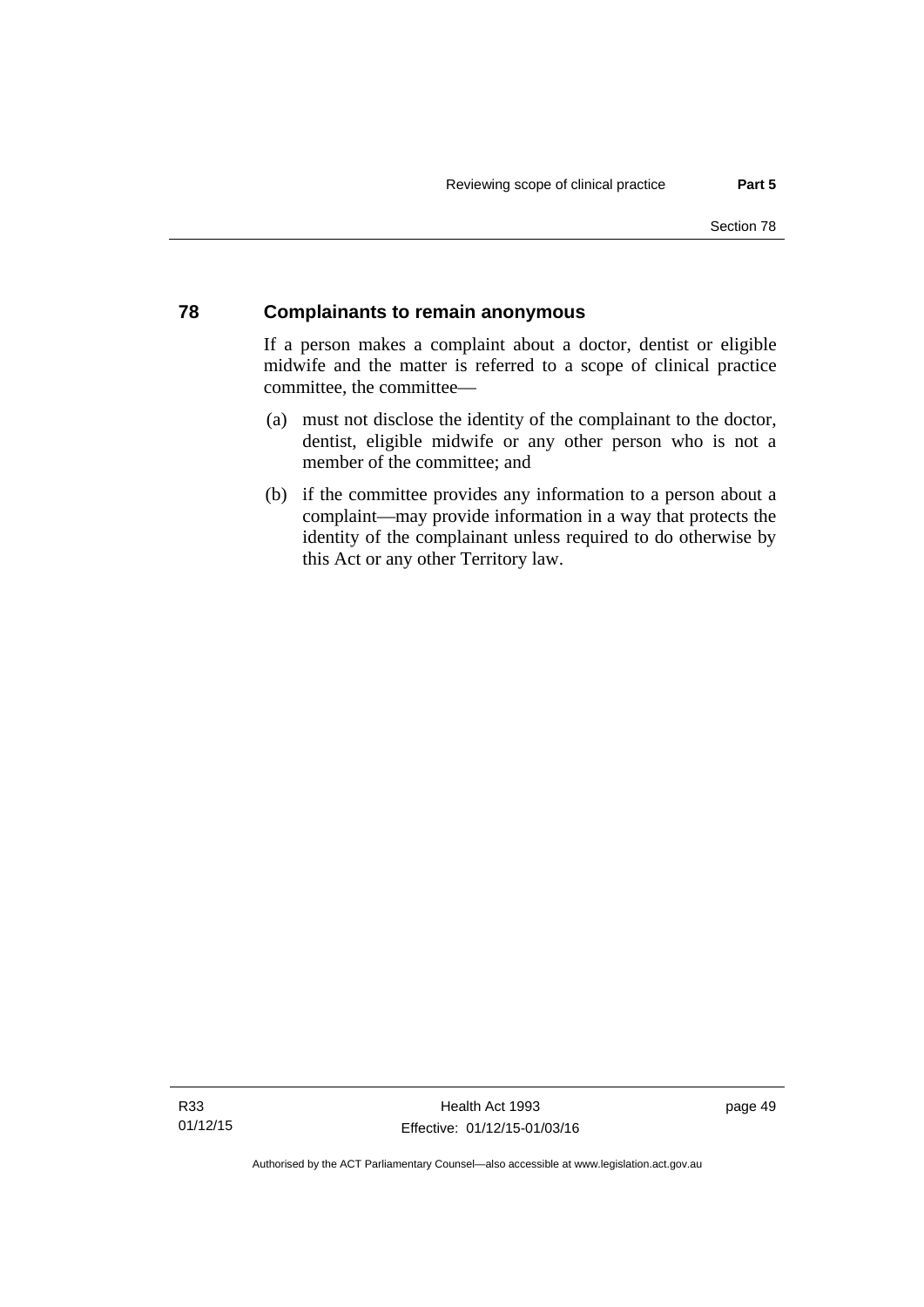# **78 Complainants to remain anonymous**

If a person makes a complaint about a doctor, dentist or eligible midwife and the matter is referred to a scope of clinical practice committee, the committee—

- (a) must not disclose the identity of the complainant to the doctor, dentist, eligible midwife or any other person who is not a member of the committee; and
- (b) if the committee provides any information to a person about a complaint—may provide information in a way that protects the identity of the complainant unless required to do otherwise by this Act or any other Territory law.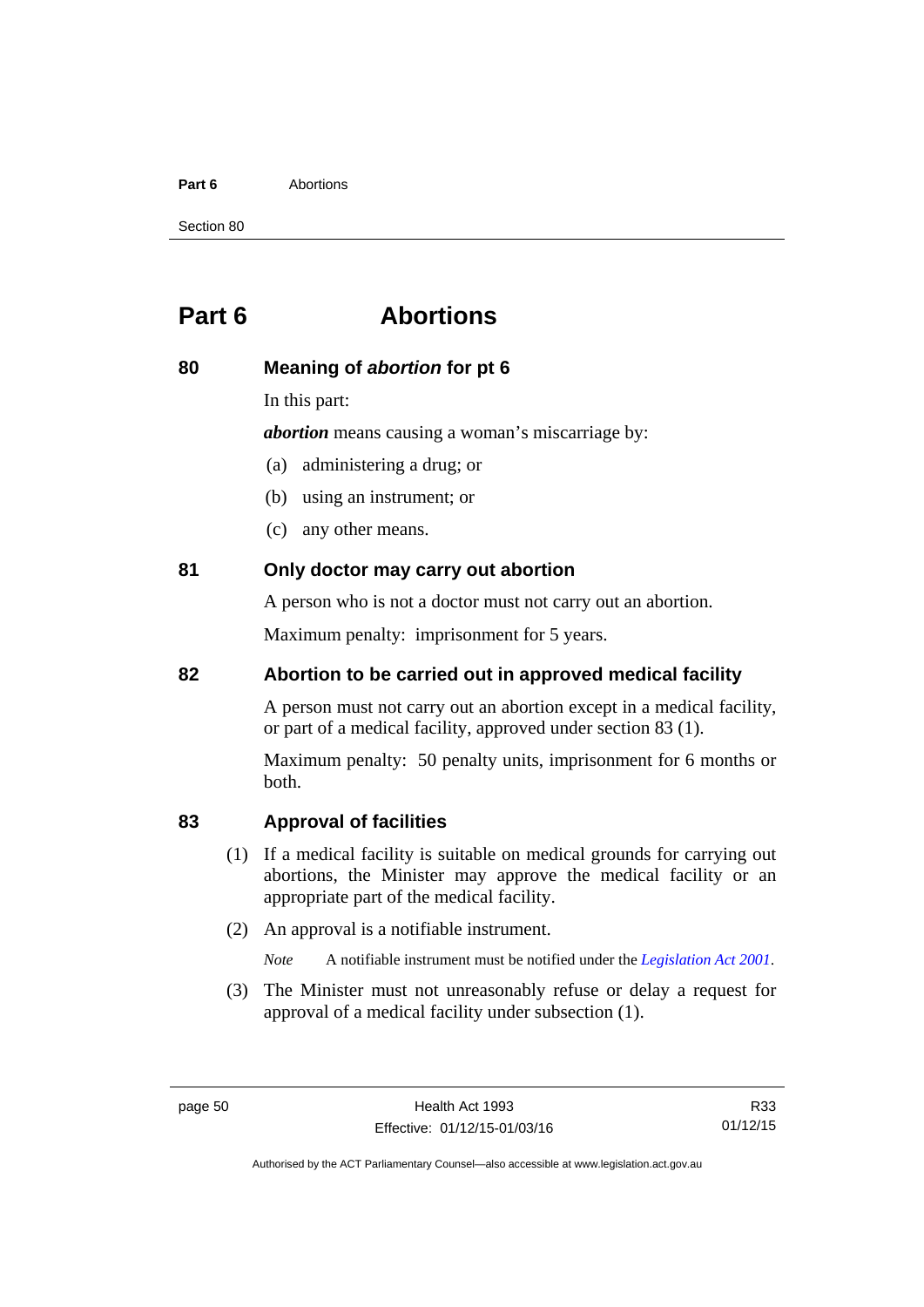#### **Part 6** Abortions

Section 80

# **Part 6 Abortions**

# **80 Meaning of** *abortion* **for pt 6**

In this part:

*abortion* means causing a woman's miscarriage by:

- (a) administering a drug; or
- (b) using an instrument; or
- (c) any other means.

# **81 Only doctor may carry out abortion**

A person who is not a doctor must not carry out an abortion.

Maximum penalty: imprisonment for 5 years.

# **82 Abortion to be carried out in approved medical facility**

A person must not carry out an abortion except in a medical facility, or part of a medical facility, approved under section 83 (1).

Maximum penalty: 50 penalty units, imprisonment for 6 months or both.

# **83 Approval of facilities**

- (1) If a medical facility is suitable on medical grounds for carrying out abortions, the Minister may approve the medical facility or an appropriate part of the medical facility.
- (2) An approval is a notifiable instrument.

*Note* A notifiable instrument must be notified under the *[Legislation Act 2001](http://www.legislation.act.gov.au/a/2001-14)*.

 (3) The Minister must not unreasonably refuse or delay a request for approval of a medical facility under subsection (1).

R33 01/12/15

Authorised by the ACT Parliamentary Counsel—also accessible at www.legislation.act.gov.au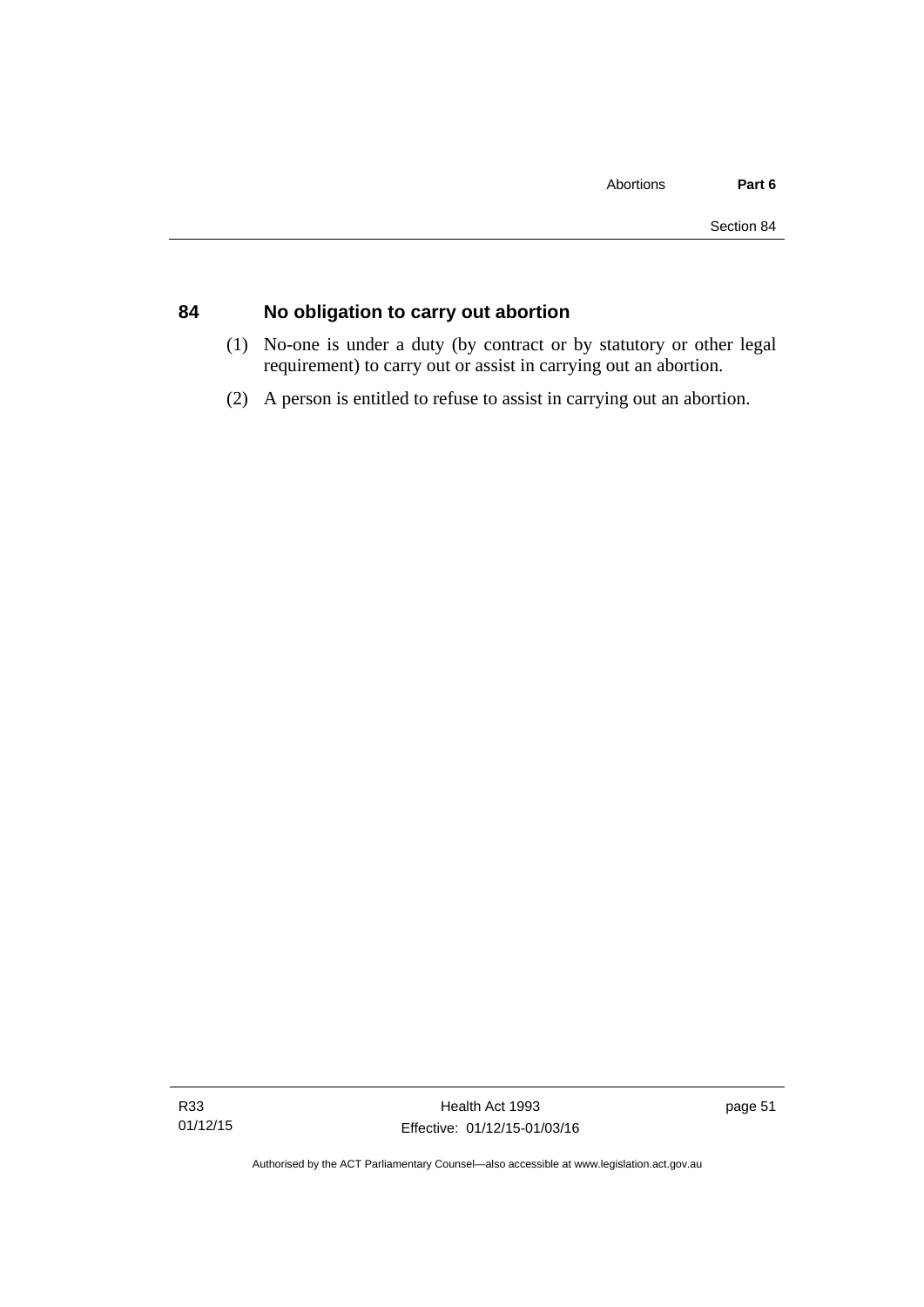# **84 No obligation to carry out abortion**

- (1) No-one is under a duty (by contract or by statutory or other legal requirement) to carry out or assist in carrying out an abortion.
- (2) A person is entitled to refuse to assist in carrying out an abortion.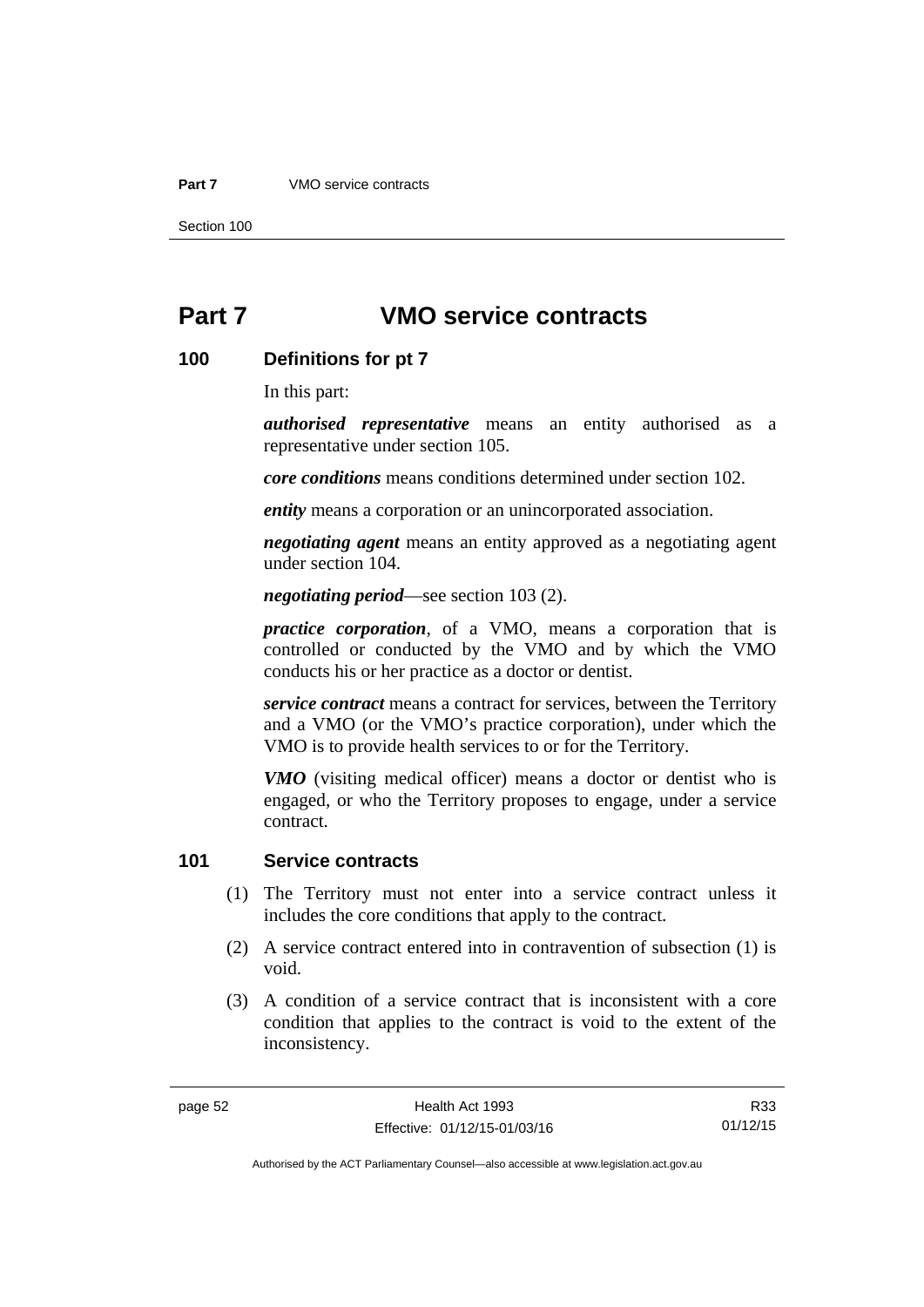#### **Part 7** VMO service contracts

Section 100

# **Part 7 VMO service contracts**

# **100 Definitions for pt 7**

In this part:

*authorised representative* means an entity authorised as a representative under section 105.

*core conditions* means conditions determined under section 102.

*entity* means a corporation or an unincorporated association.

*negotiating agent* means an entity approved as a negotiating agent under section 104.

*negotiating period*—see section 103 (2).

*practice corporation*, of a VMO, means a corporation that is controlled or conducted by the VMO and by which the VMO conducts his or her practice as a doctor or dentist.

*service contract* means a contract for services, between the Territory and a VMO (or the VMO's practice corporation), under which the VMO is to provide health services to or for the Territory.

*VMO* (visiting medical officer) means a doctor or dentist who is engaged, or who the Territory proposes to engage, under a service contract.

# **101 Service contracts**

- (1) The Territory must not enter into a service contract unless it includes the core conditions that apply to the contract.
- (2) A service contract entered into in contravention of subsection (1) is void.
- (3) A condition of a service contract that is inconsistent with a core condition that applies to the contract is void to the extent of the inconsistency.

R33 01/12/15

Authorised by the ACT Parliamentary Counsel—also accessible at www.legislation.act.gov.au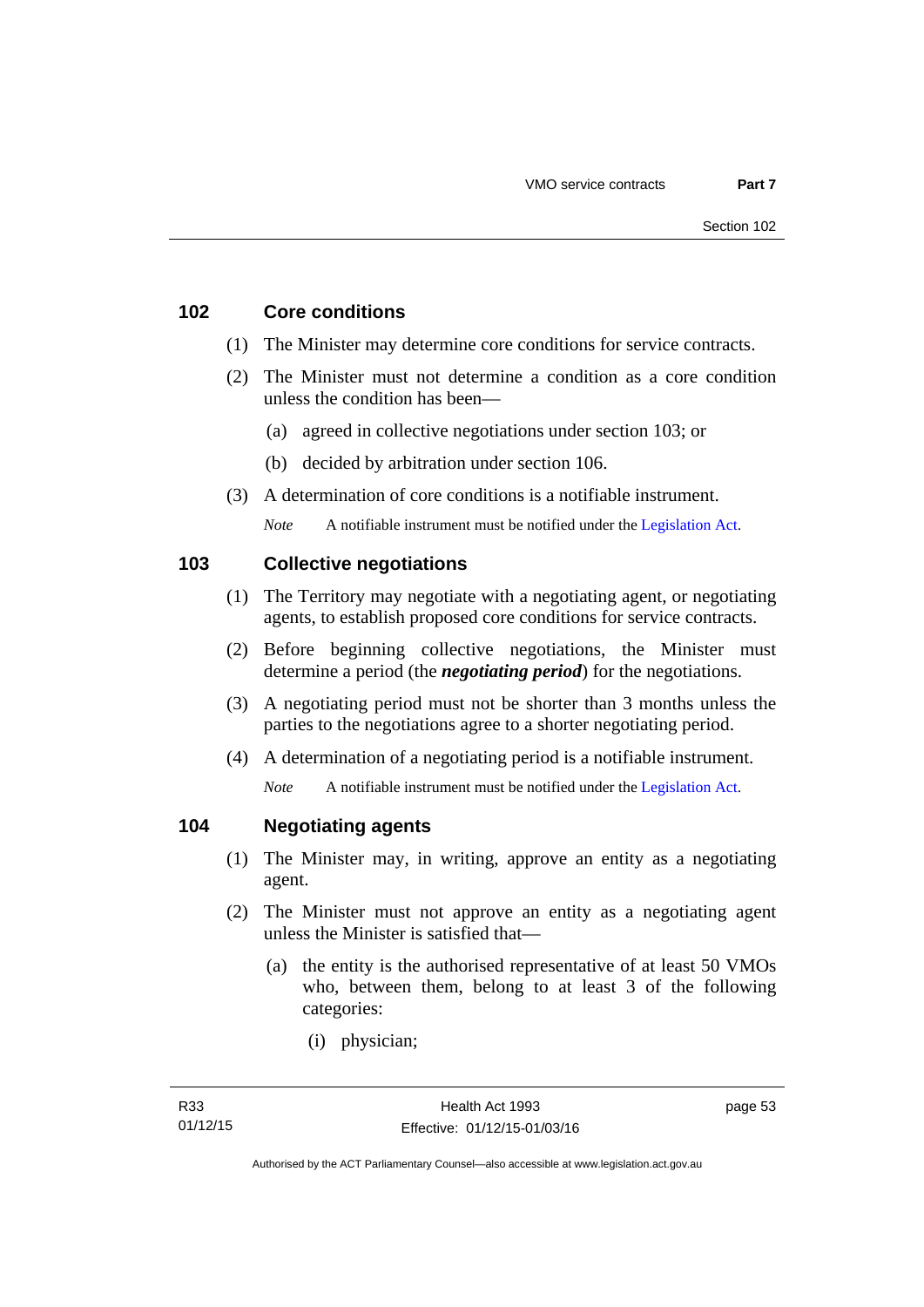# **102 Core conditions**

- (1) The Minister may determine core conditions for service contracts.
- (2) The Minister must not determine a condition as a core condition unless the condition has been—
	- (a) agreed in collective negotiations under section 103; or
	- (b) decided by arbitration under section 106.
- (3) A determination of core conditions is a notifiable instrument.

*Note* A notifiable instrument must be notified under the [Legislation Act](http://www.legislation.act.gov.au/a/2001-14).

# **103 Collective negotiations**

- (1) The Territory may negotiate with a negotiating agent, or negotiating agents, to establish proposed core conditions for service contracts.
- (2) Before beginning collective negotiations, the Minister must determine a period (the *negotiating period*) for the negotiations.
- (3) A negotiating period must not be shorter than 3 months unless the parties to the negotiations agree to a shorter negotiating period.
- (4) A determination of a negotiating period is a notifiable instrument.

*Note* A notifiable instrument must be notified under the [Legislation Act](http://www.legislation.act.gov.au/a/2001-14).

# **104 Negotiating agents**

- (1) The Minister may, in writing, approve an entity as a negotiating agent.
- (2) The Minister must not approve an entity as a negotiating agent unless the Minister is satisfied that—
	- (a) the entity is the authorised representative of at least 50 VMOs who, between them, belong to at least 3 of the following categories:
		- (i) physician;

page 53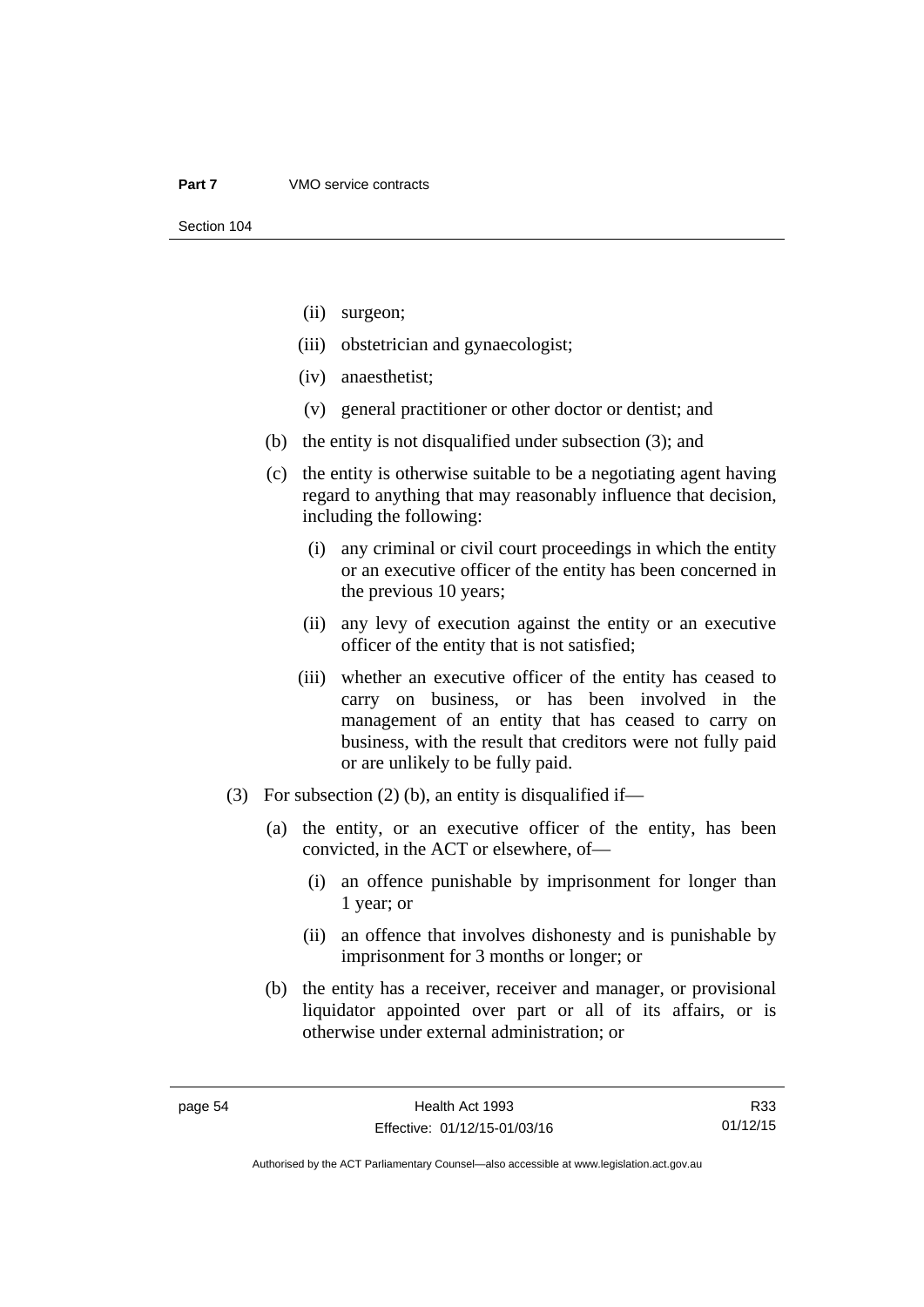- (ii) surgeon;
- (iii) obstetrician and gynaecologist;
- (iv) anaesthetist;
- (v) general practitioner or other doctor or dentist; and
- (b) the entity is not disqualified under subsection (3); and
- (c) the entity is otherwise suitable to be a negotiating agent having regard to anything that may reasonably influence that decision, including the following:
	- (i) any criminal or civil court proceedings in which the entity or an executive officer of the entity has been concerned in the previous 10 years;
	- (ii) any levy of execution against the entity or an executive officer of the entity that is not satisfied;
	- (iii) whether an executive officer of the entity has ceased to carry on business, or has been involved in the management of an entity that has ceased to carry on business, with the result that creditors were not fully paid or are unlikely to be fully paid.
- (3) For subsection (2) (b), an entity is disqualified if—
	- (a) the entity, or an executive officer of the entity, has been convicted, in the ACT or elsewhere, of—
		- (i) an offence punishable by imprisonment for longer than 1 year; or
		- (ii) an offence that involves dishonesty and is punishable by imprisonment for 3 months or longer; or
	- (b) the entity has a receiver, receiver and manager, or provisional liquidator appointed over part or all of its affairs, or is otherwise under external administration; or

R33 01/12/15

Authorised by the ACT Parliamentary Counsel—also accessible at www.legislation.act.gov.au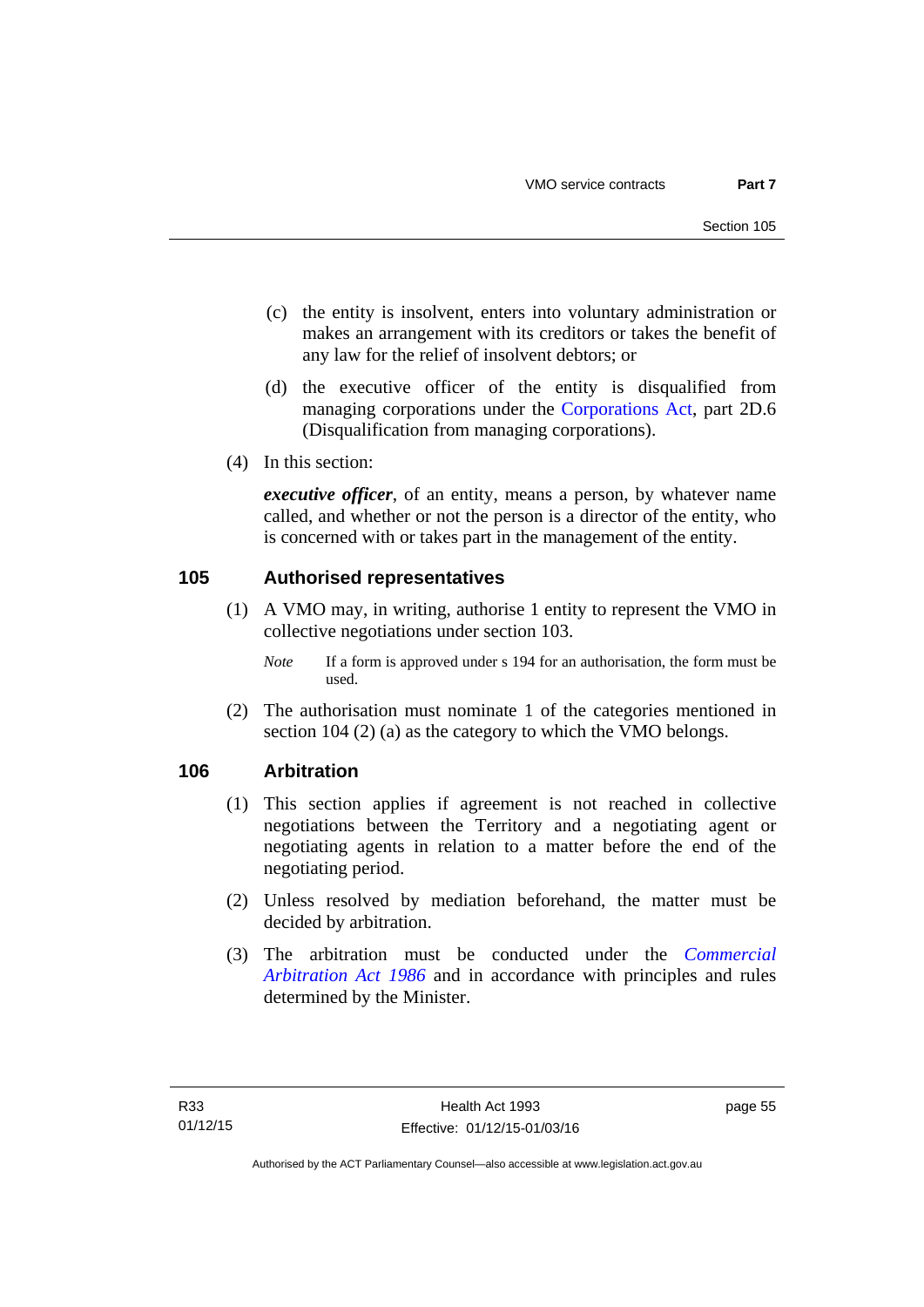- (c) the entity is insolvent, enters into voluntary administration or makes an arrangement with its creditors or takes the benefit of any law for the relief of insolvent debtors; or
- (d) the executive officer of the entity is disqualified from managing corporations under the [Corporations Act](http://www.comlaw.gov.au/Series/C2004A00818), part 2D.6 (Disqualification from managing corporations).
- (4) In this section:

*executive officer*, of an entity, means a person, by whatever name called, and whether or not the person is a director of the entity, who is concerned with or takes part in the management of the entity.

# **105 Authorised representatives**

- (1) A VMO may, in writing, authorise 1 entity to represent the VMO in collective negotiations under section 103.
	- *Note* If a form is approved under s 194 for an authorisation, the form must be used.
- (2) The authorisation must nominate 1 of the categories mentioned in section 104 (2) (a) as the category to which the VMO belongs.

# **106 Arbitration**

- (1) This section applies if agreement is not reached in collective negotiations between the Territory and a negotiating agent or negotiating agents in relation to a matter before the end of the negotiating period.
- (2) Unless resolved by mediation beforehand, the matter must be decided by arbitration.
- (3) The arbitration must be conducted under the *[Commercial](http://www.legislation.act.gov.au/a/1986-84)  [Arbitration Act 1986](http://www.legislation.act.gov.au/a/1986-84)* and in accordance with principles and rules determined by the Minister.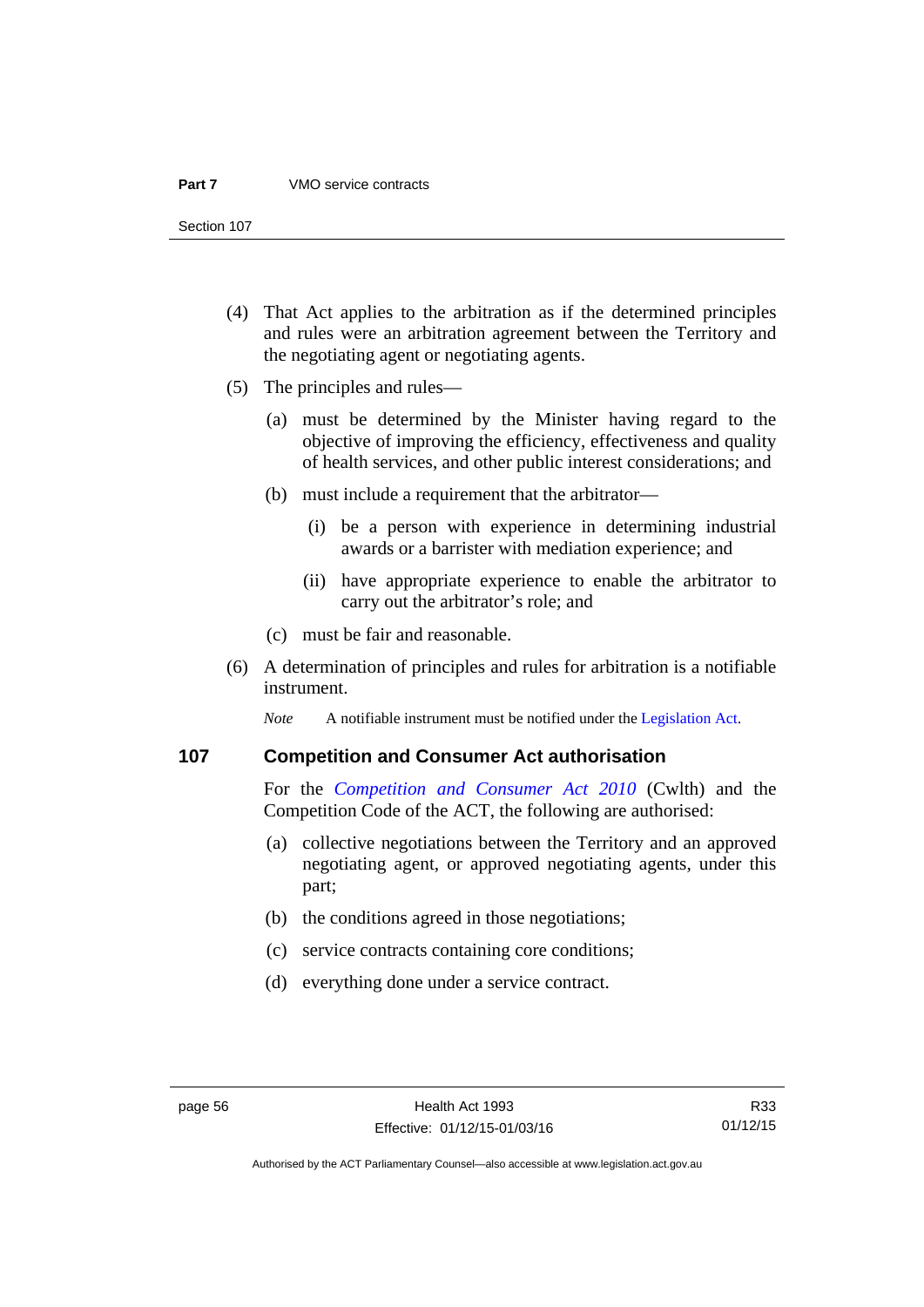#### **Part 7** VMO service contracts

Section 107

- (4) That Act applies to the arbitration as if the determined principles and rules were an arbitration agreement between the Territory and the negotiating agent or negotiating agents.
- (5) The principles and rules—
	- (a) must be determined by the Minister having regard to the objective of improving the efficiency, effectiveness and quality of health services, and other public interest considerations; and
	- (b) must include a requirement that the arbitrator—
		- (i) be a person with experience in determining industrial awards or a barrister with mediation experience; and
		- (ii) have appropriate experience to enable the arbitrator to carry out the arbitrator's role; and
	- (c) must be fair and reasonable.
- (6) A determination of principles and rules for arbitration is a notifiable instrument.

*Note* A notifiable instrument must be notified under the [Legislation Act](http://www.legislation.act.gov.au/a/2001-14).

# **107 Competition and Consumer Act authorisation**

For the *[Competition and Consumer Act 2010](http://www.comlaw.gov.au/Details/C2013C00004)* (Cwlth) and the Competition Code of the ACT, the following are authorised:

- (a) collective negotiations between the Territory and an approved negotiating agent, or approved negotiating agents, under this part;
- (b) the conditions agreed in those negotiations;
- (c) service contracts containing core conditions;
- (d) everything done under a service contract.

R33 01/12/15

Authorised by the ACT Parliamentary Counsel—also accessible at www.legislation.act.gov.au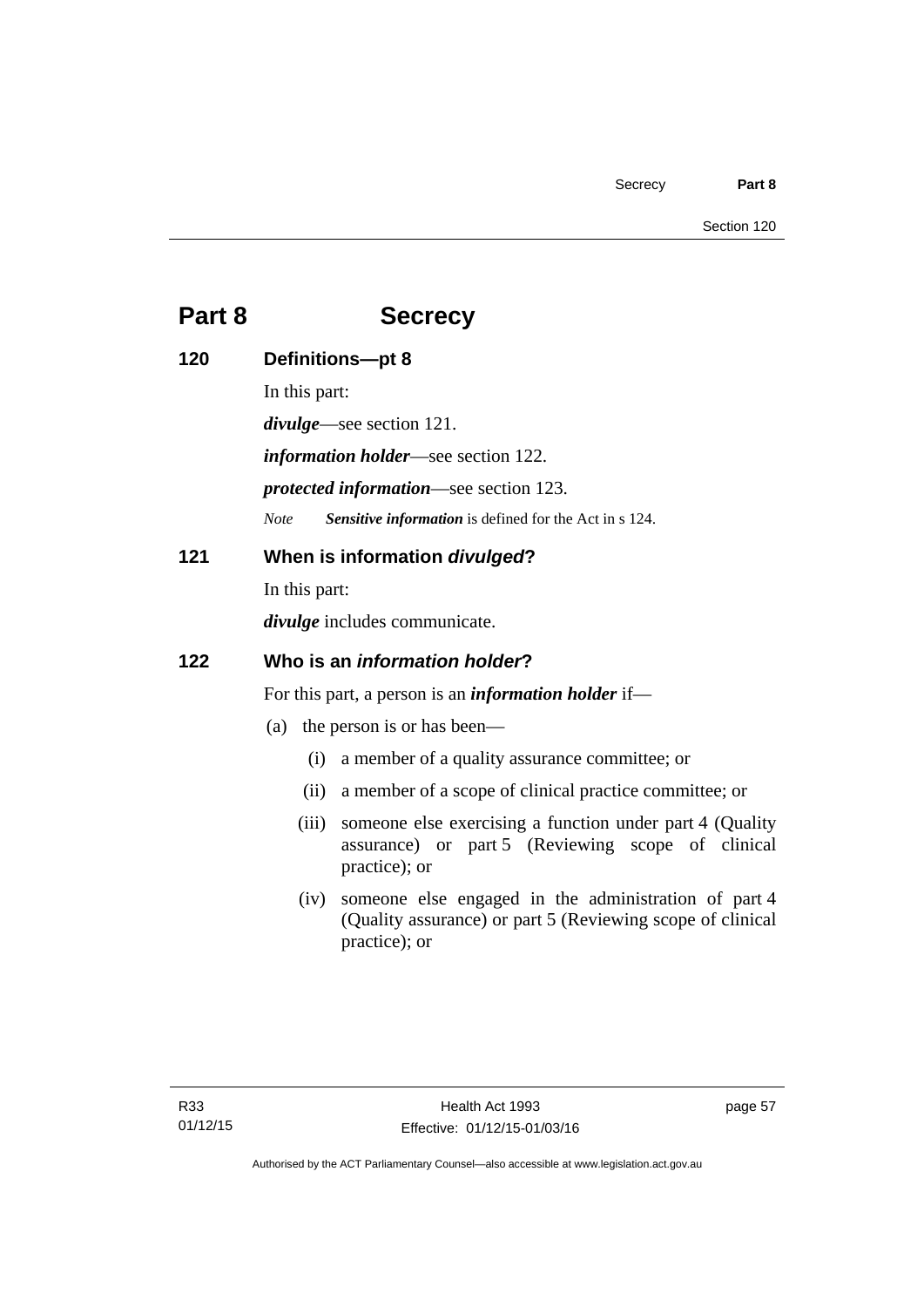# **Part 8 Secrecy**

| 120 | Definitions-pt 8                                            |                                                                                                                                          |
|-----|-------------------------------------------------------------|------------------------------------------------------------------------------------------------------------------------------------------|
|     | In this part:                                               |                                                                                                                                          |
|     | $divulge$ —see section 121.                                 |                                                                                                                                          |
|     | <i>information holder</i> —see section 122.                 |                                                                                                                                          |
|     | <i>protected information—see section 123.</i>               |                                                                                                                                          |
|     | <b>Note</b>                                                 | Sensitive information is defined for the Act in s 124.                                                                                   |
| 121 | When is information divulged?                               |                                                                                                                                          |
|     | In this part:                                               |                                                                                                                                          |
|     | <i>divulge</i> includes communicate.                        |                                                                                                                                          |
| 122 | Who is an <i>information holder</i> ?                       |                                                                                                                                          |
|     | For this part, a person is an <i>information holder</i> if— |                                                                                                                                          |
|     | (a)                                                         | the person is or has been—                                                                                                               |
|     | (i)                                                         | a member of a quality assurance committee; or                                                                                            |
|     | (ii)                                                        | a member of a scope of clinical practice committee; or                                                                                   |
|     | (iii)                                                       | someone else exercising a function under part 4 (Quality<br>assurance) or part 5 (Reviewing scope of clinical<br>practice); or           |
|     |                                                             | (iv) someone else engaged in the administration of part 4<br>(Quality assurance) or part 5 (Reviewing scope of clinical<br>practice); or |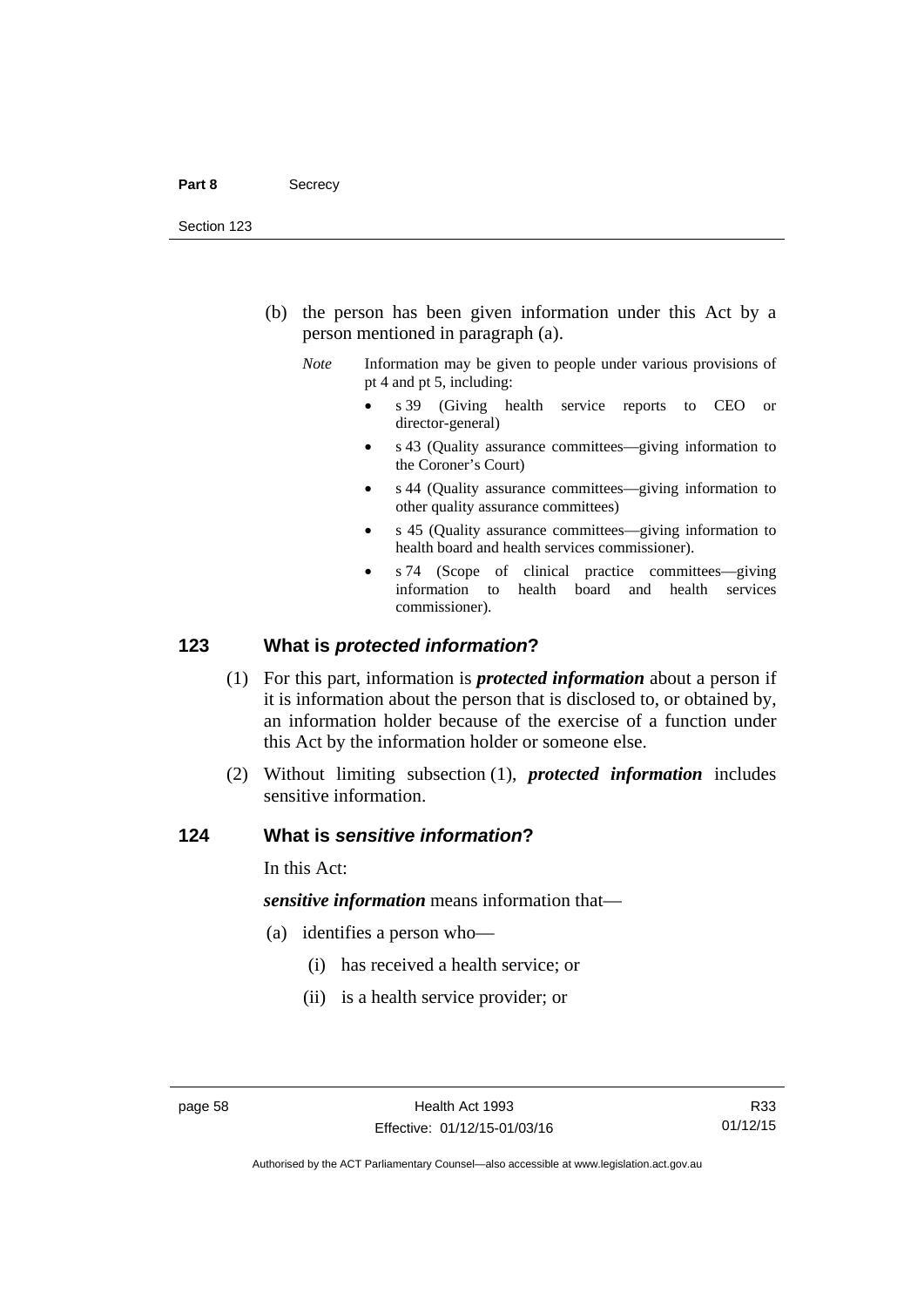- (b) the person has been given information under this Act by a person mentioned in paragraph (a).
	- *Note* Information may be given to people under various provisions of pt 4 and pt 5, including:
		- s 39 (Giving health service reports to CEO or director-general)
		- s 43 (Quality assurance committees—giving information to the Coroner's Court)
		- s 44 (Quality assurance committees—giving information to other quality assurance committees)
		- s 45 (Quality assurance committees—giving information to health board and health services commissioner).
		- s 74 (Scope of clinical practice committees—giving information to health board and health services commissioner).

# **123 What is** *protected information***?**

- (1) For this part, information is *protected information* about a person if it is information about the person that is disclosed to, or obtained by, an information holder because of the exercise of a function under this Act by the information holder or someone else.
- (2) Without limiting subsection (1), *protected information* includes sensitive information.

# **124 What is** *sensitive information***?**

In this Act:

*sensitive information* means information that—

- (a) identifies a person who—
	- (i) has received a health service; or
	- (ii) is a health service provider; or

R33 01/12/15

Authorised by the ACT Parliamentary Counsel—also accessible at www.legislation.act.gov.au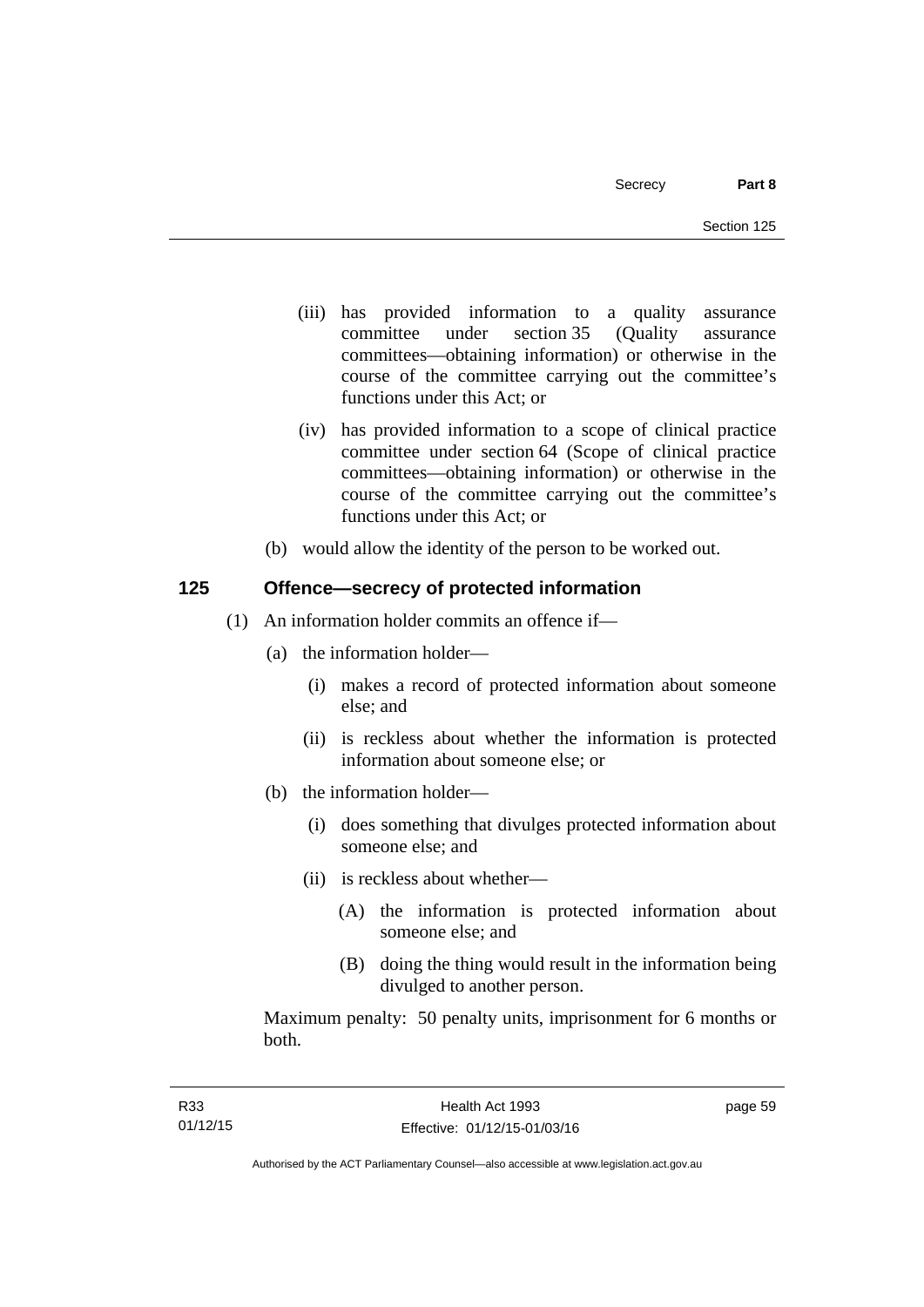- (iii) has provided information to a quality assurance committee under section 35 (Quality assurance committees—obtaining information) or otherwise in the course of the committee carrying out the committee's functions under this Act; or
- (iv) has provided information to a scope of clinical practice committee under section 64 (Scope of clinical practice committees—obtaining information) or otherwise in the course of the committee carrying out the committee's functions under this Act; or
- (b) would allow the identity of the person to be worked out.

# **125 Offence—secrecy of protected information**

- (1) An information holder commits an offence if—
	- (a) the information holder—
		- (i) makes a record of protected information about someone else; and
		- (ii) is reckless about whether the information is protected information about someone else; or
	- (b) the information holder—
		- (i) does something that divulges protected information about someone else; and
		- (ii) is reckless about whether—
			- (A) the information is protected information about someone else; and
			- (B) doing the thing would result in the information being divulged to another person.

Maximum penalty: 50 penalty units, imprisonment for 6 months or both.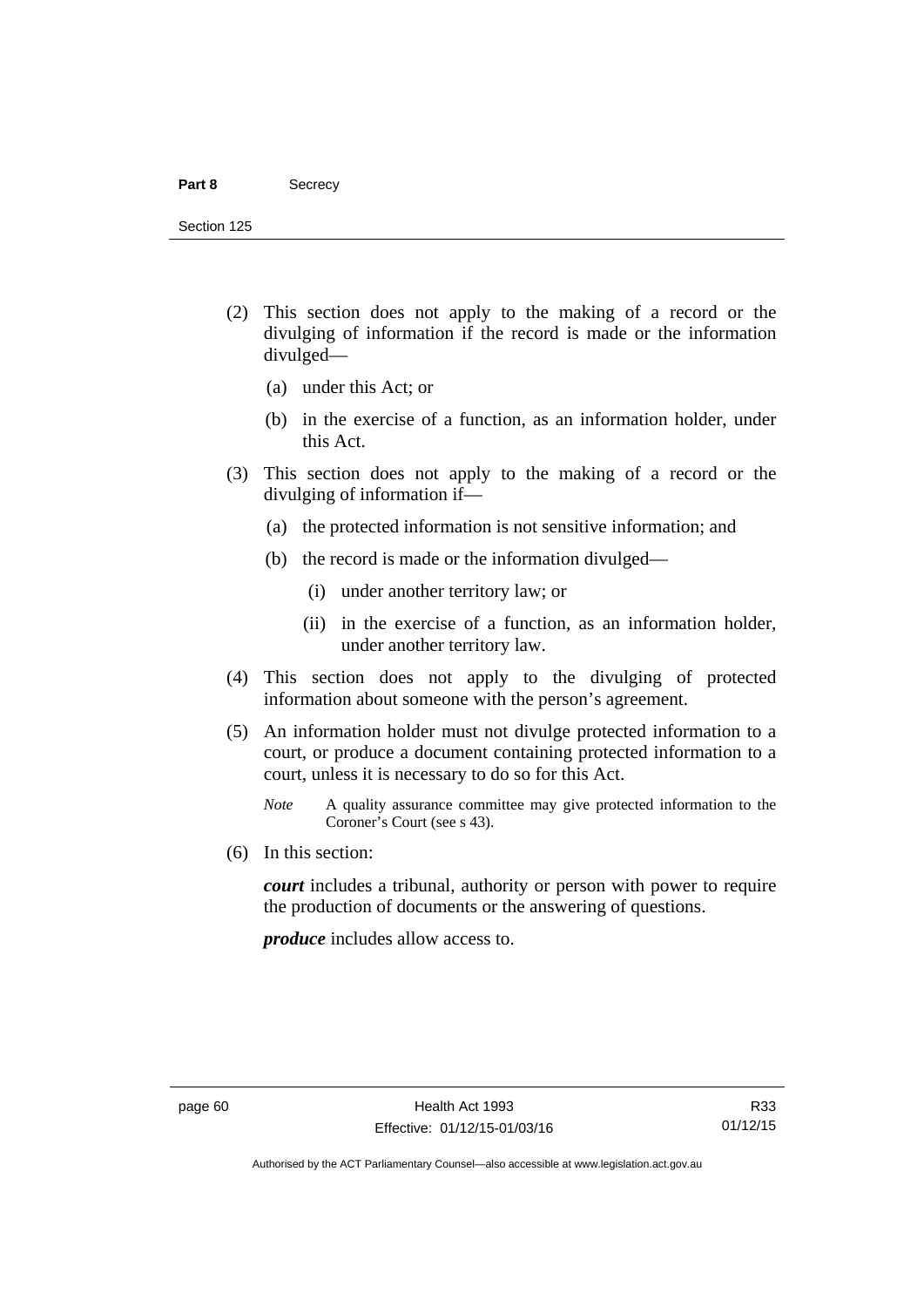#### Part 8 **Secrecy**

Section 125

- (2) This section does not apply to the making of a record or the divulging of information if the record is made or the information divulged—
	- (a) under this Act; or
	- (b) in the exercise of a function, as an information holder, under this Act.
- (3) This section does not apply to the making of a record or the divulging of information if—
	- (a) the protected information is not sensitive information; and
	- (b) the record is made or the information divulged—
		- (i) under another territory law; or
		- (ii) in the exercise of a function, as an information holder, under another territory law.
- (4) This section does not apply to the divulging of protected information about someone with the person's agreement.
- (5) An information holder must not divulge protected information to a court, or produce a document containing protected information to a court, unless it is necessary to do so for this Act.
	- *Note* A quality assurance committee may give protected information to the Coroner's Court (see s 43).
- (6) In this section:

*court* includes a tribunal, authority or person with power to require the production of documents or the answering of questions.

*produce* includes allow access to.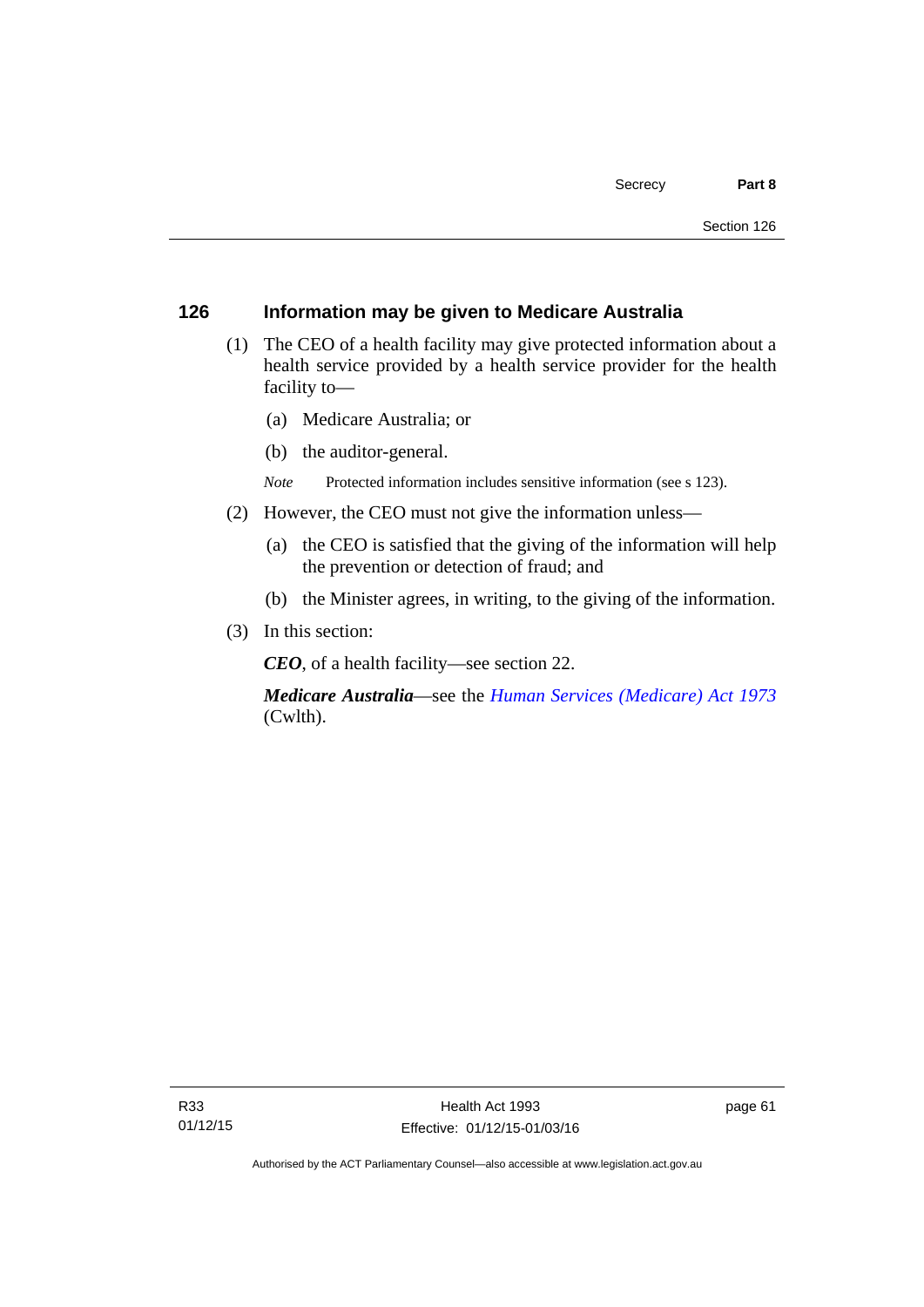# **126 Information may be given to Medicare Australia**

- (1) The CEO of a health facility may give protected information about a health service provided by a health service provider for the health facility to—
	- (a) Medicare Australia; or
	- (b) the auditor-general.
	- *Note* Protected information includes sensitive information (see s 123).
- (2) However, the CEO must not give the information unless—
	- (a) the CEO is satisfied that the giving of the information will help the prevention or detection of fraud; and
	- (b) the Minister agrees, in writing, to the giving of the information.
- (3) In this section:

*CEO*, of a health facility—see section 22.

*Medicare Australia*—see the *[Human Services \(Medicare\) Act 1973](http://www.comlaw.gov.au/Details/C2012C00755)*  (Cwlth).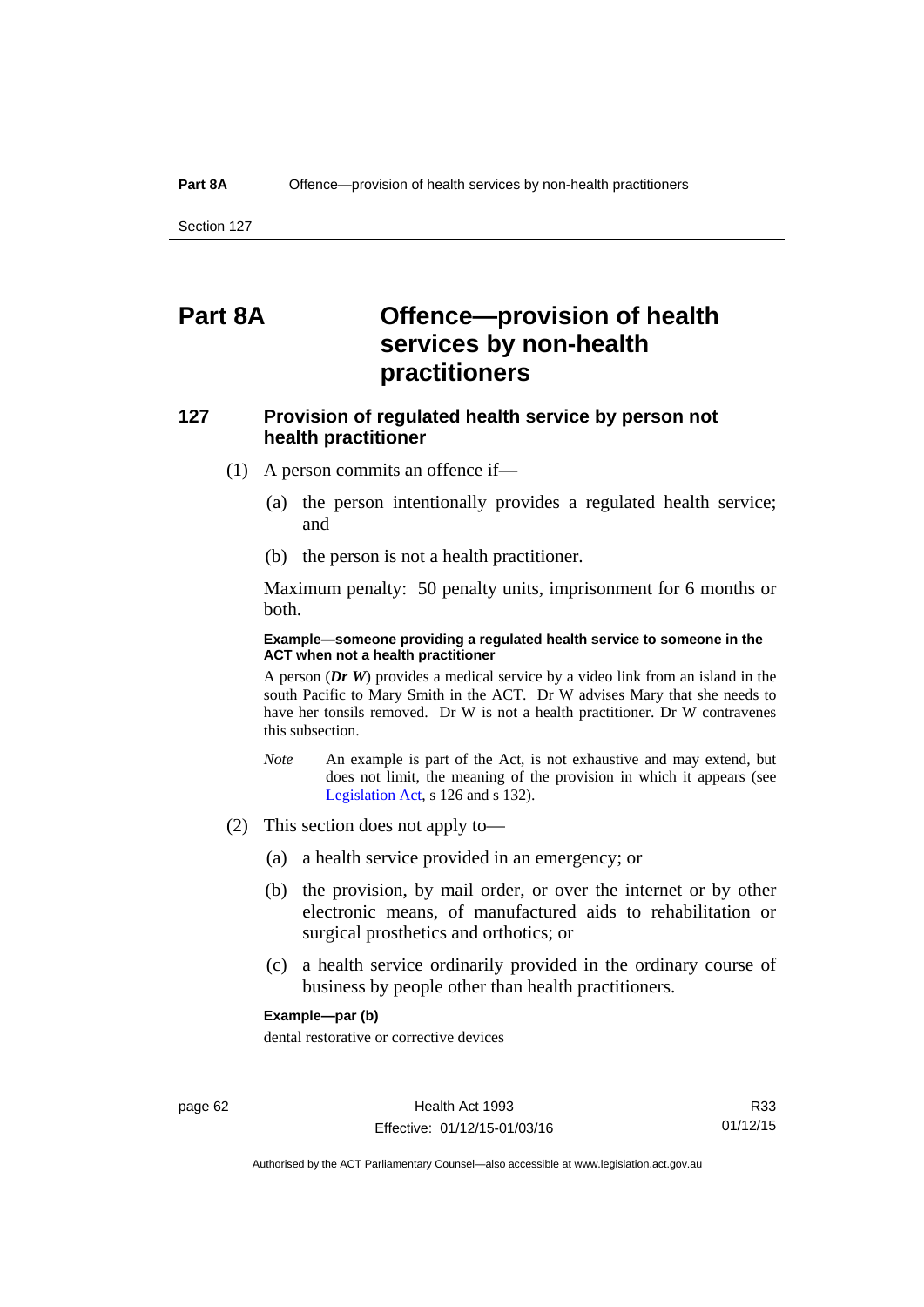# **Part 8A Offence—provision of health services by non-health practitioners**

# **127 Provision of regulated health service by person not health practitioner**

- (1) A person commits an offence if—
	- (a) the person intentionally provides a regulated health service; and
	- (b) the person is not a health practitioner.

Maximum penalty: 50 penalty units, imprisonment for 6 months or both.

### **Example—someone providing a regulated health service to someone in the ACT when not a health practitioner**

A person (*Dr W*) provides a medical service by a video link from an island in the south Pacific to Mary Smith in the ACT. Dr W advises Mary that she needs to have her tonsils removed. Dr W is not a health practitioner. Dr W contravenes this subsection.

- *Note* An example is part of the Act, is not exhaustive and may extend, but does not limit, the meaning of the provision in which it appears (see [Legislation Act,](http://www.legislation.act.gov.au/a/2001-14) s 126 and s 132).
- (2) This section does not apply to—
	- (a) a health service provided in an emergency; or
	- (b) the provision, by mail order, or over the internet or by other electronic means, of manufactured aids to rehabilitation or surgical prosthetics and orthotics; or
	- (c) a health service ordinarily provided in the ordinary course of business by people other than health practitioners.

### **Example—par (b)**

dental restorative or corrective devices

Authorised by the ACT Parliamentary Counsel—also accessible at www.legislation.act.gov.au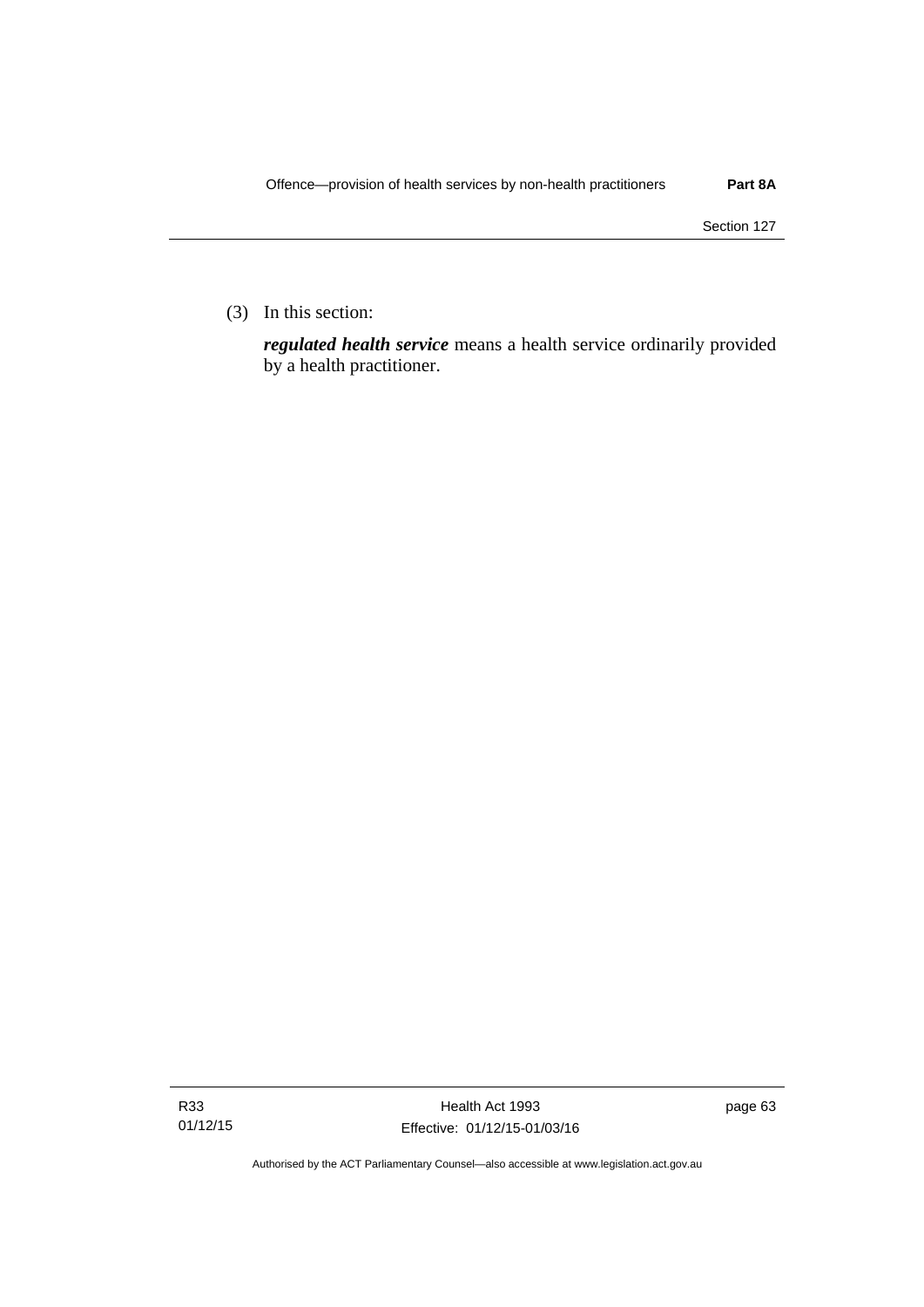(3) In this section:

*regulated health service* means a health service ordinarily provided by a health practitioner.

Authorised by the ACT Parliamentary Counsel—also accessible at www.legislation.act.gov.au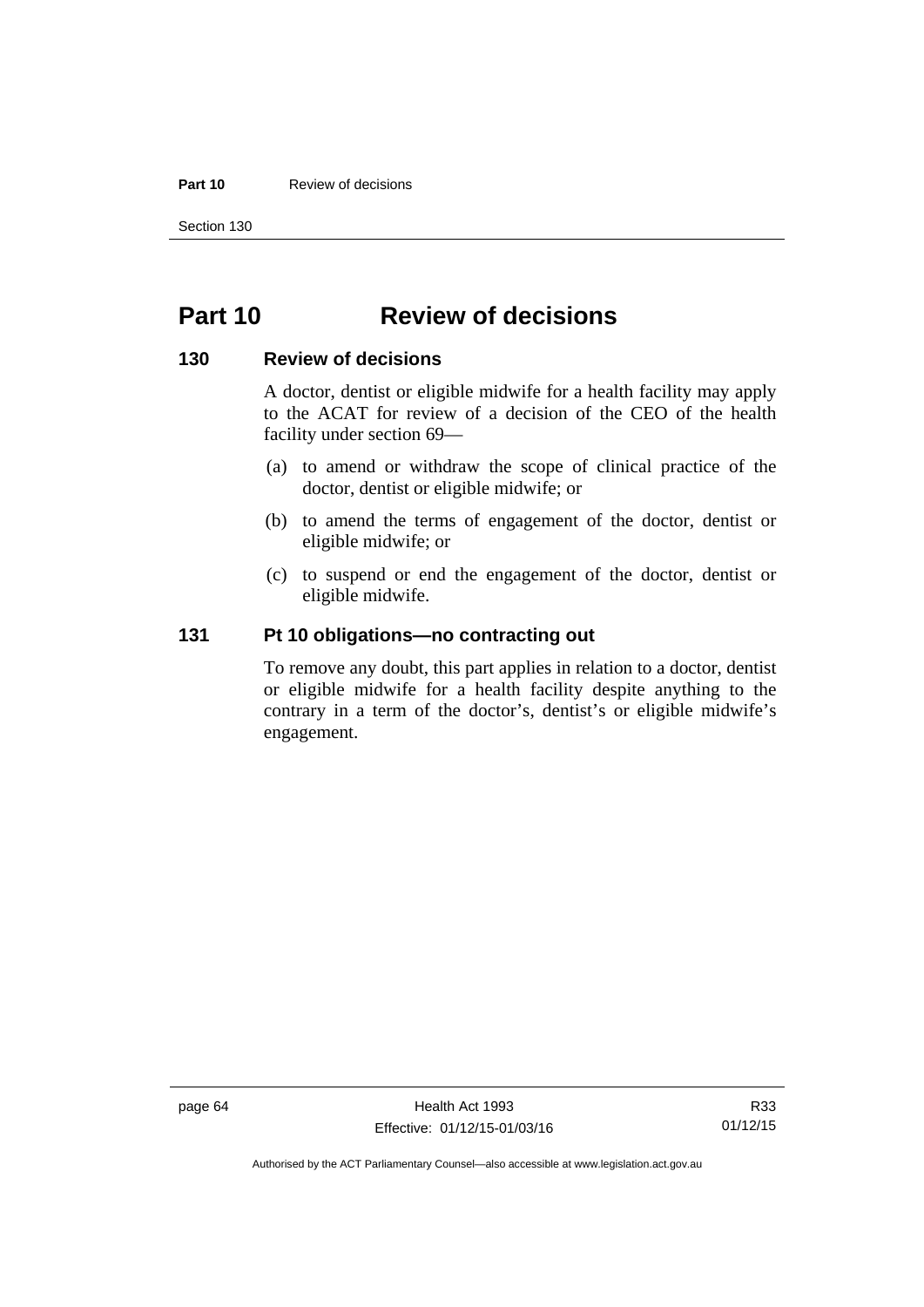### **Part 10** Review of decisions

Section 130

# **Part 10 Review of decisions**

# **130 Review of decisions**

A doctor, dentist or eligible midwife for a health facility may apply to the ACAT for review of a decision of the CEO of the health facility under section 69—

- (a) to amend or withdraw the scope of clinical practice of the doctor, dentist or eligible midwife; or
- (b) to amend the terms of engagement of the doctor, dentist or eligible midwife; or
- (c) to suspend or end the engagement of the doctor, dentist or eligible midwife.

# **131 Pt 10 obligations—no contracting out**

To remove any doubt, this part applies in relation to a doctor, dentist or eligible midwife for a health facility despite anything to the contrary in a term of the doctor's, dentist's or eligible midwife's engagement.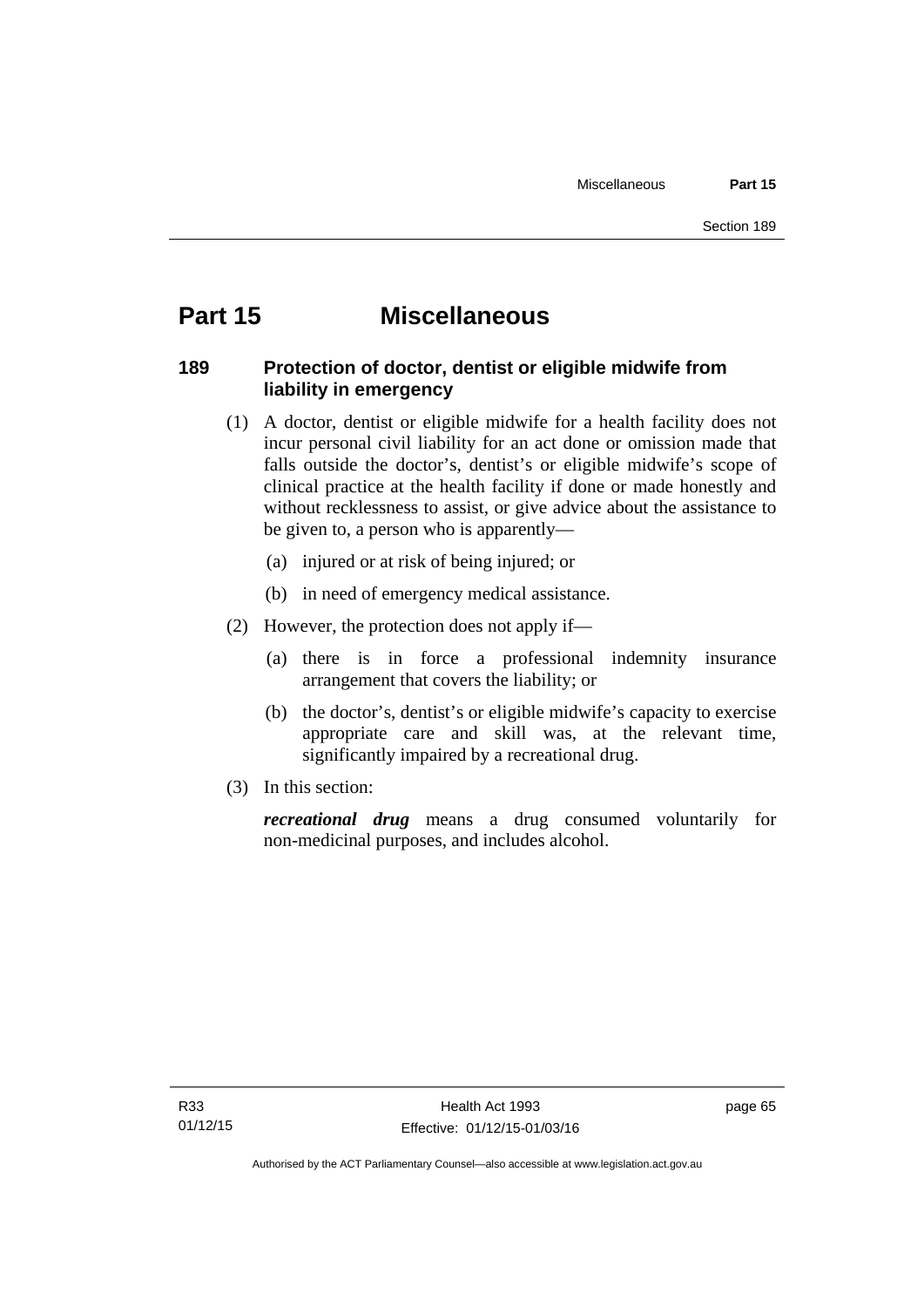## **Part 15 Miscellaneous**

## **189 Protection of doctor, dentist or eligible midwife from liability in emergency**

- (1) A doctor, dentist or eligible midwife for a health facility does not incur personal civil liability for an act done or omission made that falls outside the doctor's, dentist's or eligible midwife's scope of clinical practice at the health facility if done or made honestly and without recklessness to assist, or give advice about the assistance to be given to, a person who is apparently—
	- (a) injured or at risk of being injured; or
	- (b) in need of emergency medical assistance.
- (2) However, the protection does not apply if—
	- (a) there is in force a professional indemnity insurance arrangement that covers the liability; or
	- (b) the doctor's, dentist's or eligible midwife's capacity to exercise appropriate care and skill was, at the relevant time, significantly impaired by a recreational drug.
- (3) In this section:

*recreational drug* means a drug consumed voluntarily for non-medicinal purposes, and includes alcohol.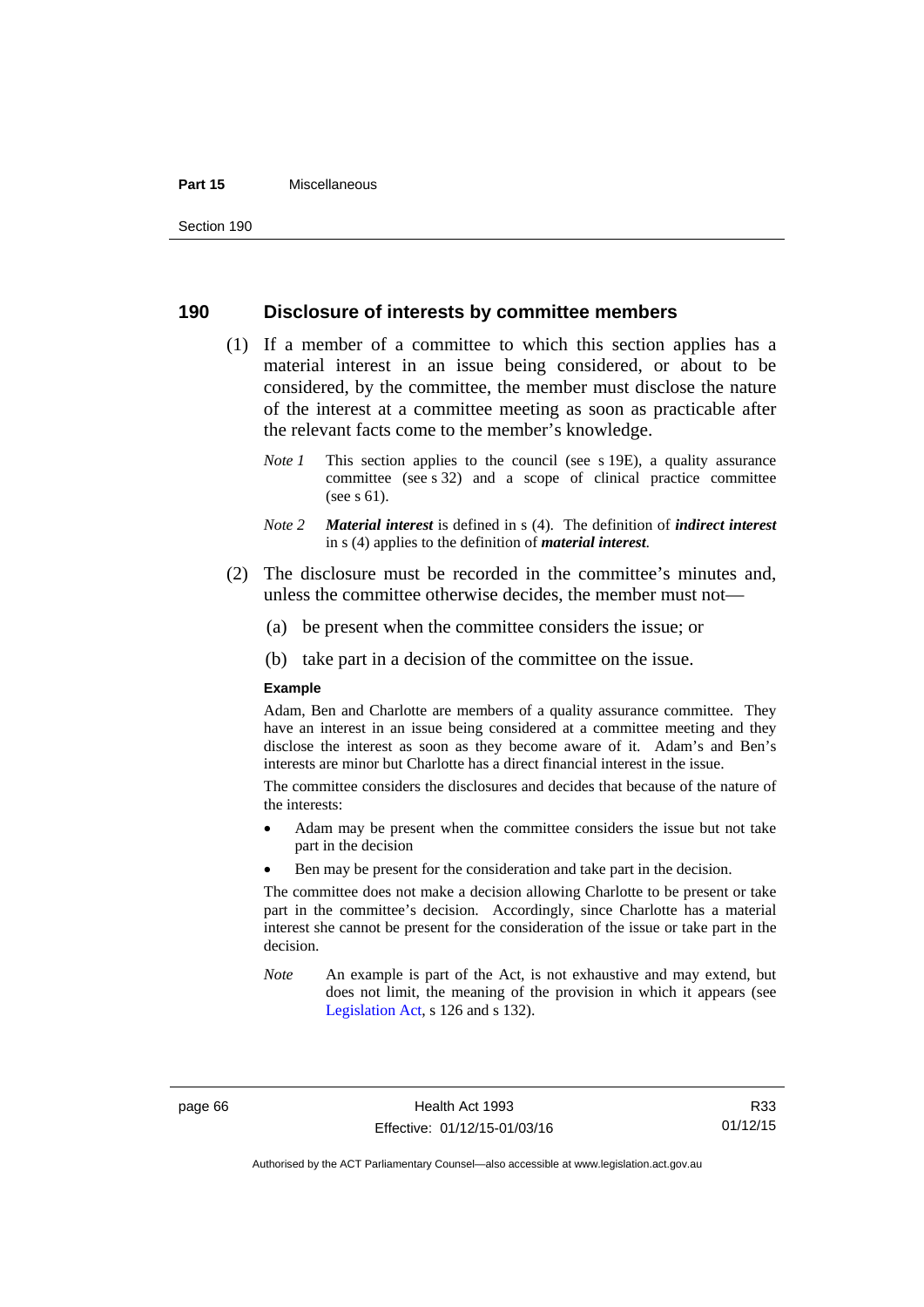#### **Part 15** Miscellaneous

## **190 Disclosure of interests by committee members**

- (1) If a member of a committee to which this section applies has a material interest in an issue being considered, or about to be considered, by the committee, the member must disclose the nature of the interest at a committee meeting as soon as practicable after the relevant facts come to the member's knowledge.
	- *Note 1* This section applies to the council (see s 19E), a quality assurance committee (see s 32) and a scope of clinical practice committee (see s 61).
	- *Note 2 Material interest* is defined in s (4). The definition of *indirect interest* in s (4) applies to the definition of *material interest*.
- (2) The disclosure must be recorded in the committee's minutes and, unless the committee otherwise decides, the member must not—
	- (a) be present when the committee considers the issue; or
	- (b) take part in a decision of the committee on the issue.

#### **Example**

Adam, Ben and Charlotte are members of a quality assurance committee. They have an interest in an issue being considered at a committee meeting and they disclose the interest as soon as they become aware of it. Adam's and Ben's interests are minor but Charlotte has a direct financial interest in the issue.

The committee considers the disclosures and decides that because of the nature of the interests:

- Adam may be present when the committee considers the issue but not take part in the decision
- Ben may be present for the consideration and take part in the decision.

The committee does not make a decision allowing Charlotte to be present or take part in the committee's decision. Accordingly, since Charlotte has a material interest she cannot be present for the consideration of the issue or take part in the decision.

*Note* An example is part of the Act, is not exhaustive and may extend, but does not limit, the meaning of the provision in which it appears (see [Legislation Act,](http://www.legislation.act.gov.au/a/2001-14) s 126 and s 132).

page 66 Health Act 1993 Effective: 01/12/15-01/03/16

R33 01/12/15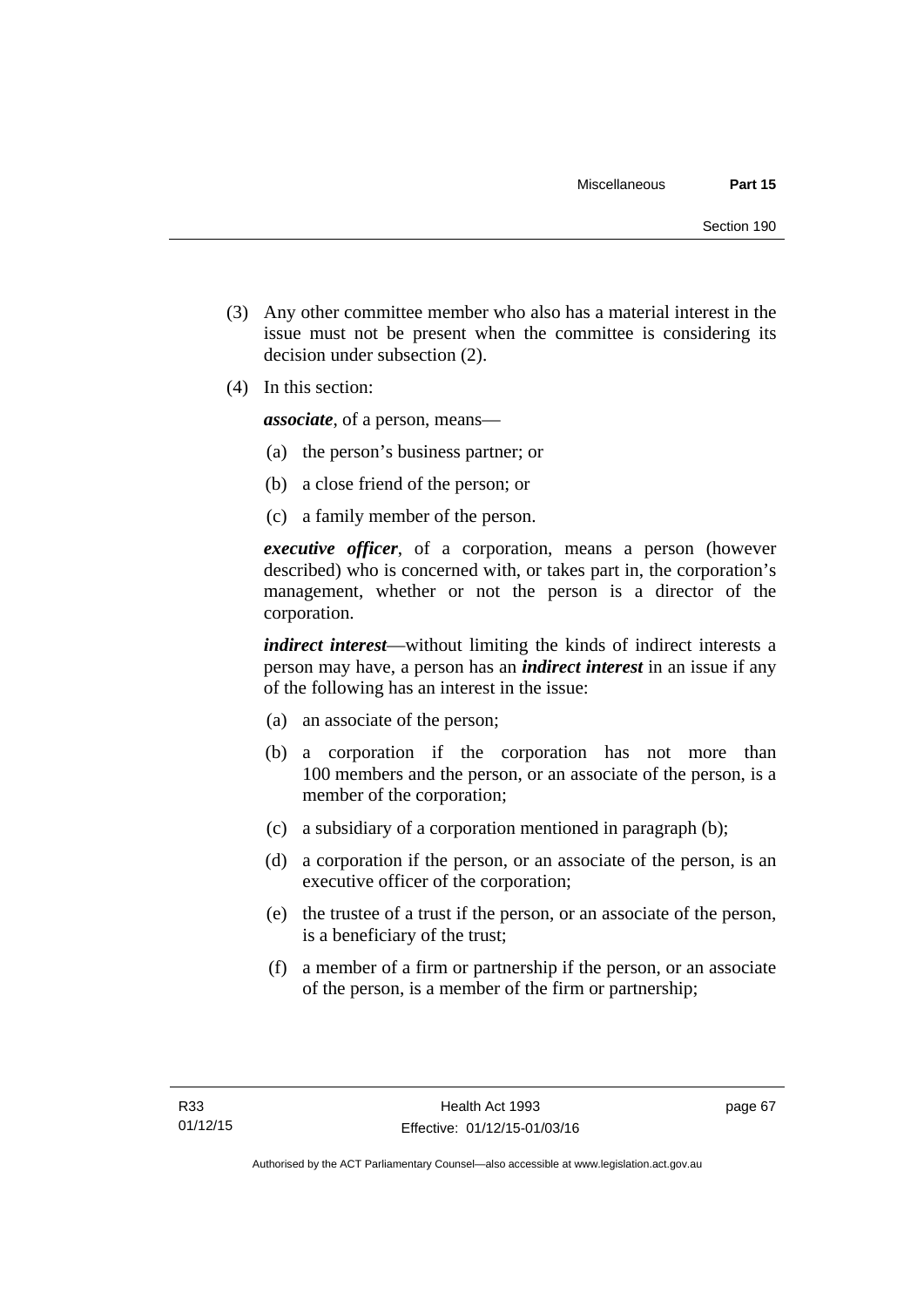- (3) Any other committee member who also has a material interest in the issue must not be present when the committee is considering its decision under subsection (2).
- (4) In this section:

*associate*, of a person, means—

- (a) the person's business partner; or
- (b) a close friend of the person; or
- (c) a family member of the person.

*executive officer*, of a corporation, means a person (however described) who is concerned with, or takes part in, the corporation's management, whether or not the person is a director of the corporation.

*indirect interest*—without limiting the kinds of indirect interests a person may have, a person has an *indirect interest* in an issue if any of the following has an interest in the issue:

- (a) an associate of the person;
- (b) a corporation if the corporation has not more than 100 members and the person, or an associate of the person, is a member of the corporation;
- (c) a subsidiary of a corporation mentioned in paragraph (b);
- (d) a corporation if the person, or an associate of the person, is an executive officer of the corporation;
- (e) the trustee of a trust if the person, or an associate of the person, is a beneficiary of the trust;
- (f) a member of a firm or partnership if the person, or an associate of the person, is a member of the firm or partnership;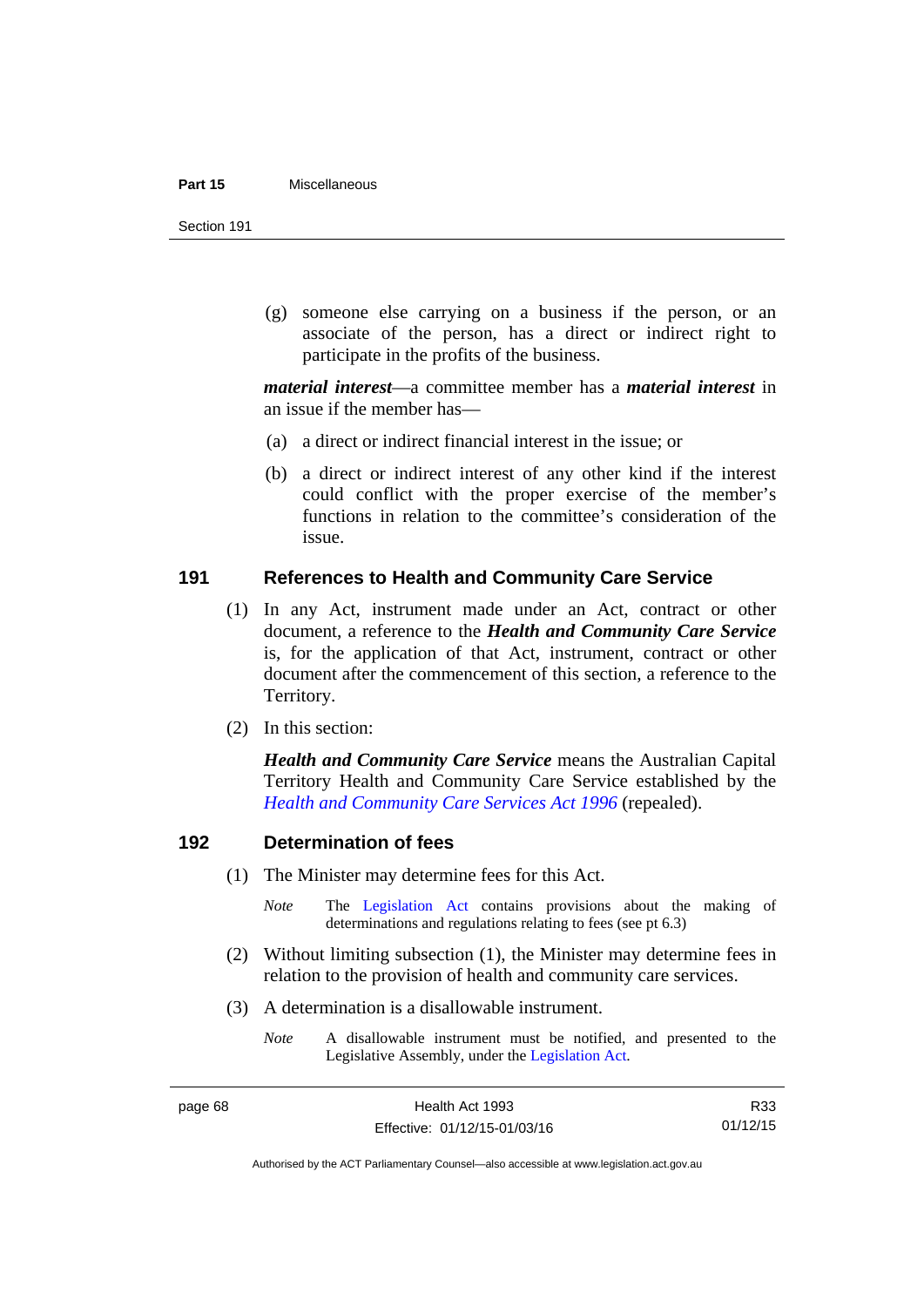#### **Part 15** Miscellaneous

Section 191

 (g) someone else carrying on a business if the person, or an associate of the person, has a direct or indirect right to participate in the profits of the business.

*material interest*—a committee member has a *material interest* in an issue if the member has—

- (a) a direct or indirect financial interest in the issue; or
- (b) a direct or indirect interest of any other kind if the interest could conflict with the proper exercise of the member's functions in relation to the committee's consideration of the issue.

## **191 References to Health and Community Care Service**

- (1) In any Act, instrument made under an Act, contract or other document, a reference to the *Health and Community Care Service* is, for the application of that Act, instrument, contract or other document after the commencement of this section, a reference to the Territory.
- (2) In this section:

*Health and Community Care Service* means the Australian Capital Territory Health and Community Care Service established by the *[Health and Community Care Services Act 1996](http://www.legislation.act.gov.au/a/1996-34)* (repealed).

## **192 Determination of fees**

- (1) The Minister may determine fees for this Act.
	- *Note* The [Legislation Act](http://www.legislation.act.gov.au/a/2001-14) contains provisions about the making of determinations and regulations relating to fees (see pt 6.3)
- (2) Without limiting subsection (1), the Minister may determine fees in relation to the provision of health and community care services.
- (3) A determination is a disallowable instrument.
	- *Note* A disallowable instrument must be notified, and presented to the Legislative Assembly, under the [Legislation Act.](http://www.legislation.act.gov.au/a/2001-14)

R33 01/12/15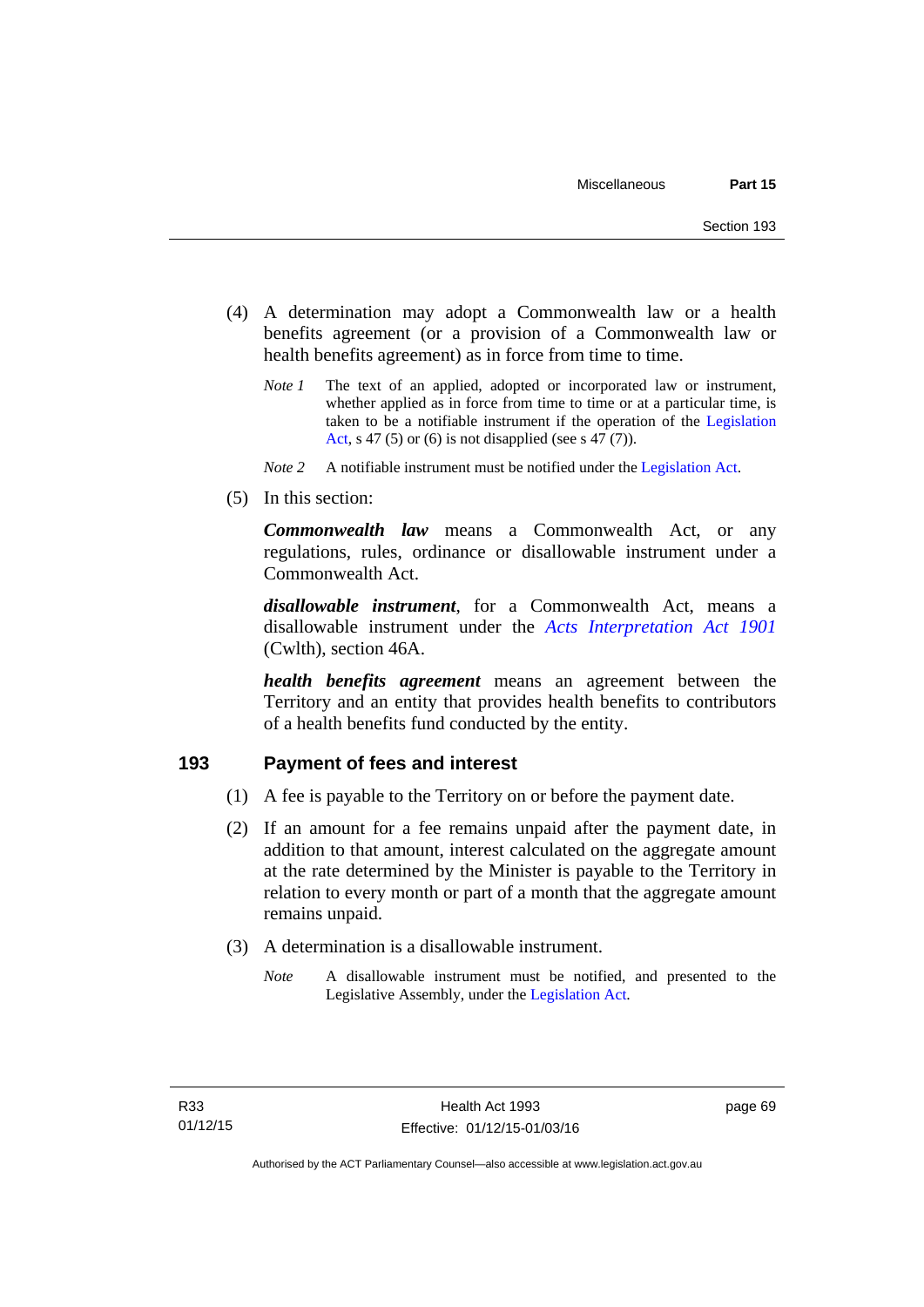- (4) A determination may adopt a Commonwealth law or a health benefits agreement (or a provision of a Commonwealth law or health benefits agreement) as in force from time to time.
	- *Note 1* The text of an applied, adopted or incorporated law or instrument, whether applied as in force from time to time or at a particular time, is taken to be a notifiable instrument if the operation of the [Legislation](http://www.legislation.act.gov.au/a/2001-14)  [Act](http://www.legislation.act.gov.au/a/2001-14), s 47 (5) or (6) is not disapplied (see s 47 (7)).
	- *Note 2* A notifiable instrument must be notified under the [Legislation Act](http://www.legislation.act.gov.au/a/2001-14).
- (5) In this section:

*Commonwealth law* means a Commonwealth Act, or any regulations, rules, ordinance or disallowable instrument under a Commonwealth Act.

*disallowable instrument*, for a Commonwealth Act, means a disallowable instrument under the *[Acts Interpretation Act 1901](http://www.comlaw.gov.au/Details/C2012C00001)* (Cwlth), section 46A.

*health benefits agreement* means an agreement between the Territory and an entity that provides health benefits to contributors of a health benefits fund conducted by the entity.

## **193 Payment of fees and interest**

- (1) A fee is payable to the Territory on or before the payment date.
- (2) If an amount for a fee remains unpaid after the payment date, in addition to that amount, interest calculated on the aggregate amount at the rate determined by the Minister is payable to the Territory in relation to every month or part of a month that the aggregate amount remains unpaid.
- (3) A determination is a disallowable instrument.
	- *Note* A disallowable instrument must be notified, and presented to the Legislative Assembly, under the [Legislation Act.](http://www.legislation.act.gov.au/a/2001-14)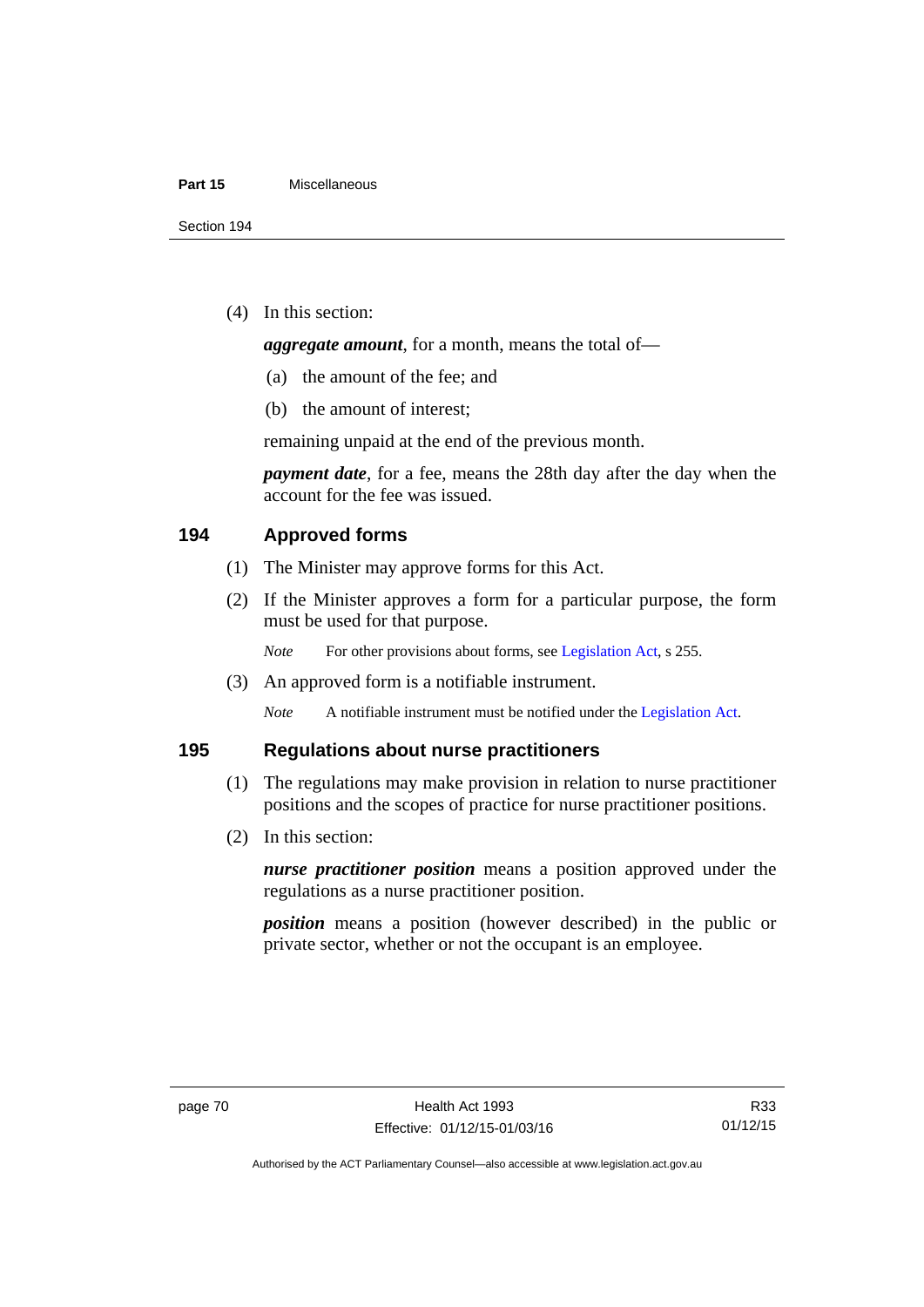#### **Part 15** Miscellaneous

(4) In this section:

*aggregate amount*, for a month, means the total of—

- (a) the amount of the fee; and
- (b) the amount of interest;

remaining unpaid at the end of the previous month.

*payment date*, for a fee, means the 28th day after the day when the account for the fee was issued.

## **194 Approved forms**

- (1) The Minister may approve forms for this Act.
- (2) If the Minister approves a form for a particular purpose, the form must be used for that purpose.

*Note* For other provisions about forms, see [Legislation Act,](http://www.legislation.act.gov.au/a/2001-14) s 255.

(3) An approved form is a notifiable instrument.

*Note* A notifiable instrument must be notified under the [Legislation Act](http://www.legislation.act.gov.au/a/2001-14).

## **195 Regulations about nurse practitioners**

- (1) The regulations may make provision in relation to nurse practitioner positions and the scopes of practice for nurse practitioner positions.
- (2) In this section:

*nurse practitioner position* means a position approved under the regulations as a nurse practitioner position.

*position* means a position (however described) in the public or private sector, whether or not the occupant is an employee.

R33 01/12/15

Authorised by the ACT Parliamentary Counsel—also accessible at www.legislation.act.gov.au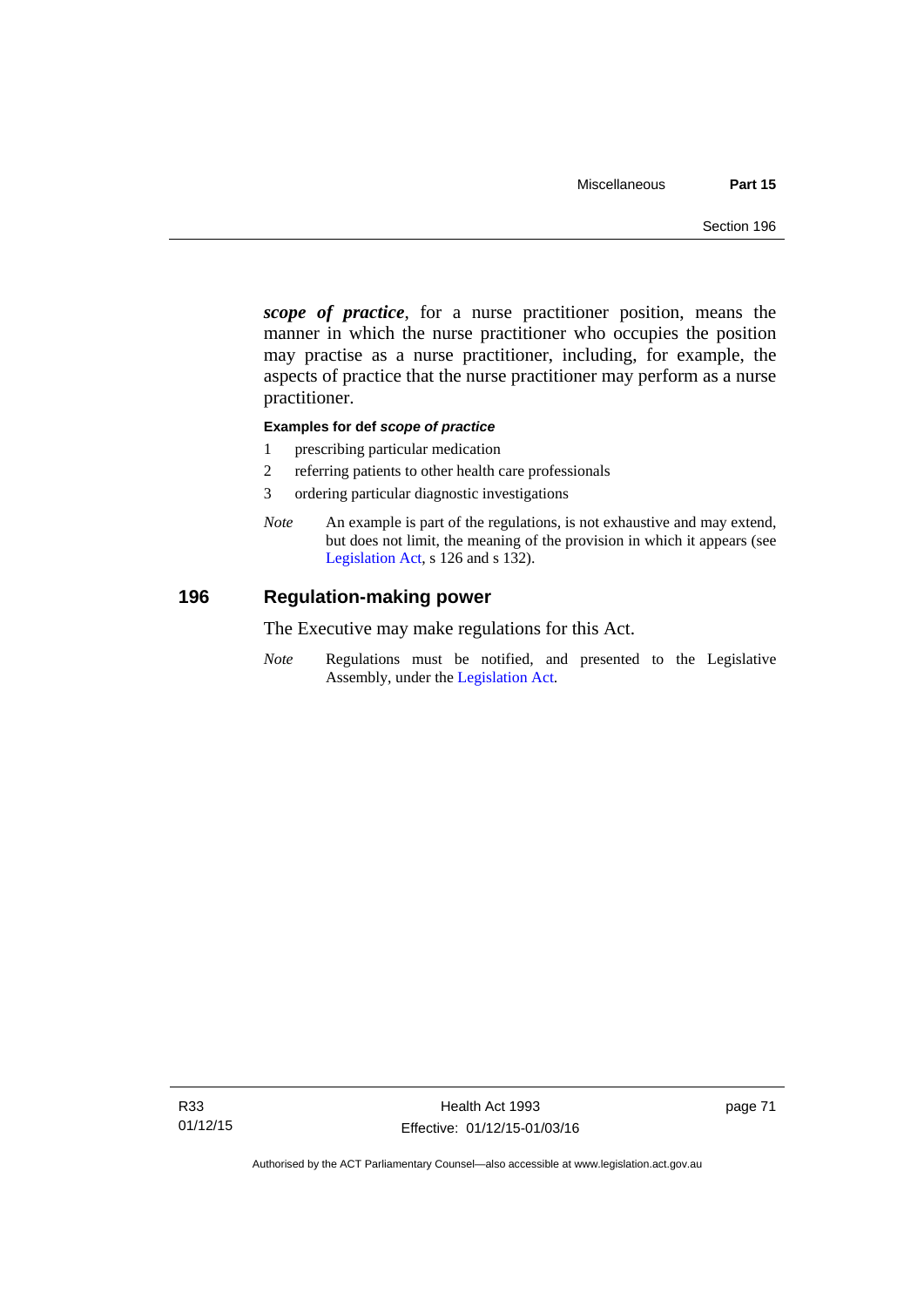*scope of practice*, for a nurse practitioner position, means the manner in which the nurse practitioner who occupies the position may practise as a nurse practitioner, including, for example, the aspects of practice that the nurse practitioner may perform as a nurse practitioner.

### **Examples for def** *scope of practice*

- 1 prescribing particular medication
- 2 referring patients to other health care professionals
- 3 ordering particular diagnostic investigations
- *Note* An example is part of the regulations, is not exhaustive and may extend, but does not limit, the meaning of the provision in which it appears (see [Legislation Act,](http://www.legislation.act.gov.au/a/2001-14) s 126 and s 132).

## **196 Regulation-making power**

The Executive may make regulations for this Act.

*Note* Regulations must be notified, and presented to the Legislative Assembly, under the [Legislation Act](http://www.legislation.act.gov.au/a/2001-14).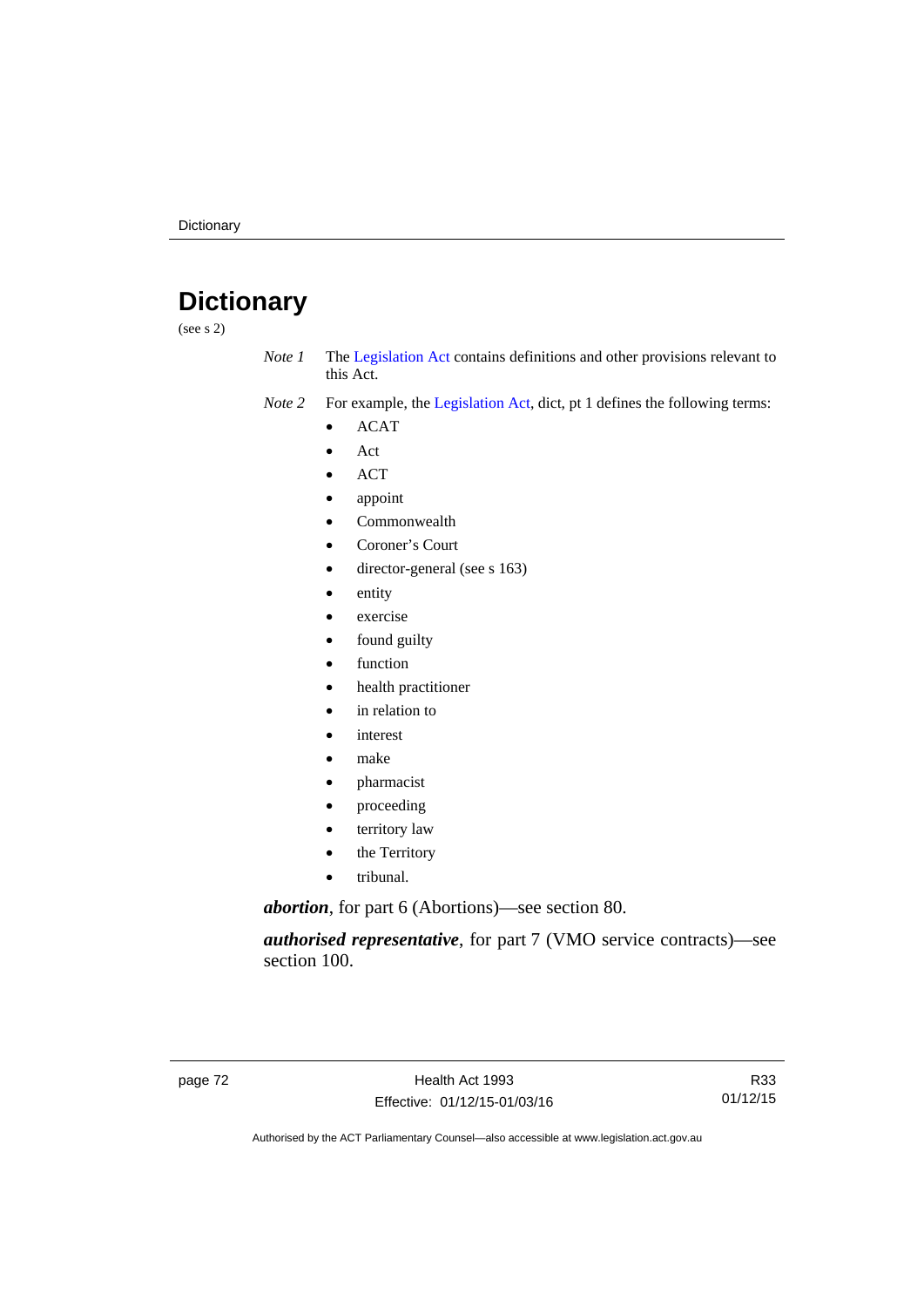# **Dictionary**

(see s 2)

- *Note 1* The [Legislation Act](http://www.legislation.act.gov.au/a/2001-14) contains definitions and other provisions relevant to this Act.
- *Note 2* For example, the [Legislation Act,](http://www.legislation.act.gov.au/a/2001-14) dict, pt 1 defines the following terms:
	- ACAT
	- Act
	- ACT
	- appoint
	- Commonwealth
	- Coroner's Court
	- director-general (see s 163)
	- entity
	- exercise
	- found guilty
	- function
	- health practitioner
	- in relation to
	- interest
	- make
	- pharmacist
	- proceeding
	- territory law
	- the Territory
	- tribunal.

*abortion*, for part 6 (Abortions)—see section 80.

*authorised representative*, for part 7 (VMO service contracts)—see section 100.

R33 01/12/15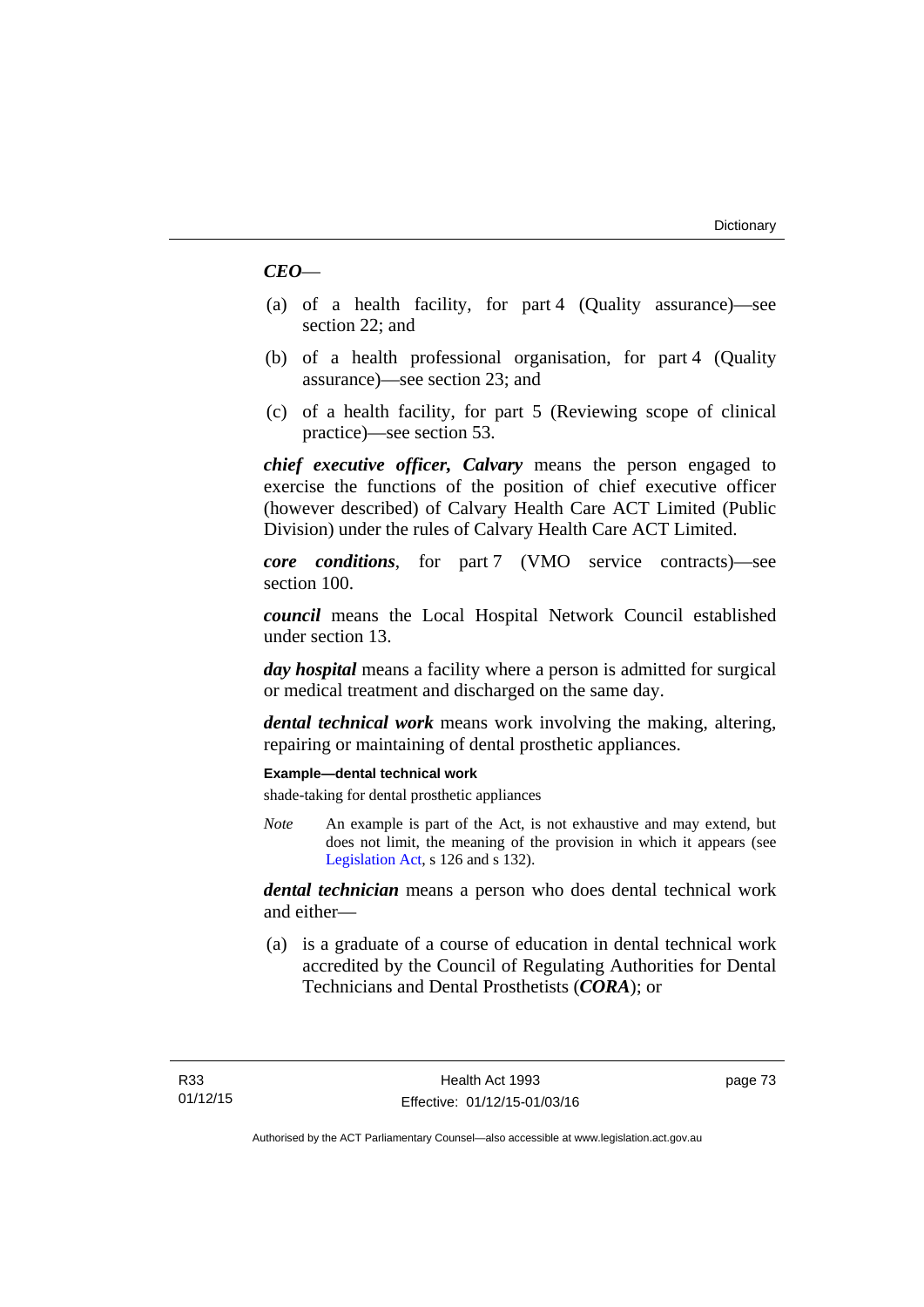## *CEO*—

- (a) of a health facility, for part 4 (Quality assurance)—see section 22; and
- (b) of a health professional organisation, for part 4 (Quality assurance)—see section 23; and
- (c) of a health facility, for part 5 (Reviewing scope of clinical practice)—see section 53.

*chief executive officer, Calvary* means the person engaged to exercise the functions of the position of chief executive officer (however described) of Calvary Health Care ACT Limited (Public Division) under the rules of Calvary Health Care ACT Limited.

*core conditions*, for part 7 (VMO service contracts)—see section 100.

*council* means the Local Hospital Network Council established under section 13.

*day hospital* means a facility where a person is admitted for surgical or medical treatment and discharged on the same day.

*dental technical work* means work involving the making, altering, repairing or maintaining of dental prosthetic appliances.

### **Example—dental technical work**

shade-taking for dental prosthetic appliances

*Note* An example is part of the Act, is not exhaustive and may extend, but does not limit, the meaning of the provision in which it appears (see [Legislation Act,](http://www.legislation.act.gov.au/a/2001-14) s 126 and s 132).

*dental technician* means a person who does dental technical work and either—

 (a) is a graduate of a course of education in dental technical work accredited by the Council of Regulating Authorities for Dental Technicians and Dental Prosthetists (*CORA*); or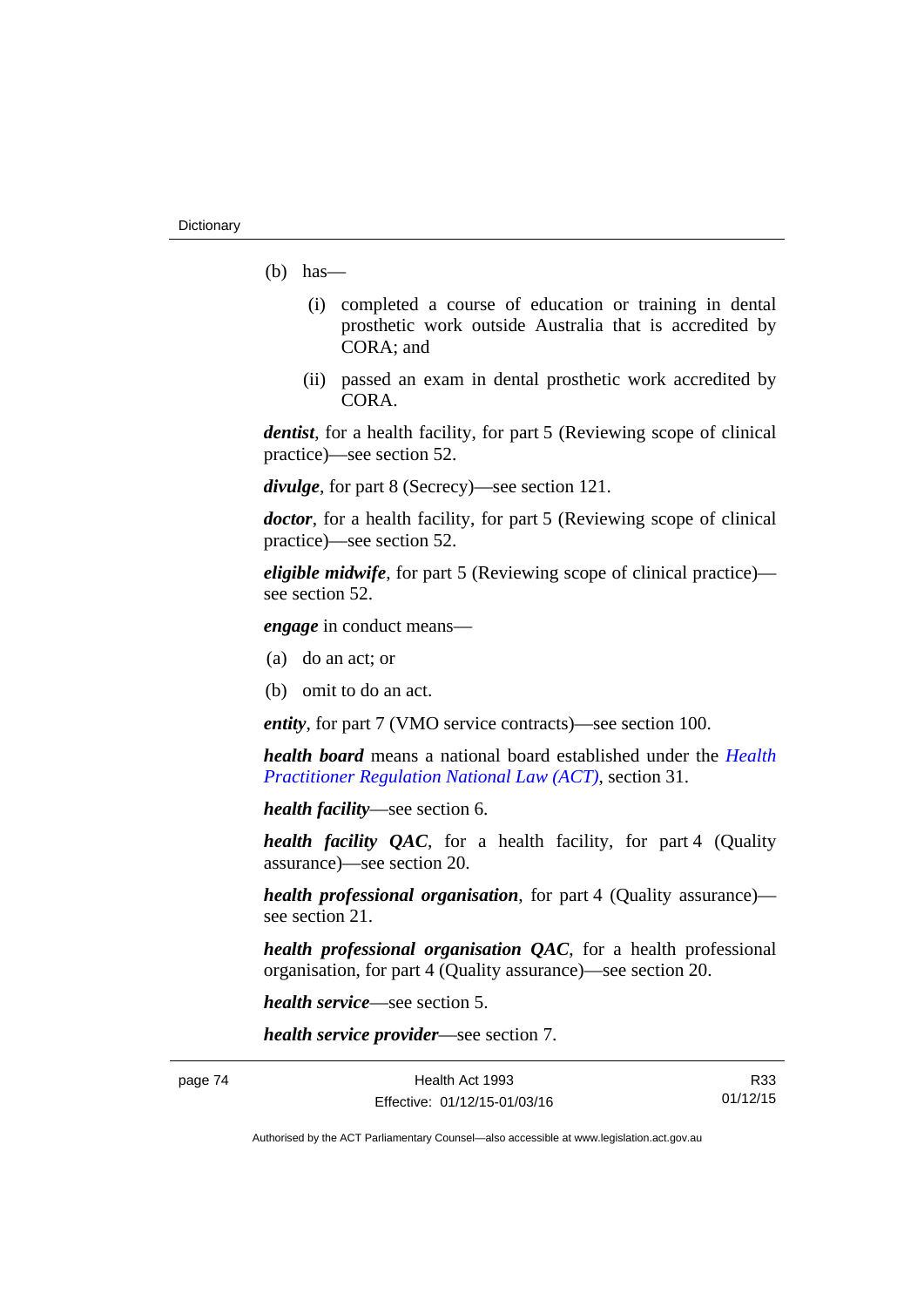- $(b)$  has
	- (i) completed a course of education or training in dental prosthetic work outside Australia that is accredited by CORA; and
	- (ii) passed an exam in dental prosthetic work accredited by CORA.

*dentist*, for a health facility, for part 5 (Reviewing scope of clinical practice)—see section 52.

*divulge*, for part 8 (Secrecy)—see section 121.

*doctor*, for a health facility, for part 5 (Reviewing scope of clinical practice)—see section 52.

*eligible midwife*, for part 5 (Reviewing scope of clinical practice) see section 52.

*engage* in conduct means—

- (a) do an act; or
- (b) omit to do an act.

*entity*, for part 7 (VMO service contracts)—see section 100.

*health board* means a national board established under the *[Health](http://www.legislation.act.gov.au/a/db_39269/default.asp)  [Practitioner Regulation National Law \(ACT\)](http://www.legislation.act.gov.au/a/db_39269/default.asp)*, section 31.

*health facility*—see section 6.

*health facility QAC*, for a health facility, for part 4 (Quality assurance)—see section 20.

*health professional organisation*, for part 4 (Quality assurance) see section 21.

*health professional organisation QAC*, for a health professional organisation, for part 4 (Quality assurance)—see section 20.

*health service*—see section 5.

*health service provider*—see section 7.

page 74 Health Act 1993 Effective: 01/12/15-01/03/16

R33 01/12/15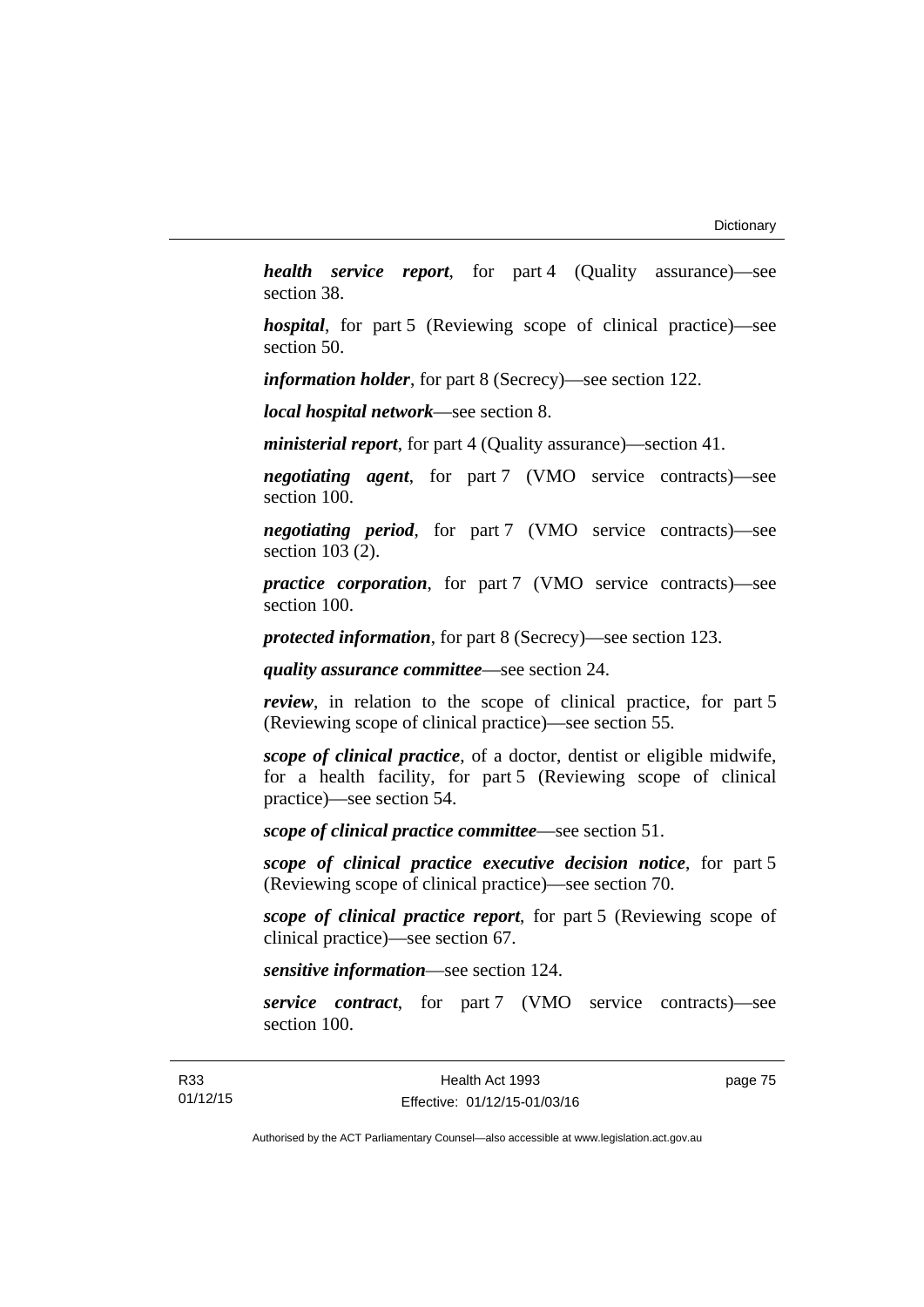*health service report*, for part 4 (Quality assurance)—see section 38.

*hospital*, for part 5 (Reviewing scope of clinical practice)—see section 50.

*information holder*, for part 8 (Secrecy)—see section 122.

*local hospital network*—see section 8.

*ministerial report*, for part 4 (Quality assurance)—section 41.

*negotiating agent*, for part 7 (VMO service contracts)—see section 100.

*negotiating period*, for part 7 (VMO service contracts)—see section 103 (2).

*practice corporation*, for part 7 (VMO service contracts)—see section 100.

*protected information*, for part 8 (Secrecy)—see section 123.

*quality assurance committee*—see section 24.

*review*, in relation to the scope of clinical practice, for part 5 (Reviewing scope of clinical practice)—see section 55.

*scope of clinical practice*, of a doctor, dentist or eligible midwife, for a health facility, for part 5 (Reviewing scope of clinical practice)—see section 54.

*scope of clinical practice committee*—see section 51.

*scope of clinical practice executive decision notice*, for part 5 (Reviewing scope of clinical practice)—see section 70.

*scope of clinical practice report*, for part 5 (Reviewing scope of clinical practice)—see section 67.

*sensitive information*—see section 124.

*service contract*, for part 7 (VMO service contracts)—see section 100.

page 75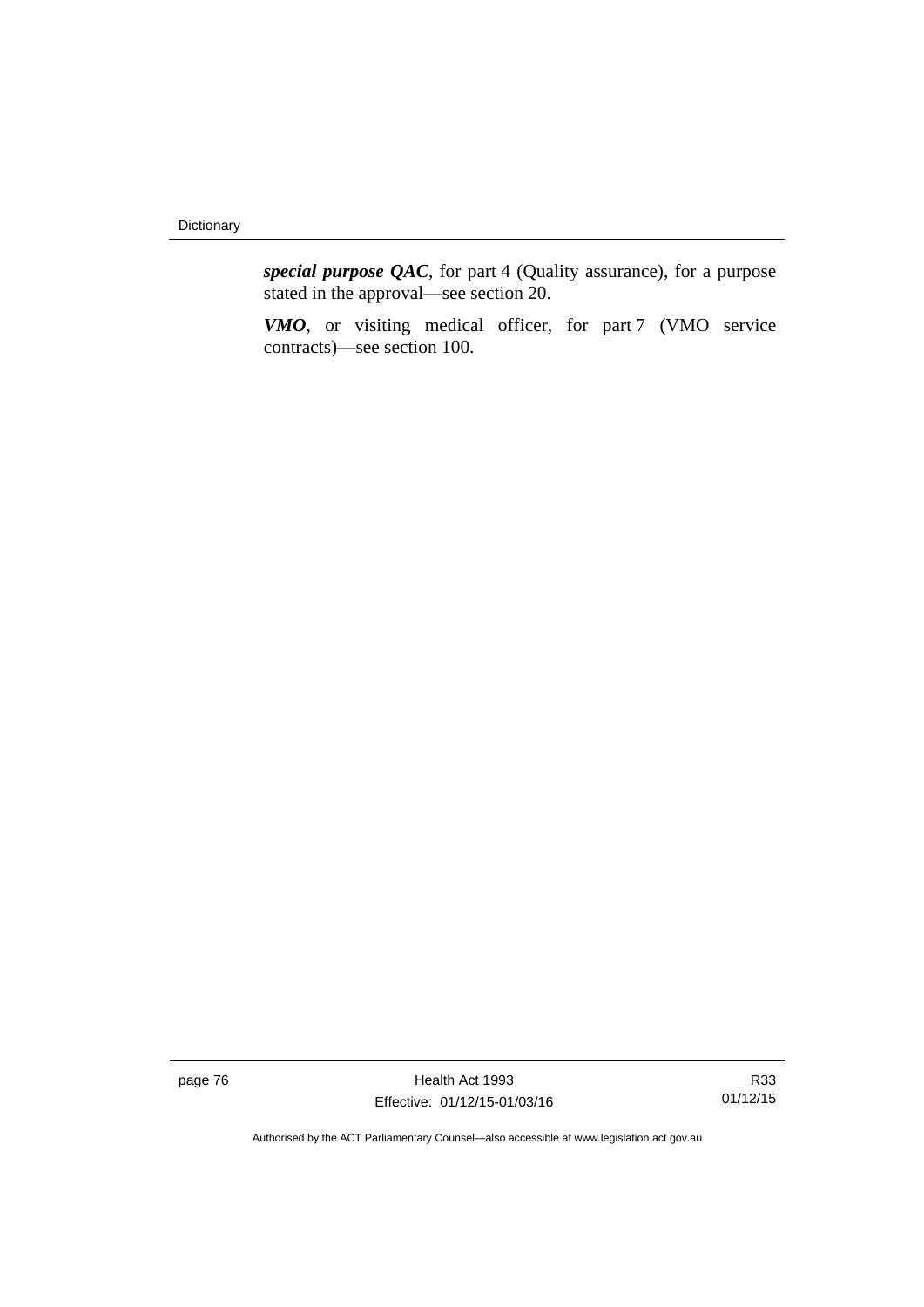*special purpose QAC*, for part 4 (Quality assurance), for a purpose stated in the approval—see section 20.

*VMO*, or visiting medical officer, for part 7 (VMO service contracts)—see section 100.

page 76 **Health Act 1993** Effective: 01/12/15-01/03/16

R33 01/12/15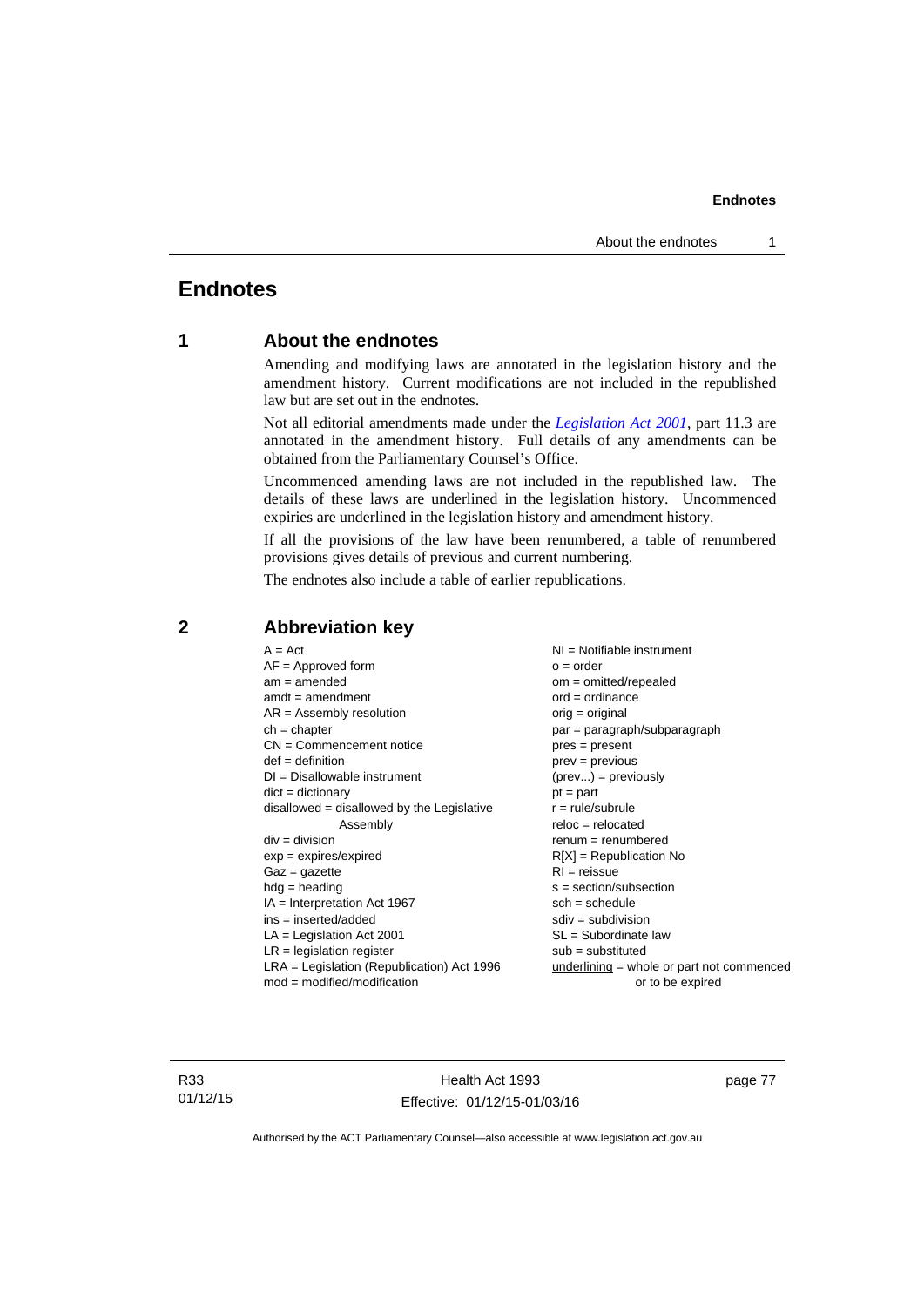## **Endnotes**

## **1 About the endnotes**

Amending and modifying laws are annotated in the legislation history and the amendment history. Current modifications are not included in the republished law but are set out in the endnotes.

Not all editorial amendments made under the *[Legislation Act 2001](http://www.legislation.act.gov.au/a/2001-14)*, part 11.3 are annotated in the amendment history. Full details of any amendments can be obtained from the Parliamentary Counsel's Office.

Uncommenced amending laws are not included in the republished law. The details of these laws are underlined in the legislation history. Uncommenced expiries are underlined in the legislation history and amendment history.

If all the provisions of the law have been renumbered, a table of renumbered provisions gives details of previous and current numbering.

The endnotes also include a table of earlier republications.

| $A = Act$                                    | $NI = Notifiable$ instrument                |
|----------------------------------------------|---------------------------------------------|
| $AF =$ Approved form                         | $o = order$                                 |
| $am = amended$                               | $om = omitted/repealed$                     |
| $amdt = amendment$                           | $ord = ordinance$                           |
| $AR = Assembly resolution$                   | $orig = original$                           |
| $ch = chapter$                               | par = paragraph/subparagraph                |
| $CN =$ Commencement notice                   | $pres = present$                            |
| $def = definition$                           | $prev = previous$                           |
| $DI = Disallowable instrument$               | $(\text{prev}) = \text{previously}$         |
| $dict = dictionary$                          | $pt = part$                                 |
| $disallowed = disallowed by the Legislative$ | $r = rule/subrule$                          |
| Assembly                                     | $reloc = relocated$                         |
| $div = division$                             | $renum = renumbered$                        |
| $exp = expires/expired$                      | $R[X]$ = Republication No                   |
| $Gaz = gazette$                              | $RI = reissue$                              |
| $hdg = heading$                              | $s = section/subsection$                    |
| $IA = Interpretation Act 1967$               | $sch = schedule$                            |
| ins = inserted/added                         | $sdiv = subdivision$                        |
| $LA =$ Legislation Act 2001                  | $SL = Subordinate$ law                      |
| $LR =$ legislation register                  | $sub =$ substituted                         |
| $LRA =$ Legislation (Republication) Act 1996 | $underlining = whole or part not commenced$ |
| $mod = modified/modification$                | or to be expired                            |
|                                              |                                             |

## **2 Abbreviation key**

R33 01/12/15

Health Act 1993 Effective: 01/12/15-01/03/16 page 77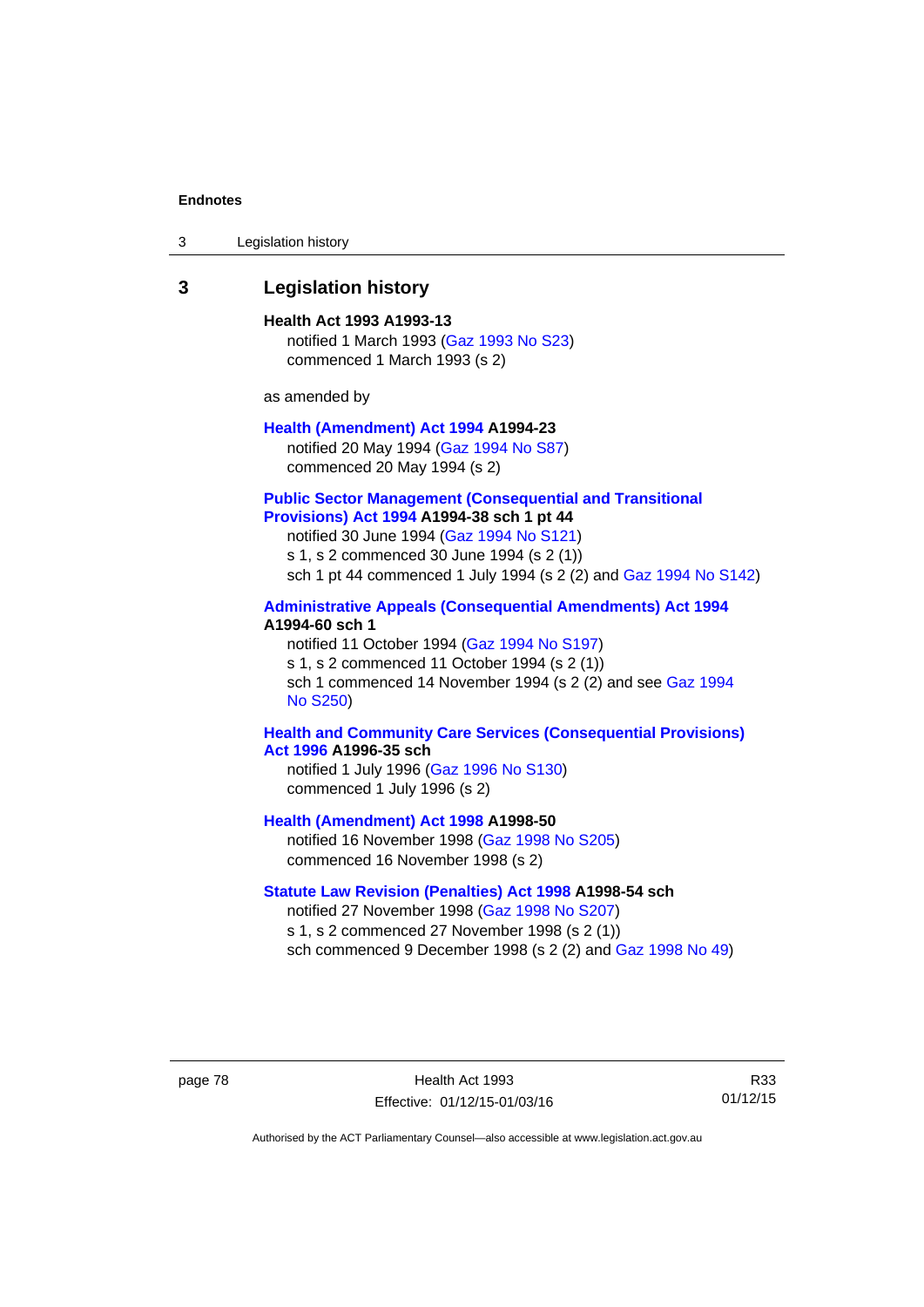| 3 | Legislation history |  |
|---|---------------------|--|
|---|---------------------|--|

## **3 Legislation history**

**Health Act 1993 A1993-13**  notified 1 March 1993 [\(Gaz 1993 No S23\)](http://www.legislation.act.gov.au/gaz/1993-S23/default.asp) commenced 1 March 1993 (s 2)

as amended by

## **[Health \(Amendment\) Act 1994](http://www.legislation.act.gov.au/a/1994-23) A1994-23**  notified 20 May 1994 ([Gaz 1994 No S87](http://www.legislation.act.gov.au/gaz/1994-S87/default.asp))

commenced 20 May 1994 (s 2)

### **[Public Sector Management \(Consequential and Transitional](http://www.legislation.act.gov.au/a/1994-38)  [Provisions\) Act 1994](http://www.legislation.act.gov.au/a/1994-38) A1994-38 sch 1 pt 44**

notified 30 June 1994 ([Gaz 1994 No S121\)](http://www.legislation.act.gov.au/gaz/1994-S121/default.asp)

s 1, s 2 commenced 30 June 1994 (s 2 (1))

sch 1 pt 44 commenced 1 July 1994 (s 2 (2) and [Gaz 1994 No S142\)](http://www.legislation.act.gov.au/gaz/1994-S142/default.asp)

## **[Administrative Appeals \(Consequential Amendments\) Act 1994](http://www.legislation.act.gov.au/a/1994-60) A1994-60 sch 1**

notified 11 October 1994 ([Gaz 1994 No S197\)](http://www.legislation.act.gov.au/gaz/1994-S197/default.asp) s 1, s 2 commenced 11 October 1994 (s 2 (1)) sch 1 commenced 14 November 1994 (s 2 (2) and see [Gaz 1994](http://www.legislation.act.gov.au/gaz/1994-S250/default.asp)  [No S250\)](http://www.legislation.act.gov.au/gaz/1994-S250/default.asp)

### **[Health and Community Care Services \(Consequential Provisions\)](http://www.legislation.act.gov.au/a/1996-35)  [Act 1996](http://www.legislation.act.gov.au/a/1996-35) A1996-35 sch**

notified 1 July 1996 [\(Gaz 1996 No S130](http://www.legislation.act.gov.au/gaz/1996-S130/default.asp)) commenced 1 July 1996 (s 2)

**[Health \(Amendment\) Act 1998](http://www.legislation.act.gov.au/a/1998-50) A1998-50** 

notified 16 November 1998 [\(Gaz 1998 No S205](http://www.legislation.act.gov.au/gaz/1998-S205/default.asp)) commenced 16 November 1998 (s 2)

## **[Statute Law Revision \(Penalties\) Act 1998](http://www.legislation.act.gov.au/a/1998-54) A1998-54 sch**

notified 27 November 1998 [\(Gaz 1998 No S207](http://www.legislation.act.gov.au/gaz/1998-S207/default.asp)) s 1, s 2 commenced 27 November 1998 (s 2 (1)) sch commenced 9 December 1998 (s 2 (2) and [Gaz 1998 No 49\)](http://www.legislation.act.gov.au/gaz/1998-49/default.asp)

page 78 Health Act 1993 Effective: 01/12/15-01/03/16

R33 01/12/15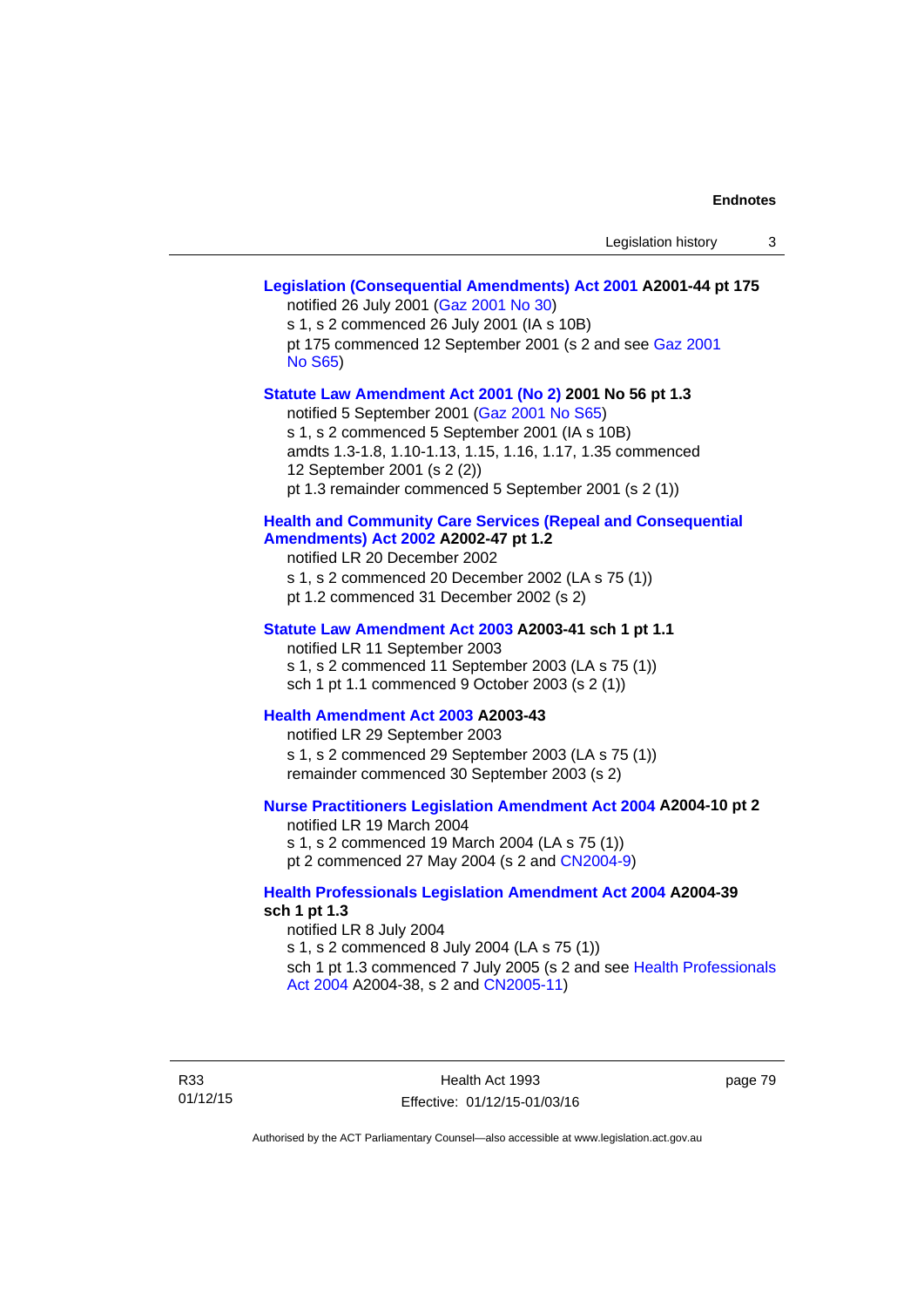## **[Legislation \(Consequential Amendments\) Act 2001](http://www.legislation.act.gov.au/a/2001-44) A2001-44 pt 175**  notified 26 July 2001 ([Gaz 2001 No 30\)](http://www.legislation.act.gov.au/gaz/2001-30/default.asp) s 1, s 2 commenced 26 July 2001 (IA s 10B) pt 175 commenced 12 September 2001 (s 2 and see [Gaz 2001](http://www.legislation.act.gov.au/gaz/2001-S65/default.asp)  [No S65](http://www.legislation.act.gov.au/gaz/2001-S65/default.asp)) **[Statute Law Amendment Act 2001 \(No 2\)](http://www.legislation.act.gov.au/a/2001-56) 2001 No 56 pt 1.3**  notified 5 September 2001 [\(Gaz 2001 No S65\)](http://www.legislation.act.gov.au/gaz/2001-S65/default.asp) s 1, s 2 commenced 5 September 2001 (IA s 10B) amdts 1.3-1.8, 1.10-1.13, 1.15, 1.16, 1.17, 1.35 commenced 12 September 2001 (s 2 (2)) pt 1.3 remainder commenced 5 September 2001 (s 2 (1)) **[Health and Community Care Services \(Repeal and Consequential](http://www.legislation.act.gov.au/a/2002-47)  [Amendments\) Act 2002](http://www.legislation.act.gov.au/a/2002-47) A2002-47 pt 1.2**  notified LR 20 December 2002 s 1, s 2 commenced 20 December 2002 (LA s 75 (1)) pt 1.2 commenced 31 December 2002 (s 2) **[Statute Law Amendment Act 2003](http://www.legislation.act.gov.au/a/2003-41) A2003-41 sch 1 pt 1.1**  notified LR 11 September 2003 s 1, s 2 commenced 11 September 2003 (LA s 75 (1)) sch 1 pt 1.1 commenced 9 October 2003 (s 2 (1)) **[Health Amendment Act 2003](http://www.legislation.act.gov.au/a/2003-43) A2003-43**  notified LR 29 September 2003 s 1, s 2 commenced 29 September 2003 (LA s 75 (1)) remainder commenced 30 September 2003 (s 2) **[Nurse Practitioners Legislation Amendment Act 2004](http://www.legislation.act.gov.au/a/2004-10) A2004-10 pt 2**  notified LR 19 March 2004 s 1, s 2 commenced 19 March 2004 (LA s 75 (1)) pt 2 commenced 27 May 2004 (s 2 and [CN2004-9\)](http://www.legislation.act.gov.au/cn/2004-9/default.asp) **[Health Professionals Legislation Amendment Act 2004](http://www.legislation.act.gov.au/a/2004-39) A2004-39 sch 1 pt 1.3**  notified LR 8 July 2004 s 1, s 2 commenced 8 July 2004 (LA s 75 (1)) sch 1 pt 1.3 commenced 7 July 2005 (s 2 and see [Health Professionals](http://www.legislation.act.gov.au/a/2004-38)  [Act 2004](http://www.legislation.act.gov.au/a/2004-38) A2004-38, s 2 and [CN2005-11\)](http://www.legislation.act.gov.au/cn/2005-11/default.asp)

R33 01/12/15

Health Act 1993 Effective: 01/12/15-01/03/16 page 79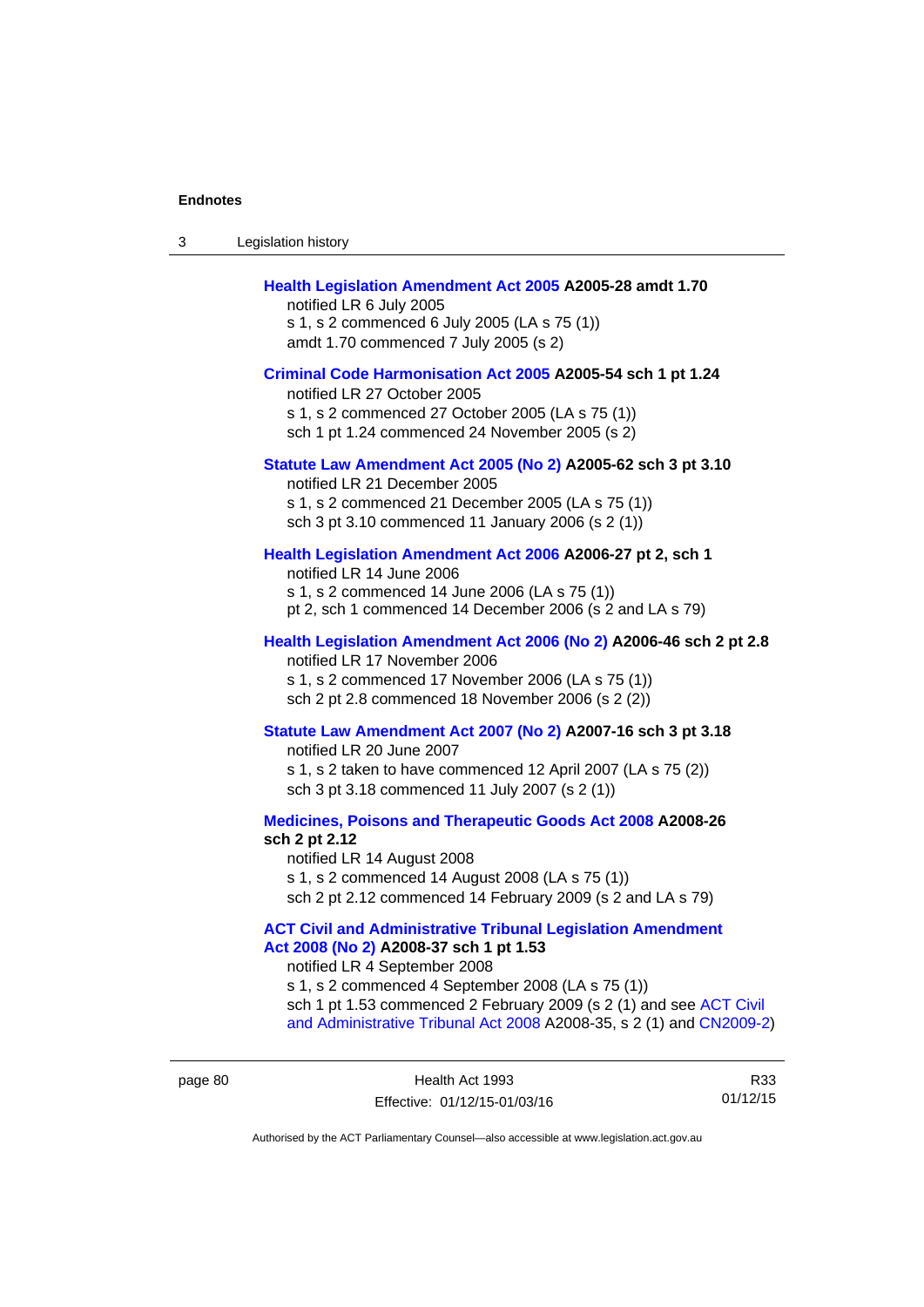| 3 | Legislation history                                                                                                                                                                                                                                                                                                                             |
|---|-------------------------------------------------------------------------------------------------------------------------------------------------------------------------------------------------------------------------------------------------------------------------------------------------------------------------------------------------|
|   | Health Legislation Amendment Act 2005 A2005-28 amdt 1.70<br>notified LR 6 July 2005<br>s 1, s 2 commenced 6 July 2005 (LA s 75 (1))<br>amdt 1.70 commenced 7 July 2005 (s 2)                                                                                                                                                                    |
|   | Criminal Code Harmonisation Act 2005 A2005-54 sch 1 pt 1.24<br>notified LR 27 October 2005<br>s 1, s 2 commenced 27 October 2005 (LA s 75 (1))<br>sch 1 pt 1.24 commenced 24 November 2005 (s 2)                                                                                                                                                |
|   | Statute Law Amendment Act 2005 (No 2) A2005-62 sch 3 pt 3.10<br>notified LR 21 December 2005<br>s 1, s 2 commenced 21 December 2005 (LA s 75 (1))<br>sch 3 pt 3.10 commenced 11 January 2006 (s 2 (1))                                                                                                                                          |
|   | Health Legislation Amendment Act 2006 A2006-27 pt 2, sch 1<br>notified LR 14 June 2006<br>s 1, s 2 commenced 14 June 2006 (LA s 75 (1))<br>pt 2, sch 1 commenced 14 December 2006 (s 2 and LA s 79)                                                                                                                                             |
|   | Health Legislation Amendment Act 2006 (No 2) A2006-46 sch 2 pt 2.8<br>notified LR 17 November 2006<br>s 1, s 2 commenced 17 November 2006 (LA s 75 (1))<br>sch 2 pt 2.8 commenced 18 November 2006 (s 2 (2))                                                                                                                                    |
|   | Statute Law Amendment Act 2007 (No 2) A2007-16 sch 3 pt 3.18<br>notified LR 20 June 2007<br>s 1, s 2 taken to have commenced 12 April 2007 (LA s 75 (2))<br>sch 3 pt 3.18 commenced 11 July 2007 (s 2 (1))                                                                                                                                      |
|   | Medicines, Poisons and Therapeutic Goods Act 2008 A2008-26<br>sch 2 pt 2.12<br>notified LR 14 August 2008<br>s 1, s 2 commenced 14 August 2008 (LA s 75 (1))<br>sch 2 pt 2.12 commenced 14 February 2009 (s 2 and LA s 79)                                                                                                                      |
|   | <b>ACT Civil and Administrative Tribunal Legislation Amendment</b><br>Act 2008 (No 2) A2008-37 sch 1 pt 1.53<br>notified LR 4 September 2008<br>s 1, s 2 commenced 4 September 2008 (LA s 75 (1))<br>sch 1 pt 1.53 commenced 2 February 2009 (s 2 (1) and see ACT Civil<br>and Administrative Tribunal Act 2008 A2008-35, s 2 (1) and CN2009-2) |

R33 01/12/15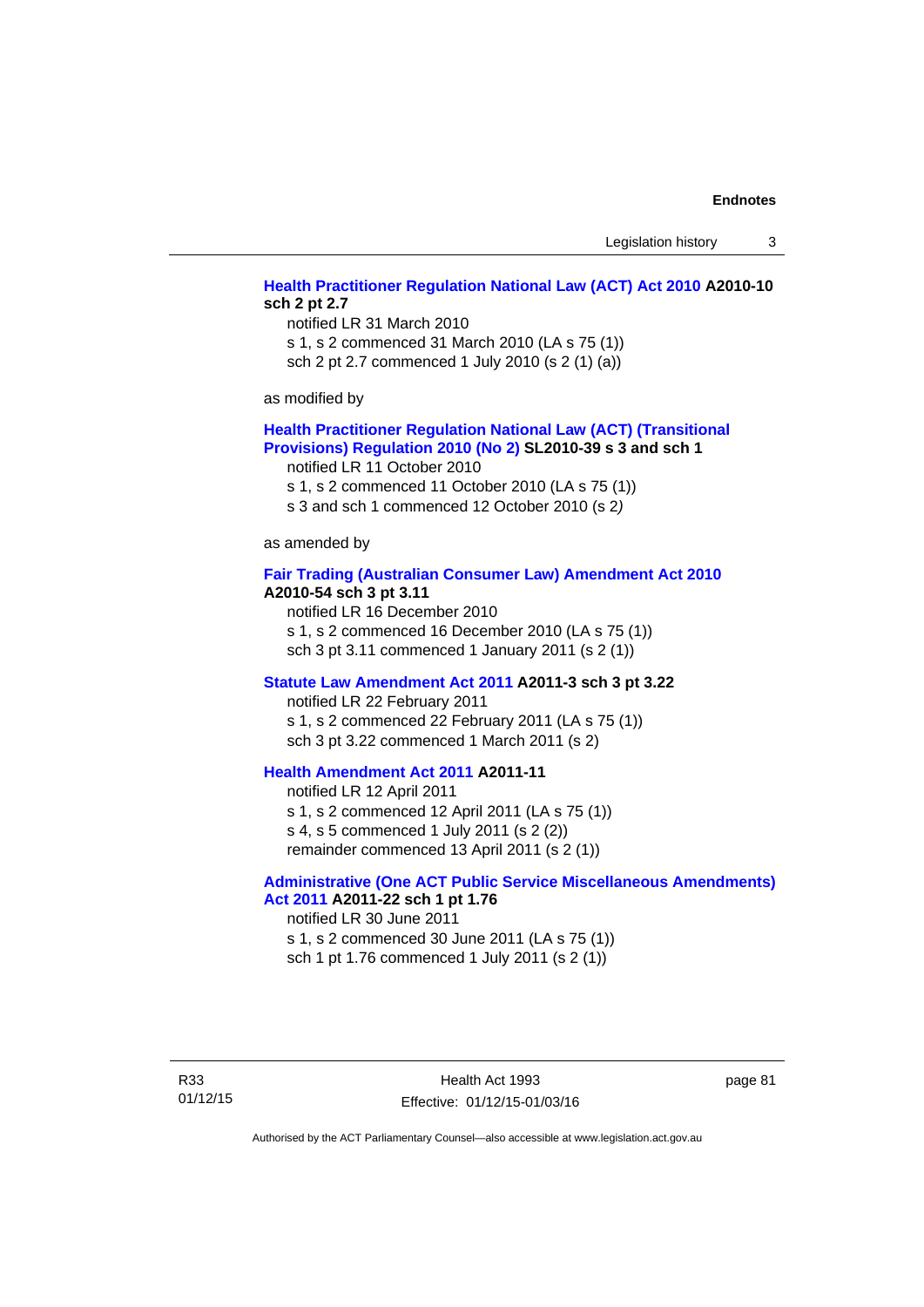Legislation history 3

## **[Health Practitioner Regulation National Law \(ACT\) Act 2010](http://www.legislation.act.gov.au/a/2010-10) A2010-10 sch 2 pt 2.7**

notified LR 31 March 2010 s 1, s 2 commenced 31 March 2010 (LA s 75 (1)) sch 2 pt 2.7 commenced 1 July 2010 (s 2 (1) (a))

as modified by

#### **[Health Practitioner Regulation National Law \(ACT\) \(Transitional](http://www.legislation.act.gov.au/sl/2010-39)  [Provisions\) Regulation 2010 \(No 2\)](http://www.legislation.act.gov.au/sl/2010-39) SL2010-39 s 3 and sch 1**

notified LR 11 October 2010

s 1, s 2 commenced 11 October 2010 (LA s 75 (1))

s 3 and sch 1 commenced 12 October 2010 (s 2*)*

as amended by

#### **[Fair Trading \(Australian Consumer Law\) Amendment Act 2010](http://www.legislation.act.gov.au/a/2010-54) A2010-54 sch 3 pt 3.11**

notified LR 16 December 2010 s 1, s 2 commenced 16 December 2010 (LA s 75 (1)) sch 3 pt 3.11 commenced 1 January 2011 (s 2 (1))

#### **[Statute Law Amendment Act 2011](http://www.legislation.act.gov.au/a/2011-3) A2011-3 sch 3 pt 3.22**

notified LR 22 February 2011 s 1, s 2 commenced 22 February 2011 (LA s 75 (1)) sch 3 pt 3.22 commenced 1 March 2011 (s 2)

## **[Health Amendment Act 2011](http://www.legislation.act.gov.au/a/2011-11) A2011-11**

notified LR 12 April 2011 s 1, s 2 commenced 12 April 2011 (LA s 75 (1)) s 4, s 5 commenced 1 July 2011 (s 2 (2)) remainder commenced 13 April 2011 (s 2 (1))

## **[Administrative \(One ACT Public Service Miscellaneous Amendments\)](http://www.legislation.act.gov.au/a/2011-22)**

**[Act 2011](http://www.legislation.act.gov.au/a/2011-22) A2011-22 sch 1 pt 1.76**  notified LR 30 June 2011

s 1, s 2 commenced 30 June 2011 (LA s 75 (1)) sch 1 pt 1.76 commenced 1 July 2011 (s 2 (1))

R33 01/12/15

Health Act 1993 Effective: 01/12/15-01/03/16 page 81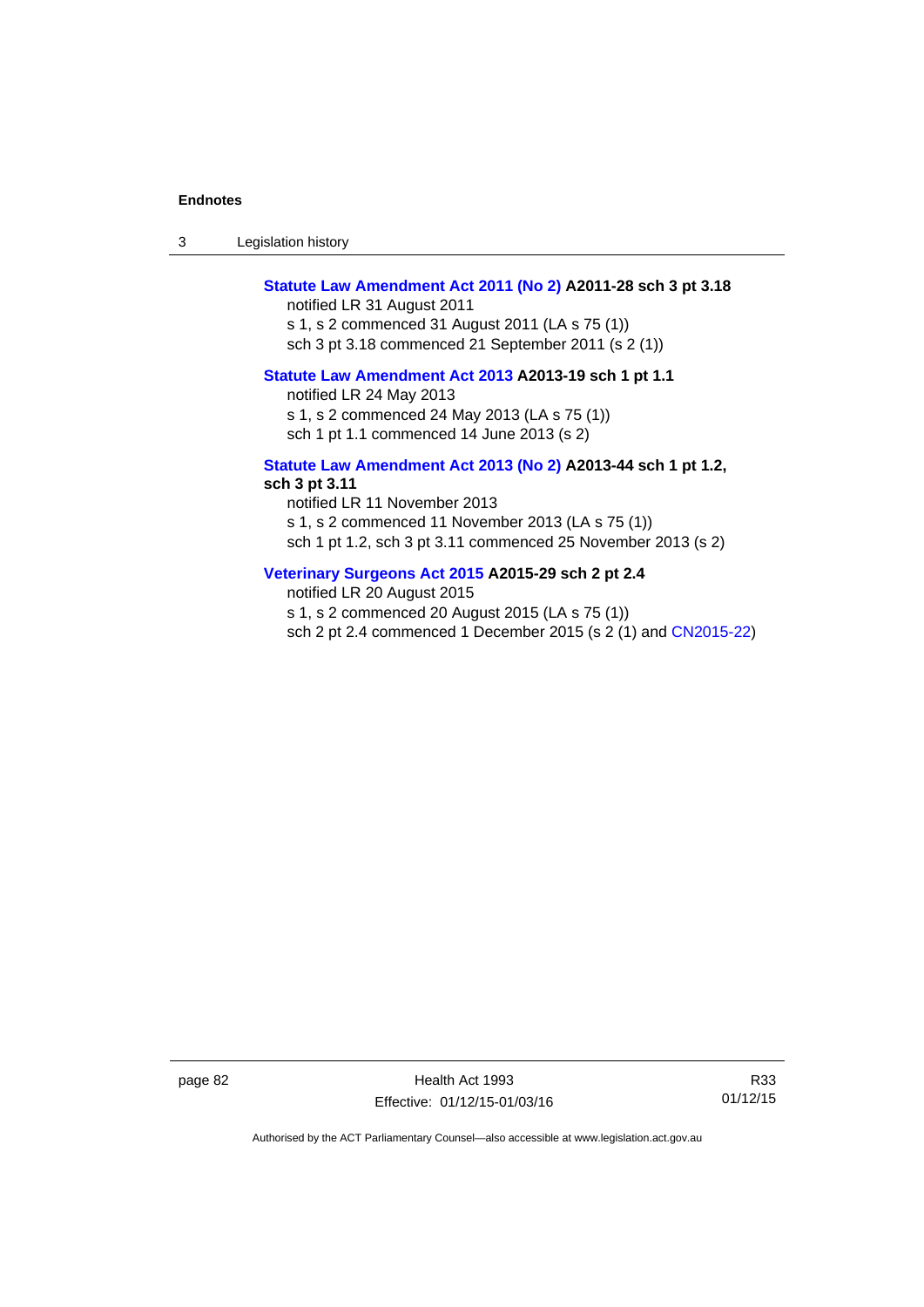| -3 | Legislation history |  |
|----|---------------------|--|
|----|---------------------|--|

## **[Statute Law Amendment Act 2011 \(No 2\)](http://www.legislation.act.gov.au/a/2011-28) A2011-28 sch 3 pt 3.18**

notified LR 31 August 2011 s 1, s 2 commenced 31 August 2011 (LA s 75 (1)) sch 3 pt 3.18 commenced 21 September 2011 (s 2 (1))

## **[Statute Law Amendment Act 2013](http://www.legislation.act.gov.au/a/2013-19) A2013-19 sch 1 pt 1.1**

notified LR 24 May 2013

s 1, s 2 commenced 24 May 2013 (LA s 75 (1))

sch 1 pt 1.1 commenced 14 June 2013 (s 2)

#### **[Statute Law Amendment Act 2013 \(No 2\)](http://www.legislation.act.gov.au/a/2013-44) A2013-44 sch 1 pt 1.2, sch 3 pt 3.11**

notified LR 11 November 2013 s 1, s 2 commenced 11 November 2013 (LA s 75 (1)) sch 1 pt 1.2, sch 3 pt 3.11 commenced 25 November 2013 (s 2)

## **[Veterinary Surgeons Act 2015](http://www.legislation.act.gov.au/a/2015-29/default.asp) A2015-29 sch 2 pt 2.4**

notified LR 20 August 2015 s 1, s 2 commenced 20 August 2015 (LA s 75 (1)) sch 2 pt 2.4 commenced 1 December 2015 (s 2 (1) and [CN2015-22](http://www.legislation.act.gov.au/cn/2015-22/default.asp))

page 82 Health Act 1993 Effective: 01/12/15-01/03/16

R33 01/12/15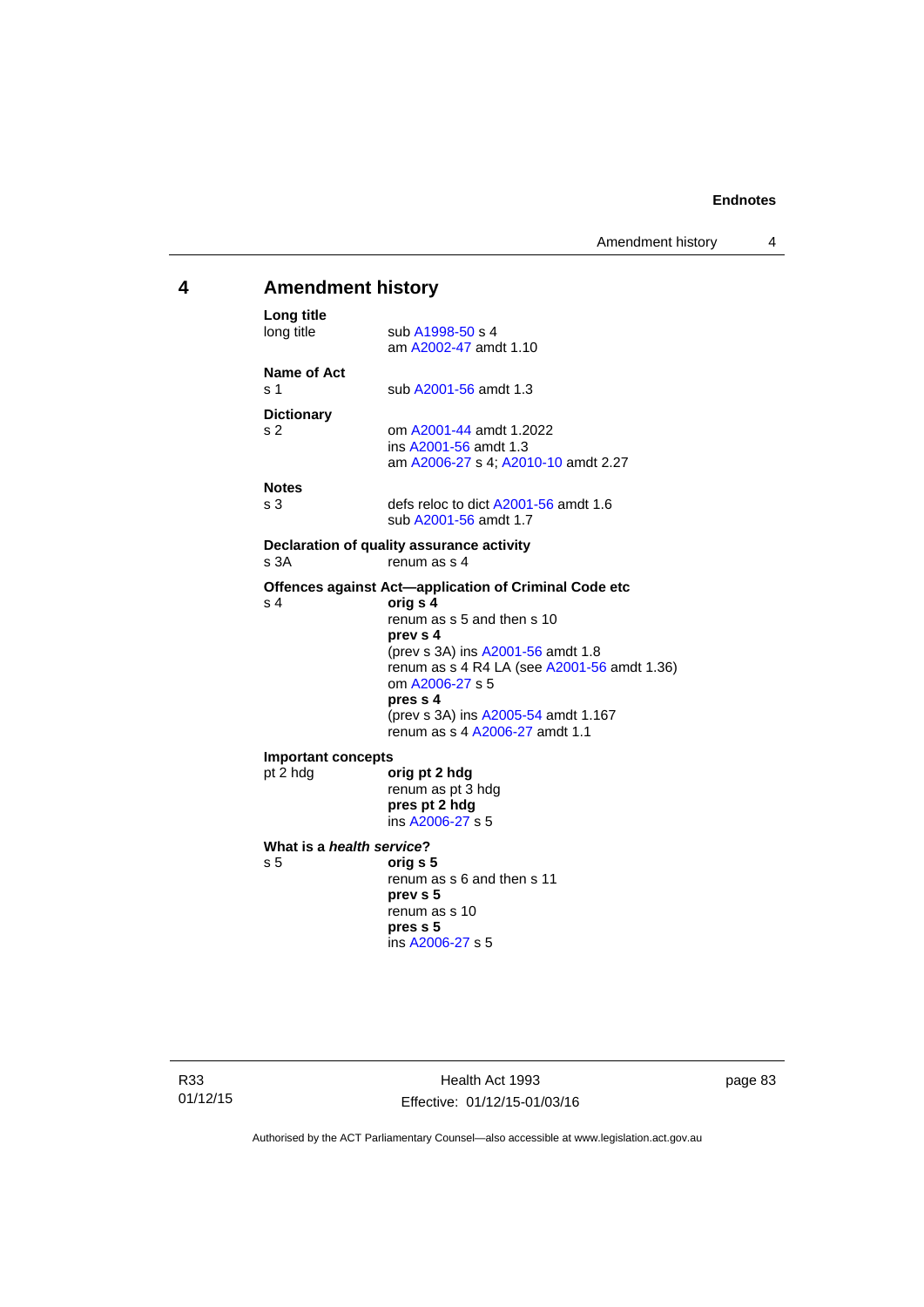## **4 Amendment history Long title**  sub [A1998-50](http://www.legislation.act.gov.au/a/1998-50) s 4 am [A2002-47](http://www.legislation.act.gov.au/a/2002-47) amdt 1.10 **Name of Act**  s 1 sub [A2001-56](http://www.legislation.act.gov.au/a/2001-56) amdt 1.3 **Dictionary**  s 2 om [A2001-44](http://www.legislation.act.gov.au/a/2001-44) amdt 1.2022 ins [A2001-56](http://www.legislation.act.gov.au/a/2001-56) amdt 1.3 am [A2006-27](http://www.legislation.act.gov.au/a/2006-27) s 4; [A2010-10](http://www.legislation.act.gov.au/a/2010-10) amdt 2.27 **Notes**  s 3 defs reloc to dict [A2001-56](http://www.legislation.act.gov.au/a/2001-56) amdt 1.6 sub [A2001-56](http://www.legislation.act.gov.au/a/2001-56) amdt 1.7 **Declaration of quality assurance activity**  s 3A renum as s 4 **Offences against Act—application of Criminal Code etc**  s 4 **orig s 4** renum as s 5 and then s 10 **prev s 4**  (prev s 3A) ins [A2001-56](http://www.legislation.act.gov.au/a/2001-56) amdt 1.8 renum as s 4 R4 LA (see [A2001-56](http://www.legislation.act.gov.au/a/2001-56) amdt 1.36) om [A2006-27](http://www.legislation.act.gov.au/a/2006-27) s 5 **pres s 4**  (prev s 3A) ins [A2005-54](http://www.legislation.act.gov.au/a/2005-54) amdt 1.167 renum as s 4 [A2006-27](http://www.legislation.act.gov.au/a/2006-27) amdt 1.1 **Important concepts**  pt 2 hdg **orig pt 2 hdg** renum as pt 3 hdg **pres pt 2 hdg**  ins [A2006-27](http://www.legislation.act.gov.au/a/2006-27) s 5 **What is a** *health service***?**  s 5 **orig s 5**  renum as s 6 and then s 11 **prev s 5**  renum as s 10 **pres s 5**  ins [A2006-27](http://www.legislation.act.gov.au/a/2006-27) s 5

R33 01/12/15

Health Act 1993 Effective: 01/12/15-01/03/16 page 83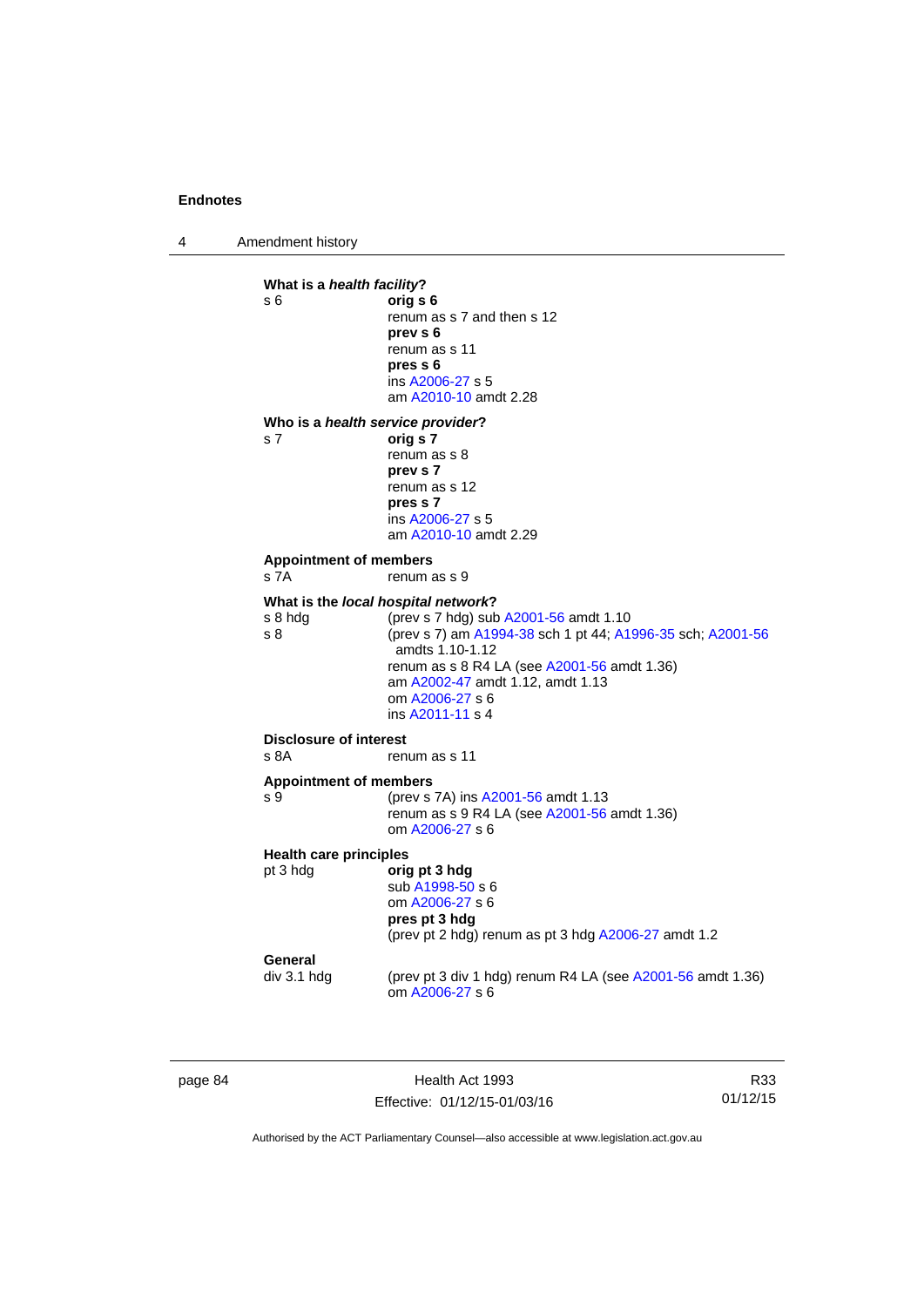4 Amendment history

```
What is a health facility? 
s 6 orig s 6 
                 renum as s 7 and then s 12 
                 prev s 6 
                 renum as s 11 
                  pres s 6 
                  ins A2006-27 s 5
                  am A2010-10 amdt 2.28
Who is a health service provider? 
s 7 orig s 7 
                 renum as s 8 
                 prev s 7 
                 renum as s 12 
                 pres s 7 
                  ins A2006-27 s 5
                  am A2010-10 amdt 2.29
Appointment of members 
s 7A renum as s 9
What is the local hospital network?
s 8 hdg (prev s 7 hdg) sub A2001-56 amdt 1.10 
s 8 (prev s 7) am A1994-38 sch 1 pt 44; A1996-35 sch; A2001-56
                  amdts 1.10-1.12 
                 renum as s 8 R4 LA (see A2001-56 amdt 1.36) 
                  am A2002-47 amdt 1.12, amdt 1.13 
                  om A2006-27 s 6 
                  ins A2011-11 s 4
Disclosure of interest 
s 8A renum as s 11
Appointment of members 
A2001-56 amdt 1.13
                 renum as s 9 R4 LA (see A2001-56 amdt 1.36) 
                  om A2006-27 s 6 
Health care principles
pt 3 hdg orig pt 3 hdg
                  sub A1998-50 s 6 
                  om A2006-27 s 6 
                 pres pt 3 hdg 
                 (prev pt 2 hdg) renum as pt 3 hdg A2006-27 amdt 1.2 
General<br>div 3.1 hdg
                 (prev pt 3 div 1 hdg) renum R4 LA (see A2001-56 amdt 1.36)
                  om A2006-27 s 6
```
page 84 Health Act 1993 Effective: 01/12/15-01/03/16

R33 01/12/15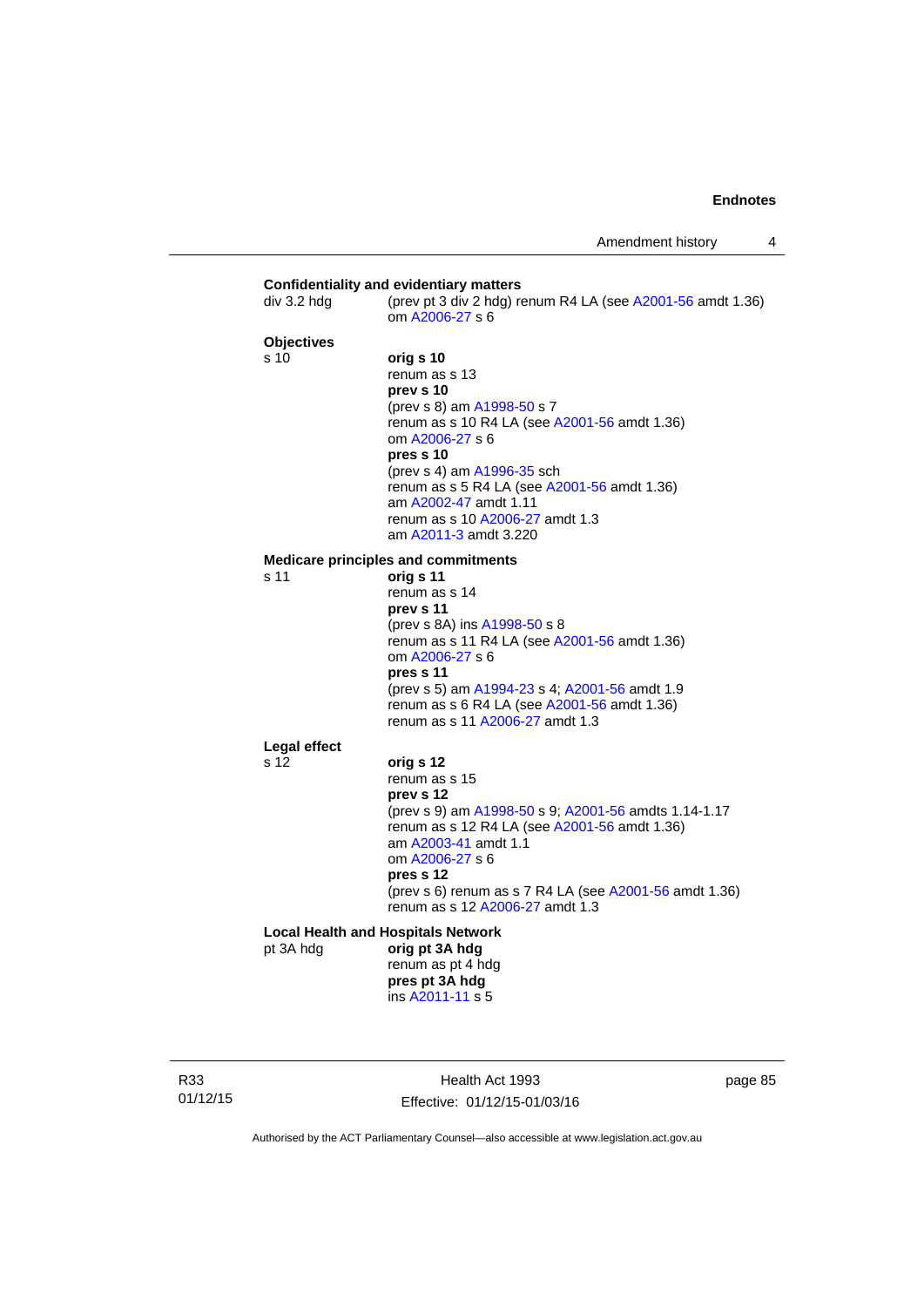| div 3.2 hdg       | (prev pt 3 div 2 hdg) renum R4 LA (see $A2001-56$ amdt 1.36)<br>om A2006-27 s 6                                                                                                                                                                                                                                         |
|-------------------|-------------------------------------------------------------------------------------------------------------------------------------------------------------------------------------------------------------------------------------------------------------------------------------------------------------------------|
| <b>Objectives</b> |                                                                                                                                                                                                                                                                                                                         |
| s 10              | orig s 10<br>renum as s 13<br>prev s 10<br>(prev s 8) am A1998-50 s 7<br>renum as s 10 R4 LA (see A2001-56 amdt 1.36)<br>om A2006-27 s 6<br>pres s 10<br>(prev s 4) am A1996-35 sch<br>renum as s 5 R4 LA (see A2001-56 amdt 1.36)<br>am A2002-47 amdt 1.11<br>renum as s 10 A2006-27 amdt 1.3<br>am A2011-3 amdt 3.220 |
|                   | <b>Medicare principles and commitments</b>                                                                                                                                                                                                                                                                              |
| s 11              | orig s 11<br>renum as s 14<br>prev s 11<br>(prev s 8A) ins A1998-50 s 8<br>renum as s 11 R4 LA (see A2001-56 amdt 1.36)<br>om A2006-27 s 6<br>pres s 11<br>(prev s 5) am A1994-23 s 4; A2001-56 amdt 1.9<br>renum as s 6 R4 LA (see A2001-56 amdt 1.36)<br>renum as s 11 A2006-27 amdt 1.3                              |
| Legal effect      |                                                                                                                                                                                                                                                                                                                         |
| s 12              | orig s 12<br>renum as s 15<br>prev s 12<br>(prev s 9) am A1998-50 s 9; A2001-56 amdts 1.14-1.17<br>renum as s 12 R4 LA (see A2001-56 amdt 1.36)<br>am A2003-41 amdt 1.1<br>om A2006-27 s 6<br>pres s 12<br>(prev s 6) renum as s 7 R4 LA (see A2001-56 amdt 1.36)<br>renum as s 12 A2006-27 amdt 1.3                    |
|                   | <b>Local Health and Hospitals Network</b>                                                                                                                                                                                                                                                                               |
| pt 3A hdg         | orig pt 3A hdg<br>renum as pt 4 hdg<br>pres pt 3A hdg<br>ins A2011-11 s 5                                                                                                                                                                                                                                               |

R33 01/12/15

Health Act 1993 Effective: 01/12/15-01/03/16 page 85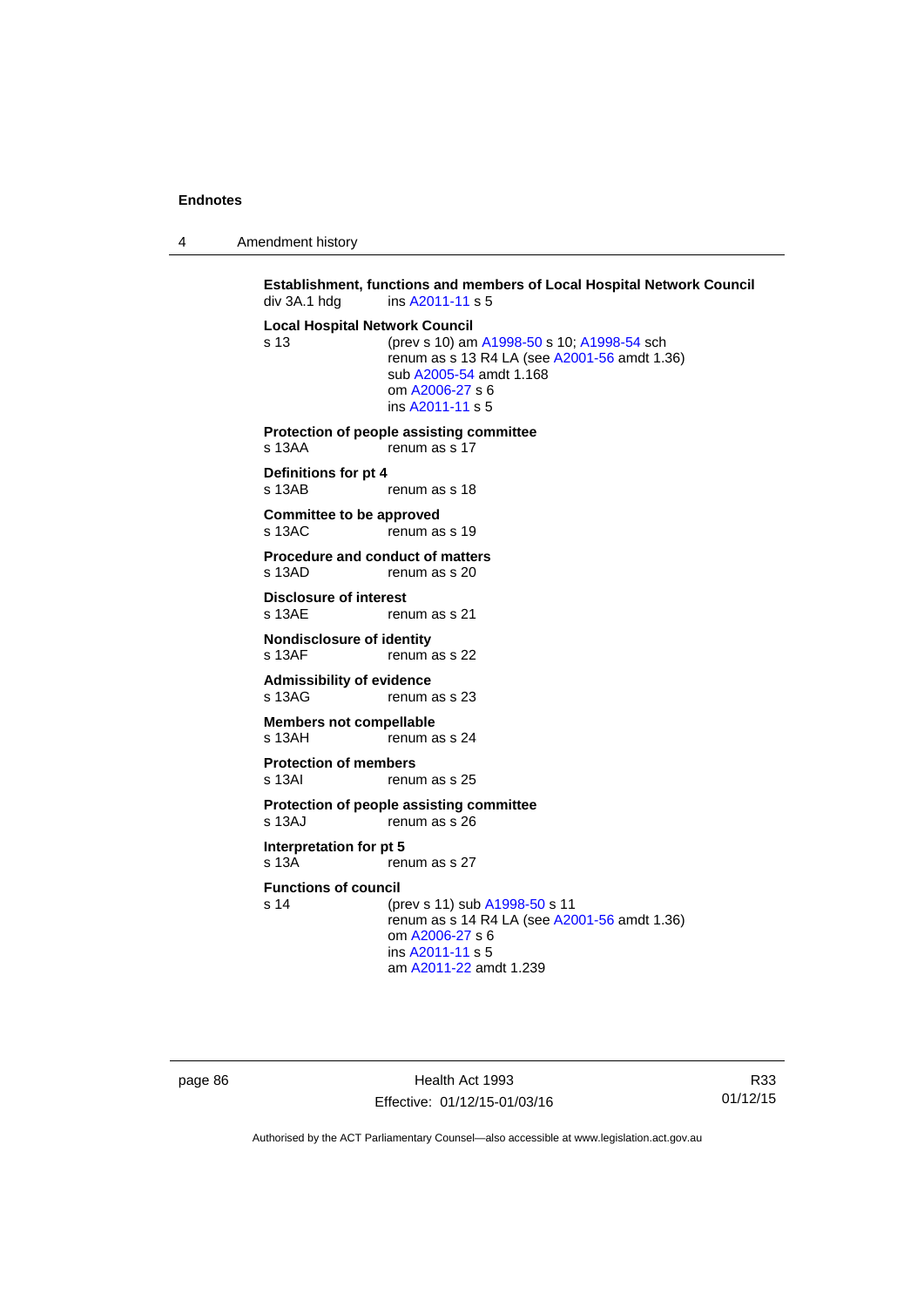4 Amendment history

**Establishment, functions and members of Local Hospital Network Council**  div 3A.1 hdg ins [A2011-11](http://www.legislation.act.gov.au/a/2011-11) s 5 **Local Hospital Network Council** s 13 (prev s 10) am [A1998-50](http://www.legislation.act.gov.au/a/1998-50) s 10; [A1998-54](http://www.legislation.act.gov.au/a/1998-54) sch renum as s 13 R4 LA (see [A2001-56](http://www.legislation.act.gov.au/a/2001-56) amdt 1.36) sub [A2005-54](http://www.legislation.act.gov.au/a/2005-54) amdt 1.168 om [A2006-27](http://www.legislation.act.gov.au/a/2006-27) s 6 ins [A2011-11](http://www.legislation.act.gov.au/a/2011-11) s 5 **Protection of people assisting committee**  s 13AA renum as s 17 **Definitions for pt 4**  renum as s 18 **Committee to be approved**  s 13AC renum as s 19 **Procedure and conduct of matters**<br>s 13AD **renum as s** 20 renum as s 20 **Disclosure of interest**  s 13AE renum as s 21 **Nondisclosure of identity**<br>s 13AF renum renum as s 22 **Admissibility of evidence**  s 13AG renum as s 23 **Members not compellable**  s 13AH renum as s 24 **Protection of members**  s 13AI renum as s 25 **Protection of people assisting committee**  s 13AJ renum as s 26 **Interpretation for pt 5**  s 13A renum as s 27 **Functions of council** s 14 (prev s 11) sub [A1998-50](http://www.legislation.act.gov.au/a/1998-50) s 11 renum as  $s$  14 R4 LA (see [A2001-56](http://www.legislation.act.gov.au/a/2001-56) amdt 1.36) om [A2006-27](http://www.legislation.act.gov.au/a/2006-27) s 6 ins [A2011-11](http://www.legislation.act.gov.au/a/2011-11) s 5 am [A2011-22](http://www.legislation.act.gov.au/a/2011-22) amdt 1.239

page 86 Health Act 1993 Effective: 01/12/15-01/03/16

R33 01/12/15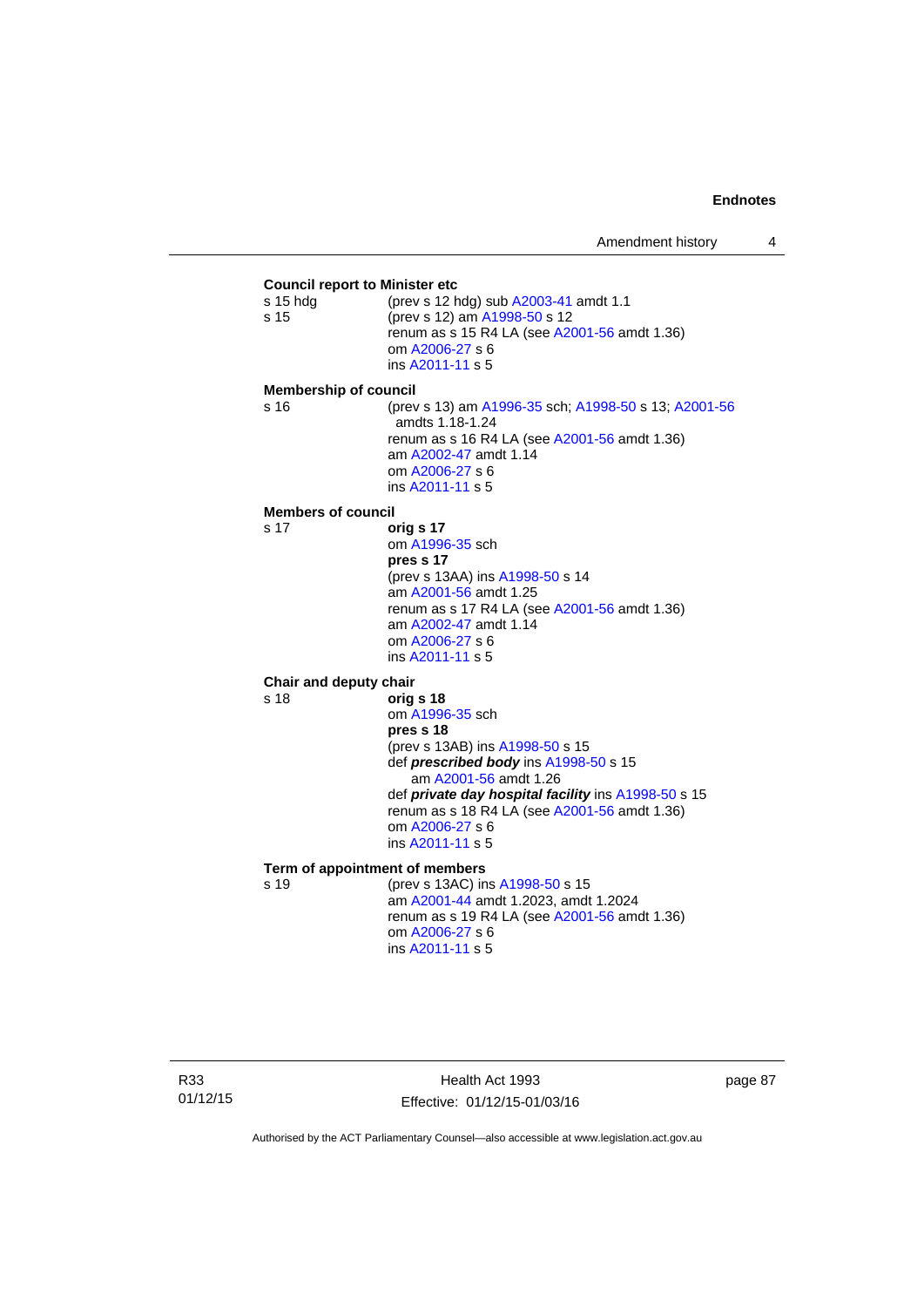### **Council report to Minister etc** s 15 hdg (prev s 12 hdg) sub [A2003-41](http://www.legislation.act.gov.au/a/2003-41) amdt 1.1 s 15 (prev s 12) am [A1998-50](http://www.legislation.act.gov.au/a/1998-50) s 12 renum as s 15 R4 LA (see [A2001-56](http://www.legislation.act.gov.au/a/2001-56) amdt 1.36) om [A2006-27](http://www.legislation.act.gov.au/a/2006-27) s 6 ins [A2011-11](http://www.legislation.act.gov.au/a/2011-11) s 5 **Membership of council** s 16 (prev s 13) am [A1996-35](http://www.legislation.act.gov.au/a/1996-35) sch; [A1998-50](http://www.legislation.act.gov.au/a/1998-50) s 13; [A2001-56](http://www.legislation.act.gov.au/a/2001-56) amdts 1.18-1.24 renum as s 16 R4 LA (see [A2001-56](http://www.legislation.act.gov.au/a/2001-56) amdt 1.36) am [A2002-47](http://www.legislation.act.gov.au/a/2002-47) amdt 1.14 om [A2006-27](http://www.legislation.act.gov.au/a/2006-27) s 6 ins [A2011-11](http://www.legislation.act.gov.au/a/2011-11) s 5 **Members of council** s 17 **orig s 17** om [A1996-35](http://www.legislation.act.gov.au/a/1996-35) sch **pres s 17**  (prev s 13AA) ins [A1998-50](http://www.legislation.act.gov.au/a/1998-50) s 14 am [A2001-56](http://www.legislation.act.gov.au/a/2001-56) amdt 1.25 renum as s 17 R4 LA (see [A2001-56](http://www.legislation.act.gov.au/a/2001-56) amdt 1.36) am [A2002-47](http://www.legislation.act.gov.au/a/2002-47) amdt 1.14 om [A2006-27](http://www.legislation.act.gov.au/a/2006-27) s 6 ins [A2011-11](http://www.legislation.act.gov.au/a/2011-11) s 5 **Chair and deputy chair** s 18 **orig s 18** om [A1996-35](http://www.legislation.act.gov.au/a/1996-35) sch **pres s 18**  (prev s 13AB) ins [A1998-50](http://www.legislation.act.gov.au/a/1998-50) s 15 def *prescribed body* ins [A1998-50](http://www.legislation.act.gov.au/a/1998-50) s 15 am [A2001-56](http://www.legislation.act.gov.au/a/2001-56) amdt 1.26 def *private day hospital facility* ins [A1998-50](http://www.legislation.act.gov.au/a/1998-50) s 15 renum as s 18 R4 LA (see [A2001-56](http://www.legislation.act.gov.au/a/2001-56) amdt 1.36) om [A2006-27](http://www.legislation.act.gov.au/a/2006-27) s 6 ins [A2011-11](http://www.legislation.act.gov.au/a/2011-11) s 5 **Term of appointment of members** s 19 (prev s 13AC) ins [A1998-50](http://www.legislation.act.gov.au/a/1998-50) s 15 am [A2001-44](http://www.legislation.act.gov.au/a/2001-44) amdt 1.2023, amdt 1.2024 renum as s 19 R4 LA (see [A2001-56](http://www.legislation.act.gov.au/a/2001-56) amdt 1.36) om [A2006-27](http://www.legislation.act.gov.au/a/2006-27) s 6 ins [A2011-11](http://www.legislation.act.gov.au/a/2011-11) s 5

Health Act 1993 Effective: 01/12/15-01/03/16 page 87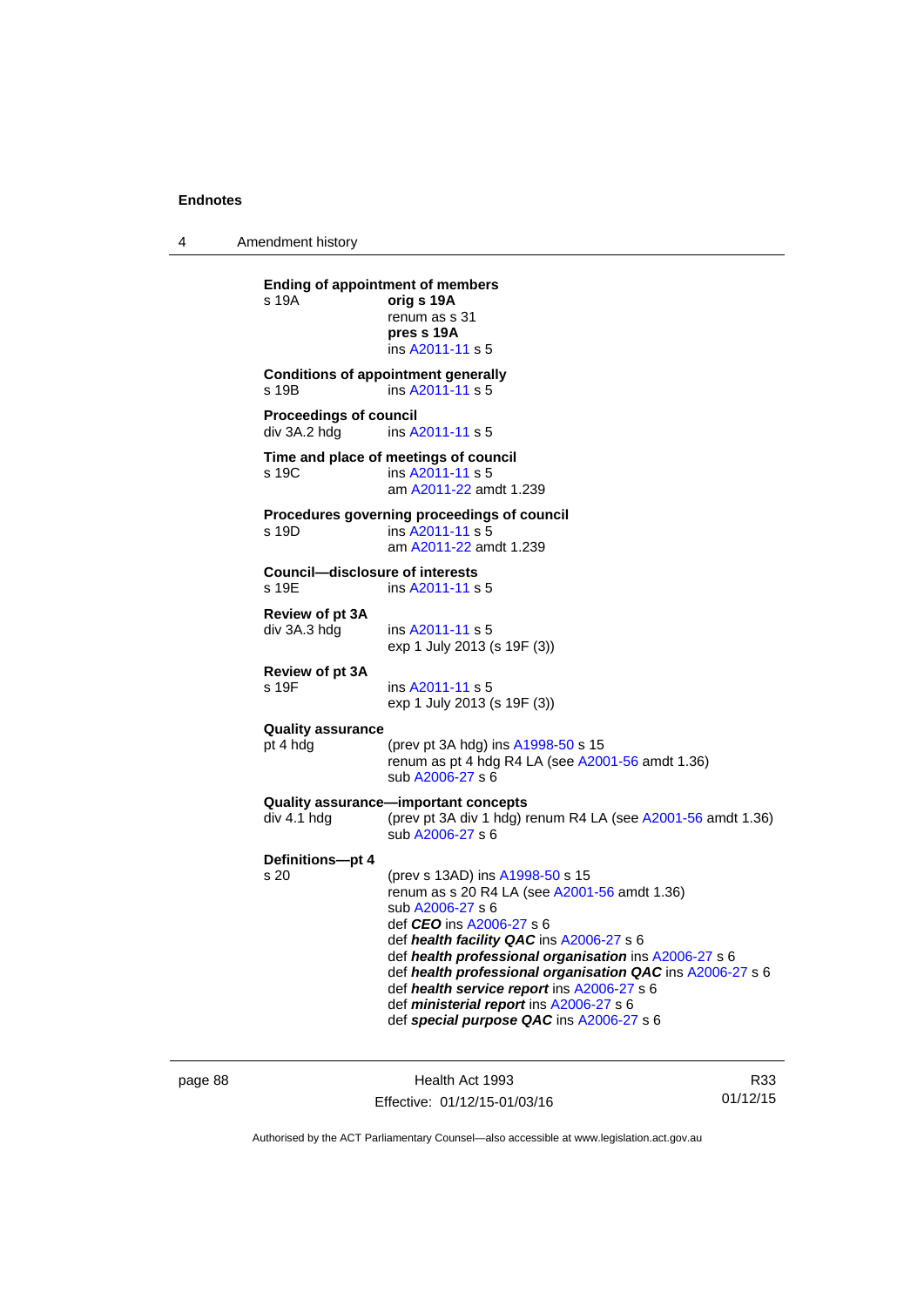4 Amendment history

**Ending of appointment of members**  s 19A **orig s 19A** renum as s 31 **pres s 19A**  ins [A2011-11](http://www.legislation.act.gov.au/a/2011-11) s 5 **Conditions of appointment generally**  s 19B ins [A2011-11](http://www.legislation.act.gov.au/a/2011-11) s 5 **Proceedings of council<br>div 3A.2 hdg ins A.** ins [A2011-11](http://www.legislation.act.gov.au/a/2011-11) s 5 **Time and place of meetings of council**  s 19C ins [A2011-11](http://www.legislation.act.gov.au/a/2011-11) s 5 am [A2011-22](http://www.legislation.act.gov.au/a/2011-22) amdt 1.239 **Procedures governing proceedings of council**  s 19D ins [A2011-11](http://www.legislation.act.gov.au/a/2011-11) s 5 am [A2011-22](http://www.legislation.act.gov.au/a/2011-22) amdt 1.239 **Council—disclosure of interests**  ins [A2011-11](http://www.legislation.act.gov.au/a/2011-11) s 5 **Review of pt 3A**  div 3A.3 hdg ins [A2011-11](http://www.legislation.act.gov.au/a/2011-11) s 5 exp 1 July 2013 (s 19F (3)) **Review of pt 3A**  s 19F ins [A2011-11](http://www.legislation.act.gov.au/a/2011-11) s 5 exp 1 July 2013 (s 19F (3)) **Quality assurance** pt 4 hdg (prev pt 3A hdg) ins [A1998-50](http://www.legislation.act.gov.au/a/1998-50) s 15 renum as pt 4 hdg R4 LA (see [A2001-56](http://www.legislation.act.gov.au/a/2001-56) amdt 1.36) sub [A2006-27](http://www.legislation.act.gov.au/a/2006-27) s 6 **Quality assurance—important concepts**  div 4.1 hdg (prev pt 3A div 1 hdg) renum R4 LA (see [A2001-56](http://www.legislation.act.gov.au/a/2001-56) amdt 1.36) sub [A2006-27](http://www.legislation.act.gov.au/a/2006-27) s 6 **Definitions—pt 4** (prev s 13AD) ins [A1998-50](http://www.legislation.act.gov.au/a/1998-50) s 15 renum as s 20 R4 LA (see [A2001-56](http://www.legislation.act.gov.au/a/2001-56) amdt 1.36) sub [A2006-27](http://www.legislation.act.gov.au/a/2006-27) s 6 def *CEO* ins [A2006-27](http://www.legislation.act.gov.au/a/2006-27) s 6 def *health facility QAC* ins [A2006-27](http://www.legislation.act.gov.au/a/2006-27) s 6 def *health professional organisation* ins [A2006-27](http://www.legislation.act.gov.au/a/2006-27) s 6 def *health professional organisation QAC* ins [A2006-27](http://www.legislation.act.gov.au/a/2006-27) s 6 def *health service report* ins [A2006-27](http://www.legislation.act.gov.au/a/2006-27) s 6 def *ministerial report* ins [A2006-27](http://www.legislation.act.gov.au/a/2006-27) s 6 def *special purpose QAC* ins [A2006-27](http://www.legislation.act.gov.au/a/2006-27) s 6

page 88 Health Act 1993 Effective: 01/12/15-01/03/16

R33 01/12/15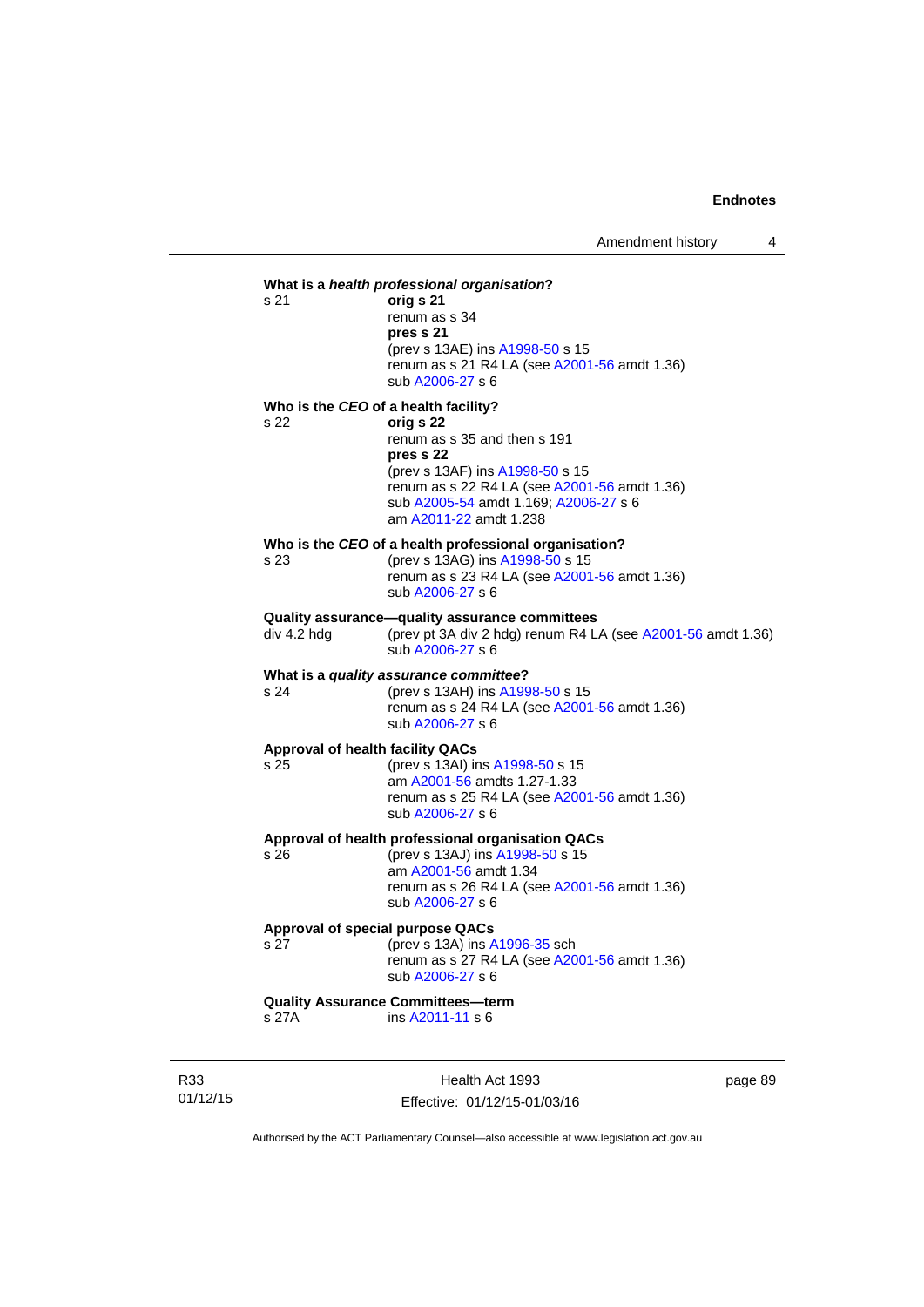## **What is a** *health professional organisation***?** s 21 **orig s 21**  renum as s 34 **pres s 21**  (prev s 13AE) ins [A1998-50](http://www.legislation.act.gov.au/a/1998-50) s 15 renum as s 21 R4 LA (see [A2001-56](http://www.legislation.act.gov.au/a/2001-56) amdt 1.36) sub [A2006-27](http://www.legislation.act.gov.au/a/2006-27) s 6 **Who is the** *CEO* **of a health facility?** s 22 **orig s 22**  renum as s 35 and then s 191 **pres s 22**  (prev s 13AF) ins [A1998-50](http://www.legislation.act.gov.au/a/1998-50) s 15 renum as s 22 R4 LA (see [A2001-56](http://www.legislation.act.gov.au/a/2001-56) amdt 1.36) sub [A2005-54](http://www.legislation.act.gov.au/a/2005-54) amdt 1.169; [A2006-27](http://www.legislation.act.gov.au/a/2006-27) s 6 am [A2011-22](http://www.legislation.act.gov.au/a/2011-22) amdt 1.238 **Who is the** *CEO* **of a health professional organisation?** s 23 (prev s 13AG) ins [A1998-50](http://www.legislation.act.gov.au/a/1998-50) s 15 renum as s 23 R4 LA (see [A2001-56](http://www.legislation.act.gov.au/a/2001-56) amdt 1.36) sub [A2006-27](http://www.legislation.act.gov.au/a/2006-27) s 6 **Quality assurance—quality assurance committees**  div 4.2 hdg (prev pt 3A div 2 hdg) renum R4 LA (see [A2001-56](http://www.legislation.act.gov.au/a/2001-56) amdt 1.36) sub [A2006-27](http://www.legislation.act.gov.au/a/2006-27) s 6 **What is a** *quality assurance committee***?** s 24 (prev s 13AH) ins [A1998-50](http://www.legislation.act.gov.au/a/1998-50) s 15 renum as s  $24$  R4 LA (see [A2001-56](http://www.legislation.act.gov.au/a/2001-56) amdt 1.36) sub [A2006-27](http://www.legislation.act.gov.au/a/2006-27) s 6 **Approval of health facility QACs** s 25 (prev s 13AI) ins [A1998-50](http://www.legislation.act.gov.au/a/1998-50) s 15 am [A2001-56](http://www.legislation.act.gov.au/a/2001-56) amdts 1.27-1.33 renum as s 25 R4 LA (see [A2001-56](http://www.legislation.act.gov.au/a/2001-56) amdt 1.36) sub [A2006-27](http://www.legislation.act.gov.au/a/2006-27) s 6 **Approval of health professional organisation QACs** s 26 (prev s 13AJ) ins [A1998-50](http://www.legislation.act.gov.au/a/1998-50) s 15 am [A2001-56](http://www.legislation.act.gov.au/a/2001-56) amdt 1.34 renum as s 26 R4 LA (see [A2001-56](http://www.legislation.act.gov.au/a/2001-56) amdt 1.36) sub [A2006-27](http://www.legislation.act.gov.au/a/2006-27) s 6 **Approval of special purpose QACs** s 27 (prev s 13A) ins [A1996-35](http://www.legislation.act.gov.au/a/1996-35) sch renum as s 27 R4 LA (see [A2001-56](http://www.legislation.act.gov.au/a/2001-56) amdt 1.36) sub [A2006-27](http://www.legislation.act.gov.au/a/2006-27) s 6 **Quality Assurance Committees—term**  s 27A ins [A2011-11](http://www.legislation.act.gov.au/a/2011-11) s 6

R33 01/12/15

Health Act 1993 Effective: 01/12/15-01/03/16 page 89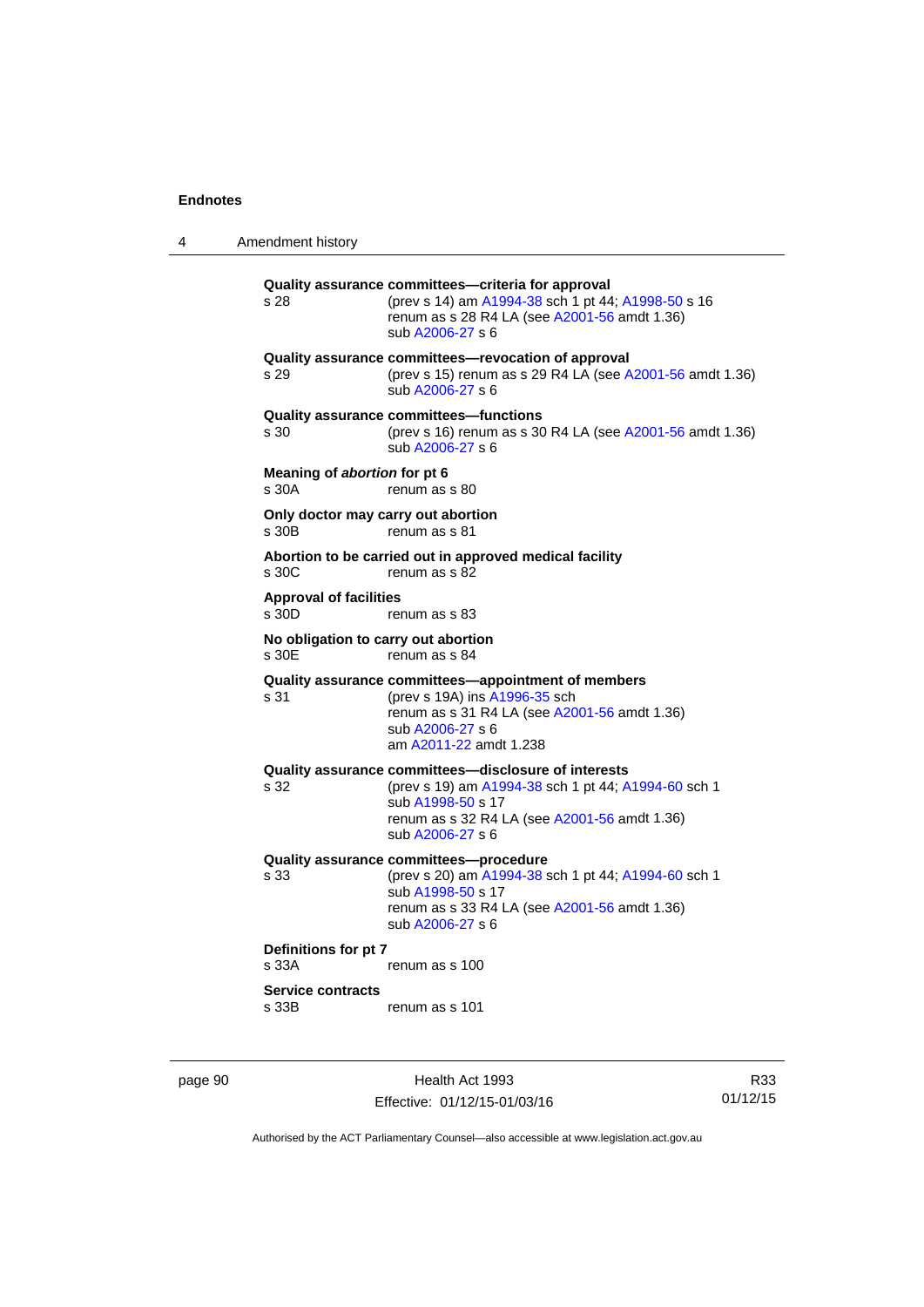4 Amendment history

**Quality assurance committees—criteria for approval** s 28 (prev s 14) am [A1994-38](http://www.legislation.act.gov.au/a/1994-38) sch 1 pt 44; [A1998-50](http://www.legislation.act.gov.au/a/1998-50) s 16 renum as s 28 R4 LA (see [A2001-56](http://www.legislation.act.gov.au/a/2001-56) amdt 1.36) sub [A2006-27](http://www.legislation.act.gov.au/a/2006-27) s 6 **Quality assurance committees—revocation of approval**  s 29 (prev s 15) renum as s 29 R4 LA (see [A2001-56](http://www.legislation.act.gov.au/a/2001-56) amdt 1.36) sub [A2006-27](http://www.legislation.act.gov.au/a/2006-27) s 6 **Quality assurance committees—functions**  s 30 (prev s 16) renum as s 30 R4 LA (see [A2001-56](http://www.legislation.act.gov.au/a/2001-56) amdt 1.36) sub [A2006-27](http://www.legislation.act.gov.au/a/2006-27) s 6 **Meaning of** *abortion* **for pt 6**  s 30A renum as s 80 **Only doctor may carry out abortion**  s 30B renum as s 81 **Abortion to be carried out in approved medical facility**  renum as s 82 **Approval of facilities**  s 30D renum as s 83 **No obligation to carry out abortion**  renum as s 84 **Quality assurance committees—appointment of members** s 31 (prev s 19A) ins [A1996-35](http://www.legislation.act.gov.au/a/1996-35) sch renum as s 31 R4 LA (see [A2001-56](http://www.legislation.act.gov.au/a/2001-56) amdt 1.36) sub [A2006-27](http://www.legislation.act.gov.au/a/2006-27) s 6 am [A2011-22](http://www.legislation.act.gov.au/a/2011-22) amdt 1.238 **Quality assurance committees—disclosure of interests** s 32 (prev s 19) am [A1994-38](http://www.legislation.act.gov.au/a/1994-38) sch 1 pt 44; [A1994-60](http://www.legislation.act.gov.au/a/1994-60) sch 1 sub [A1998-50](http://www.legislation.act.gov.au/a/1998-50) s 17 renum as s 32 R4 LA (see [A2001-56](http://www.legislation.act.gov.au/a/2001-56) amdt 1.36) sub [A2006-27](http://www.legislation.act.gov.au/a/2006-27) s 6 **Quality assurance committees—procedure** (prev s 20) am [A1994-38](http://www.legislation.act.gov.au/a/1994-38) sch 1 pt 44; [A1994-60](http://www.legislation.act.gov.au/a/1994-60) sch 1 sub [A1998-50](http://www.legislation.act.gov.au/a/1998-50) s 17 renum as s 33 R4 LA (see [A2001-56](http://www.legislation.act.gov.au/a/2001-56) amdt 1.36) sub [A2006-27](http://www.legislation.act.gov.au/a/2006-27) s 6 **Definitions for pt 7**  s 33A renum as s 100 **Service contracts**  s 33B renum as s 101

page 90 Health Act 1993 Effective: 01/12/15-01/03/16

R33 01/12/15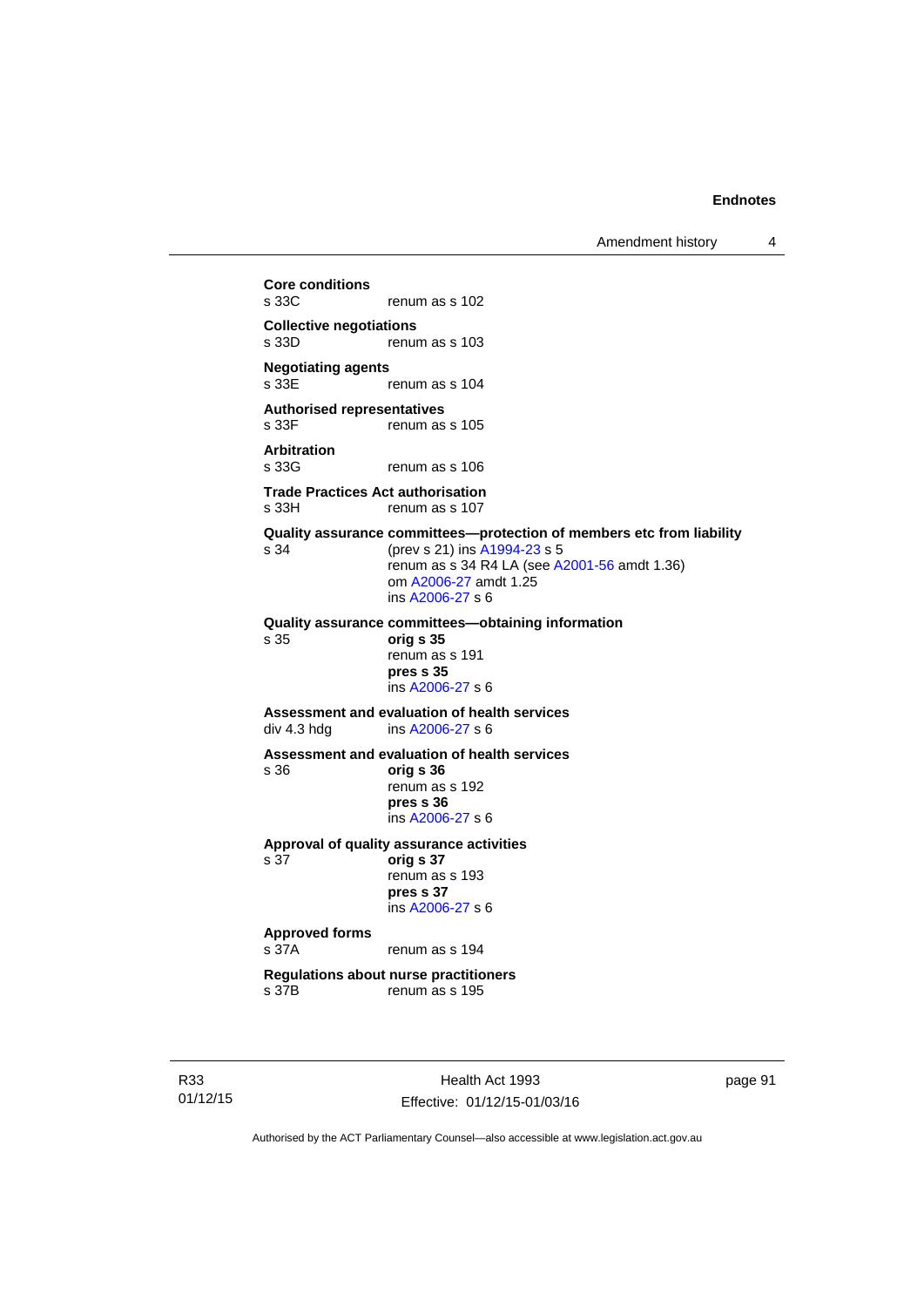Amendment history 4

**Core conditions**  renum as s 102 **Collective negotiations**  renum as s 103 **Negotiating agents**  renum as s 104 **Authorised representatives**  s 33F renum as s 105 **Arbitration**  renum as s 106 **Trade Practices Act authorisation**  s 33H renum as s 107 **Quality assurance committees—protection of members etc from liability** s 34 (prev s 21) ins [A1994-23](http://www.legislation.act.gov.au/a/1994-23) s 5 renum as s 34 R4 LA (see [A2001-56](http://www.legislation.act.gov.au/a/2001-56) amdt 1.36) om [A2006-27](http://www.legislation.act.gov.au/a/2006-27) amdt 1.25 ins [A2006-27](http://www.legislation.act.gov.au/a/2006-27) s 6 **Quality assurance committees—obtaining information** s 35 **orig s 35**  renum as s 191 **pres s 35**  ins [A2006-27](http://www.legislation.act.gov.au/a/2006-27) s 6 **Assessment and evaluation of health services**  div 4.3 hdg ins [A2006-27](http://www.legislation.act.gov.au/a/2006-27) s 6 **Assessment and evaluation of health services**  s 36 **orig s 36**  renum as s 192 **pres s 36**  ins [A2006-27](http://www.legislation.act.gov.au/a/2006-27) s 6 **Approval of quality assurance activities**  s 37 **orig s 37**  renum as s 193 **pres s 37**  ins [A2006-27](http://www.legislation.act.gov.au/a/2006-27) s 6 **Approved forms**  s 37A renum as s 194 **Regulations about nurse practitioners**  s 37B renum as s 195

R33 01/12/15

Health Act 1993 Effective: 01/12/15-01/03/16 page 91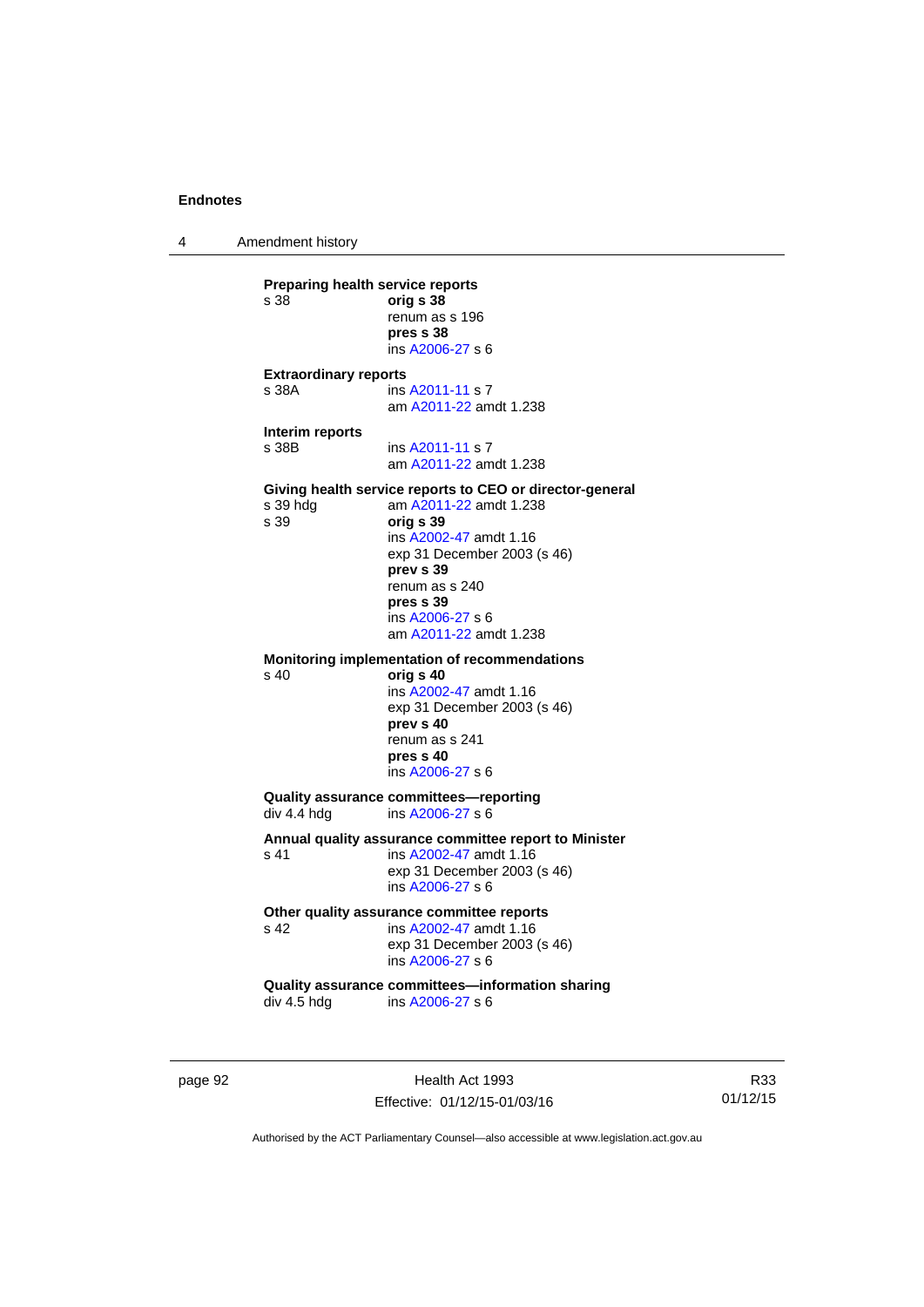4 Amendment history

page 92 Health Act 1993 **Preparing health service reports**<br>
s 38 orig **s 38** s 38 **orig s 38** renum as s 196 **pres s 38**  ins [A2006-27](http://www.legislation.act.gov.au/a/2006-27) s 6 **Extraordinary reports**  s 38A **ins [A2011-11](http://www.legislation.act.gov.au/a/2011-11) s 7**  am [A2011-22](http://www.legislation.act.gov.au/a/2011-22) amdt 1.238 **Interim reports**  s 38B ins [A2011-11](http://www.legislation.act.gov.au/a/2011-11) s 7 am [A2011-22](http://www.legislation.act.gov.au/a/2011-22) amdt 1.238 **Giving health service reports to CEO or director-general**<br>s 39 hdg am A2011-22 amdt 1.238 am [A2011-22](http://www.legislation.act.gov.au/a/2011-22) amdt 1.238 s 39 **orig s 39**  ins [A2002-47](http://www.legislation.act.gov.au/a/2002-47) amdt 1.16 exp 31 December 2003 (s 46) **prev s 39**  renum as s 240 **pres s 39**  ins [A2006-27](http://www.legislation.act.gov.au/a/2006-27) s 6 am [A2011-22](http://www.legislation.act.gov.au/a/2011-22) amdt 1.238 **Monitoring implementation of recommendations**  s 40 **orig s 40**  ins [A2002-47](http://www.legislation.act.gov.au/a/2002-47) amdt 1.16 exp 31 December 2003 (s 46) **prev s 40**  renum as s 241 **pres s 40**  ins [A2006-27](http://www.legislation.act.gov.au/a/2006-27) s 6 **Quality assurance committees—reporting**  div 4.4 hdg ins [A2006-27](http://www.legislation.act.gov.au/a/2006-27) s 6 **Annual quality assurance committee report to Minister**  s 41 ins [A2002-47](http://www.legislation.act.gov.au/a/2002-47) amdt 1.16 exp 31 December 2003 (s 46) ins [A2006-27](http://www.legislation.act.gov.au/a/2006-27) s 6 Other quality assurance committee reports<br>
s 42 **ins A2002-47** amdt 1.16 s 42 ins [A2002-47](http://www.legislation.act.gov.au/a/2002-47) amdt 1.16 exp 31 December 2003 (s 46) ins [A2006-27](http://www.legislation.act.gov.au/a/2006-27) s 6 **Quality assurance committees—information sharing**  div 4.5 hdg ins [A2006-27](http://www.legislation.act.gov.au/a/2006-27) s 6

R33 01/12/15

Authorised by the ACT Parliamentary Counsel—also accessible at www.legislation.act.gov.au

Effective: 01/12/15-01/03/16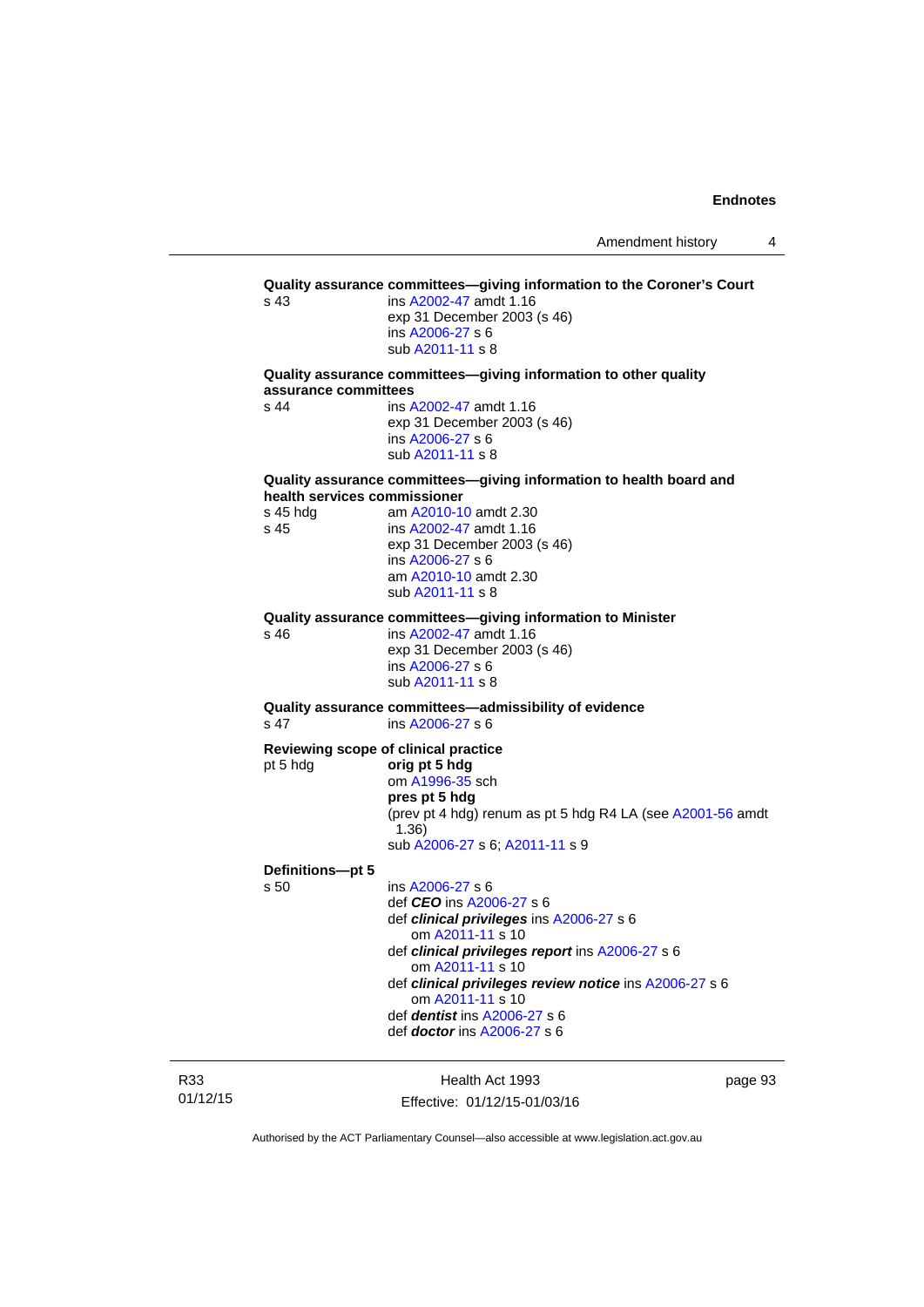|                              | ins A2002-47 amdt 1.16                                                     |
|------------------------------|----------------------------------------------------------------------------|
|                              | exp 31 December 2003 (s 46)                                                |
|                              | ins A2006-27 s 6<br>sub A2011-11 s 8                                       |
|                              | Quality assurance committees-giving information to other quality           |
| assurance committees         |                                                                            |
| s 44                         | ins A2002-47 amdt 1.16                                                     |
|                              | exp 31 December 2003 (s 46)<br>ins A2006-27 s 6                            |
|                              | sub A2011-11 s 8                                                           |
|                              | Quality assurance committees-giving information to health board and        |
| health services commissioner |                                                                            |
| $s$ 45 hdg                   | am A2010-10 amdt 2.30                                                      |
| s 45                         | ins A2002-47 amdt 1.16<br>exp 31 December 2003 (s 46)                      |
|                              | ins A2006-27 s 6                                                           |
|                              | am A2010-10 amdt 2.30                                                      |
|                              | sub A2011-11 s 8                                                           |
|                              | Quality assurance committees-giving information to Minister                |
| s 46                         | ins A2002-47 amdt 1.16                                                     |
|                              | exp 31 December 2003 (s 46)                                                |
|                              | ins A2006-27 s 6<br>sub A2011-11 s 8                                       |
|                              |                                                                            |
| s 47                         | Quality assurance committees-admissibility of evidence<br>ins A2006-27 s 6 |
|                              | Reviewing scope of clinical practice                                       |
| pt 5 hdg                     | orig pt 5 hdg                                                              |
|                              | om A1996-35 sch                                                            |
|                              | pres pt 5 hdg                                                              |
|                              | (prev pt 4 hdg) renum as pt 5 hdg R4 LA (see A2001-56 amdt<br>(1.36)       |
|                              | sub A2006-27 s 6; A2011-11 s 9                                             |
| Definitions-pt 5             |                                                                            |
| s 50                         | ins A2006-27 s 6                                                           |
|                              | def CEO ins A2006-27 s 6                                                   |
|                              | def clinical privileges ins A2006-27 s 6<br>om A2011-11 s 10               |
|                              | def clinical privileges report ins A2006-27 s 6                            |
|                              | om A2011-11 s 10                                                           |
|                              | def clinical privileges review notice ins A2006-27 s 6                     |
|                              | om A2011-11 s 10                                                           |
|                              | def <i>dentist</i> ins $A2006-27$ s 6                                      |

01/12/15

R33

Health Act 1993 Effective: 01/12/15-01/03/16 page 93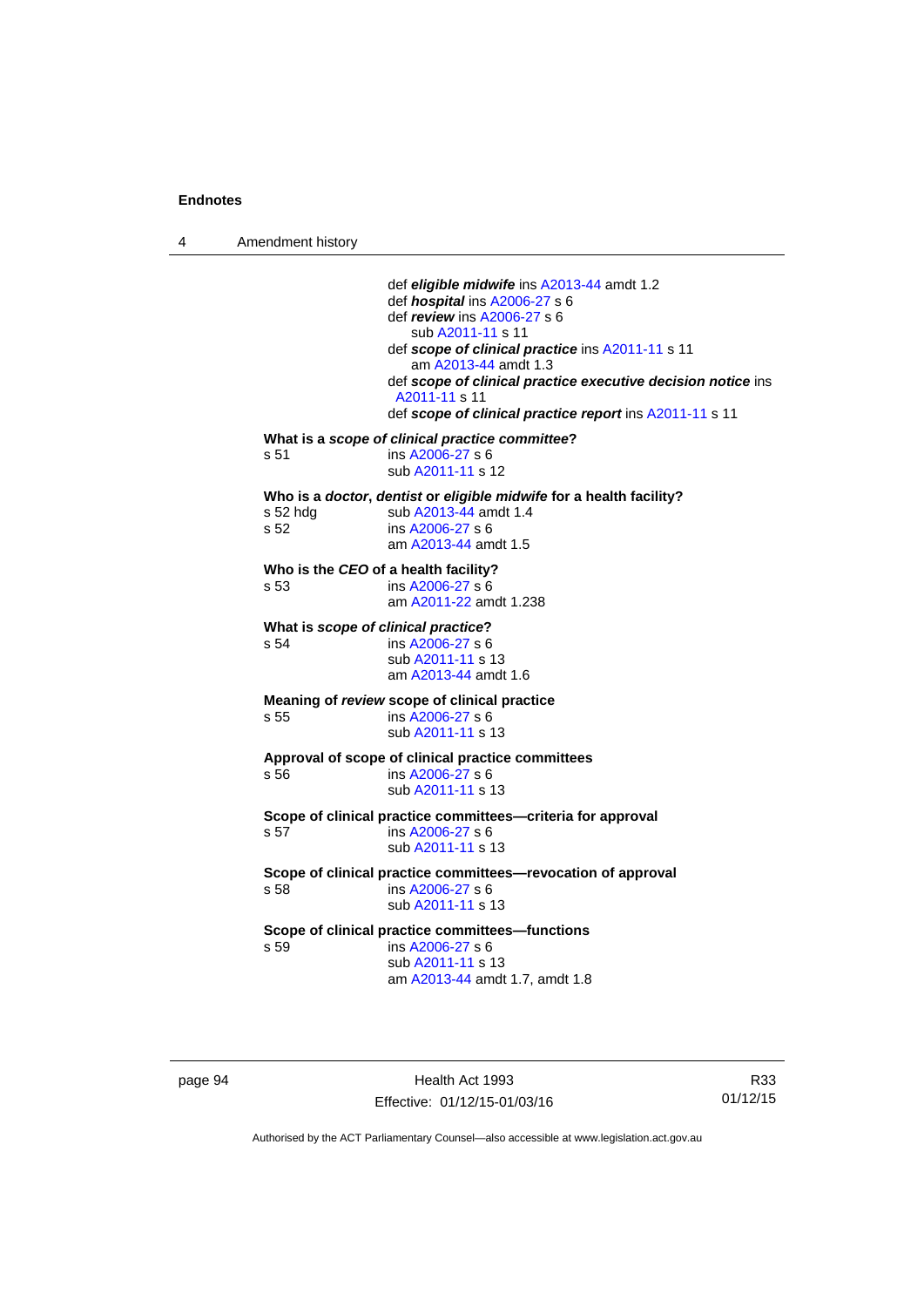4 Amendment history

 def *eligible midwife* ins [A2013-44](http://www.legislation.act.gov.au/a/2013-44) amdt 1.2 def *hospital* ins [A2006-27](http://www.legislation.act.gov.au/a/2006-27) s 6 def *review* ins [A2006-27](http://www.legislation.act.gov.au/a/2006-27) s 6 sub [A2011-11](http://www.legislation.act.gov.au/a/2011-11) s 11 def *scope of clinical practice* ins [A2011-11](http://www.legislation.act.gov.au/a/2011-11) s 11 am [A2013-44](http://www.legislation.act.gov.au/a/2013-44) amdt 1.3 def *scope of clinical practice executive decision notice* ins [A2011-11](http://www.legislation.act.gov.au/a/2011-11) s 11 def *scope of clinical practice report* ins [A2011-11](http://www.legislation.act.gov.au/a/2011-11) s 11 **What is a** *scope of clinical practice committee***?**  s 51 ins [A2006-27](http://www.legislation.act.gov.au/a/2006-27) s 6 sub [A2011-11](http://www.legislation.act.gov.au/a/2011-11) s 12 **Who is a** *doctor***,** *dentist* **or** *eligible midwife* **for a health facility?**  s 52 hdg sub [A2013-44](http://www.legislation.act.gov.au/a/2013-44) amdt 1.4<br>s 52 ins A2006-27 s 6  $ins A2006-27 s 6$  $ins A2006-27 s 6$  $ins A2006-27 s 6$  am [A2013-44](http://www.legislation.act.gov.au/a/2013-44) amdt 1.5 **Who is the** *CEO* **of a health facility?**  s 53 ins [A2006-27](http://www.legislation.act.gov.au/a/2006-27) s 6 am [A2011-22](http://www.legislation.act.gov.au/a/2011-22) amdt 1.238 **What is** *scope of clinical practice***?**  s 54 ins [A2006-27](http://www.legislation.act.gov.au/a/2006-27) s 6 sub [A2011-11](http://www.legislation.act.gov.au/a/2011-11) s 13 am [A2013-44](http://www.legislation.act.gov.au/a/2013-44) amdt 1.6 **Meaning of** *review* **scope of clinical practice**  s 55 ins [A2006-27](http://www.legislation.act.gov.au/a/2006-27) s 6 sub [A2011-11](http://www.legislation.act.gov.au/a/2011-11) s 13 **Approval of scope of clinical practice committees**  s 56 ins [A2006-27](http://www.legislation.act.gov.au/a/2006-27) s 6 sub [A2011-11](http://www.legislation.act.gov.au/a/2011-11) s 13 **Scope of clinical practice committees—criteria for approval**  s 57 ins [A2006-27](http://www.legislation.act.gov.au/a/2006-27) s 6 sub [A2011-11](http://www.legislation.act.gov.au/a/2011-11) s 13 **Scope of clinical practice committees—revocation of approval**  s 58 ins [A2006-27](http://www.legislation.act.gov.au/a/2006-27) s 6 sub [A2011-11](http://www.legislation.act.gov.au/a/2011-11) s 13 **Scope of clinical practice committees—functions**  s 59 ins [A2006-27](http://www.legislation.act.gov.au/a/2006-27) s 6 sub [A2011-11](http://www.legislation.act.gov.au/a/2011-11) s 13 am [A2013-44](http://www.legislation.act.gov.au/a/2013-44) amdt 1.7, amdt 1.8

page 94 Health Act 1993 Effective: 01/12/15-01/03/16

R33 01/12/15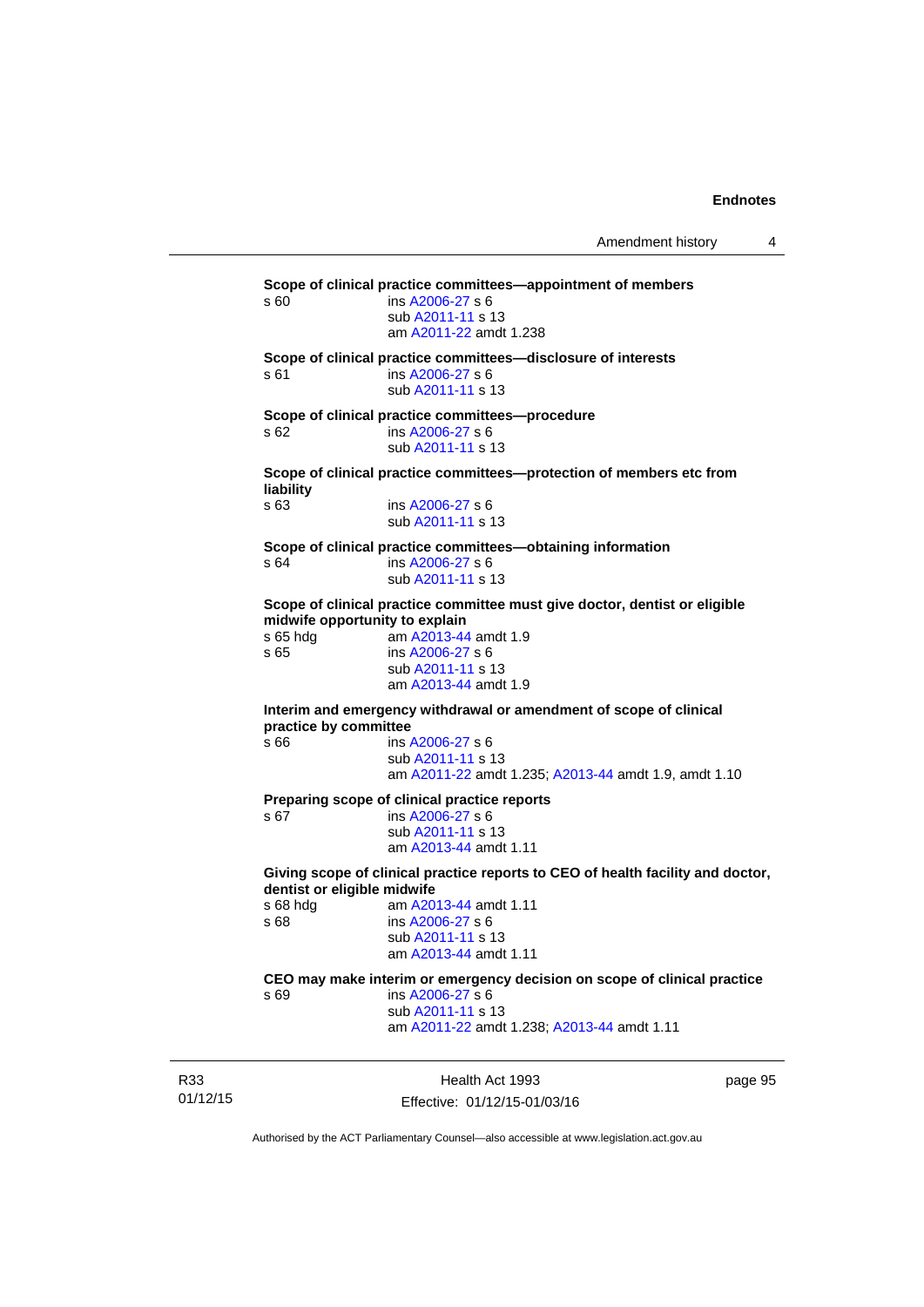Amendment history 4

**Scope of clinical practice committees—appointment of members**  s 60 ins [A2006-27](http://www.legislation.act.gov.au/a/2006-27) s 6 sub [A2011-11](http://www.legislation.act.gov.au/a/2011-11) s 13 am [A2011-22](http://www.legislation.act.gov.au/a/2011-22) amdt 1.238 **Scope of clinical practice committees—disclosure of interests**  s 61 ins [A2006-27](http://www.legislation.act.gov.au/a/2006-27) s 6 sub [A2011-11](http://www.legislation.act.gov.au/a/2011-11) s 13 **Scope of clinical practice committees—procedure**  s 62 ins [A2006-27](http://www.legislation.act.gov.au/a/2006-27) s 6 sub [A2011-11](http://www.legislation.act.gov.au/a/2011-11) s 13 **Scope of clinical practice committees—protection of members etc from liability**  ins [A2006-27](http://www.legislation.act.gov.au/a/2006-27) s 6 sub [A2011-11](http://www.legislation.act.gov.au/a/2011-11) s 13 **Scope of clinical practice committees—obtaining information**  s 64 ins [A2006-27](http://www.legislation.act.gov.au/a/2006-27) s 6 sub [A2011-11](http://www.legislation.act.gov.au/a/2011-11) s 13 **Scope of clinical practice committee must give doctor, dentist or eligible midwife opportunity to explain**<br>s 65 hdg am A2013-44 am [A2013-44](http://www.legislation.act.gov.au/a/2013-44) amdt 1.9 s 65 ins [A2006-27](http://www.legislation.act.gov.au/a/2006-27) s 6 sub [A2011-11](http://www.legislation.act.gov.au/a/2011-11) s 13 am [A2013-44](http://www.legislation.act.gov.au/a/2013-44) amdt 1.9 **Interim and emergency withdrawal or amendment of scope of clinical practice by committee**<br>s 66 **ins** ins [A2006-27](http://www.legislation.act.gov.au/a/2006-27) s 6 sub [A2011-11](http://www.legislation.act.gov.au/a/2011-11) s 13 am [A2011-22](http://www.legislation.act.gov.au/a/2011-22) amdt 1.235; [A2013-44](http://www.legislation.act.gov.au/a/2013-44) amdt 1.9, amdt 1.10 **Preparing scope of clinical practice reports**  s 67 ins [A2006-27](http://www.legislation.act.gov.au/a/2006-27) s 6 sub [A2011-11](http://www.legislation.act.gov.au/a/2011-11) s 13 am [A2013-44](http://www.legislation.act.gov.au/a/2013-44) amdt 1.11 **Giving scope of clinical practice reports to CEO of health facility and doctor, dentist or eligible midwife**  s 68 hdg am [A2013-44](http://www.legislation.act.gov.au/a/2013-44) amdt 1.11 s 68 ins [A2006-27](http://www.legislation.act.gov.au/a/2006-27) s 6 sub [A2011-11](http://www.legislation.act.gov.au/a/2011-11) s 13 am [A2013-44](http://www.legislation.act.gov.au/a/2013-44) amdt 1.11 **CEO may make interim or emergency decision on scope of clinical practice**  s 69 ins [A2006-27](http://www.legislation.act.gov.au/a/2006-27) s 6 sub [A2011-11](http://www.legislation.act.gov.au/a/2011-11) s 13 am [A2011-22](http://www.legislation.act.gov.au/a/2011-22) amdt 1.238; [A2013-44](http://www.legislation.act.gov.au/a/2013-44) amdt 1.11

R33 01/12/15

Health Act 1993 Effective: 01/12/15-01/03/16 page 95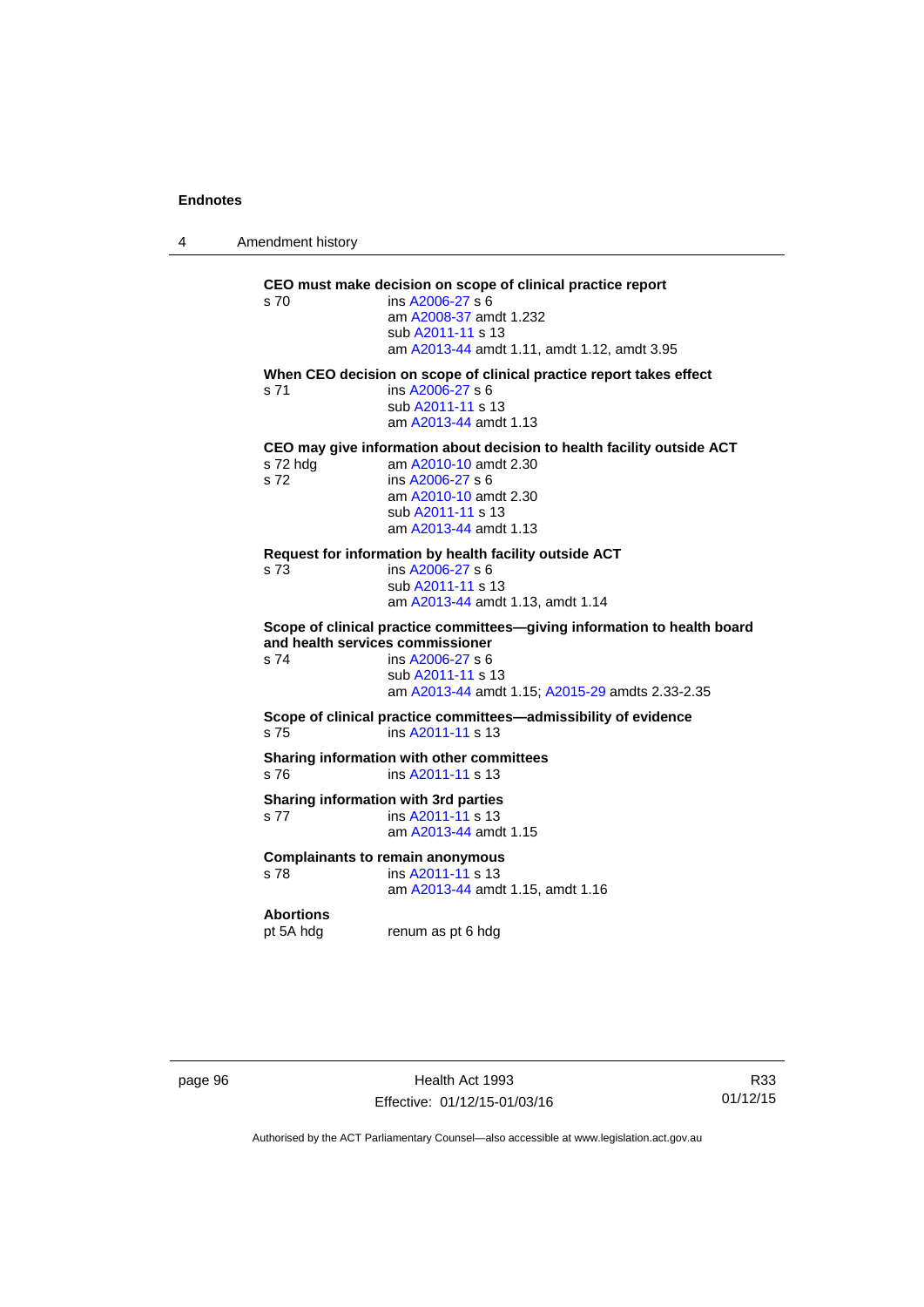4 Amendment history

| When CEO decision on scope of clinical practice report takes effect<br>ins A2006-27 s 6<br>s 71<br>sub A2011-11 s 13<br>am A2013-44 amdt 1.13<br>CEO may give information about decision to health facility outside ACT<br>am A2010-10 amdt 2.30<br>s 72 hdg<br>s 72<br>ins A2006-27 s 6<br>am A2010-10 amdt 2.30<br>sub A2011-11 s 13 |  |
|----------------------------------------------------------------------------------------------------------------------------------------------------------------------------------------------------------------------------------------------------------------------------------------------------------------------------------------|--|
|                                                                                                                                                                                                                                                                                                                                        |  |
| am A2013-44 amdt 1.13                                                                                                                                                                                                                                                                                                                  |  |
| Request for information by health facility outside ACT<br>s 73<br>ins A2006-27 s 6<br>sub A2011-11 s 13<br>am A2013-44 amdt 1.13, amdt 1.14                                                                                                                                                                                            |  |
| Scope of clinical practice committees-giving information to health board<br>and health services commissioner<br>s 74<br>ins $A2006-27$ s 6<br>sub A2011-11 s 13<br>am A2013-44 amdt 1.15; A2015-29 amdts 2.33-2.35                                                                                                                     |  |
| Scope of clinical practice committees-admissibility of evidence<br>s <sub>75</sub><br>ins A2011-11 s 13                                                                                                                                                                                                                                |  |
| Sharing information with other committees<br>s 76<br>ins A2011-11 s 13                                                                                                                                                                                                                                                                 |  |
| Sharing information with 3rd parties<br>ins A2011-11 s 13<br>s 77<br>am A2013-44 amdt 1.15                                                                                                                                                                                                                                             |  |
| <b>Complainants to remain anonymous</b><br>ins A2011-11 s 13<br>s 78<br>am A2013-44 amdt 1.15, amdt 1.16                                                                                                                                                                                                                               |  |
| <b>Abortions</b><br>pt 5A hdg<br>renum as pt 6 hdg                                                                                                                                                                                                                                                                                     |  |

page 96 **Health Act 1993** Effective: 01/12/15-01/03/16

R33 01/12/15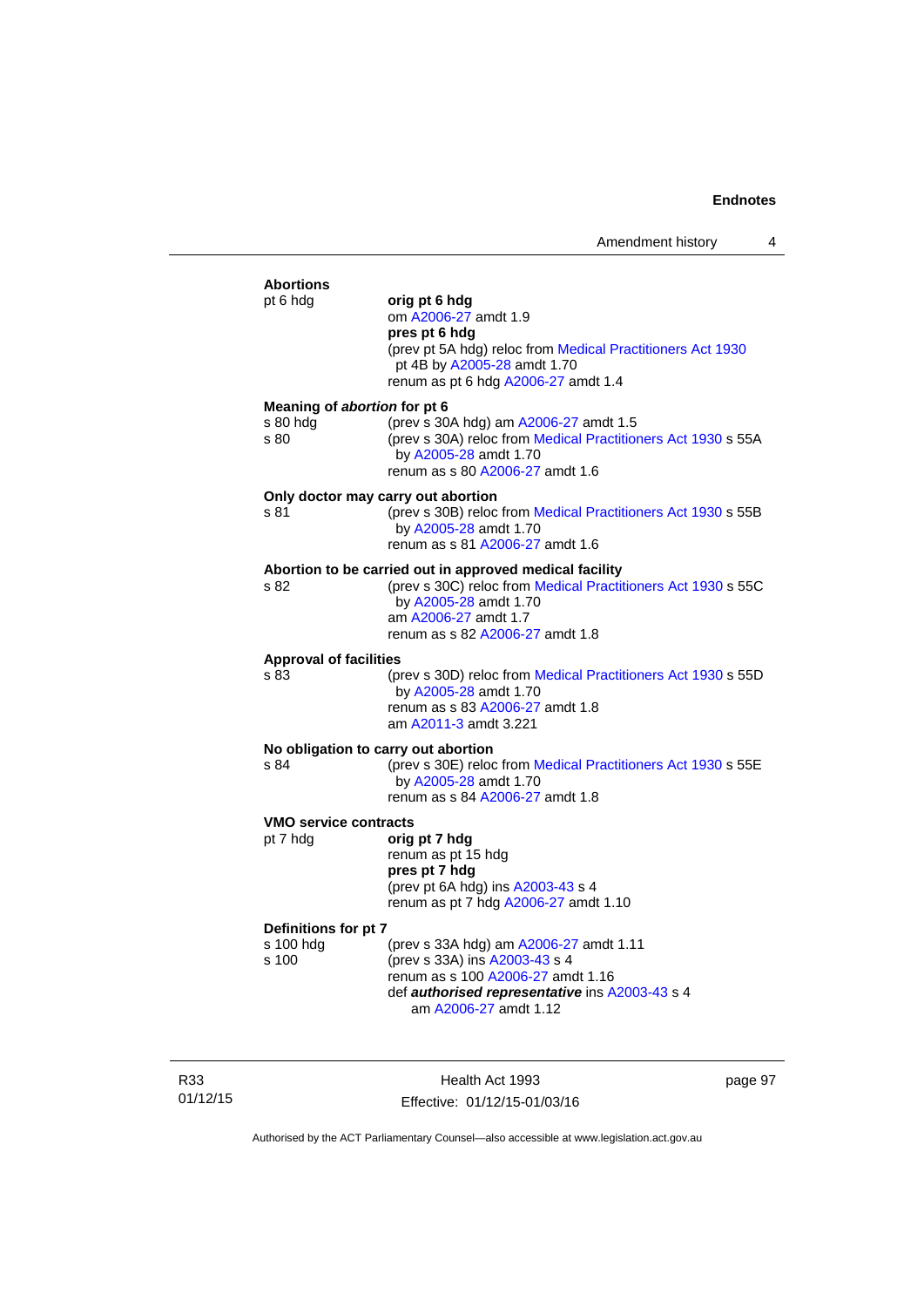| <b>Abortions</b><br>pt 6 hda                     | orig pt 6 hdg<br>om A2006-27 amdt 1.9<br>pres pt 6 hdg<br>(prev pt 5A hdg) reloc from Medical Practitioners Act 1930<br>pt 4B by A2005-28 amdt 1.70<br>renum as pt 6 hdg A2006-27 amdt 1.4                  |
|--------------------------------------------------|-------------------------------------------------------------------------------------------------------------------------------------------------------------------------------------------------------------|
| Meaning of abortion for pt 6<br>s 80 hdg<br>s 80 | (prev s 30A hdg) am A2006-27 amdt 1.5<br>(prev s 30A) reloc from Medical Practitioners Act 1930 s 55A<br>by A2005-28 amdt 1.70<br>renum as s 80 A2006-27 amdt 1.6                                           |
| s 81                                             | Only doctor may carry out abortion<br>(prev s 30B) reloc from Medical Practitioners Act 1930 s 55B<br>by A2005-28 amdt 1.70<br>renum as s 81 A2006-27 amdt 1.6                                              |
| s 82                                             | Abortion to be carried out in approved medical facility<br>(prev s 30C) reloc from Medical Practitioners Act 1930 s 55C<br>by A2005-28 amdt 1.70<br>am A2006-27 amdt 1.7<br>renum as s 82 A2006-27 amdt 1.8 |
| <b>Approval of facilities</b><br>s 83            | (prev s 30D) reloc from Medical Practitioners Act 1930 s 55D<br>by A2005-28 amdt 1.70<br>renum as s 83 A2006-27 amdt 1.8<br>am A2011-3 amdt 3.221                                                           |
| s 84                                             | No obligation to carry out abortion<br>(prev s 30E) reloc from Medical Practitioners Act 1930 s 55E<br>by A2005-28 amdt 1.70<br>renum as s 84 A2006-27 amdt 1.8                                             |
| <b>VMO service contracts</b><br>pt 7 hdg         | orig pt 7 hdg<br>renum as pt 15 hdg<br>pres pt 7 hdg<br>(prev pt 6A hdg) ins A2003-43 s 4<br>renum as pt 7 hdg A2006-27 amdt 1.10                                                                           |
| Definitions for pt 7<br>s 100 hdg<br>s 100       | (prev s 33A hdg) am A2006-27 amdt 1.11<br>(prev s 33A) ins A2003-43 s 4<br>renum as s 100 A2006-27 amdt 1.16<br>def authorised representative ins A2003-43 s 4                                              |

am [A2006-27](http://www.legislation.act.gov.au/a/2006-27) amdt 1.12

R33 01/12/15

Health Act 1993 Effective: 01/12/15-01/03/16 page 97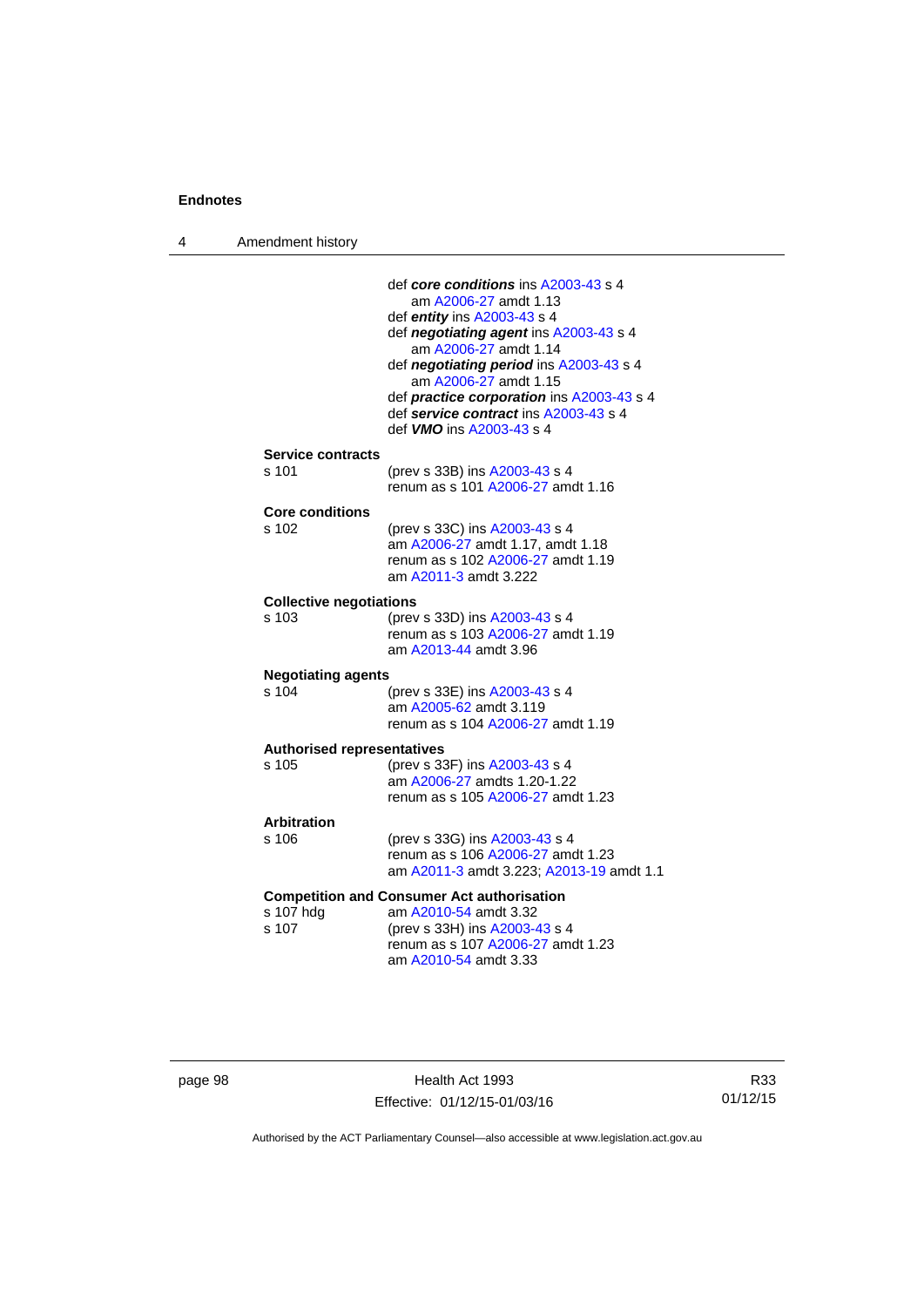4 Amendment history

|                                    | def core conditions ins A2003-43 s 4                               |
|------------------------------------|--------------------------------------------------------------------|
|                                    | am A2006-27 amdt 1.13                                              |
|                                    | def entity ins A2003-43 s 4                                        |
|                                    | def negotiating agent ins A2003-43 s 4<br>am A2006-27 amdt 1.14    |
|                                    | def negotiating period ins A2003-43 s 4                            |
|                                    | am A2006-27 amdt 1.15                                              |
|                                    | def <i>practice corporation</i> ins A2003-43 s 4                   |
|                                    | def service contract ins A2003-43 s 4                              |
|                                    | def <b>VMO</b> ins A2003-43 s 4                                    |
| <b>Service contracts</b>           |                                                                    |
| s 101                              | (prev s 33B) ins A2003-43 s 4                                      |
|                                    | renum as s 101 A2006-27 amdt 1.16                                  |
| Core conditions                    |                                                                    |
| s 102                              | (prev s 33C) ins A2003-43 s 4                                      |
|                                    | am A2006-27 amdt 1.17, amdt 1.18                                   |
|                                    | renum as s 102 A2006-27 amdt 1.19<br>am A2011-3 amdt 3.222         |
|                                    |                                                                    |
| <b>Collective negotiations</b>     |                                                                    |
| $s$ 103                            | (prev s 33D) ins A2003-43 s 4<br>renum as s 103 A2006-27 amdt 1.19 |
|                                    | am A2013-44 amdt 3.96                                              |
|                                    |                                                                    |
| <b>Negotiating agents</b><br>s 104 | (prev s 33E) ins A2003-43 s 4                                      |
|                                    | am A2005-62 amdt 3.119                                             |
|                                    | renum as s 104 A2006-27 amdt 1.19                                  |
| <b>Authorised representatives</b>  |                                                                    |
| s 105                              | (prev s 33F) ins A2003-43 s 4                                      |
|                                    | am A2006-27 amdts 1.20-1.22                                        |
|                                    | renum as s 105 A2006-27 amdt 1.23                                  |
| <b>Arbitration</b>                 |                                                                    |
| s 106                              | (prev s 33G) ins A2003-43 s 4                                      |
|                                    | renum as s 106 A2006-27 amdt 1.23                                  |
|                                    | am A2011-3 amdt 3.223; A2013-19 amdt 1.1                           |
|                                    | <b>Competition and Consumer Act authorisation</b>                  |
| s 107 hdg                          | am A2010-54 amdt 3.32                                              |
| s 107                              | (prev s 33H) ins A2003-43 s 4                                      |
|                                    | renum as s 107 A2006-27 amdt 1.23<br>am A2010-54 amdt 3.33         |
|                                    |                                                                    |
|                                    |                                                                    |

| page 98 |  |
|---------|--|
|---------|--|

page 198 Health Act 1993 Effective: 01/12/15-01/03/16

R33 01/12/15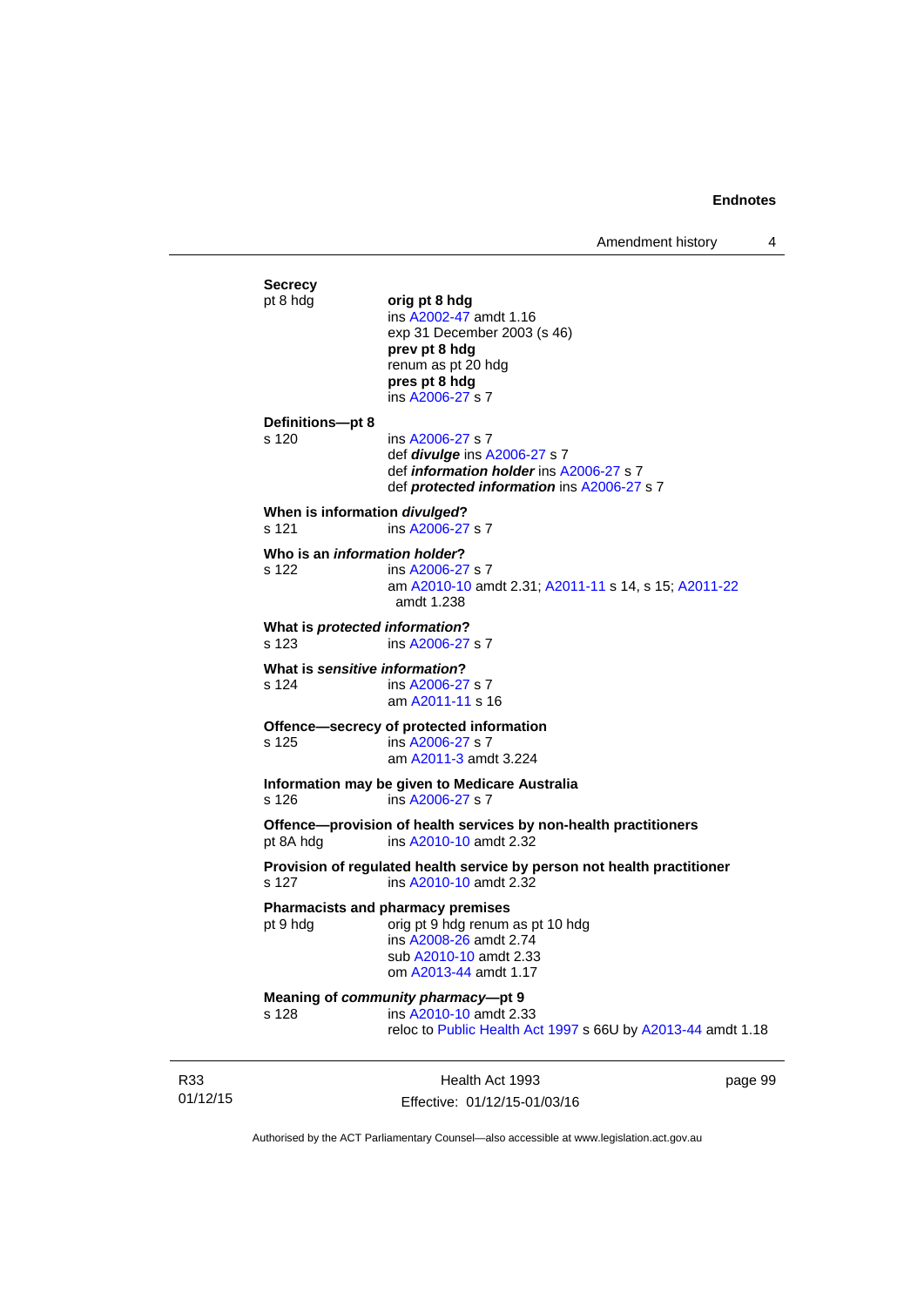Amendment history 4

**Secrecy**<br>pt 8 hdg pt 8 hdg **orig pt 8 hdg**  ins [A2002-47](http://www.legislation.act.gov.au/a/2002-47) amdt 1.16 exp 31 December 2003 (s 46) **prev pt 8 hdg**  renum as pt 20 hdg **pres pt 8 hdg**  ins [A2006-27](http://www.legislation.act.gov.au/a/2006-27) s 7 **Definitions—pt 8**  s 120 ins [A2006-27](http://www.legislation.act.gov.au/a/2006-27) s 7 def *divulge* ins [A2006-27](http://www.legislation.act.gov.au/a/2006-27) s 7 def *information holder* ins [A2006-27](http://www.legislation.act.gov.au/a/2006-27) s 7 def *protected information* ins [A2006-27](http://www.legislation.act.gov.au/a/2006-27) s 7 **When is information** *divulged***?**  s 121 ins [A2006-27](http://www.legislation.act.gov.au/a/2006-27) s 7 **Who is an** *information holder***?**  s 122 ins [A2006-27](http://www.legislation.act.gov.au/a/2006-27) s 7 am [A2010-10](http://www.legislation.act.gov.au/a/2010-10) amdt 2.31; [A2011-11](http://www.legislation.act.gov.au/a/2011-11) s 14, s 15; [A2011-22](http://www.legislation.act.gov.au/a/2011-22) amdt 1.238 **What is** *protected information***?**  s 123 ins [A2006-27](http://www.legislation.act.gov.au/a/2006-27) s 7 **What is** *sensitive information***?**  s 124 ins [A2006-27](http://www.legislation.act.gov.au/a/2006-27) s 7 am [A2011-11](http://www.legislation.act.gov.au/a/2011-11) s 16 **Offence—secrecy of protected information**<br>s 125 **ins A2006-27 s 7** ins [A2006-27](http://www.legislation.act.gov.au/a/2006-27) s 7 am [A2011-3](http://www.legislation.act.gov.au/a/2011-3) amdt 3.224 **Information may be given to Medicare Australia**  s 126 ins [A2006-27](http://www.legislation.act.gov.au/a/2006-27) s 7 **Offence—provision of health services by non-health practitioners**  pt 8A hdg ins [A2010-10](http://www.legislation.act.gov.au/a/2010-10) amdt 2.32 **Provision of regulated health service by person not health practitioner**  s 127 ins [A2010-10](http://www.legislation.act.gov.au/a/2010-10) amdt 2.32 **Pharmacists and pharmacy premises**  pt 9 hdg orig pt 9 hdg renum as pt 10 hdg ins [A2008-26](http://www.legislation.act.gov.au/a/2008-26) amdt 2.74 sub [A2010-10](http://www.legislation.act.gov.au/a/2010-10) amdt 2.33 om [A2013-44](http://www.legislation.act.gov.au/a/2013-44) amdt 1.17 **Meaning of** *community pharmacy***—pt 9**  s 128 ins [A2010-10](http://www.legislation.act.gov.au/a/2010-10) amdt 2.33 reloc to [Public Health Act 1997](http://www.legislation.act.gov.au/a/1997-69) s 66U by [A2013-44](http://www.legislation.act.gov.au/a/2013-44) amdt 1.18

R33 01/12/15

Health Act 1993 Effective: 01/12/15-01/03/16 page 99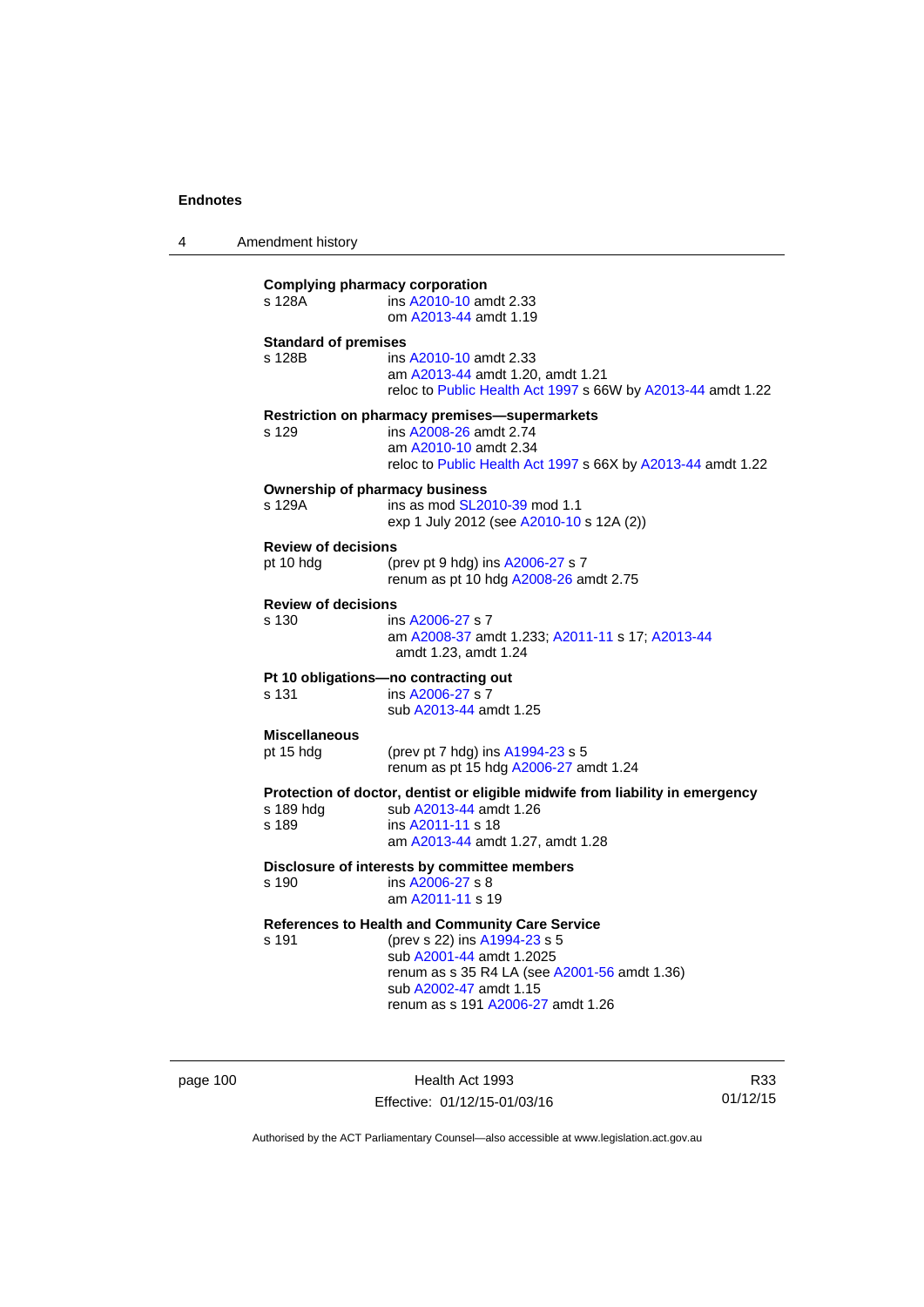4 Amendment history

| <b>Complying pharmacy corporation</b><br>s 128A | ins A2010-10 amdt 2.33<br>om A2013-44 amdt 1.19                                                                                                                                                                            |
|-------------------------------------------------|----------------------------------------------------------------------------------------------------------------------------------------------------------------------------------------------------------------------------|
| <b>Standard of premises</b><br>s 128B           | ins A2010-10 amdt 2.33<br>am A2013-44 amdt 1.20, amdt 1.21<br>reloc to Public Health Act 1997 s 66W by A2013-44 amdt 1.22                                                                                                  |
| s 129                                           | Restriction on pharmacy premises-supermarkets<br>ins A2008-26 amdt 2.74<br>am A2010-10 amdt 2.34<br>reloc to Public Health Act 1997 s 66X by A2013-44 amdt 1.22                                                            |
| <b>Ownership of pharmacy business</b><br>s 129A | ins as mod SL2010-39 mod 1.1<br>exp 1 July 2012 (see A2010-10 s 12A (2))                                                                                                                                                   |
| <b>Review of decisions</b><br>pt 10 hdg         | (prev pt 9 hdg) ins A2006-27 s 7<br>renum as pt 10 hdg A2008-26 amdt 2.75                                                                                                                                                  |
| <b>Review of decisions</b><br>s 130             | ins A2006-27 s 7<br>am A2008-37 amdt 1.233; A2011-11 s 17; A2013-44<br>amdt 1.23, amdt 1.24                                                                                                                                |
| s 131                                           | Pt 10 obligations-no contracting out<br>ins A2006-27 s 7<br>sub A2013-44 amdt 1.25                                                                                                                                         |
| <b>Miscellaneous</b><br>pt 15 hdg               | (prev pt 7 hdg) ins A1994-23 s 5<br>renum as pt 15 hdg A2006-27 amdt 1.24                                                                                                                                                  |
| s 189 hdg<br>s 189                              | Protection of doctor, dentist or eligible midwife from liability in emergency<br>sub A2013-44 amdt 1.26<br>ins A2011-11 s 18<br>am A2013-44 amdt 1.27, amdt 1.28                                                           |
| s 190                                           | Disclosure of interests by committee members<br>ins A2006-27 s 8<br>am A2011-11 s 19                                                                                                                                       |
| s 191                                           | References to Health and Community Care Service<br>(prev s 22) ins A1994-23 s 5<br>sub A2001-44 amdt 1.2025<br>renum as s 35 R4 LA (see A2001-56 amdt 1.36)<br>sub A2002-47 amdt 1.15<br>renum as s 191 A2006-27 amdt 1.26 |

page 100 **Health Act 1993** Effective: 01/12/15-01/03/16

R33 01/12/15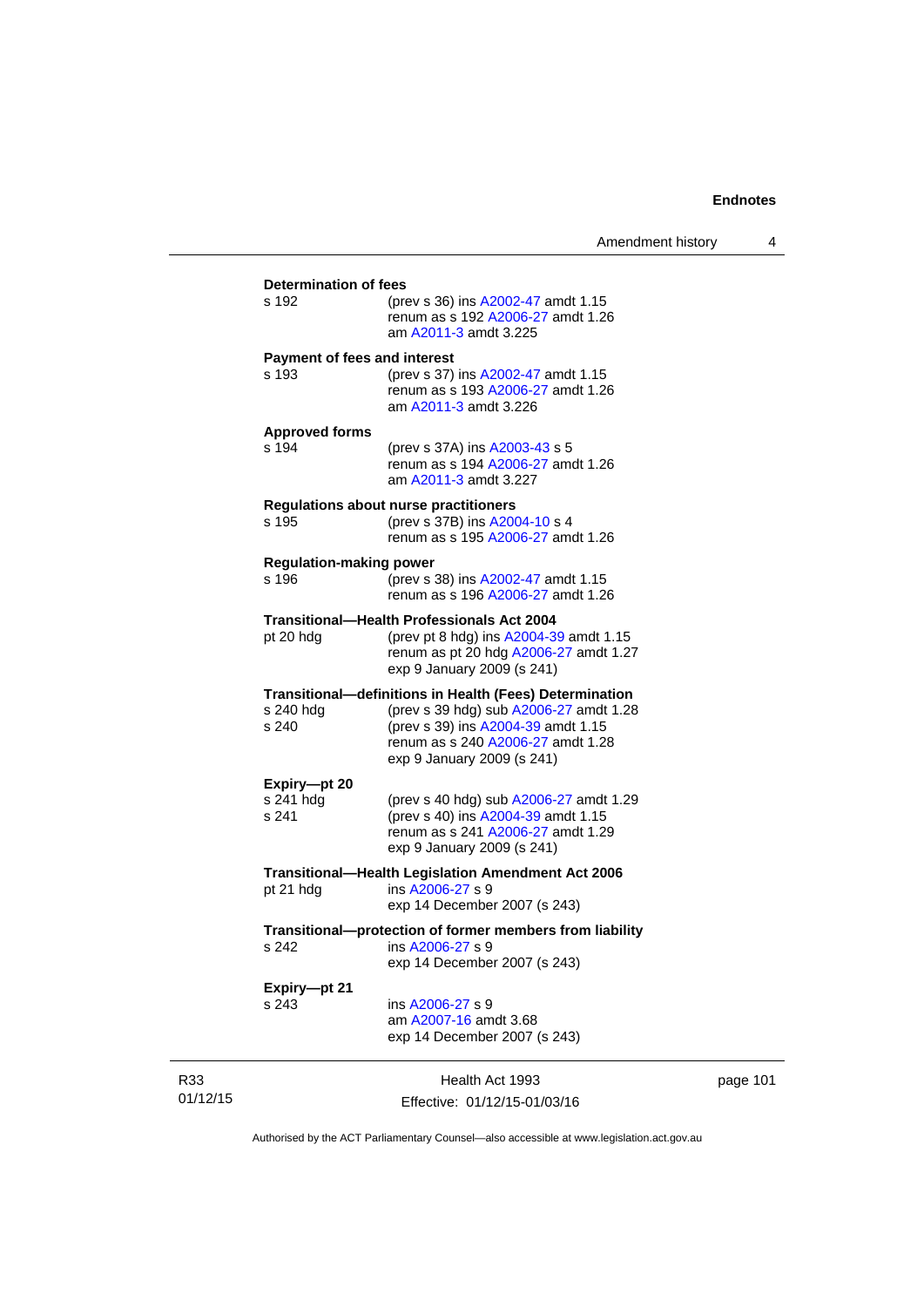| s 192                                   | <b>Determination of fees</b><br>(prev s 36) ins A2002-47 amdt 1.15<br>renum as s 192 A2006-27 amdt 1.26<br>am A2011-3 amdt 3.225                |  |  |  |
|-----------------------------------------|-------------------------------------------------------------------------------------------------------------------------------------------------|--|--|--|
| <b>Payment of fees and interest</b>     |                                                                                                                                                 |  |  |  |
| s 193                                   | (prev s 37) ins A2002-47 amdt 1.15<br>renum as s 193 A2006-27 amdt 1.26<br>am A2011-3 amdt 3.226                                                |  |  |  |
| <b>Approved forms</b>                   |                                                                                                                                                 |  |  |  |
| s 194                                   | (prev s 37A) ins A2003-43 s 5<br>renum as s 194 A2006-27 amdt 1.26<br>am A2011-3 amdt 3.227                                                     |  |  |  |
| s 195                                   | <b>Regulations about nurse practitioners</b><br>(prev s 37B) ins A2004-10 s 4<br>renum as s 195 A2006-27 amdt 1.26                              |  |  |  |
|                                         |                                                                                                                                                 |  |  |  |
| <b>Regulation-making power</b><br>s 196 | (prev s 38) ins A2002-47 amdt 1.15<br>renum as s 196 A2006-27 amdt 1.26                                                                         |  |  |  |
|                                         | <b>Transitional-Health Professionals Act 2004</b>                                                                                               |  |  |  |
| pt 20 hdg                               | (prev pt 8 hdg) ins A2004-39 amdt 1.15<br>renum as pt 20 hdg A2006-27 amdt 1.27<br>exp 9 January 2009 (s 241)                                   |  |  |  |
|                                         | <b>Transitional-definitions in Health (Fees) Determination</b>                                                                                  |  |  |  |
| s 240 hdg<br>s 240                      | (prev s 39 hdg) sub A2006-27 amdt 1.28<br>(prev s 39) ins A2004-39 amdt 1.15<br>renum as s 240 A2006-27 amdt 1.28<br>exp 9 January 2009 (s 241) |  |  |  |
| Expiry-pt 20                            |                                                                                                                                                 |  |  |  |
| s 241 hdg<br>s 241                      | (prev s 40 hdg) sub A2006-27 amdt 1.29<br>(prev s 40) ins A2004-39 amdt 1.15<br>renum as s 241 A2006-27 amdt 1.29<br>exp 9 January 2009 (s 241) |  |  |  |
|                                         | Transitional-Health Legislation Amendment Act 2006                                                                                              |  |  |  |
| pt 21 hdg                               | ins A2006-27 s 9<br>exp 14 December 2007 (s 243)                                                                                                |  |  |  |
|                                         | Transitional--protection of former members from liability                                                                                       |  |  |  |
| s 242                                   | ins A2006-27 s 9<br>exp 14 December 2007 (s 243)                                                                                                |  |  |  |
| Expiry-pt 21                            |                                                                                                                                                 |  |  |  |
| s 243                                   | ins A2006-27 s 9<br>am A2007-16 amdt 3.68<br>exp 14 December 2007 (s 243)                                                                       |  |  |  |
|                                         | Health Act 1993                                                                                                                                 |  |  |  |
|                                         | Effective: 01/12/15-01/03/16                                                                                                                    |  |  |  |

page 101

Authorised by the ACT Parliamentary Counsel—also accessible at www.legislation.act.gov.au

R33 01/12/15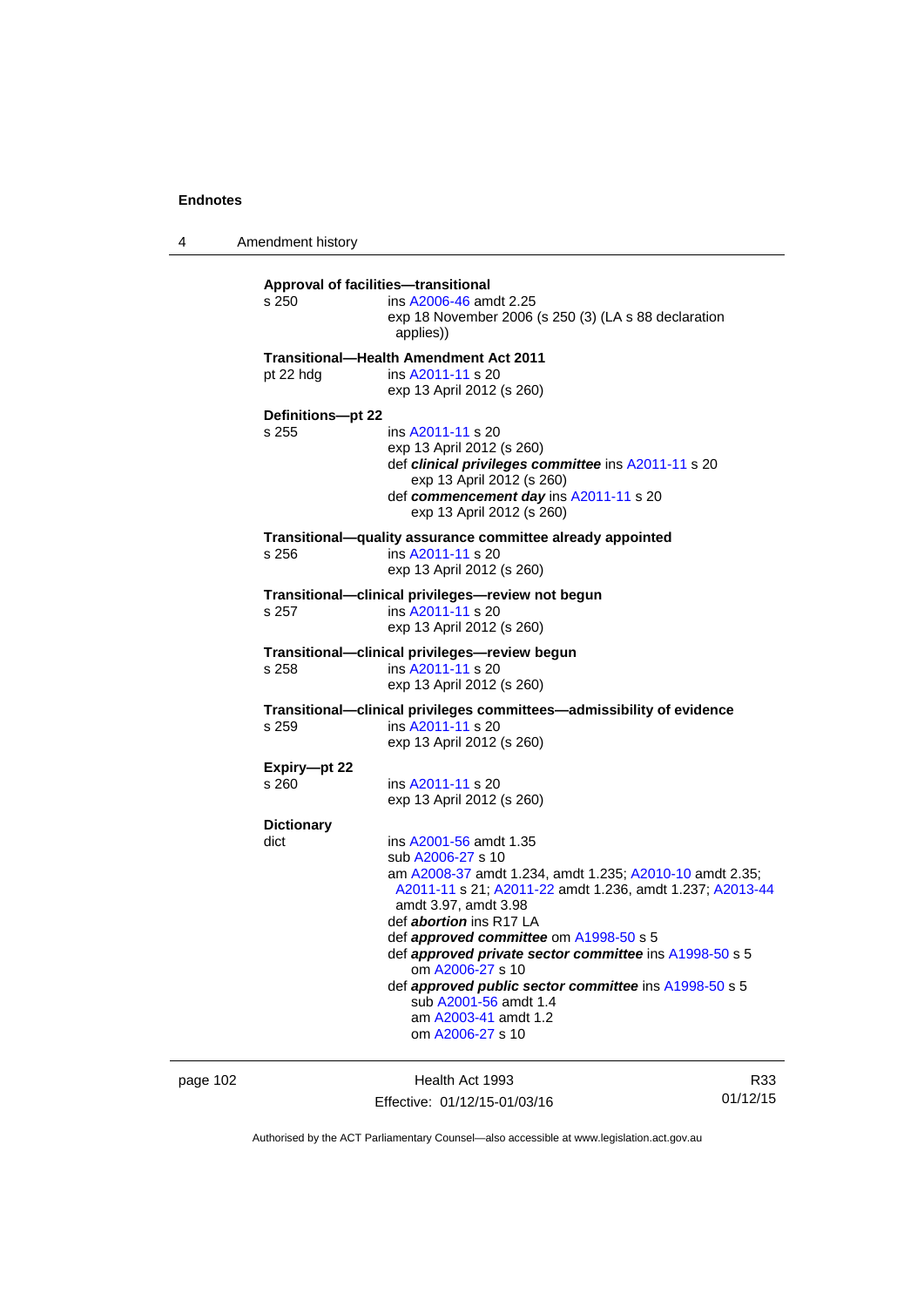4 Amendment history

| s 250                      | <b>Approval of facilities-transitional</b><br>ins A2006-46 amdt 2.25<br>exp 18 November 2006 (s 250 (3) (LA s 88 declaration<br>applies))                                                                                                                                                                                                                                                                                                                                          |
|----------------------------|------------------------------------------------------------------------------------------------------------------------------------------------------------------------------------------------------------------------------------------------------------------------------------------------------------------------------------------------------------------------------------------------------------------------------------------------------------------------------------|
| pt 22 hdg                  | Transitional-Health Amendment Act 2011<br>ins A2011-11 s 20<br>exp 13 April 2012 (s 260)                                                                                                                                                                                                                                                                                                                                                                                           |
| Definitions-pt 22<br>s 255 | ins A2011-11 s 20<br>exp 13 April 2012 (s 260)<br>def clinical privileges committee ins A2011-11 s 20<br>exp 13 April 2012 (s 260)<br>def commencement day ins A2011-11 s 20<br>exp 13 April 2012 (s 260)                                                                                                                                                                                                                                                                          |
| s 256                      | Transitional-quality assurance committee already appointed<br>ins A2011-11 s 20<br>exp 13 April 2012 (s 260)                                                                                                                                                                                                                                                                                                                                                                       |
| s 257                      | Transitional-clinical privileges-review not begun<br>ins A2011-11 s 20<br>exp 13 April 2012 (s 260)                                                                                                                                                                                                                                                                                                                                                                                |
| s 258                      | Transitional—clinical privileges—review begun<br>ins A2011-11 s 20<br>exp 13 April 2012 (s 260)                                                                                                                                                                                                                                                                                                                                                                                    |
| s 259                      | Transitional-clinical privileges committees-admissibility of evidence<br>ins A2011-11 s 20<br>exp 13 April 2012 (s 260)                                                                                                                                                                                                                                                                                                                                                            |
| Expiry-pt 22<br>s 260      | ins A2011-11 s 20<br>exp 13 April 2012 (s 260)                                                                                                                                                                                                                                                                                                                                                                                                                                     |
| <b>Dictionary</b><br>dict  | ins A2001-56 amdt 1.35<br>sub A2006-27 s 10<br>am A2008-37 amdt 1.234, amdt 1.235; A2010-10 amdt 2.35;<br>A2011-11 s 21; A2011-22 amdt 1.236, amdt 1.237; A2013-44<br>amdt 3.97, amdt 3.98<br>def <i>abortion</i> ins R17 LA<br>def approved committee om A1998-50 s 5<br>def approved private sector committee ins A1998-50 s 5<br>om A2006-27 s 10<br>def approved public sector committee ins A1998-50 s 5<br>sub A2001-56 amdt 1.4<br>am A2003-41 amdt 1.2<br>om A2006-27 s 10 |

page 102 **Health Act 1993** Effective: 01/12/15-01/03/16

R33 01/12/15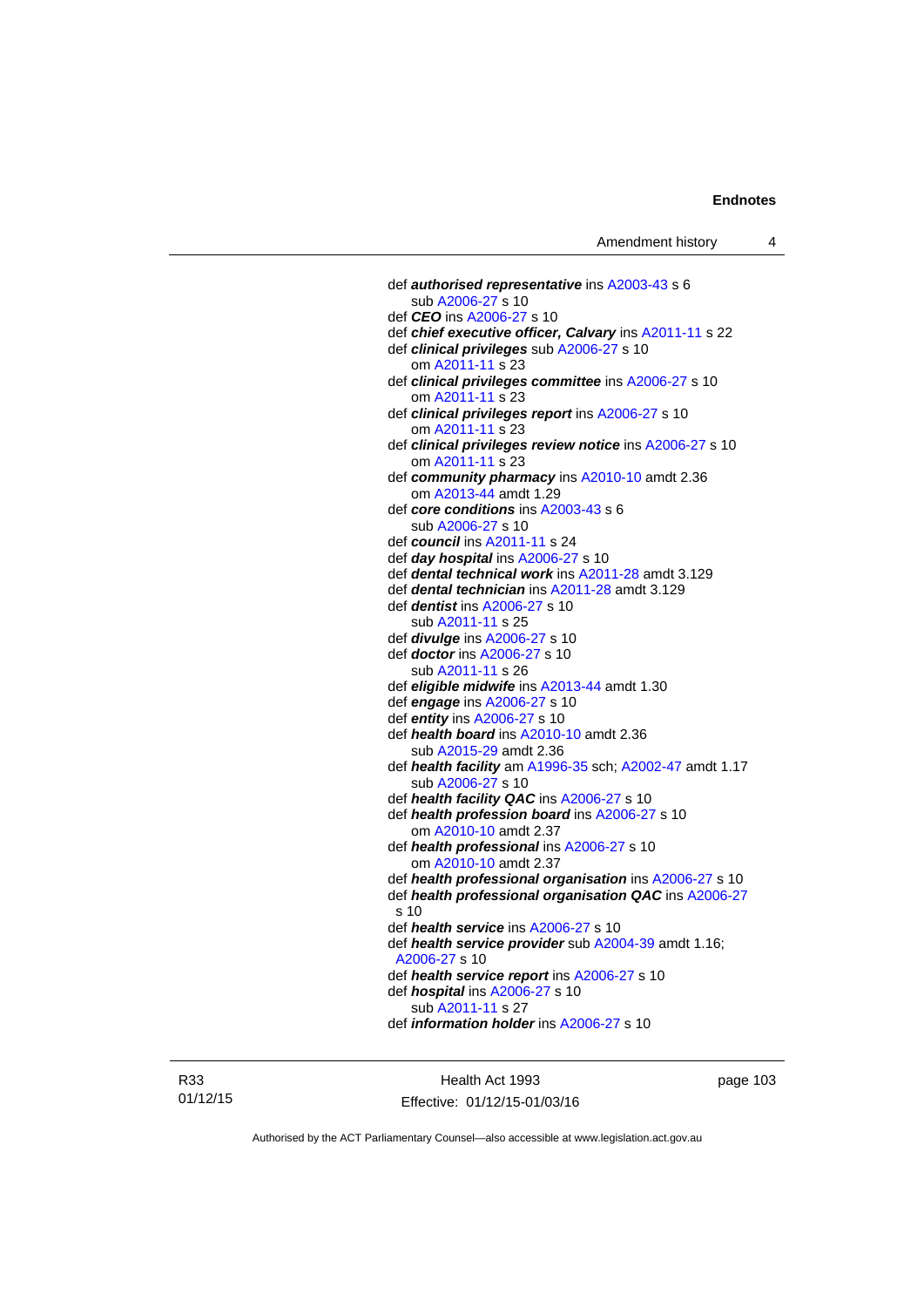def *authorised representative* ins [A2003-43](http://www.legislation.act.gov.au/a/2003-43) s 6 sub [A2006-27](http://www.legislation.act.gov.au/a/2006-27) s 10 def *CEO* ins [A2006-27](http://www.legislation.act.gov.au/a/2006-27) s 10 def *chief executive officer, Calvary* ins [A2011-11](http://www.legislation.act.gov.au/a/2011-11) s 22 def *clinical privileges* sub [A2006-27](http://www.legislation.act.gov.au/a/2006-27) s 10 om [A2011-11](http://www.legislation.act.gov.au/a/2011-11) s 23 def *clinical privileges committee* ins [A2006-27](http://www.legislation.act.gov.au/a/2006-27) s 10 om [A2011-11](http://www.legislation.act.gov.au/a/2011-11) s 23 def *clinical privileges report* ins [A2006-27](http://www.legislation.act.gov.au/a/2006-27) s 10 om [A2011-11](http://www.legislation.act.gov.au/a/2011-11) s 23 def *clinical privileges review notice* ins [A2006-27](http://www.legislation.act.gov.au/a/2006-27) s 10 om [A2011-11](http://www.legislation.act.gov.au/a/2011-11) s 23 def *community pharmacy* ins [A2010-10](http://www.legislation.act.gov.au/a/2010-10) amdt 2.36 om [A2013-44](http://www.legislation.act.gov.au/a/2013-44) amdt 1.29 def *core conditions* ins [A2003-43](http://www.legislation.act.gov.au/a/2003-43) s 6 sub [A2006-27](http://www.legislation.act.gov.au/a/2006-27) s 10 def *council* ins [A2011-11](http://www.legislation.act.gov.au/a/2011-11) s 24 def *day hospital* ins [A2006-27](http://www.legislation.act.gov.au/a/2006-27) s 10 def *dental technical work* ins [A2011-28](http://www.legislation.act.gov.au/a/2011-28) amdt 3.129 def *dental technician* ins [A2011-28](http://www.legislation.act.gov.au/a/2011-28) amdt 3.129 def *dentist* ins [A2006-27](http://www.legislation.act.gov.au/a/2006-27) s 10 sub [A2011-11](http://www.legislation.act.gov.au/a/2011-11) s 25 def *divulge* ins [A2006-27](http://www.legislation.act.gov.au/a/2006-27) s 10 def *doctor* ins [A2006-27](http://www.legislation.act.gov.au/a/2006-27) s 10 sub [A2011-11](http://www.legislation.act.gov.au/a/2011-11) s 26 def *eligible midwife* ins [A2013-44](http://www.legislation.act.gov.au/a/2013-44) amdt 1.30 def *engage* ins [A2006-27](http://www.legislation.act.gov.au/a/2006-27) s 10 def *entity* ins [A2006-27](http://www.legislation.act.gov.au/a/2006-27) s 10 def *health board* ins [A2010-10](http://www.legislation.act.gov.au/a/2010-10) amdt 2.36 sub [A2015-29](http://www.legislation.act.gov.au/a/2015-29/default.asp) amdt 2.36 def *health facility* am [A1996-35](http://www.legislation.act.gov.au/a/1996-35) sch; [A2002-47](http://www.legislation.act.gov.au/a/2002-47) amdt 1.17 sub [A2006-27](http://www.legislation.act.gov.au/a/2006-27) s 10 def *health facility QAC* ins [A2006-27](http://www.legislation.act.gov.au/a/2006-27) s 10 def *health profession board* ins [A2006-27](http://www.legislation.act.gov.au/a/2006-27) s 10 om [A2010-10](http://www.legislation.act.gov.au/a/2010-10) amdt 2.37 def *health professional* ins [A2006-27](http://www.legislation.act.gov.au/a/2006-27) s 10 om [A2010-10](http://www.legislation.act.gov.au/a/2010-10) amdt 2.37 def *health professional organisation* ins [A2006-27](http://www.legislation.act.gov.au/a/2006-27) s 10 def *health professional organisation QAC* ins [A2006-27](http://www.legislation.act.gov.au/a/2006-27) s 10 def *health service* ins [A2006-27](http://www.legislation.act.gov.au/a/2006-27) s 10 def *health service provider* sub [A2004-39](http://www.legislation.act.gov.au/a/2004-39) amdt 1.16; [A2006-27](http://www.legislation.act.gov.au/a/2006-27) s 10 def *health service report* ins [A2006-27](http://www.legislation.act.gov.au/a/2006-27) s 10 def *hospital* ins [A2006-27](http://www.legislation.act.gov.au/a/2006-27) s 10 sub [A2011-11](http://www.legislation.act.gov.au/a/2011-11) s 27 def *information holder* ins [A2006-27](http://www.legislation.act.gov.au/a/2006-27) s 10

R33 01/12/15

Health Act 1993 Effective: 01/12/15-01/03/16 page 103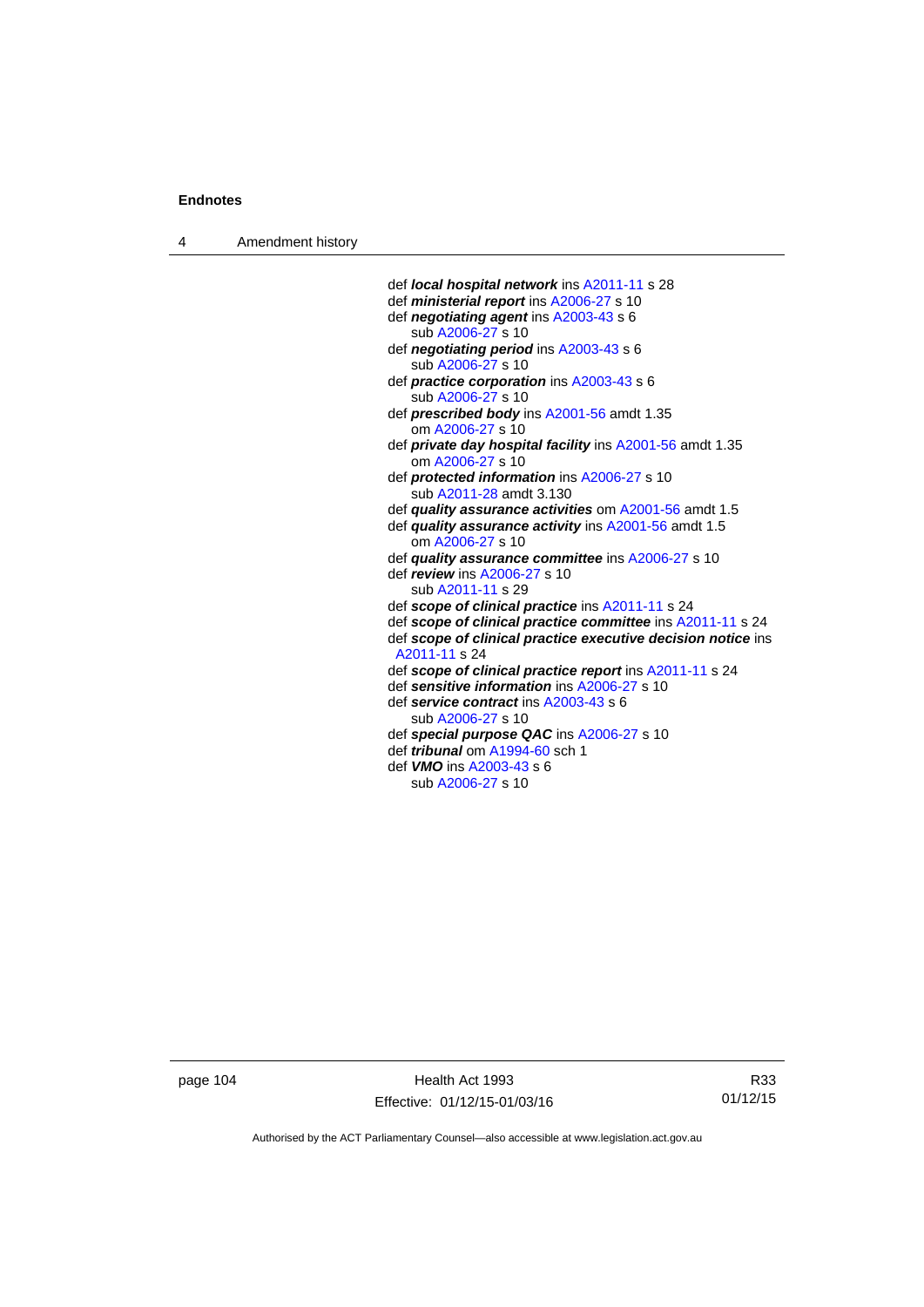4 Amendment history

```
 def local hospital network ins A2011-11 s 28 
def ministerial report ins A2006-27 s 10 
def negotiating agent ins A2003-43 s 6 
   sub A2006-27 s 10 
def negotiating period ins A2003-43 s 6 
   sub A2006-27 s 10 
def practice corporation ins A2003-43 s 6 
   sub A2006-27 s 10 
def prescribed body ins A2001-56 amdt 1.35 
   om A2006-27 s 10 
def private day hospital facility ins A2001-56 amdt 1.35 
   om A2006-27 s 10 
def protected information ins A2006-27 s 10 
   sub A2011-28 amdt 3.130 
def quality assurance activities om A2001-56 amdt 1.5
def quality assurance activity ins A2001-56 amdt 1.5
   om A2006-27 s 10 
def quality assurance committee ins A2006-27 s 10 
def review ins A2006-27 s 10 
   sub A2011-11 s 29 
def scope of clinical practice ins A2011-11 s 24 
def scope of clinical practice committee ins A2011-11 s 24 
def scope of clinical practice executive decision notice ins 
A2011-11 s 24 
def scope of clinical practice report ins A2011-11 s 24 
def sensitive information ins A2006-27 s 10 
def service contract ins A2003-43 s 6 
   sub A2006-27 s 10 
def special purpose QAC ins A2006-27 s 10 
def tribunal om A1994-60 sch 1 
def VMO ins A2003-43 s 6 
   sub A2006-27 s 10
```
page 104 Health Act 1993 Effective: 01/12/15-01/03/16

R33 01/12/15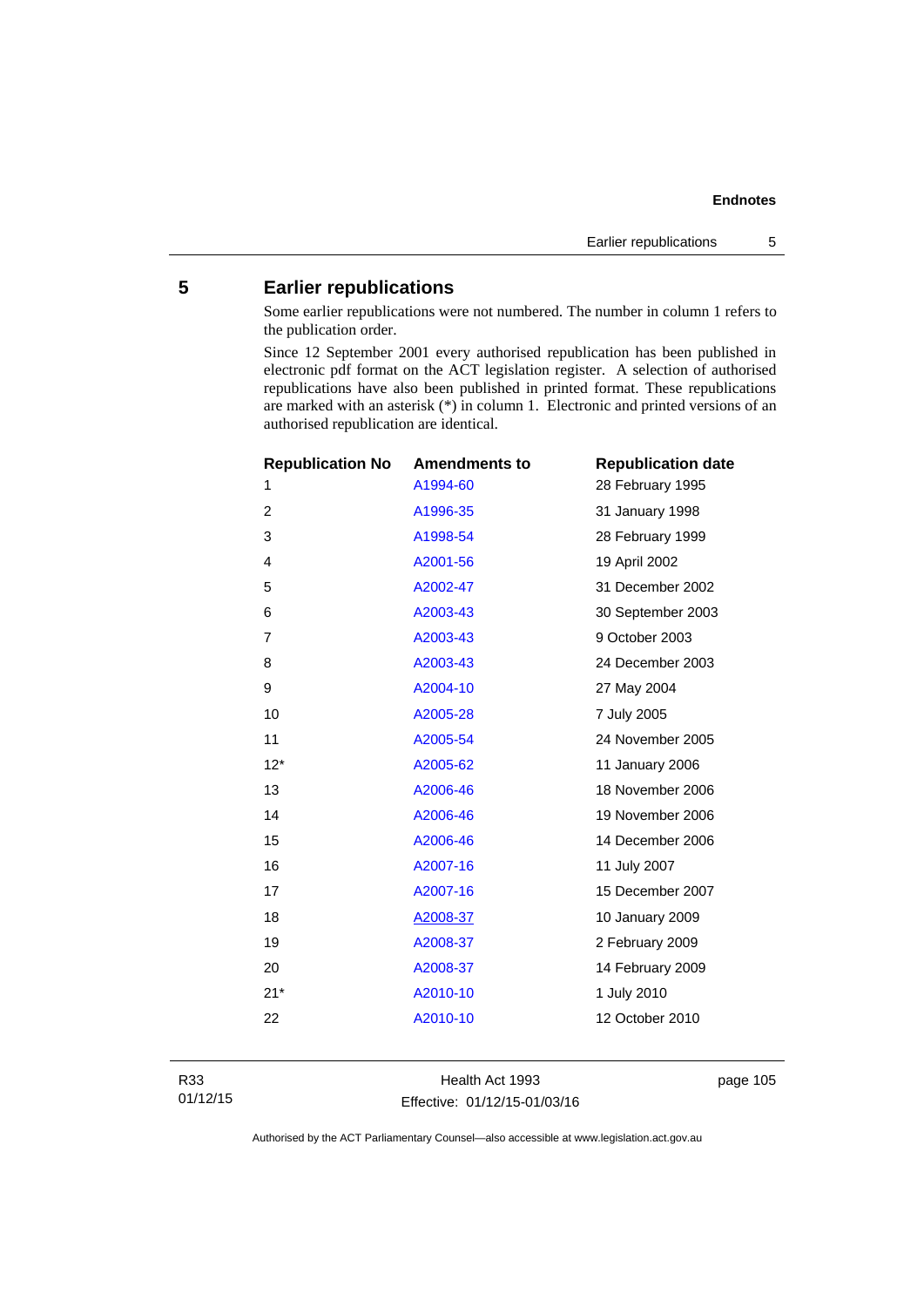# **5 Earlier republications**

Some earlier republications were not numbered. The number in column 1 refers to the publication order.

Since 12 September 2001 every authorised republication has been published in electronic pdf format on the ACT legislation register. A selection of authorised republications have also been published in printed format. These republications are marked with an asterisk (\*) in column 1. Electronic and printed versions of an authorised republication are identical.

| <b>Republication No</b> | <b>Amendments to</b> | <b>Republication date</b> |
|-------------------------|----------------------|---------------------------|
| 1                       | A1994-60             | 28 February 1995          |
| $\overline{2}$          | A1996-35             | 31 January 1998           |
| 3                       | A1998-54             | 28 February 1999          |
| 4                       | A2001-56             | 19 April 2002             |
| 5                       | A2002-47             | 31 December 2002          |
| 6                       | A2003-43             | 30 September 2003         |
| $\overline{7}$          | A2003-43             | 9 October 2003            |
| 8                       | A2003-43             | 24 December 2003          |
| 9                       | A2004-10             | 27 May 2004               |
| 10                      | A2005-28             | 7 July 2005               |
| 11                      | A2005-54             | 24 November 2005          |
| $12*$                   | A2005-62             | 11 January 2006           |
| 13                      | A2006-46             | 18 November 2006          |
| 14                      | A2006-46             | 19 November 2006          |
| 15                      | A2006-46             | 14 December 2006          |
| 16                      | A2007-16             | 11 July 2007              |
| 17                      | A2007-16             | 15 December 2007          |
| 18                      | A2008-37             | 10 January 2009           |
| 19                      | A2008-37             | 2 February 2009           |
| 20                      | A2008-37             | 14 February 2009          |
| $21*$                   | A2010-10             | 1 July 2010               |
| 22                      | A2010-10             | 12 October 2010           |
|                         |                      |                           |

Health Act 1993 Effective: 01/12/15-01/03/16 page 105